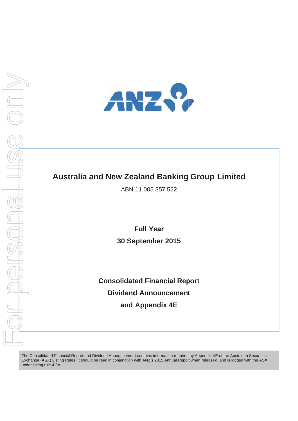

# **Australia and New Zealand Banking Group Limited**

ABN 11 005 35 57 522

**30 Se eptember r 2015 Full Year** 

**Consolidated Financial Report Dividend Announcement and Append ix 4E** 

The Consolidated Financial Report and Dividend Announcement contains information required by Appendix 4E of the Australian Securities Exchange (ASX) Listing Rules. It should be read in conjunction with ANZ's 2015 Annual Report when released, and is lodged with the ASX und der listing rule 4 4.3A.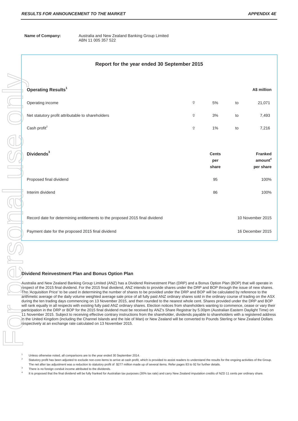**Name of Company:** Australia and New Zealand Banking Group Limited ABN 11 005 357 522

| Report for the year ended 30 September 2015                                                                                                                                                                                                                                                                                                                                                                                                                                      |   |                     |    |                                       |  |  |  |  |  |  |
|----------------------------------------------------------------------------------------------------------------------------------------------------------------------------------------------------------------------------------------------------------------------------------------------------------------------------------------------------------------------------------------------------------------------------------------------------------------------------------|---|---------------------|----|---------------------------------------|--|--|--|--|--|--|
|                                                                                                                                                                                                                                                                                                                                                                                                                                                                                  |   |                     |    |                                       |  |  |  |  |  |  |
| <b>Operating Results<sup>1</sup></b>                                                                                                                                                                                                                                                                                                                                                                                                                                             |   |                     |    | A\$ million                           |  |  |  |  |  |  |
| Operating income                                                                                                                                                                                                                                                                                                                                                                                                                                                                 | ⇧ | 5%                  | to | 21,071                                |  |  |  |  |  |  |
| Net statutory profit attributable to shareholders                                                                                                                                                                                                                                                                                                                                                                                                                                | ⇧ | 3%                  | to | 7,493                                 |  |  |  |  |  |  |
| Cash profit <sup>2</sup>                                                                                                                                                                                                                                                                                                                                                                                                                                                         | ⇧ | 1%                  | to | 7,216                                 |  |  |  |  |  |  |
|                                                                                                                                                                                                                                                                                                                                                                                                                                                                                  |   |                     |    |                                       |  |  |  |  |  |  |
| Dividends <sup>3</sup>                                                                                                                                                                                                                                                                                                                                                                                                                                                           |   | <b>Cents</b><br>per |    | <b>Franked</b><br>amount <sup>4</sup> |  |  |  |  |  |  |
|                                                                                                                                                                                                                                                                                                                                                                                                                                                                                  |   | share               |    | per share                             |  |  |  |  |  |  |
| Proposed final dividend                                                                                                                                                                                                                                                                                                                                                                                                                                                          |   | 95                  |    | 100%                                  |  |  |  |  |  |  |
| Interim dividend                                                                                                                                                                                                                                                                                                                                                                                                                                                                 |   | 86                  |    | 100%                                  |  |  |  |  |  |  |
|                                                                                                                                                                                                                                                                                                                                                                                                                                                                                  |   |                     |    |                                       |  |  |  |  |  |  |
| Record date for determining entitlements to the proposed 2015 final dividend                                                                                                                                                                                                                                                                                                                                                                                                     |   |                     |    | 10 November 2015                      |  |  |  |  |  |  |
| Payment date for the proposed 2015 final dividend                                                                                                                                                                                                                                                                                                                                                                                                                                |   |                     |    | 16 December 2015                      |  |  |  |  |  |  |
|                                                                                                                                                                                                                                                                                                                                                                                                                                                                                  |   |                     |    |                                       |  |  |  |  |  |  |
|                                                                                                                                                                                                                                                                                                                                                                                                                                                                                  |   |                     |    |                                       |  |  |  |  |  |  |
| Dividend Reinvestment Plan and Bonus Option Plan                                                                                                                                                                                                                                                                                                                                                                                                                                 |   |                     |    |                                       |  |  |  |  |  |  |
| Australia and New Zealand Banking Group Limited (ANZ) has a Dividend Reinvestment Plan (DRP) and a Bonus Option Plan (BOP) that will operate in<br>respect of the 2015 final dividend. For the 2015 final dividend, ANZ intends to provide shares under the DRP and BOP through the issue of new shares.                                                                                                                                                                         |   |                     |    |                                       |  |  |  |  |  |  |
| The 'Acquisition Price' to be used in determining the number of shares to be provided under the DRP and BOP will be calculated by reference to the<br>arithmetic average of the daily volume weighted average sale price of all fully paid ANZ ordinary shares sold in the ordinary course of trading on the ASX<br>during the ten trading days commencing on 13 November 2015, and then rounded to the nearest whole cent. Shares provided under the DRP and BOP                |   |                     |    |                                       |  |  |  |  |  |  |
| will rank equally in all respects with existing fully paid ANZ ordinary shares. Election notices from shareholders wanting to commence, cease or vary their<br>participation in the DRP or BOP for the 2015 final dividend must be received by ANZ's Share Registrar by 5.00pm (Australian Eastern Daylight Time) on<br>11 November 2015. Subject to receiving effective contrary instructions from the shareholder, dividends payable to shareholders with a registered address |   |                     |    |                                       |  |  |  |  |  |  |
| in the United Kingdom (including the Channel Islands and the Isle of Man) or New Zealand will be converted to Pounds Sterling or New Zealand Dollars<br>respectively at an exchange rate calculated on 13 November 2015.                                                                                                                                                                                                                                                         |   |                     |    |                                       |  |  |  |  |  |  |
|                                                                                                                                                                                                                                                                                                                                                                                                                                                                                  |   |                     |    |                                       |  |  |  |  |  |  |
| Unless otherwise noted, all comparisons are to the year ended 30 September 2014.                                                                                                                                                                                                                                                                                                                                                                                                 |   |                     |    |                                       |  |  |  |  |  |  |
| $\overline{\mathbf{c}}$<br>Statutory profit has been adjusted to exclude non-core items to arrive at cash profit, which is provided to assist readers to understand the results for the ongoing activities of the Group.<br>The net after tax adjustment was a reduction to statutory profit of \$277 million made up of several items. Refer pages 83 to 92 for further details.<br>3                                                                                           |   |                     |    |                                       |  |  |  |  |  |  |
| There is no foreign conduit income attributed to the dividends.<br>4<br>It is proposed that the final dividend will be fully franked for Australian tax purposes (30% tax rate) and carry New Zealand imputation credits of NZD 11 cents per ordinary share.                                                                                                                                                                                                                     |   |                     |    |                                       |  |  |  |  |  |  |

#### **Dividend Reinvestment Plan and Bonus Option Plan**

- 3 There is no foreign conduit income attributed to the dividends.
- 4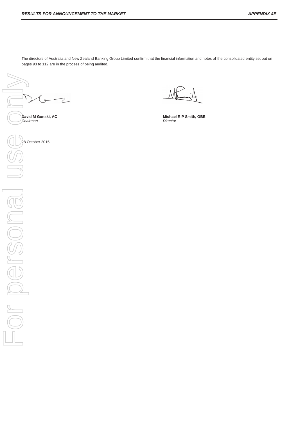$\mathcal{Z}$ 

The directors of Australia and New Zealand Banking Group Limited confirm that the financial information and notes of the consolidated entity set out on pages 93 to 112 are in the process of being audited.

For personal use only **Dav vid M Gonski, A AC** *Cha airman*  28 October 2015 For personal

 $\rightarrow$ 

**Michael R P Sm mith, OBE** *Director*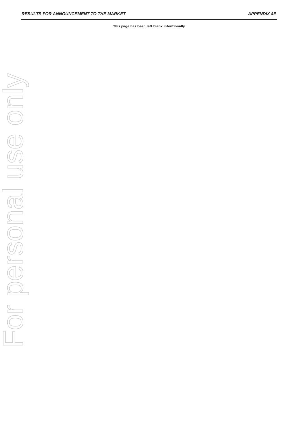**This page has been left blank intentionally**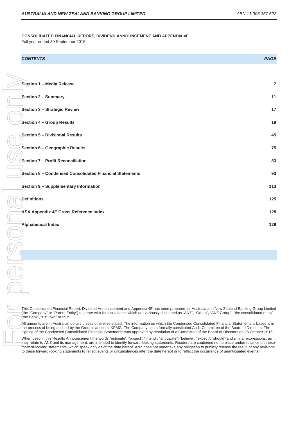## **CONSOLIDATED FINANCIAL REPORT, DIVIDEND ANNOUNCEMENT AND APPENDIX 4E**

Full year ended 30 September 2015

| <b>CONTENTS</b>                                                                                                                                                                                                                                                                                                                                                                                                                                                           | <b>PAGE</b>    |
|---------------------------------------------------------------------------------------------------------------------------------------------------------------------------------------------------------------------------------------------------------------------------------------------------------------------------------------------------------------------------------------------------------------------------------------------------------------------------|----------------|
|                                                                                                                                                                                                                                                                                                                                                                                                                                                                           |                |
| Section 1 - Media Release                                                                                                                                                                                                                                                                                                                                                                                                                                                 | $\overline{7}$ |
|                                                                                                                                                                                                                                                                                                                                                                                                                                                                           |                |
| Section 2 - Summary                                                                                                                                                                                                                                                                                                                                                                                                                                                       | 11             |
| Section 3 - Strategic Review                                                                                                                                                                                                                                                                                                                                                                                                                                              | 17             |
| Section 4 - Group Results                                                                                                                                                                                                                                                                                                                                                                                                                                                 | 19             |
| <b>Section 5 - Divisional Results</b>                                                                                                                                                                                                                                                                                                                                                                                                                                     | 45             |
| Section 6 - Geographic Results                                                                                                                                                                                                                                                                                                                                                                                                                                            | 75             |
| Section 7 - Profit Reconciliation                                                                                                                                                                                                                                                                                                                                                                                                                                         | 83             |
| Section 8 - Condensed Consolidated Financial Statements                                                                                                                                                                                                                                                                                                                                                                                                                   | 93             |
|                                                                                                                                                                                                                                                                                                                                                                                                                                                                           |                |
| Section 9 - Supplementary Information                                                                                                                                                                                                                                                                                                                                                                                                                                     | 113            |
| Definitions                                                                                                                                                                                                                                                                                                                                                                                                                                                               | 125            |
| ASX Appendix 4E Cross Reference Index                                                                                                                                                                                                                                                                                                                                                                                                                                     | 128            |
| Alphabetical Index                                                                                                                                                                                                                                                                                                                                                                                                                                                        | 129            |
|                                                                                                                                                                                                                                                                                                                                                                                                                                                                           |                |
|                                                                                                                                                                                                                                                                                                                                                                                                                                                                           |                |
|                                                                                                                                                                                                                                                                                                                                                                                                                                                                           |                |
|                                                                                                                                                                                                                                                                                                                                                                                                                                                                           |                |
|                                                                                                                                                                                                                                                                                                                                                                                                                                                                           |                |
|                                                                                                                                                                                                                                                                                                                                                                                                                                                                           |                |
|                                                                                                                                                                                                                                                                                                                                                                                                                                                                           |                |
| This Consolidated Financial Report, Dividend Announcement and Appendix 4E has been prepared for Australia and New Zealand Banking Group Limited<br>(the "Company" or "Parent Entity") together with its subsidiaries which are variously described as "ANZ", "Group", "ANZ Group", "the consolidated entity"<br>"the Bank", "us", "we" or "our".                                                                                                                          |                |
| All amounts are in Australian dollars unless otherwise stated. The information on which the Condensed Consolidated Financial Statements is based is in<br>the process of being audited by the Group's auditors, KPMG. The Company has a formally constituted Audit Committee of the Board of Directors. The                                                                                                                                                               |                |
| signing of the Condensed Consolidated Financial Statements was approved by resolution of a Committee of the Board of Directors on 28 October 2015.<br>When used in this Results Announcement the words "estimate", "project", "intend", "anticipate", "believe", "expect", "should" and similar expressions, as                                                                                                                                                           |                |
| they relate to ANZ and its management, are intended to identify forward-looking statements. Readers are cautioned not to place undue reliance on these<br>forward-looking statements, which speak only as of the date hereof. ANZ does not undertake any obligation to publicly release the result of any revisions<br>to these forward-looking statements to reflect events or circumstances after the date hereof or to reflect the occurrence of unanticipated events. |                |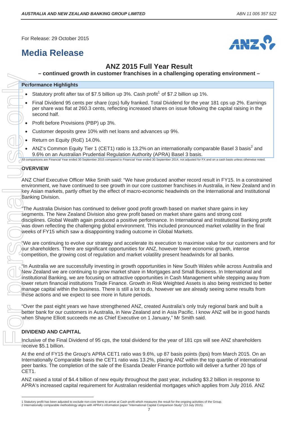For Release: 29 October 2015

# **Media Release**



## **ANZ 2015 Full Year Result**

**– continued growth in customer franchises in a challenging operating environment –** 

## **Performance Highlights**

- Statutory profit after tax of \$7.5 billion up 3%. Cash profit<sup>1</sup> of \$7.2 billion up 1%.
- Final Dividend 95 cents per share (cps) fully franked. Total Dividend for the year 181 cps up 2%. Earnings per share was flat at 260.3 cents, reflecting increased shares on issue following the capital raising in the second half.
- Profit before Provisions (PBP) up 3%.
- Customer deposits grew 10% with net loans and advances up 9%.
- Return on Equity (RoE) 14.0%.
- ANZ's Common Equity Tier 1 (CET1) ratio is 13.2% on an internationally comparable Basel 3 basis<sup>2</sup> and 9.6% on an Australian Prudential Regulation Authority (APRA) Basel 3 basis.

All comparisons are Financial Year ended 30 September 2015 compared to Financial Year ended 30 September 2014, not adjusted for FX and on a cash basis unless otherwise noted.

## **OVERVIEW**

j

ANZ Chief Executive Officer Mike Smith said: "We have produced another record result in FY15. In a constrained environment, we have continued to see growth in our core customer franchises in Australia, in New Zealand and in key Asian markets, partly offset by the effect of macro-economic headwinds on the International and Institutional Banking Division.

"The Australia Division has continued to deliver good profit growth based on market share gains in key segments. The New Zealand Division also grew profit based on market share gains and strong cost disciplines. Global Wealth again produced a positive performance. In International and Institutional Banking profit was down reflecting the challenging global environment. This included pronounced market volatility in the final weeks of FY15 which saw a disappointing trading outcome in Global Markets.

"We are continuing to evolve our strategy and accelerate its execution to maximise value for our customers and for our shareholders. There are significant opportunities for ANZ, however lower economic growth, intense competition, the growing cost of regulation and market volatility present headwinds for all banks.

"In Australia we are successfully investing in growth opportunities in New South Wales while across Australia and New Zealand we are continuing to grow market share in Mortgages and Small Business. In International and Institutional Banking, we are focusing on attractive opportunities in Cash Management while stepping away from lower return financial institutions Trade Finance. Growth in Risk Weighted Assets is also being restricted to better manage capital within the business. There is still a lot to do, however we are already seeing some results from these actions and we expect to see more in future periods. 2 **Performance Islamilghts**<br>
2 Comparable methodology aligns with APRA's international Capital Capital Capital Capital Capital Capital Capital Capital Capital Capital Capital Capital Capital Capital Capital Capital Capital

"Over the past eight years we have strengthened ANZ, created Australia's only truly regional bank and built a better bank for our customers in Australia, in New Zealand and in Asia Pacific. I know ANZ will be in good hands when Shayne Elliott succeeds me as Chief Executive on 1 January," Mr Smith said.

## **DIVIDEND AND CAPITAL**

Inclusive of the Final Dividend of 95 cps, the total dividend for the year of 181 cps will see ANZ shareholders receive \$5.1 billion.

At the end of FY15 the Group's APRA CET1 ratio was 9.6%, up 87 basis points (bps) from March 2015. On an Internationally Comparable basis the CET1 ratio was 13.2%, placing ANZ within the top quartile of international peer banks. The completion of the sale of the Esanda Dealer Finance portfolio will deliver a further 20 bps of CET1.

ANZ raised a total of \$4.4 billion of new equity throughout the past year, including \$3.2 billion in response to APRA's increased capital requirement for Australian residential mortgages which applies from July 2016. ANZ

 1 Statutory profit has been adjusted to exclude non-core items to arrive at Cash profit which measures the result for the ongoing activities of the Group.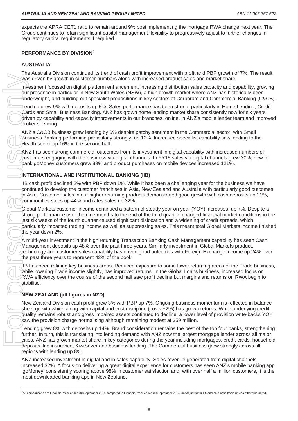expects the APRA CET1 ratio to remain around 9% post implementing the mortgage RWA change next year. The Group continues to retain significant capital management flexibility to progressively adjust to further changes in regulatory capital requirements if required.

## **PERFORMANCE BY DIVISION**<sup>3</sup>

## **AUSTRALIA**

The Australia Division continued its trend of cash profit improvement with profit and PBP growth of 7%. The result was driven by growth in customer numbers along with increased product sales and market share.

Investment focused on digital platform enhancement, increasing distribution sales capacity and capability, growing our presence in particular in New South Wales (NSW), a high growth market where ANZ has historically been Underweight, and building out specialist propositions in key sectors of Corporate and Commercial Banking (C&CB).

Lending grew 9% with deposits up 5%. Sales performance has been strong, particularly in Home Lending, Credit Cards and Small Business Banking. ANZ has grown home lending market share consistently now for six years driven by capability and capacity improvements in our branches, online, in ANZ's mobile lender team and improved broker servicing.

ANZ's C&CB business grew lending by 6% despite patchy sentiment in the Commercial sector, with Small Business Banking performing particularly strongly, up 12%. Increased specialist capability saw lending to the Health sector up 16% in the second half.

ANZ has seen strong commercial outcomes from its investment in digital capability with increased numbers of customers engaging with the business via digital channels. In FY15 sales via digital channels grew 30%, new to bank goMoney customers grew 89% and product purchases on mobile devices increased 121%.

## **INTERNATIONAL AND INSTITUTIONAL BANKING (IIB)**

IIB cash profit declined 2% with PBP down 1%. While it has been a challenging year for the business we have continued to develop the customer franchises in Asia, New Zealand and Australia with particularly good outcomes in Asia. Customer sales in our higher returning products demonstrated good growth with cash deposits up 11%, commodities sales up 44% and rates sales up 32%.

Global Markets customer income continued a pattern of steady year on year (YOY) increases, up 7%. Despite a strong performance over the nine months to the end of the third quarter, changed financial market conditions in the last six weeks of the fourth quarter caused significant dislocation and a widening of credit spreads, which particularly impacted trading income as well as suppressing sales. This meant total Global Markets income finished the year down 2%. All comparisons are the state of the state of the financial Year ended 30 September 2015 compared to Financial Year ended 30 September 2014, and the state of the Southern Phenometric Methods (Not Figure 2014), and the Sou

A multi-year investment in the high returning Transaction Banking Cash Management capability has seen Cash Management deposits up 48% over the past three years. Similarly investment in Global Markets product, technology and customer sales capability has driven good outcomes with Foreign Exchange income up 24% over the past three years to represent 42% of the book.

IIB has been refining key business areas. Reduced exposure to some lower returning areas of the Trade business, while lowering Trade income slightly, has improved returns. In the Global Loans business, increased focus on RWA efficiency over the course of the second half saw profit decline but margins and returns on RWA begin to stabilise.

## **NEW ZEALAND (all figures in NZD)**

New Zealand Division cash profit grew 3% with PBP up 7%. Ongoing business momentum is reflected in balance sheet growth which along with capital and cost discipline (costs +2%) has grown returns. While underlying credit quality remains robust and gross impaired assets continued to decline, a lower level of provision write-backs YOY saw the provision charge normalising although remaining modest at \$59 million.

Lending grew 8% with deposits up 14%. Brand consideration remains the best of the top four banks, strengthening further. In turn, this is translating into lending demand with ANZ now the largest mortgage lender across all major cities. ANZ has grown market share in key categories during the year including mortgages, credit cards, household deposits, life insurance, KiwiSaver and business lending. The Commercial business grew strongly across all regions with lending up 8%.

ANZ increased investment in digital and in sales capability. Sales revenue generated from digital channels increased 32%. A focus on delivering a great digital experience for customers has seen ANZ's mobile banking app 'goMoney' consistently scoring above 98% in customer satisfaction and, with over half a million customers, it is the most downloaded banking app in New Zealand.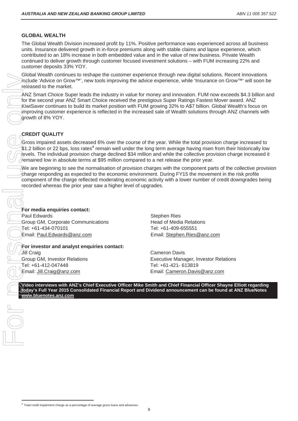## **GLOBAL WEALTH**

The Global Wealth Division increased profit by 11%. Positive performance was experienced across all business units. Insurance delivered growth in in-force premiums along with stable claims and lapse experience, which contributed to an 18% increase in both embedded value and in the value of new business. Private Wealth continued to deliver growth through customer focused investment solutions – with FUM increasing 22% and customer deposits 33% YOY.

Global Wealth continues to reshape the customer experience through new digital solutions. Recent innovations include 'Advice on Grow™', new tools improving the advice experience, while 'Insurance on Grow™' will soon be released to the market.

ANZ Smart Choice Super leads the industry in value for money and innovation. FUM now exceeds \$4.3 billion and for the second year ANZ Smart Choice received the prestigious Super Ratings Fastest Mover award. ANZ KiwiSaver continues to build its market position with FUM growing 32% to A\$7 billion. Global Wealth's focus on improving customer experience is reflected in the increased sale of Wealth solutions through ANZ channels with drowth of 8% YOY.

## **CREDIT QUALITY**

Gross impaired assets decreased 6% over the course of the year. While the total provision charge increased to \$1.2 billion or 22 bps, loss rates<sup>4</sup> remain well under the long term average having risen from their historically low levels. The individual provision charge declined \$34 million and while the collective provision charge increased it remained low in absolute terms at \$95 million compared to a net release the prior year.

We are beginning to see the normalisation of provision charges with the component parts of the collective provision charge responding as expected to the economic environment. During FY15 the movement in the risk profile component of the charge reflected moderating economic activity with a lower number of credit downgrades being recorded whereas the prior year saw a higher level of upgrades.

## **For media enquiries contact:**

Paul Edwards Group GM, Corporate Communications Tel: +61-434-070101 Email: Paul.Edwards@anz.com

**For investor and analyst enquiries contact:**  Jill Craig Group GM, Investor Relations Tel: +61-412-047448

Email: Jill.Craig@anz.com

Stephen Ries Head of Media Relations Tel: +61-409-655551 Email: Stephen.Ries@anz.com

Cameron Davis Executive Manager, Investor Relations Tel: +61-421- 613819 Email: Cameron.Davis@anz.com

**Video interviews with ANZ's Chief Executive Officer Mike Smith and Chief Financial Officer Shayne Elliott regarding today's Full Year 2015 Consolidated Financial Report and Dividend announcement can be found at ANZ BlueNotes www.bluenotes.anz.com**

i.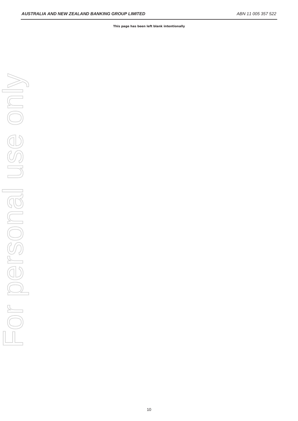**This page has been left blank intentionally**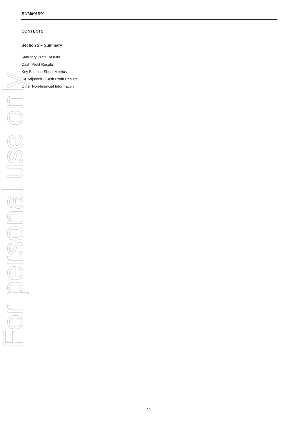### **CONTENTS**

#### **Section 2 – Summary**

Statutory Profit Results

Cash Profit Results

Key Balance Sheet Metrics

FX Adjusted - Cash Profit Results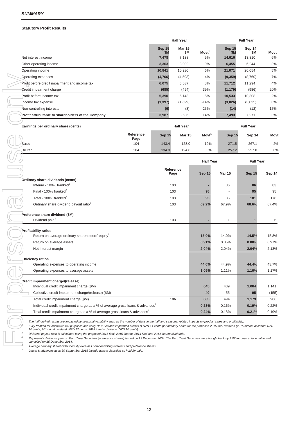#### **Statutory Profit Results**

|                                                    | <b>Half Year</b> |                      |                   | <b>Full Year</b> |               |      |  |
|----------------------------------------------------|------------------|----------------------|-------------------|------------------|---------------|------|--|
|                                                    | Sep 15<br>\$M    | <b>Mar 15</b><br>\$M | Movt <sup>1</sup> | Sep 15<br>\$M    | Sep 14<br>\$M | Movt |  |
| Net interest income                                | 7,478            | 7,138                | 5%                | 14,616           | 13,810        | 6%   |  |
| Other operating income                             | 3,363            | 3,092                | 9%                | 6,455            | 6,244         | 3%   |  |
| Operating income                                   | 10,841           | 10,230               | 6%                | 21,071           | 20,054        | 5%   |  |
| Operating expenses                                 | (4,766)          | (4,593)              | 4%                | (9,359)          | (8,760)       | 7%   |  |
| Profit before credit impairment and income tax     | 6,075            | 5,637                | 8%                | 11,712           | 11,294        | 4%   |  |
| Credit impairment charge                           | (685)            | (494)                | 39%               | (1, 179)         | (986)         | 20%  |  |
| Profit before income tax                           | 5,390            | 5,143                | 5%                | 10,533           | 10,308        | 2%   |  |
| Income tax expense                                 | (1, 397)         | (1,629)              | $-14%$            | (3,026)          | (3,025)       | 0%   |  |
| Non-controlling interests                          | (6)              | (8)                  | $-25%$            | (14)             | (12)          | 17%  |  |
| Profit attributable to shareholders of the Company | 3,987            | 3,506                | 14%               | 7,493            | 7,271         | 3%   |  |

| Earnings per ordinary share (cents) |                   |        | <b>Half Year</b> |             | <b>Full Year</b> |        |      |  |
|-------------------------------------|-------------------|--------|------------------|-------------|------------------|--------|------|--|
|                                     | Reference<br>Page | Sep 15 | <b>Mar 15</b>    | <b>Movt</b> | Sep 15           | Sep 14 | Movt |  |
| Basic                               | 104               | 143.4  | 128.0            | 12%         | 271.5            | 267.1  | 2%   |  |
| <b>Diluted</b>                      | 104               | 134.9  | 124.6            | 8%          | 257.2            | 257.0  | 0%   |  |

| Operating expenses                                                                                                                                                                                                                                                           |                   | (4, 766)  | (4, 593)         | 4%                | (9, 359)      | (8,760)          | 7%     |
|------------------------------------------------------------------------------------------------------------------------------------------------------------------------------------------------------------------------------------------------------------------------------|-------------------|-----------|------------------|-------------------|---------------|------------------|--------|
| Profit before credit impairment and income tax                                                                                                                                                                                                                               |                   | 6,075     | 5,637            | 8%                | 11,712        | 11,294           | 4%     |
| Credit impairment charge                                                                                                                                                                                                                                                     |                   | (685)     | (494)            | 39%               | (1, 179)      | (986)            | 20%    |
| Profit before income tax                                                                                                                                                                                                                                                     |                   | 5,390     | 5,143            | 5%                | 10,533        | 10,308           | 2%     |
| Income tax expense                                                                                                                                                                                                                                                           |                   | (1, 397)  | (1,629)          | $-14%$            | (3,026)       | (3,025)          | 0%     |
| Non-controlling interests                                                                                                                                                                                                                                                    |                   | (6)       | (8)              | $-25%$            | (14)          | (12)             | 17%    |
| Profit attributable to shareholders of the Company                                                                                                                                                                                                                           |                   | 3,987     | 3,506            | 14%               | 7,493         | 7,271            | 3%     |
| Earnings per ordinary share (cents)                                                                                                                                                                                                                                          |                   |           | <b>Half Year</b> |                   |               | <b>Full Year</b> |        |
|                                                                                                                                                                                                                                                                              | Reference<br>Page | Sep 15    | <b>Mar 15</b>    | Movt <sup>1</sup> | <b>Sep 15</b> | Sep 14           | Movt   |
| Basic                                                                                                                                                                                                                                                                        | 104               | 143.4     | 128.0            | 12%               | 271.5         | 267.1            | 2%     |
| Diluted                                                                                                                                                                                                                                                                      | 104               | 134.9     | 124.6            | 8%                | 257.2         | 257.0            | 0%     |
|                                                                                                                                                                                                                                                                              |                   |           |                  | <b>Half Year</b>  |               | <b>Full Year</b> |        |
|                                                                                                                                                                                                                                                                              |                   | Reference |                  |                   |               |                  |        |
|                                                                                                                                                                                                                                                                              |                   | Page      |                  | <b>Sep 15</b>     | <b>Mar 15</b> | <b>Sep 15</b>    | Sep 14 |
| Ordinary share dividends (cents)<br>Interim - 100% franked $^{2}$                                                                                                                                                                                                            |                   | 103       |                  |                   | 86            | 86               | 83     |
| Final - 100% franked $2$                                                                                                                                                                                                                                                     |                   | 103       |                  | 95                |               | 95               | 95     |
| Total - 100% franked <sup>2</sup>                                                                                                                                                                                                                                            |                   | 103       |                  | 95                | 86            | 181              | 178    |
| Ordinary share dividend payout ratio <sup>3</sup>                                                                                                                                                                                                                            |                   | 103       |                  | 69.2%             | 67.9%         | 68.6%            | 67.4%  |
|                                                                                                                                                                                                                                                                              |                   |           |                  |                   |               |                  |        |
| Preference share dividend (\$M)                                                                                                                                                                                                                                              |                   |           |                  |                   |               |                  |        |
| Dividend paid <sup>4</sup>                                                                                                                                                                                                                                                   |                   | 103       |                  |                   | 1             | 1                | 6      |
| <b>Profitability ratios</b>                                                                                                                                                                                                                                                  |                   |           |                  |                   |               |                  |        |
| Return on average ordinary shareholders' equity <sup>3</sup>                                                                                                                                                                                                                 |                   |           |                  | 15.0%             | 14.0%         | 14.5%            | 15.8%  |
| Return on average assets                                                                                                                                                                                                                                                     |                   |           |                  | 0.91%             | 0.85%         | 0.88%            | 0.97%  |
| Net interest margin                                                                                                                                                                                                                                                          |                   |           |                  | 2.04%             | 2.04%         | 2.04%            | 2.13%  |
| <b>Efficiency ratios</b>                                                                                                                                                                                                                                                     |                   |           |                  |                   |               |                  |        |
| Operating expenses to operating income                                                                                                                                                                                                                                       |                   |           |                  | 44.0%             | 44.9%         | 44.4%            | 43.7%  |
| Operating expenses to average assets                                                                                                                                                                                                                                         |                   |           |                  | 1.09%             | 1.11%         | 1.10%            | 1.17%  |
|                                                                                                                                                                                                                                                                              |                   |           |                  |                   |               |                  |        |
| Credit impairment charge/(release)                                                                                                                                                                                                                                           |                   |           |                  |                   |               |                  |        |
| Individual credit impairment charge (\$M)                                                                                                                                                                                                                                    |                   |           |                  | 645               | 439           | 1,084            | 1,141  |
| Collective credit impairment charge/(release) (\$M)<br>Total credit impairment charge (\$M)                                                                                                                                                                                  |                   |           |                  | 40                | 55            | 95               | (155)  |
|                                                                                                                                                                                                                                                                              |                   | 106       |                  | 685               | 494           | 1,179            | 986    |
| Individual credit impairment charge as a % of average gross loans & advances                                                                                                                                                                                                 |                   |           |                  | 0.23%             | 0.16%         | 0.19%            | 0.22%  |
| Total credit impairment charge as a % of average gross loans & advances                                                                                                                                                                                                      |                   |           |                  | 0.24%             | 0.18%         | 0.21%            | 0.19%  |
| The half-on-half results are impacted by seasonal variability such as the number of days in the half and seasonal related impacts on product sales and profitability.                                                                                                        |                   |           |                  |                   |               |                  |        |
| Fully franked for Australian tax purposes and carry New Zealand imputation credits of NZD 11 cents per ordinary share for the proposed 2015 final dividend (2015 interim dividend: NZD<br>10 cents; 2014 final dividend: NZD 12 cents; 2014 interim dividend: NZD 10 cents). |                   |           |                  |                   |               |                  |        |
| Dividend payout ratio is calculated using the proposed 2015 final, 2015 interim, 2014 final and 2014 interim dividends.                                                                                                                                                      |                   |           |                  |                   |               |                  |        |
| 4.<br>Represents dividends paid on Euro Trust Securities (preference shares) issued on 13 December 2004. The Euro Trust Securities were bought back by ANZ for cash at face value and<br>cancelled on 15 December 2014.                                                      |                   |           |                  |                   |               |                  |        |
| Average ordinary shareholders' equity excludes non-controlling interests and preference shares.                                                                                                                                                                              |                   |           |                  |                   |               |                  |        |

 *Loans & advances as at 30 September 2015 include assets classified as held for sale.*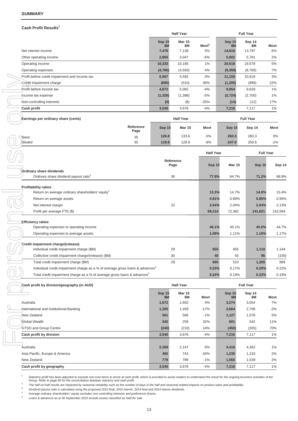## **Cash Profit Results1**

|                  | <b>Cash Profit Results</b>                                                           | <b>Half Year</b> |                                   |                   | <b>Full Year</b>  |                            |                  |
|------------------|--------------------------------------------------------------------------------------|------------------|-----------------------------------|-------------------|-------------------|----------------------------|------------------|
|                  |                                                                                      | Sep 15<br>\$M    | <b>Mar 15</b><br>\$Μ              | Movt <sup>2</sup> | Sep 15<br>\$M     | Sep 14<br>\$M              | Movt             |
|                  | Net interest income                                                                  | 7,478            | 7,138                             | 5%                | 14,616            | 13,797                     | 6%               |
|                  | Other operating income                                                               | 2,855            | 3,047                             | $-6%$             | 5,902             | 5,781                      | 2%               |
|                  | Operating income                                                                     | 10,333           | 10,185                            | 1%<br>4%          | 20,518            | 19,578                     | 5%<br>7%         |
|                  | Operating expenses<br>Profit before credit impairment and income tax                 | (4,766)<br>5,567 | (4, 593)<br>5,592                 | 0%                | (9,359)<br>11,159 | (8,760)<br>10,818          | 3%               |
|                  | Credit impairment charge                                                             | (695)            | (510)                             | 36%               | (1,205)           | (989)                      | 22%              |
|                  | Profit before income tax                                                             | 4,872            | 5,082                             | $-4%$             | 9,954             | 9,829                      | 1%               |
|                  | Income tax expense                                                                   | (1, 326)         | (1, 398)                          | $-5%$             | (2,724)           | (2,700)                    | 1%               |
|                  | Non-controlling interests                                                            | (6)              | (8)                               | $-25%$            | (14)              | (12)                       | 17%              |
|                  | Cash profit                                                                          | 3,540            | 3,676                             | $-4%$             | 7,216             | 7,117                      | 1%               |
|                  |                                                                                      |                  |                                   |                   |                   |                            |                  |
|                  | Earnings per ordinary share (cents)<br>Reference                                     | <b>Sep 15</b>    | <b>Half Year</b><br><b>Mar 15</b> | Movt              | Sep 15            | <b>Full Year</b><br>Sep 14 | Movt             |
|                  | Page                                                                                 | 126.8            |                                   |                   | 260.3             |                            | 0%               |
| Basic<br>Diluted | 35<br>35                                                                             | 119.8            | 133.6<br>129.9                    | $-5%$<br>$-8%$    | 247.0             | 260.3<br>250.6             | $-1%$            |
|                  |                                                                                      |                  |                                   |                   |                   |                            |                  |
|                  |                                                                                      |                  | Reference                         | <b>Half Year</b>  |                   |                            | <b>Full Year</b> |
|                  |                                                                                      |                  | Page                              | Sep 15            | <b>Mar 15</b>     | <b>Sep 15</b>              | Sep 14           |
|                  | Ordinary share dividends<br>Ordinary share dividend payout ratio <sup>3</sup>        |                  | 36                                | 77.9%             | 64.7%             | 71.2%                      | 68.9%            |
|                  | <b>Profitability ratios</b>                                                          |                  |                                   |                   |                   |                            |                  |
|                  | Return on average ordinary shareholders' equity <sup>4</sup>                         |                  |                                   | 13.3%             | 14.7%             | 14.0%                      | 15.4%            |
|                  | Return on average assets                                                             |                  |                                   | 0.81%             | 0.89%             | 0.85%                      | 0.95%            |
|                  | Net interest margin                                                                  |                  | 22                                | 2.04%             | 2.04%             | 2.04%                      | 2.13%            |
|                  | Profit per average FTE (\$)                                                          |                  |                                   | 69,214            | 72,382            | 141,621                    | 142,064          |
|                  | <b>Efficiency ratios</b><br>Operating expenses to operating income                   |                  |                                   | 46.1%             | 45.1%             | 45.6%                      | 44.7%            |
|                  | Operating expenses to average assets                                                 |                  |                                   | 1.09%             | 1.11%             | 1.10%                      | 1.17%            |
|                  |                                                                                      |                  |                                   |                   |                   |                            |                  |
|                  | Credit impairment charge/(release)<br>Individual credit impairment charge (\$M)      |                  | 29                                | 655               | 455               | 1,110                      | 1,144            |
|                  | Collective credit impairment charge/(release) (\$M)                                  |                  | 30                                | 40                | 55                | 95                         | (155)            |
|                  | Total credit impairment charge (\$M)                                                 |                  | 29                                | 695               | 510               | 1,205                      | 989              |
|                  | Individual credit impairment charge as a % of average gross loans & advances         |                  |                                   | 0.23%             | 0.17%             | 0.20%                      | 0.22%            |
|                  | Total credit impairment charge as a % of average gross loans & advances <sup>5</sup> |                  |                                   | 0.24%             | 0.19%             | 0.22%                      | 0.19%            |
|                  | Cash profit by division/geography (in AUD)                                           |                  | <b>Half Year</b>                  |                   |                   | <b>Full Year</b>           |                  |
|                  |                                                                                      | Sep 15           | <b>Mar 15</b>                     |                   | <b>Sep 15</b>     | Sep 14                     |                  |
|                  | Australia                                                                            | \$M<br>1,672     | \$M<br>1,602                      | Movt<br>4%        | \$M<br>3,274      | \$M<br>3,054               | Movt<br>7%       |
|                  | International and Institutional Banking                                              | 1,205            | 1,459                             | $-17%$            | 2,664             | 2,708                      | $-2%$            |
|                  | New Zealand                                                                          | 561              | 566                               | $-1%$             | 1,127             | 1,078                      | 5%               |
|                  | Global Wealth                                                                        | 342              | 259                               | 32%               | 601               | 542                        | 11%              |
|                  | GTSO and Group Centre                                                                | (240)            | (210)                             | 14%               | (450)             | (265)                      | 70%              |
|                  | Cash profit by division                                                              | 3,540            | 3,676                             | $-4%$             | 7,216             | 7,117                      | 1%               |
|                  |                                                                                      |                  |                                   |                   |                   |                            |                  |
|                  | Australia                                                                            | 2,269            | 2,147                             | 6%                | 4,416             | 4,362                      | 1%               |
|                  | Asia Pacific, Europe & America                                                       | 492              | 743                               | $-34%$            | 1,235             | 1,216                      | 2%               |
|                  |                                                                                      | 779              | 786                               | $-1%$             | 1,565             | 1,539                      | 2%               |
|                  | New Zealand                                                                          |                  |                                   |                   |                   |                            |                  |

| Cash profit by division/geography (in AUD) |               | <b>Half Year</b>     |        | <b>Full Year</b>    |               |       |  |
|--------------------------------------------|---------------|----------------------|--------|---------------------|---------------|-------|--|
|                                            | Sep 15<br>\$M | <b>Mar 15</b><br>\$M | Movt   | Sep 15<br><b>SM</b> | Sep 14<br>\$M | Movt  |  |
| Australia                                  | 1,672         | 1,602                | 4%     | 3,274               | 3,054         | 7%    |  |
| International and Institutional Banking    | 1,205         | 1,459                | $-17%$ | 2,664               | 2,708         | $-2%$ |  |
| New Zealand                                | 561           | 566                  | $-1\%$ | 1,127               | 1,078         | 5%    |  |
| Global Wealth                              | 342           | 259                  | 32%    | 601                 | 542           | 11%   |  |
| <b>GTSO and Group Centre</b>               | (240)         | (210)                | 14%    | (450)               | (265)         | 70%   |  |
| Cash profit by division                    | 3,540         | 3,676                | -4%    | 7,216               | 7,117         | 1%    |  |
|                                            |               |                      |        |                     |               |       |  |
| Australia                                  | 2,269         | 2,147                | 6%     | 4,416               | 4,362         | 1%    |  |
| Asia Pacific, Europe & America             | 492           | 743                  | $-34%$ | 1,235               | 1,216         | 2%    |  |
| New Zealand                                | 779           | 786                  | $-1\%$ | 1,565               | 1,539         | 2%    |  |
| Cash profit by geography                   | 3,540         | 3,676                | $-4%$  | 7,216               | 7,117         | 1%    |  |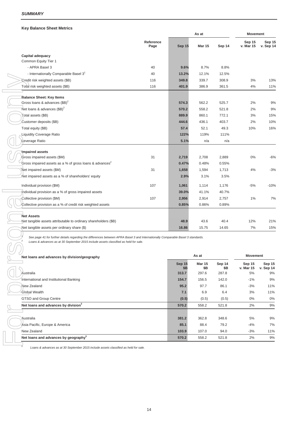#### **Key Balance Sheet Metrics**

|                                                                                                                                                                                                                          |                   | As at  |               |        | <b>Movement</b>     |                     |  |
|--------------------------------------------------------------------------------------------------------------------------------------------------------------------------------------------------------------------------|-------------------|--------|---------------|--------|---------------------|---------------------|--|
|                                                                                                                                                                                                                          | Reference<br>Page | Sep 15 | <b>Mar 15</b> | Sep 14 | Sep 15<br>v. Mar 15 | Sep 15<br>v. Sep 14 |  |
| Capital adequacy                                                                                                                                                                                                         |                   |        |               |        |                     |                     |  |
| Common Equity Tier 1                                                                                                                                                                                                     |                   |        |               |        |                     |                     |  |
| - APRA Basel 3                                                                                                                                                                                                           | 40                | 9.6%   | 8.7%          | 8.8%   |                     |                     |  |
| - Internationally Comparable Basel $31$                                                                                                                                                                                  | 40                | 13.2%  | 12.1%         | 12.5%  |                     |                     |  |
| Credit risk weighted assets (\$B)                                                                                                                                                                                        | 116               | 349.8  | 339.7         | 308.9  | 3%                  | 13%                 |  |
| Total risk weighted assets (\$B)                                                                                                                                                                                         | 116               | 401.9  | 386.9         | 361.5  | 4%                  | 11%                 |  |
|                                                                                                                                                                                                                          |                   |        |               |        |                     |                     |  |
| <b>Balance Sheet: Key Items</b><br>Gross loans & advances $(SB)^2$                                                                                                                                                       |                   | 574.3  | 562.2         | 525.7  | 2%                  | 9%                  |  |
| Net loans & advances $(SB)^2$                                                                                                                                                                                            |                   | 570.2  | 558.2         | 521.8  | 2%                  | 9%                  |  |
| Total assets (\$B)                                                                                                                                                                                                       |                   | 889.9  | 860.1         | 772.1  | 3%                  | 15%                 |  |
|                                                                                                                                                                                                                          |                   |        |               | 403.7  | 2%                  | 10%                 |  |
| Customer deposits (\$B)                                                                                                                                                                                                  |                   | 444.6  | 436.1<br>52.1 |        |                     | 16%                 |  |
| Total equity (\$B)                                                                                                                                                                                                       |                   | 57.4   |               | 49.3   | 10%                 |                     |  |
| <b>Liquidity Coverage Ratio</b>                                                                                                                                                                                          |                   | 122%   | 119%          | 111%   |                     |                     |  |
| Leverage Ratio                                                                                                                                                                                                           |                   | 5.1%   | n/a           | n/a    |                     |                     |  |
| Impaired assets                                                                                                                                                                                                          |                   |        |               |        |                     |                     |  |
| Gross impaired assets (\$M)                                                                                                                                                                                              | 31                | 2,719  | 2,708         | 2,889  | 0%                  | $-6%$               |  |
| Gross impaired assets as a % of gross loans & advances <sup>2</sup>                                                                                                                                                      |                   | 0.47%  | 0.48%         | 0.55%  |                     |                     |  |
| Net impaired assets (\$M)                                                                                                                                                                                                | 31                | 1,658  | 1,594         | 1,713  | 4%                  | $-3%$               |  |
| Net impaired assets as a % of shareholders' equity                                                                                                                                                                       |                   | 2.9%   | 3.1%          | 3.5%   |                     |                     |  |
| Individual provision (\$M)                                                                                                                                                                                               | 107               | 1,061  | 1,114         | 1,176  | $-5%$               | $-10%$              |  |
| Individual provision as a % of gross impaired assets                                                                                                                                                                     |                   | 39.0%  | 41.1%         | 40.7%  |                     |                     |  |
| Collective provision (\$M)                                                                                                                                                                                               | 107               | 2,956  | 2,914         | 2,757  | 1%                  | 7%                  |  |
| Collective provision as a % of credit risk weighted assets                                                                                                                                                               |                   | 0.85%  | 0.86%         | 0.89%  |                     |                     |  |
|                                                                                                                                                                                                                          |                   |        |               |        |                     |                     |  |
| <b>Net Assets</b>                                                                                                                                                                                                        |                   |        |               | 40.4   | 12%                 | 21%                 |  |
| Net tangible assets attributable to ordinary shareholders (\$B)<br>Net tangible assets per ordinary share (\$)                                                                                                           |                   | 48.9   | 43.6          |        | 7%                  |                     |  |
|                                                                                                                                                                                                                          |                   | 16.86  | 15.75         | 14.65  |                     | 15%                 |  |
| See page 41 for further details regarding the differences between APRA Basel 3 and Internationally Comparable Basel 3 standards.<br>Loans & advances as at 30 September 2015 include assets classified as held for sale. |                   |        |               |        |                     |                     |  |
|                                                                                                                                                                                                                          |                   |        |               |        |                     |                     |  |
| Net loans and advances by division/geography                                                                                                                                                                             |                   |        | As at         |        | <b>Movement</b>     |                     |  |
|                                                                                                                                                                                                                          |                   | Sep 15 | <b>Mar 15</b> | Sep 14 | Sep 15              | Sep 15              |  |
|                                                                                                                                                                                                                          |                   | \$Β    | \$Β           | \$В    | v. Mar 15           | v. Sep 14           |  |
| Australia                                                                                                                                                                                                                |                   | 313.7  | 297.6         | 287.8  | 5%                  | 9%                  |  |
| International and Institutional Banking                                                                                                                                                                                  |                   | 154.7  | 156.5         | 142.0  | $-1%$               | 9%                  |  |
| New Zealand                                                                                                                                                                                                              |                   | 95.2   | 97.7          | 86.1   | $-3%$               | 11%                 |  |
| Global Wealth                                                                                                                                                                                                            |                   | 7.1    | 6.9           | 6.4    | 3%                  | 11%                 |  |
| GTSO and Group Centre                                                                                                                                                                                                    |                   | (0.5)  | (0.5)         | (0.5)  | $0\%$               | $0\%$               |  |
| Net loans and advances by division <sup>3</sup>                                                                                                                                                                          |                   | 570.2  | 558.2         | 521.8  | 2%                  | 9%                  |  |
|                                                                                                                                                                                                                          |                   |        | 362.8         |        | 5%                  |                     |  |
| Australia                                                                                                                                                                                                                |                   | 381.2  |               | 348.6  |                     | 9%                  |  |
| Asia Pacific, Europe & America                                                                                                                                                                                           |                   | 85.1   | 88.4          | 79.2   | $-4%$               | 7%                  |  |
| New Zealand                                                                                                                                                                                                              |                   | 103.9  | 107.0         | 94.0   | $-3%$               | 11%                 |  |
|                                                                                                                                                                                                                          |                   |        |               |        |                     | 9%                  |  |
| Net loans and advances by geography <sup>3</sup>                                                                                                                                                                         |                   | 570.2  | 558.2         | 521.8  | 2%                  |                     |  |

| Net loans and advances by division/geography     |               | As at                |               | <b>Movement</b>     |                     |  |
|--------------------------------------------------|---------------|----------------------|---------------|---------------------|---------------------|--|
|                                                  | Sep 15<br>\$B | <b>Mar 15</b><br>\$Β | Sep 14<br>\$Β | Sep 15<br>v. Mar 15 | Sep 15<br>v. Sep 14 |  |
| Australia                                        | 313.7         | 297.6                | 287.8         | 5%                  | 9%                  |  |
| International and Institutional Banking          | 154.7         | 156.5                | 142.0         | $-1\%$              | 9%                  |  |
| New Zealand                                      | 95.2          | 97.7                 | 86.1          | $-3%$               | 11%                 |  |
| Global Wealth                                    | 7.1           | 6.9                  | 6.4           | 3%                  | 11%                 |  |
| GTSO and Group Centre                            | (0.5)         | (0.5)                | (0.5)         | $0\%$               | $0\%$               |  |
| Net loans and advances by division <sup>3</sup>  | 570.2         | 558.2                | 521.8         | 2%                  | 9%                  |  |
|                                                  |               |                      |               |                     |                     |  |
| Australia                                        | 381.2         | 362.8                | 348.6         | 5%                  | 9%                  |  |
| Asia Pacific, Europe & America                   | 85.1          | 88.4                 | 79.2          | $-4%$               | 7%                  |  |
| New Zealand                                      | 103.9         | 107.0                | 94.0          | $-3%$               | 11%                 |  |
| Net loans and advances by geography <sup>3</sup> | 570.2         | 558.2                | 521.8         | 2%                  | 9%                  |  |

 *Loans & advances as at 30 September 2015 include assets classified as held for sale.*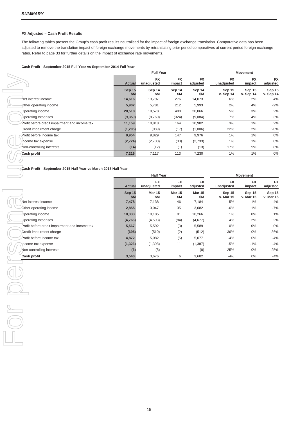#### **FX Adjusted – Cash Profit Results**

The following tables present the Group's cash profit results neutralised for the impact of foreign exchange translation. Comparative data has been adjusted to remove the translation impact of foreign exchange movements by retranslating prior period comparatives at current period foreign exchange rates. Refer to page 33 for further details on the impact of exchange rate movements.

#### **Cash Profit - September 2015 Full Year vs September 2014 Full Year**

|                                                |               | <b>Full Year</b>        | <b>Movement</b>     |                       |                         |                     |                       |
|------------------------------------------------|---------------|-------------------------|---------------------|-----------------------|-------------------------|---------------------|-----------------------|
|                                                | <b>Actual</b> | <b>FX</b><br>unadjusted | <b>FX</b><br>impact | <b>FX</b><br>adjusted | <b>FX</b><br>unadjusted | <b>FX</b><br>impact | <b>FX</b><br>adjusted |
|                                                | Sep 15<br>\$M | Sep 14<br>\$M           | Sep 14<br>\$M       | Sep 14<br>\$M         | Sep 15<br>v. Sep 14     | Sep 15<br>v. Sep 14 | Sep 15<br>v. Sep 14   |
| Net interest income                            | 14,616        | 13,797                  | 276                 | 14,073                | 6%                      | 2%                  | 4%                    |
| Other operating income                         | 5,902         | 5,781                   | 212                 | 5,993                 | 2%                      | 4%                  | $-2%$                 |
| Operating income                               | 20,518        | 19,578                  | 488                 | 20,066                | 5%                      | 3%                  | 2%                    |
| <b>Operating expenses</b>                      | (9, 359)      | (8,760)                 | (324)               | (9,084)               | 7%                      | 4%                  | 3%                    |
| Profit before credit impairment and income tax | 11,159        | 10,818                  | 164                 | 10,982                | 3%                      | 1%                  | 2%                    |
| Credit impairment charge                       | (1, 205)      | (989)                   | (17)                | (1,006)               | 22%                     | 2%                  | 20%                   |
| Profit before income tax                       | 9,954         | 9,829                   | 147                 | 9,976                 | $1\%$                   | 1%                  | 0%                    |
| Income tax expense                             | (2,724)       | (2,700)                 | (33)                | (2,733)               | $1\%$                   | 1%                  | 0%                    |
| Non-controlling interests                      | (14)          | (12)                    | (1)                 | (13)                  | 17%                     | 9%                  | 8%                    |
| Cash profit                                    | 7,216         | 7,117                   | 113                 | 7,230                 | $1\%$                   | 1%                  | 0%                    |

|                                                                | <b>Actual</b> | FX<br>unadjusted              | FX<br>impact             | <b>FX</b><br>adjusted | FX<br>unadjusted    | FX<br>impact          | <b>FX</b><br>adjusted |
|----------------------------------------------------------------|---------------|-------------------------------|--------------------------|-----------------------|---------------------|-----------------------|-----------------------|
|                                                                | Sep 15<br>\$M | Sep 14<br>\$Μ                 | Sep 14<br>\$Μ            | Sep 14<br>\$Μ         | Sep 15<br>v. Sep 14 | Sep 15<br>v. Sep 14   | Sep 15<br>v. Sep 14   |
| Net interest income                                            | 14,616        | 13,797                        | 276                      | 14,073                | 6%                  | 2%                    | 4%                    |
| Other operating income                                         | 5,902         | 5,781                         | 212                      | 5,993                 | 2%                  | 4%                    | $-2%$                 |
| Operating income                                               | 20,518        | 19,578                        | 488                      | 20,066                | 5%                  | 3%                    | 2%                    |
| Operating expenses                                             | (9, 359)      | (8,760)                       | (324)                    | (9,084)               | 7%                  | 4%                    | 3%                    |
| Profit before credit impairment and income tax                 | 11,159        | 10,818                        | 164                      | 10,982                | 3%                  | $1\%$                 | 2%                    |
| Credit impairment charge                                       | (1, 205)      | (989)                         | (17)                     | (1,006)               | 22%                 | 2%                    | 20%                   |
| Profit before income tax                                       | 9,954         | 9,829                         | 147                      | 9,976                 | $1\%$               | $1\%$                 | $0\%$                 |
| Income tax expense                                             | (2, 724)      | (2,700)                       | (33)                     | (2,733)               | $1\%$               | $1\%$                 | $0\%$                 |
| Non-controlling interests                                      | (14)          | (12)                          | (1)                      | (13)                  | 17%                 | 9%                    | 8%                    |
| Cash profit                                                    | 7,216         | 7,117                         | 113                      | 7,230                 | $1\%$               | 1%                    | $0\%$                 |
| Cash Profit - September 2015 Half Year vs March 2015 Half Year |               | <b>Half Year</b><br><b>FX</b> | <b>FX</b>                | <b>FX</b>             | FX                  | <b>Movement</b><br>FX | <b>FX</b>             |
|                                                                | <b>Actual</b> | unadjusted                    | impact                   | adjusted              | unadjusted          | impact                | adjusted              |
|                                                                | Sep 15<br>\$M | <b>Mar 15</b><br>\$Μ          | <b>Mar 15</b><br>\$Μ     | <b>Mar 15</b><br>\$M  | Sep 15<br>v. Mar 15 | Sep 15<br>v. Mar 15   | Sep 15<br>v. Mar 15   |
| Net interest income                                            | 7,478         | 7,138                         | 46                       | 7,184                 | 5%                  | $1\%$                 | 4%                    |
| Other operating income                                         | 2,855         | 3,047                         | 35                       | 3,082                 | $-6%$               | $1\%$                 | $-7%$                 |
| Operating income                                               | 10,333        | 10,185                        | 81                       | 10,266                | $1\%$               | $0\%$                 | 1%                    |
| Operating expenses                                             | (4,766)       | (4, 593)                      | (84)                     | (4,677)               | 4%                  | 2%                    | 2%                    |
| Profit before credit impairment and income tax                 | 5,567         | 5,592                         | (3)                      | 5,589                 | $0\%$               | $0\%$                 | $0\%$                 |
| Credit impairment charge                                       | (695)         | (510)                         | (2)                      | (512)                 | 36%                 | $0\%$                 | 36%                   |
| Profit before income tax                                       | 4,872         | 5,082                         | (5)                      | 5,077                 | $-4%$               | $0\%$                 | $-4%$                 |
| Income tax expense                                             | (1, 326)      | (1, 398)                      | 11                       | (1, 387)              | $-5%$               | $-1%$                 | $-4%$                 |
| Non-controlling interests                                      | (6)           | (8)                           | $\overline{\phantom{a}}$ | (8)                   | $-25%$              | $0\%$                 | $-25%$                |
| Cash profit                                                    | 3,540         | 3,676                         | 6                        | 3,682                 | $-4%$               | $0\%$                 | $-4%$                 |
|                                                                |               |                               |                          |                       |                     |                       |                       |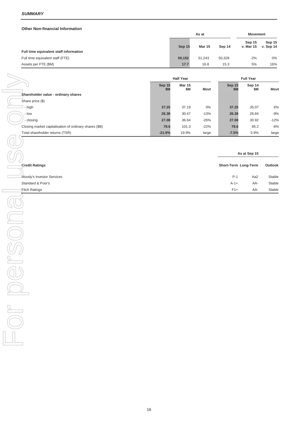### **Other Non-financial Information**

|                                        | As at  |               |        | <b>Movement</b>     |                     |  |
|----------------------------------------|--------|---------------|--------|---------------------|---------------------|--|
|                                        | Sep 15 | <b>Mar 15</b> | Sep 14 | Sep 15<br>v. Mar 15 | Sep 15<br>v. Sep 14 |  |
| Full time equivalent staff information |        |               |        |                     |                     |  |
| Full time equivalent staff (FTE)       | 50.152 | 51.243        | 50,328 | $-2%$               | 0%                  |  |
| Assets per FTE (\$M)                   | 17.7   | 16.8          | 15.3   | 5%                  | 16%                 |  |

|                                                        | <b>Half Year</b> |                      |        | <b>Full Year</b>     |               |         |  |
|--------------------------------------------------------|------------------|----------------------|--------|----------------------|---------------|---------|--|
|                                                        | Sep 15<br>\$M    | <b>Mar 15</b><br>\$M | Movt   | Sep 15<br>\$M        | Sep 14<br>\$M | Movt    |  |
| Shareholder value - ordinary shares                    |                  |                      |        |                      |               |         |  |
| Share price (\$)                                       |                  |                      |        |                      |               |         |  |
| $\overline{\phantom{a}}$ - high                        | 37.25            | 37.19                | $0\%$  | 37.25                | 35.07         | $6\%$   |  |
| - low                                                  | 26.38            | 30.47                | $-13%$ | 26.38                | 28.84         | $-9%$   |  |
| - closing                                              | 27.08            | 36.64                | $-26%$ | 27.08                | 30.92         | $-12%$  |  |
| Closing market capitalisation of ordinary shares (\$B) | 78.6             | 101.3                | $-22%$ | 78.6                 | 85.2          | $-8%$   |  |
| Total shareholder returns (TSR)                        | $-21.9%$         | 19.9%                | large  | $-7.5%$              | 5.9%          | large   |  |
|                                                        |                  |                      |        |                      | As at Sep 15  |         |  |
| <b>Credit Ratings</b>                                  |                  |                      |        | Short-Term Long-Term |               | Outlook |  |
| Moody's Investor Services                              |                  |                      |        | $P-1$                | Aa2           | Stable  |  |
| Standard & Poor's                                      |                  |                      |        | $A-1+$               | AA-           | Stable  |  |
| <b>Fitch Ratings</b>                                   |                  |                      |        | $F1+$                | AA-           | Stable  |  |
| $\overline{\phantom{a}}$<br>$\sim$                     |                  |                      |        |                      |               |         |  |

| __                        |        |                      |        |  |  |  |
|---------------------------|--------|----------------------|--------|--|--|--|
| <b>Credit Ratings</b>     |        | As at Sep 15         |        |  |  |  |
|                           |        | Short-Term Long-Term |        |  |  |  |
| Moody's Investor Services | $P-1$  | Aa2                  | Stable |  |  |  |
| Standard & Poor's         | $A-1+$ | AA-                  | Stable |  |  |  |
| <b>Fitch Ratings</b>      | $F1+$  | AA-                  | Stable |  |  |  |
|                           |        |                      |        |  |  |  |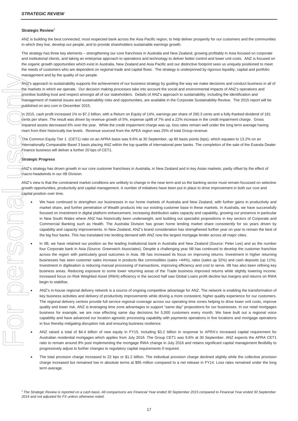### **Strategic Review**<sup>1</sup>

ANZ is building the best connected, most respected bank across the Asia Pacific region, to help deliver prosperity for our customers and the communities in which they live, develop our people, and to provide shareholders sustainable earnings growth.

The strategy has three key elements – strengthening our core franchises in Australia and New Zealand, growing profitably in Asia focused on corporate and institutional clients, and taking an enterprise approach to operations and technology to deliver better control and lower unit costs. ANZ is focused on the organic growth opportunities which exist in Australia, New Zealand and Asia Pacific and our distinctive footprint sees us uniquely positioned to meet the needs of customers who are dependent on regional trade and capital flows. The strategy is underpinned by rigorous liquidity, capital and portfolio management and by the quality of our people.

ANZ's approach to sustainability supports the achievement of our business strategy by guiding the way we make decisions and conduct business in all of the markets in which we operate. Our decision making processes take into account the social and environmental impacts of ANZ's operations and prioritise building trust and respect amongst all of our stakeholders. Details of ANZ's approach to sustainability, including the identification and management of material issues and sustainability risks and opportunities, are available in the Corporate Sustainability Review. The 2015 report will be published on anz.com in December 2015.

In 2015, cash profit increased 1% to \$7.2 billion, with a Return on Equity of 14%, earnings per share of 260.3 cents and a fully-franked dividend of 181 cents per share. The result was driven by revenue growth of 5%, expense uplift of 7% and a 22% increase in the credit impairment charge. Gross impaired assets decreased 6% over the year. While the credit impairment charge was up, loss rates remain well under the long term average having risen from their historically low levels. Revenue sourced from the APEA region was 25% of total Group revenue.

The Common Equity Tier 1 (CET1) ratio on an APRA basis was 9.6% at 30 September, up 80 basis points (bps), which equates to 13.2% on an Internationally Comparable Basel 3 basis placing ANZ within the top quartile of international peer banks. The completion of the sale of the Esanda Dealer Finance business will deliver a further 20 bps of CET1.

#### **Strategic Progress**

ANZ's strategy has driven growth in our core customer franchises in Australia, in New Zealand and in key Asian markets, partly offset by the effect of macro-headwinds in our IIB Division.

ANZ's view is that the constrained market conditions are unlikely to change in the near term and so the banking sector must remain focussed on selective growth opportunities, productivity and capital management. A number of initiatives have been put in place to drive improvement in both our cost and capital position over time.

- We have continued to strengthen our businesses in our home markets of Australia and New Zealand, with further gains in productivity and market share, and further penetration of Wealth products into our existing customer base in these markets. In Australia, we have successfully focused on investment in digital platform enhancement, increasing distribution sales capacity and capability, growing our presence in particular in New South Wales where ANZ has historically been underweight, and building out specialist propositions in key sectors of Corporate and Commercial Banking such as Health. The Australia Division has grown home lending market share consistently for six years driven by capability and capacity improvements. In New Zealand, ANZ's brand consideration has strengthened further year on year to remain the best of the big four banks. This has translated into lending demand with ANZ now the largest mortgage lender across all major cities.
- In IIB, we have retained our position as the leading Institutional bank in Australia and New Zealand (Source: Peter Lee) and as the number four Corporate bank in Asia (Source: Greenwich Associates). Despite a challenging year IIB has continued to develop the customer franchise across the region with particularly good outcomes in Asia. IIB has increased its focus on improving returns. Investment in higher returning businesses has seen customer sales increase in products like commodities (sales +44%), rates (sales up 32%) and cash deposits (up 11%). Investment in digitisation is reducing manual processing of transactions, improving efficiency and cost to serve. IIB has also been refining key business areas. Reducing exposure to some lower returning areas of the Trade business improved returns while slightly lowering income. Increased focus on Risk Weighted Asset (RWA) efficiency in the second half saw Global Loans profit decline but margins and returns on RWA begin to stabilise.
- ANZ's in-house regional delivery network is a source of ongoing competitive advantage for ANZ. The network is enabling the transformation of key business activities and delivery of productivity improvements while driving a more consistent, higher quality experience for our customers. The regional delivery centres provide full service regional coverage across our operating time zones helping to drive lower unit costs, improve quality and lower risk. ANZ is leveraging time zone advantages to support "same day" propositions for our businesses. In our retail mortgages business for example, we are now effecting same day decisions for 5,000 customers every month. We have built out a regional voice capability and have advanced our location agnostic processing capability with payments operations in five locations and mortgage operations in four thereby mitigating disruption risk and ensuring business resilience.
- ANZ raised a total of \$4.4 billion of new equity in FY15, including \$3.2 billion in response to APRA's increased capital requirement for Australian residential mortgages which applies from July 2016. The Group CET1 was 9.6% at 30 September. ANZ expects the APRA CET1 ratio to remain around 9% post implementing the mortgage RWA change in July 2016 and retains significant capital management flexibility to progressively adjust to further changes to regulatory capital requirements if required.
- The total provision charge increased to 22 bps or \$1.2 billion. The individual provision charge declined slightly while the collective provision charge increased but remained low in absolute terms at \$95 million compared to a net release in FY14. Loss rates remained under the long term average.

*1 The Strategic Review is reported on a cash basis. All comparisons are Financial Year ended 30 September 2015 compared to Financial Year ended 30 September*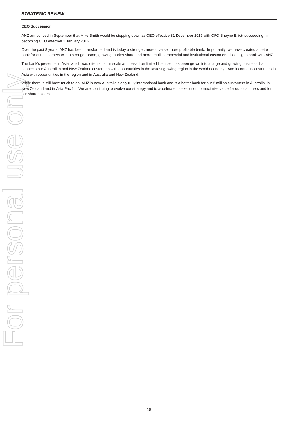#### **CEO Succession**

ANZ announced in September that Mike Smith would be stepping down as CEO effective 31 December 2015 with CFO Shayne Elliott succeeding him, becoming CEO effective 1 January 2016.

Over the past 8 years, ANZ has been transformed and is today a stronger, more diverse, more profitable bank. Importantly, we have created a better bank for our customers with a stronger brand, growing market share and more retail, commercial and institutional customers choosing to bank with ANZ

The bank's presence in Asia, which was often small in scale and based on limited licences, has been grown into a large and growing business that connects our Australian and New Zealand customers with opportunities in the fastest growing region in the world economy. And it connects customers in Asia with opportunities in the region and in Australia and New Zealand.

While there is still have much to do, ANZ is now Australia's only truly international bank and is a better bank for our 8 million customers in Australia, in New Zealand and in Asia Pacific. We are continuing to evolve our strategy and to accelerate its execution to maximize value for our customers and for our shareholders.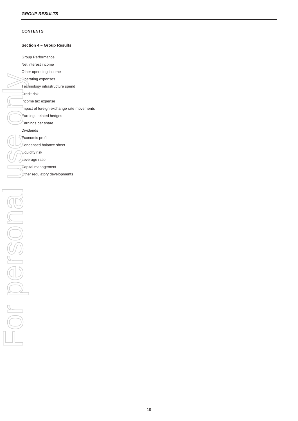### **CONTENTS**

#### **Section 4 – Group Results**

Group Performance

Net interest income

Other operating income

Operating expenses

Technology infrastructure spend

Credit risk

Income tax expense

Impact of foreign exchange rate movements

Earnings related hedges

Earnings per share

Dividends

Economic profit

Condensed balance sheet

Liquidity risk

Leverage ratio

Capital management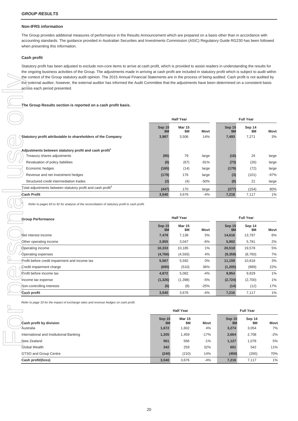#### **Non-IFRS information**

The Group provides additional measures of performance in the Results Announcement which are prepared on a basis other than in accordance with accounting standards. The guidance provided in Australian Securities and Investments Commission (ASIC) Regulatory Guide RG230 has been followed when presenting this information.

#### **Cash profit**

Statutory profit has been adjusted to exclude non-core items to arrive at cash profit, which is provided to assist readers in understanding the results for the ongoing business activities of the Group. The adjustments made in arriving at cash profit are included in statutory profit which is subject to audit within the context of the Group statutory audit opinion. The 2015 Annual Financial Statements are in the process of being audited. Cash profit is not audited by the external auditor, however, the external auditor has informed the Audit Committee that the adjustments have been determined on a consistent basis across each period presented.

| the context of the Group statutory audit opinion. The 2015 Annual Financial Statements are in the process of being audited. Cash profit is not audited by<br>the external auditor, however, the external auditor has informed the Audit Committee that the adjustments have been determined on a consistent basis<br>across each period presented. |                |                      |             |                      |                  |            |
|----------------------------------------------------------------------------------------------------------------------------------------------------------------------------------------------------------------------------------------------------------------------------------------------------------------------------------------------------|----------------|----------------------|-------------|----------------------|------------------|------------|
| The Group Results section is reported on a cash profit basis.                                                                                                                                                                                                                                                                                      |                |                      |             |                      |                  |            |
|                                                                                                                                                                                                                                                                                                                                                    |                | <b>Half Year</b>     |             |                      | <b>Full Year</b> |            |
|                                                                                                                                                                                                                                                                                                                                                    | Sep 15         | <b>Mar 15</b>        |             | Sep 15               | Sep 14           |            |
| Statutory profit attributable to shareholders of the Company                                                                                                                                                                                                                                                                                       | \$M<br>3,987   | \$Μ<br>3,506         | Movt<br>14% | \$M<br>7,493         | \$Μ<br>7,271     | Movt<br>3% |
| Adjustments between statutory profit and cash profit <sup>1</sup>                                                                                                                                                                                                                                                                                  |                |                      |             |                      |                  |            |
| Treasury shares adjustments                                                                                                                                                                                                                                                                                                                        | (95)           | 79                   | large       | (16)                 | 24               | large      |
| Revaluation of policy liabilities                                                                                                                                                                                                                                                                                                                  | (6)            | (67)                 | $-91%$      | (73)                 | (26)             | large      |
| Economic hedges                                                                                                                                                                                                                                                                                                                                    | (165)          | (14)                 | large       | (179)                | (72)             | large      |
| Revenue and net investment hedges                                                                                                                                                                                                                                                                                                                  | (179)          | 176                  | large       | (3)                  | (101)            | $-97%$     |
| Structured credit intermediation trades                                                                                                                                                                                                                                                                                                            | (2)            | (4)                  | -50%        | (6)                  | 21               | large      |
| $\mathcal T$ otal adjustments between statutory profit and cash profit $^1$                                                                                                                                                                                                                                                                        | (447)          | 170                  | large       | (277)                | (154)            | 80%        |
| <b>Cash Profit</b>                                                                                                                                                                                                                                                                                                                                 | 3,540          | 3,676                | $-4%$       | 7,216                | 7,117            | 1%         |
| <b>Group Performance</b>                                                                                                                                                                                                                                                                                                                           |                | <b>Half Year</b>     |             |                      | <b>Full Year</b> |            |
|                                                                                                                                                                                                                                                                                                                                                    | Sep 15<br>\$M  | <b>Mar 15</b><br>\$M | Movt        | <b>Sep 15</b><br>\$M | Sep 14<br>\$Μ    | Movt       |
| Net interest income                                                                                                                                                                                                                                                                                                                                | 7,478          | 7,138                | 5%          | 14,616               | 13,797           | 6%         |
| Other operating income                                                                                                                                                                                                                                                                                                                             | 2,855          | 3,047                | $-6%$       | 5,902                | 5,781            | 2%         |
| Operating income                                                                                                                                                                                                                                                                                                                                   | 10,333         | 10,185               | $1\%$       | 20,518               | 19,578           | 5%         |
| Operating expenses                                                                                                                                                                                                                                                                                                                                 | (4, 766)       | (4, 593)             | 4%          | (9, 359)             | (8,760)          | 7%         |
| Profit before credit impairment and income tax                                                                                                                                                                                                                                                                                                     | 5,567          | 5,592                | 0%          | 11,159               | 10,818           | 3%         |
| Credit impairment charge                                                                                                                                                                                                                                                                                                                           | (695)          | (510)                | 36%         | (1, 205)             | (989)            | 22%        |
| Profit before income tax                                                                                                                                                                                                                                                                                                                           | 4,872          | 5,082                | -4%         | 9,954                | 9,829            | 1%         |
| Income tax expense                                                                                                                                                                                                                                                                                                                                 | (1, 326)       | (1,398)              | $-5%$       | (2,724)              | (2,700)          | $1\%$      |
| Non-controlling interests                                                                                                                                                                                                                                                                                                                          | (6)            | (8)                  | $-25%$      | (14)                 | (12)             | 17%        |
| <b>Cash profit</b>                                                                                                                                                                                                                                                                                                                                 | 3,540          | 3,676                | $-4%$       | 7,216                | 7,117            | 1%         |
| Refer to page 33 for the impact of exchange rates and revenue hedges on cash profit.                                                                                                                                                                                                                                                               |                |                      |             |                      |                  |            |
|                                                                                                                                                                                                                                                                                                                                                    |                | <b>Half Year</b>     |             |                      | <b>Full Year</b> |            |
|                                                                                                                                                                                                                                                                                                                                                    | Sep 15         | <b>Mar 15</b>        |             | Sep 15               | Sep 14           |            |
| Cash profit by division                                                                                                                                                                                                                                                                                                                            | \$M            | \$Μ                  | Movt        | \$M                  | \$Μ              | Movt       |
| Australia                                                                                                                                                                                                                                                                                                                                          | 1,672          | 1,602                | 4%          | 3,274                | 3,054            | 7%         |
| International and Institutional Banking                                                                                                                                                                                                                                                                                                            | 1,205          | 1,459                | $-17%$      | 2,664                | 2,708            | $-2%$      |
| New Zealand                                                                                                                                                                                                                                                                                                                                        | 561            | 566                  | $-1\%$      | 1,127                | 1,078            | 5%         |
| Global Wealth<br>GTSO and Group Centre                                                                                                                                                                                                                                                                                                             | 342            | 259                  | 32%<br>14%  | 601                  | 542              | 11%<br>70% |
| Cash profit/(loss)                                                                                                                                                                                                                                                                                                                                 | (240)<br>3,540 | (210)<br>3,676       | $-4%$       | (450)<br>7,216       | (265)<br>7,117   | 1%         |
|                                                                                                                                                                                                                                                                                                                                                    |                |                      |             |                      |                  |            |

| <b>Group Performance</b>                       |               | <b>Half Year</b>     |        | <b>Full Year</b> |               |       |  |
|------------------------------------------------|---------------|----------------------|--------|------------------|---------------|-------|--|
|                                                | Sep 15<br>\$M | <b>Mar 15</b><br>\$M | Movt   | Sep 15<br>\$M    | Sep 14<br>\$M | Movt  |  |
| Net interest income                            | 7,478         | 7,138                | 5%     | 14,616           | 13,797        | 6%    |  |
| Other operating income                         | 2,855         | 3,047                | -6%    | 5,902            | 5,781         | 2%    |  |
| Operating income                               | 10,333        | 10,185               | $1\%$  | 20,518           | 19,578        | 5%    |  |
| Operating expenses                             | (4,766)       | (4,593)              | 4%     | (9,359)          | (8,760)       | 7%    |  |
| Profit before credit impairment and income tax | 5,567         | 5,592                | $0\%$  | 11,159           | 10,818        | 3%    |  |
| Credit impairment charge                       | (695)         | (510)                | 36%    | (1,205)          | (989)         | 22%   |  |
| Profit before income tax                       | 4,872         | 5,082                | $-4%$  | 9,954            | 9,829         | $1\%$ |  |
| Income tax expense                             | (1, 326)      | (1,398)              | $-5%$  | (2,724)          | (2,700)       | 1%    |  |
| Non-controlling interests                      | (6)           | (8)                  | $-25%$ | (14)             | (12)          | 17%   |  |
| Cash profit                                    | 3,540         | 3,676                | $-4%$  | 7,216            | 7,117         | $1\%$ |  |

|                                         | <b>Half Year</b> |                      |        | <b>Full Year</b> |               |       |
|-----------------------------------------|------------------|----------------------|--------|------------------|---------------|-------|
| Cash profit by division                 | Sep 15<br>\$M    | <b>Mar 15</b><br>\$M | Movt   | Sep 15<br>\$M    | Sep 14<br>\$M | Movt  |
| Australia                               | 1,672            | 1,602                | 4%     | 3,274            | 3,054         | 7%    |
| International and Institutional Banking | 1.205            | 1.459                | $-17%$ | 2,664            | 2,708         | $-2%$ |
| New Zealand                             | 561              | 566                  | $-1%$  | 1,127            | 1,078         | 5%    |
| Global Wealth                           | 342              | 259                  | 32%    | 601              | 542           | 11%   |
| GTSO and Group Centre                   | (240)            | (210)                | 14%    | (450)            | (265)         | 70%   |
| Cash profit/(loss)                      | 3,540            | 3,676                | $-4%$  | 7,216            | 7.117         | 1%    |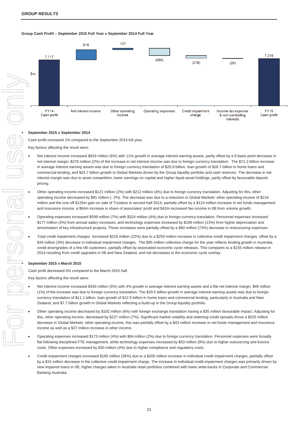#### **Group Cash Profit – September 2015 Full Year v September 2014 Full Year**



#### **September 2015 v September 2014**

Cash profit increased 1% compared to the September 2014 full year.

Key factors affecting the result were:

- Net interest income increased \$819 million (6%) with 11% growth in average interest earning assets, partly offset by a 9 basis point decrease in net interest margin. \$276 million (2%) of the increase in net interest income was due to foreign currency translation. The \$71.2 billion increase in average interest earning assets was due to foreign currency translation of \$20.9 billion, loan growth of \$26.7 billion in home loans and commercial lending, and \$24.7 billion growth in Global Markets driven by the Group liquidity portfolio and cash reserves. The decrease in net interest margin was due to asset competition, lower earnings on capital and higher liquid asset holdings, partly offset by favourable deposit pricing.
- Other operating income increased \$121 million (2%) with \$212 million (4%) due to foreign currency translation. Adjusting for this, other operating income decreased by \$91 million (- 2%). The decrease was due to a reduction in Global Markets' other operating income of \$218 million and the one-off \$125m gain on sale of Trustees in second half 2014, partially offset by a \$124 million increase in net funds management and insurance income, a \$64m increase in share of associates' profit and \$42m increased fee income in IIB from volume growth.
- Operating expenses increased \$599 million (7%) with \$324 million (4%) due to foreign currency translation. Personnel expenses increased \$177 million (3%) from annual salary increases, and technology expenses increased by \$166 million (13%) from higher depreciation and amortisation of key infrastructure projects. These increases were partially offset by a \$80 million (73%) decrease in restructuring expenses.
- Total credit impairment charges increased \$216 million (22%) due to a \$250 million increase in collective credit impairment charges, offset by a \$34 million (3%) decrease in individual impairment charges. The \$95 million collective charge for the year reflects lending growth in Australia, credit downgrades of a few IIB customers, partially offset by associated economic cycle releases. This compares to a \$155 million release in 2014 resulting from credit upgrades in IIB and New Zealand, and net decreases in the economic cycle overlay.

#### **September 2015 v March 2015**

Cash profit decreased 4% compared to the March 2015 half.

Key factors affecting the result were:

- Net interest income increased \$340 million (5%) with 4% growth in average interest earning assets and a flat net interest margin. \$46 million (1%) of the increase was due to foreign currency translation. The \$29.5 billion growth in average interest earning assets was due to foreign currency translation of \$11.1 billion, loan growth of \$12.5 billion in home loans and commercial lending, particularly in Australia and New Zealand, and \$7.7 billion growth in Global Markets reflecting a build-up in the Group liquidity portfolio.
- Other operating income decreased by \$192 million (6%) with foreign exchange translation having a \$35 million favourable impact. Adjusting for this, other operating income, decreased by \$227 million (7%). Significant market volatility and widening credit spreads drove a \$325 million decrease in Global Markets' other operating income, this was partially offset by a \$43 million increase in net funds management and insurance income as well as a \$37 million increase in other income.
- Operating expenses increased \$173 million (4%) with \$84 million (2%) due to foreign currency translation. Personnel expenses were broadly flat following disciplined FTE management, while technology expenses increased by \$53 million (8%) due to higher outsourcing and licence costs. Other expenses increased by \$30 million (4%) due to higher compliance and regulatory costs.
- Credit impairment charges increased \$185 million (36%) due to a \$200 million increase in individual credit impairment charges, partially offset by a \$15 million decrease in the collective credit impairment charge. The increase in individual credit impairment charges was primarily driven by new impaired loans in IIB, higher charges taken in Australia retail portfolios combined with lower write-backs in Corporate and Commercial Banking Australia.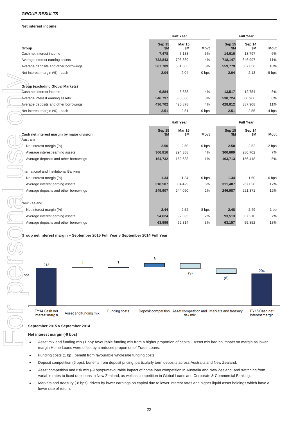## *GROUP RESULTS*

#### **Net interest income**

|                                       |               | <b>Half Year</b>     |       | <b>Full Year</b>    |               |          |
|---------------------------------------|---------------|----------------------|-------|---------------------|---------------|----------|
| Group                                 | Sep 15<br>\$M | <b>Mar 15</b><br>\$M | Movt  | Sep 15<br><b>SM</b> | Sep 14<br>\$M | Movt     |
| Cash net interest income              | 7,478         | 7,138                | 5%    | 14,616              | 13,797        | 6%       |
| Average interest earning assets       | 732,843       | 703,369              | 4%    | 718,147             | 646,997       | 11%      |
| Average deposits and other borrowings | 567,709       | 551,805              | 3%    | 559,779             | 507,856       | 10%      |
| Net interest margin (%) - cash        | 2.04          | 2.04                 | 0 bps | 2.04                | 2.13          | $-9$ bps |
|                                       |               |                      |       |                     |               |          |
| Group (excluding Global Markets)      |               |                      |       |                     |               |          |
| Cash net interest income              | 6,884         | 6,633                | 4%    | 13,517              | 12,754        | 6%       |
| Average interest earning assets       | 546,797       | 530,606              | 3%    | 538,724             | 500,966       | 8%       |
| Average deposits and other borrowings | 436,702       | 420,878              | 4%    | 428,812             | 387.908       | 11%      |
| Net interest margin (%) - cash        | 2.51          | 2.51                 | 0 bps | 2.51                | 2.55          | $-4$ bps |

| <b>Half Year</b>                                                                                                                               |                            |                            |                   | <b>Full Year</b>           |                            |                         |  |  |
|------------------------------------------------------------------------------------------------------------------------------------------------|----------------------------|----------------------------|-------------------|----------------------------|----------------------------|-------------------------|--|--|
| Cash net interest margin by major division<br>Australia                                                                                        | Sep 15<br>\$M              | <b>Mar 15</b><br>\$M       | Movt              | Sep 15<br><b>SM</b>        | Sep 14<br>\$Μ              | Movt                    |  |  |
| Net interest margin (%)                                                                                                                        | 2.50                       | 2.50                       | 0 bps             | 2.50                       | 2.52                       | $-2$ bps                |  |  |
| Average interest earning assets                                                                                                                | 306,816                    | 294,368                    | 4%                | 300,609                    | 280,702                    | 7%                      |  |  |
| Average deposits and other borrowings                                                                                                          | 164,732                    | 162,688                    | $1\%$             | 163,713                    | 156,418                    | 5%                      |  |  |
| International and Institutional Banking<br>Net interest margin (%)<br>Average interest earning assets<br>Average deposits and other borrowings | 1.34<br>318,507<br>249,907 | 1.34<br>304,429<br>244,050 | 0 bps<br>5%<br>2% | 1.34<br>311,487<br>246,987 | 1.50<br>267,028<br>221,371 | $-16$ bps<br>17%<br>12% |  |  |
| New Zealand                                                                                                                                    |                            |                            |                   |                            |                            |                         |  |  |
| Net interest margin (%)                                                                                                                        | 2.44                       | 2.52                       | -8 bps            | 2.48                       | 2.49                       | $-1$ bp                 |  |  |
| Average interest earning assets                                                                                                                | 94,624                     | 92,395                     | 2%                | 93,513                     | 87,210                     | 7%                      |  |  |
| Average deposits and other borrowings                                                                                                          | 63,996                     | 62,314                     | 3%                | 63,157                     | 55,852                     | 13%                     |  |  |

#### **Group net interest margin – September 2015 Full Year v September 2014 Full Year**



#### **September 2015 v September 2014**

#### **Net interest margin (-9 bps)**

- Asset mix and funding mix (1 bp): favourable funding mix from a higher proportion of capital. Asset mix had no impact on margin as lower margin Home Loans were offset by a reduced proportion of Trade Loans.
- Funding costs (1 bp): benefit from favourable wholesale funding costs.
- Deposit competition (6 bps): benefits from deposit pricing, particularly term deposits across Australia and New Zealand.
- Asset competition and risk mix (-9 bps):unfavourable impact of home loan competition in Australia and New Zealand and switching from variable rates to fixed rate loans in New Zealand, as well as competition in Global Loans and Corporate & Commercial Banking.
- Markets and treasury (-8 bps): driven by lower earnings on capital due to lower interest rates and higher liquid asset holdings which have a lower rate of return.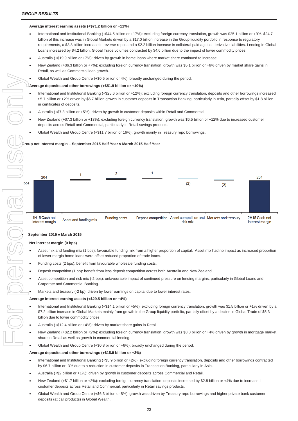#### **Average interest earning assets (+\$71.2 billion or +11%)**

- International and Institutional Banking (+\$44.5 billion or +17%): excluding foreign currency translation, growth was \$25.1 billion or +9%. \$24.7 billion of this increase was in Global Markets driven by a \$17.0 billion increase in the Group liquidity portfolio in response to regulatory requirements, a \$3.8 billion increase in reverse repos and a \$2.2 billion increase in collateral paid against derivative liabilities. Lending in Global Loans increased by \$4.2 billion. Global Trade volumes contracted by \$4.6 billion due to the impact of lower commodity prices.
- Australia (+\$19.9 billion or +7%): driven by growth in home loans where market share continued to increase.
- New Zealand (+\$6.3 billion or +7%): excluding foreign currency translation, growth was \$5.1 billion or +6% driven by market share gains in Retail, as well as Commercial loan growth.
- Global Wealth and Group Centre (+\$0.5 billion or 4%): broadly unchanged during the period.

#### **Average deposits and other borrowings (+\$51.9 billion or +10%)**

- International and Institutional Banking (+\$25.6 billion or +12%): excluding foreign currency translation, deposits and other borrowings increased \$5.7 billion or +2% driven by \$6.7 billion growth in customer deposits in Transaction Banking, particularly in Asia, partially offset by \$1.8 billion in certificates of deposits.
- Australia (+\$7.3 billion or +5%): driven by growth in customer deposits within Retail and Commercial.
- New Zealand (+\$7.3 billion or +13%): excluding foreign currency translation, growth was \$6.5 billion or +12% due to increased customer deposits across Retail and Commercial, particularly in Retail savings products.
- Global Wealth and Group Centre (+\$11.7 billion or 16%): growth mainly in Treasury repo borrowings.

#### **Group net interest margin – September 2015 Half Year v March 2015 Half Year**



#### **September 2015 v March 2015**

#### **Net interest margin (0 bps)**

- Asset mix and funding mix (1 bps): favourable funding mix from a higher proportion of capital. Asset mix had no impact as increased proportion of lower margin home loans were offset reduced proportion of trade loans.
- Funding costs (2 bps): benefit from favourable wholesale funding costs.
- Deposit competition (1 bp): benefit from less deposit competition across both Australia and New Zealand.
- Asset competition and risk mix (-2 bps): unfavourable impact of continued pressure on lending margins, particularly in Global Loans and Corporate and Commercial Banking.
- Markets and treasury (-2 bp): driven by lower earnings on capital due to lower interest rates.

#### **Average interest earning assets (+\$29.5 billion or +4%)**

- International and Institutional Banking (+\$14.1 billion or +5%): excluding foreign currency translation, growth was \$1.5 billion or +1% driven by a \$7.2 billion increase in Global Markets mainly from growth in the Group liquidity portfolio, partially offset by a decline in Global Trade of \$5.3 billion due to lower commodity prices.
- Australia (+\$12.4 billion or +4%): driven by market share gains in Retail.
- New Zealand (+\$2.2 billion or +2%): excluding foreign currency translation, growth was \$3.8 billion or +4% driven by growth in mortgage market share in Retail as well as growth in commercial lending.
- Global Wealth and Group Centre (+\$0.8 billion or +6%): broadly unchanged during the period.

#### **Average deposits and other borrowings (+\$15.9 billion or +3%)**

- International and Institutional Banking (+\$5.9 billion or +2%): excluding foreign currency translation, deposits and other borrowings contracted by \$6.7 billion or -3% due to a reduction in customer deposits in Transaction Banking, particularly in Asia.
- Australia (+\$2 billion or +1%): driven by growth in customer deposits across Commercial and Retail.
- New Zealand (+\$1.7 billion or +3%): excluding foreign currency translation, deposits increased by \$2.8 billion or +4% due to increased customer deposits across Retail and Commercial, particularly in Retail savings products.
- Global Wealth and Group Centre (+\$6.3 billion or 8%): growth was driven by Treasury repo borrowings and higher private bank customer deposits (at call products) in Global Wealth.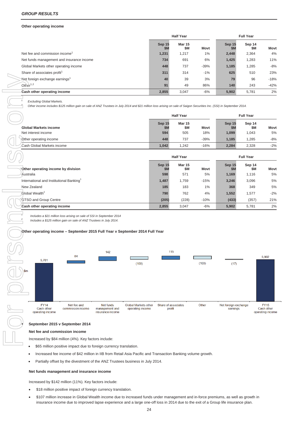#### **Other operating income**

|                                            | <b>Half Year</b> |                      |        | <b>Full Year</b> |               |        |  |
|--------------------------------------------|------------------|----------------------|--------|------------------|---------------|--------|--|
|                                            | Sep 15<br>\$M    | <b>Mar 15</b><br>\$M | Movt   | Sep 15<br>\$M    | Sep 14<br>\$M | Movt   |  |
| Net fee and commission income <sup>1</sup> | 1,231            | 1,217                | 1%     | 2,448            | 2,364         | 4%     |  |
| Net funds management and insurance income  | 734              | 691                  | 6%     | 1,425            | 1,283         | 11%    |  |
| Global Markets other operating income      | 448              | 737                  | $-39%$ | 1,185            | 1,285         | $-8%$  |  |
| Share of associates profit <sup>1</sup>    | 311              | 314                  | $-1%$  | 625              | 510           | 23%    |  |
| Net foreign exchange earnings <sup>1</sup> | 40               | 39                   | 3%     | 79               | 96            | $-18%$ |  |
| Other <sup>1,2</sup>                       | 91               | 49                   | 86%    | 140              | 243           | $-42%$ |  |
| Cash other operating income                | 2,855            | 3.047                | $-6%$  | 5,902            | 5.781         | 2%     |  |

*2. Other income includes \$125 million gain on sale of ANZ Trustees in July 2014 and \$21 million loss arising on sale of Saigon Securities Inc. (SSI) in September 2014.* 

|                              |               | <b>Half Year</b>     |        |               | <b>Full Year</b> |       |  |  |
|------------------------------|---------------|----------------------|--------|---------------|------------------|-------|--|--|
| <b>Global Markets income</b> | Sep 15<br>\$M | <b>Mar 15</b><br>\$M | Movt   | Sep 15<br>\$M | Sep 14<br>\$M    | Movt  |  |  |
| Net interest income          | 594           | 505                  | 18%    | 1,099         | 1,043            | 5%    |  |  |
| Other operating income       | 448           | 737                  | $-39%$ | 1.185         | 1.285            | $-8%$ |  |  |
| Cash Global Markets income   | 1,042         | 1.242                | $-16%$ | 2,284         | 2,328            | $-2%$ |  |  |

|                                                      |               | <b>Half Year</b>     |        | <b>Full Year</b> |               |             |  |
|------------------------------------------------------|---------------|----------------------|--------|------------------|---------------|-------------|--|
| Other operating income by division                   | Sep 15<br>\$M | <b>Mar 15</b><br>\$M | Movt   | Sep 15<br>\$M    | Sep 14<br>\$M | <b>Movt</b> |  |
| Australia                                            | 598           | 571                  | 5%     | 1,169            | 1,116         | 5%          |  |
| International and Institutional Banking <sup>1</sup> | 1,487         | 1,759                | $-15%$ | 3,246            | 3,096         | 5%          |  |
| New Zealand                                          | 185           | 183                  | 1%     | 368              | 349           | 5%          |  |
| Global Wealth <sup>2</sup>                           | 790           | 762                  | 4%     | 1,552            | 1,577         | $-2%$       |  |
| GTSO and Group Centre                                | (205)         | (228)                | $-10%$ | (433)            | (357)         | 21%         |  |
| Cash other operating income                          | 2,855         | 3.047                | $-6%$  | 5,902            | 5,781         | 2%          |  |

*1. Includes a \$21 million loss arising on sale of SSI in September 2014* 

*2. Includes a \$125 million gain on sale of ANZ Trustees in July 2014.* 

#### **Other operating income – September 2015 Full Year v September 2014 Full Year**



#### **September 2015 v September 2014**

#### **Net fee and commission income**

Increased by \$84 million (4%). Key factors include:

- \$65 million positive impact due to foreign currency translation.
- Increased fee income of \$42 million in IIB from Retail Asia Pacific and Transaction Banking volume growth.
- Partially offset by the divestment of the ANZ Trustees business in July 2014.

#### **Net funds management and insurance income**

Increased by \$142 million (11%). Key factors include:

- **•** \$18 million positive impact of foreign currency translation.
- \$107 million increase in Global Wealth income due to increased funds under management and in-force premiums, as well as growth in insurance income due to improved lapse experience and a large one-off loss in 2014 due to the exit of a Group life insurance plan.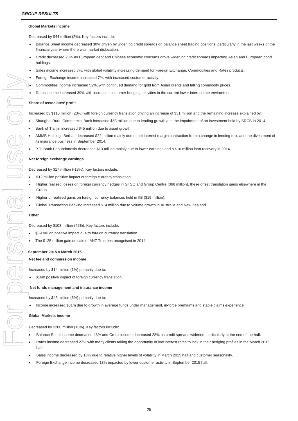#### **Global Markets income**

Decreased by \$44 million (2%). Key factors include:

- Balance Sheet income decreased 30% driven by widening credit spreads on balance sheet trading positions, particularly in the last weeks of the financial year where there was market dislocation.
- Credit decreased 23% as European debt and Chinese economic concerns drove widening credit spreads impacting Asian and European bond holdings.
- Sales income increased 7%, with global volatility increasing demand for Foreign Exchange, Commodities and Rates products.
- Foreign Exchange income increased 7%, with increased customer activity.
- Commodities income increased 52%, with continued demand for gold from Asian clients and falling commodity prices.
- Rates income increased 39% with increased customer hedging activities in the current lower interest rate environment.

#### **Share of associates' profit**

Increased by \$115 million (23%) with foreign currency translation driving an increase of \$51 million and the remaining increase explained by:

- Shanghai Rural Commercial Bank increased \$53 million due to lending growth and the impairment of an investment held by SRCB in 2014.
	- Bank of Tianjin increased \$45 million due to asset growth.
- AMMB Holdings Berhad decreased \$22 million mainly due to net interest margin contraction from a change in lending mix, and the divestment of its insurance business in September 2014.
- P.T. Bank Pan Indonesia decreased \$13 million mainly due to lower earnings and a \$10 million loan recovery in 2014.

#### **Net foreign exchange earnings**

Decreased by \$17 million (-18%). Key factors include:

- $\bullet$  \$12 million positive impact of foreign currency translation.
- Higher realised losses on foreign currency hedges in GTSO and Group Centre (\$68 million), these offset translation gains elsewhere in the **Group.**
- Higher unrealised gains on foreign currency balances held in IIB (\$19 million).
- Global Transaction Banking increased \$14 million due to volume growth in Australia and New Zealand.

#### **Other**

Decreased by \$103 million (42%). Key factors include:

- \$39 million positive impact due to foreign currency translation.
- The \$125 million gain on sale of ANZ Trustees recognised in 2014.

#### **Net fee and commission income**

Increased by \$14 million (1%) primarily due to:

\$16m positive impact of foreign currency translation.

#### **Net funds management and insurance income**

Increased by \$43 million (6%) primarily due to:

Income increased \$31m due to growth in average funds under management, in-force premiums and stable claims experience

#### **Global Markets income**

Decreased by \$200 million (16%). Key factors include:

- Balance Sheet income decreased 48% and Credit income decreased 28% as credit spreads widened, particularly at the end of the half.
- Rates income decreased 27% with many clients taking the opportunity of low interest rates to lock in their hedging profiles in the March 2015 half.
- Sales income decreased by 13% due to relative higher levels of volatility in March 2015 half and customer seasonality.
-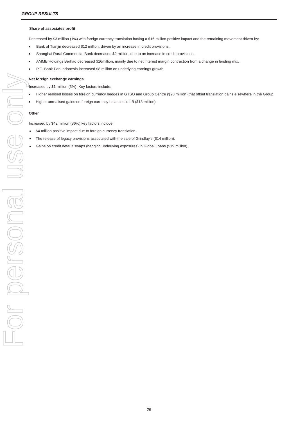#### **Share of associates profit**

Decreased by \$3 million (1%) with foreign currency translation having a \$16 million positive impact and the remaining movement driven by:

- Bank of Tianjin decreased \$12 million, driven by an increase in credit provisions.
- Shanghai Rural Commercial Bank decreased \$2 million, due to an increase in credit provisions.
- AMMB Holdings Berhad decreased \$16million, mainly due to net interest margin contraction from a change in lending mix.
- P.T. Bank Pan Indonesia increased \$8 million on underlying earnings growth.

 $\Box$ Increased by \$1 million (3%). Key factors include:

- Higher realised losses on foreign currency hedges in GTSO and Group Centre (\$20 million) that offset translation gains elsewhere in the Group.
- Higher unrealised gains on foreign currency balances in IIB (\$13 million).

#### **Other**

Increased by \$42 million (86%) key factors include:

- $\bullet$  \$4 million positive impact due to foreign currency translation.
- The release of legacy provisions associated with the sale of Grindlay's (\$14 million).
- Gains on credit default swaps (hedging underlying exposures) in Global Loans (\$19 million).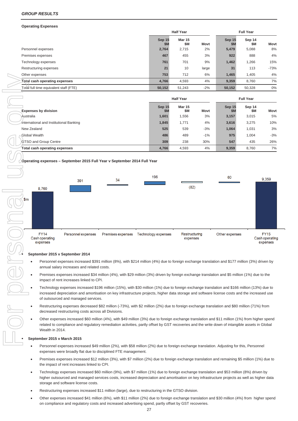## *GROUP RESULTS*

| <b>Operating Expenses</b>              |                  |                      |       |                  |               |        |  |
|----------------------------------------|------------------|----------------------|-------|------------------|---------------|--------|--|
|                                        | <b>Half Year</b> |                      |       | <b>Full Year</b> |               |        |  |
|                                        | Sep 15<br>\$M    | <b>Mar 15</b><br>\$M | Movt  | Sep 15<br>\$M    | Sep 14<br>\$M | Movt   |  |
| Personnel expenses                     | 2,764            | 2,715                | 2%    | 5,479            | 5,088         | 8%     |  |
| Premises expenses                      | 467              | 455                  | 3%    | 922              | 888           | 4%     |  |
| Technology expenses                    | 761              | 701                  | 9%    | 1,462            | 1,266         | 15%    |  |
| Restructuring expenses                 | 21               | 10                   | large | 31               | 113           | $-73%$ |  |
| Other expenses                         | 753              | 712                  | 6%    | 1,465            | 1,405         | 4%     |  |
| Total cash operating expenses          | 4.766            | 4,593                | 4%    | 9,359            | 8,760         | 7%     |  |
| Total full time equivalent staff (FTE) | 50,152           | 51,243               | $-2%$ | 50,152           | 50,328        | 0%     |  |

| <b>Total cash operating expenses</b>    | 4,766                                | 4,593                | 4%     | 9,359         | 8,760         | 7%    |
|-----------------------------------------|--------------------------------------|----------------------|--------|---------------|---------------|-------|
| Total full time equivalent staff (FTE)  | 50,152                               | 51,243               | $-2\%$ | 50,152        | 50,328        | $0\%$ |
|                                         | <b>Full Year</b><br><b>Half Year</b> |                      |        |               |               |       |
| <b>Expenses by division</b>             | Sep 15<br>\$M                        | <b>Mar 15</b><br>\$M | Movt   | Sep 15<br>\$M | Sep 14<br>\$M | Movt  |
| Australia                               | 1,601                                | 1,556                | 3%     | 3,157         | 3,015         | 5%    |
| International and Institutional Banking | 1,845                                | 1,771                | 4%     | 3,616         | 3,275         | 10%   |
| New Zealand                             | 525                                  | 539                  | $-3%$  | 1,064         | 1,031         | 3%    |
| Global Wealth                           | 486                                  | 489                  | $-1\%$ | 975           | 1,004         | $-3%$ |
| <b>GTSO and Group Centre</b>            | 309                                  | 238                  | 30%    | 547           | 435           | 26%   |
| <b>Total cash operating expenses</b>    | 4,766                                | 4,593                | 4%     | 9,359         | 8,760         | 7%    |
|                                         |                                      |                      |        |               |               |       |

**Operating expenses – September 2015 Full Year v September 2014 Full Year** 



- Personnel expenses increased \$391 million (8%), with \$214 million (4%) due to foreign exchange translation and \$177 million (3%) driven by annual salary increases and related costs.
- Premises expenses increased \$34 million (4%), with \$29 million (3%) driven by foreign exchange translation and \$5 million (1%) due to the impact of rent increases linked to CPI.
- Technology expenses increased \$196 million (15%), with \$30 million (1%) due to foreign exchange translation and \$166 million (13%) due to increased depreciation and amortisation on key infrastructure projects, higher data storage and software license costs and the increased use of outsourced and managed services.
- Restructuring expenses decreased \$82 million (-73%), with \$2 million (2%) due to foreign exchange translation and \$80 million (71%) from decreased restructuring costs across all Divisions.
- Other expenses increased \$60 million (4%), with \$49 million (3%) due to foreign exchange translation and \$11 million (1%) from higher spend related to compliance and regulatory remediation activities, partly offset by GST recoveries and the write down of intangible assets in Global Wealth in 2014.

#### **September 2015 v March 2015**

- Personnel expenses increased \$49 million (2%), with \$58 million (2%) due to foreign exchange translation. Adjusting for this, Personnel expenses were broadly flat due to disciplined FTE management.
- Premises expenses increased \$12 million (3%), with \$7 million (2%) due to foreign exchange translation and remaining \$5 million (1%) due to the impact of rent increases linked to CPI.
- Technology expenses increased \$60 million (9%), with \$7 million (1%) due to foreign exchange translation and \$53 million (8%) driven by higher outsourced and managed services costs, increased depreciation and amortisation on key infrastructure projects as well as higher data storage and software license costs.
- Restructuring expenses increased \$11 million (large), due to restructuring in the GTSO division.
- Other expenses increased \$41 million (6%), with \$11 million (2%) due to foreign exchange translation and \$30 million (4%) from higher spend on compliance and regulatory costs and increased advertising spend, partly offset by GST recoveries.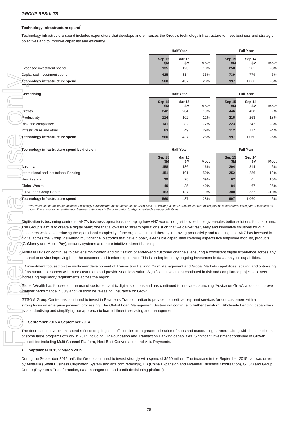#### **Technology infrastructure spend**<sup>1</sup>

Technology infrastructure spend includes expenditure that develops and enhances the Group's technology infrastructure to meet business and strategic objectives and to improve capability and efficiency.

|                                 | <b>Half Year</b> |                      |      | <b>Full Year</b> |               |       |  |
|---------------------------------|------------------|----------------------|------|------------------|---------------|-------|--|
|                                 | Sep 15<br>\$M    | <b>Mar 15</b><br>\$M | Movt | Sep 15<br>\$M    | Sep 14<br>\$M | Movt  |  |
| Expensed investment spend       | 135              | 123                  | 10%  | 258              | 281           | $-8%$ |  |
| Capitalised investment spend    | 425              | 314                  | 35%  | 739              | 779           | $-5%$ |  |
| Technology infrastructure spend | 560              | 437                  | 28%  | 997              | 1,060         | $-6%$ |  |

| Comprising                      |               | <b>Half Year</b>     |      | <b>Full Year</b> |               |        |  |
|---------------------------------|---------------|----------------------|------|------------------|---------------|--------|--|
|                                 | Sep 15<br>\$M | <b>Mar 15</b><br>\$M | Movt | Sep 15<br>\$M    | Sep 14<br>\$M | Movt   |  |
| Growth                          | 242           | 204                  | 19%  | 446              | 438           | 2%     |  |
| Productivity                    | 114           | 102                  | 12%  | 216              | 263           | $-18%$ |  |
| Risk and compliance             | 141           | 82                   | 72%  | 223              | 242           | $-8%$  |  |
| Infrastructure and other        | 63            | 49                   | 29%  | 112              | 117           | $-4%$  |  |
| Technology infrastructure spend | 560           | 437                  | 28%  | 997              | 1,060         | $-6%$  |  |

| Capitalised investment spend                                                                                                                                                                                                                                                                                                                                                                                                                                                                                                                                                                                                                                                                                                                                                                                                                                                                                                       | 425           | 314                  | 35%  | 739                  | 779              | -5%    |
|------------------------------------------------------------------------------------------------------------------------------------------------------------------------------------------------------------------------------------------------------------------------------------------------------------------------------------------------------------------------------------------------------------------------------------------------------------------------------------------------------------------------------------------------------------------------------------------------------------------------------------------------------------------------------------------------------------------------------------------------------------------------------------------------------------------------------------------------------------------------------------------------------------------------------------|---------------|----------------------|------|----------------------|------------------|--------|
| Technology infrastructure spend                                                                                                                                                                                                                                                                                                                                                                                                                                                                                                                                                                                                                                                                                                                                                                                                                                                                                                    | 560           | 437                  | 28%  | 997                  | 1,060            | $-6%$  |
| Comprising                                                                                                                                                                                                                                                                                                                                                                                                                                                                                                                                                                                                                                                                                                                                                                                                                                                                                                                         |               | <b>Half Year</b>     |      |                      | <b>Full Year</b> |        |
|                                                                                                                                                                                                                                                                                                                                                                                                                                                                                                                                                                                                                                                                                                                                                                                                                                                                                                                                    | Sep 15<br>\$M | <b>Mar 15</b><br>\$M | Movt | <b>Sep 15</b><br>\$M | Sep 14<br>\$M    | Movt   |
| Growth                                                                                                                                                                                                                                                                                                                                                                                                                                                                                                                                                                                                                                                                                                                                                                                                                                                                                                                             | 242           | 204                  | 19%  | 446                  | 438              | 2%     |
| Productivity                                                                                                                                                                                                                                                                                                                                                                                                                                                                                                                                                                                                                                                                                                                                                                                                                                                                                                                       | 114           | 102                  | 12%  | 216                  | 263              | $-18%$ |
| Risk and compliance                                                                                                                                                                                                                                                                                                                                                                                                                                                                                                                                                                                                                                                                                                                                                                                                                                                                                                                | 141           | 82                   | 72%  | 223                  | 242              | $-8%$  |
| Infrastructure and other                                                                                                                                                                                                                                                                                                                                                                                                                                                                                                                                                                                                                                                                                                                                                                                                                                                                                                           | 63            | 49                   | 29%  | 112                  | 117              | $-4%$  |
| Technology infrastructure spend                                                                                                                                                                                                                                                                                                                                                                                                                                                                                                                                                                                                                                                                                                                                                                                                                                                                                                    | 560           | 437                  | 28%  | 997                  | 1,060            | $-6%$  |
| Technology infrastructure spend by division                                                                                                                                                                                                                                                                                                                                                                                                                                                                                                                                                                                                                                                                                                                                                                                                                                                                                        |               | <b>Half Year</b>     |      |                      | <b>Full Year</b> |        |
|                                                                                                                                                                                                                                                                                                                                                                                                                                                                                                                                                                                                                                                                                                                                                                                                                                                                                                                                    | Sep 15        | <b>Mar 15</b>        |      | <b>Sep 15</b>        | Sep 14           |        |
|                                                                                                                                                                                                                                                                                                                                                                                                                                                                                                                                                                                                                                                                                                                                                                                                                                                                                                                                    | \$M           | \$M                  | Movt | \$M                  | \$M              | Movt   |
| Australia                                                                                                                                                                                                                                                                                                                                                                                                                                                                                                                                                                                                                                                                                                                                                                                                                                                                                                                          | 158           | 136                  | 16%  | 294                  | 314              | $-6%$  |
| International and Institutional Banking                                                                                                                                                                                                                                                                                                                                                                                                                                                                                                                                                                                                                                                                                                                                                                                                                                                                                            | 151           | 101                  | 50%  | 252                  | 286              | $-12%$ |
| New Zealand                                                                                                                                                                                                                                                                                                                                                                                                                                                                                                                                                                                                                                                                                                                                                                                                                                                                                                                        | 39            | 28                   | 39%  | 67                   | 61               | 10%    |
| Global Wealth                                                                                                                                                                                                                                                                                                                                                                                                                                                                                                                                                                                                                                                                                                                                                                                                                                                                                                                      | 49            | 35                   | 40%  | 84                   | 67               | 25%    |
| GTSO and Group Centre                                                                                                                                                                                                                                                                                                                                                                                                                                                                                                                                                                                                                                                                                                                                                                                                                                                                                                              | 163           | 137<br>437           | 19%  | 300                  | 332              | $-10%$ |
| Technology infrastructure spend<br>Investment spend no longer includes technology infrastructure maintenance spend (Sep 14: \$100 million), as infrastructure lifecycle management is considered to be part of business-as-                                                                                                                                                                                                                                                                                                                                                                                                                                                                                                                                                                                                                                                                                                        | 560           |                      | 28%  | 997                  | 1,060            | $-6%$  |
| digital across the Group, delivering multichannel platforms that have globally extensible capabilities covering aspects like employee mobility, products<br>(GoMoney and MobilePay), security systems and more intuitive internet banking.<br>Australia Division continues to deliver simplification and digitisation of end-to-end customer channels, ensuring a consistent digital experience across any<br>channel or device improving both the customer and banker experience. This is underpinned by ongoing investment in data analytics capabilities.<br>IIB investment focused on the multi-year development of Transaction Banking Cash Management and Global Markets capabilities, scaling and optimising<br>infrastructure to connect with more customers and provide seamless value. Significant investment continued in risk and compliance projects to meet<br>increasing regulatory requirements across the region. |               |                      |      |                      |                  |        |
| Global Wealth has focused on the use of customer centric digital solutions and has continued to innovate, launching 'Advice on Grow', a tool to improve<br>Planner performance in July and will soon be releasing 'Insurance on Grow'.                                                                                                                                                                                                                                                                                                                                                                                                                                                                                                                                                                                                                                                                                             |               |                      |      |                      |                  |        |
| GTSO & Group Centre has continued to invest in Payments Transformation to provide competitive payment services for our customers with a<br>strong focus on enterprise payment processing. The Global Loan Management System will continue to further transform Wholesale Lending capabilities<br>by standardising and simplifying our approach to loan fulfilment, servicing and management.                                                                                                                                                                                                                                                                                                                                                                                                                                                                                                                                       |               |                      |      |                      |                  |        |
| September 2015 v September 2014                                                                                                                                                                                                                                                                                                                                                                                                                                                                                                                                                                                                                                                                                                                                                                                                                                                                                                    |               |                      |      |                      |                  |        |
| The decrease in investment spend reflects ongoing cost efficiencies from greater utilisation of hubs and outsourcing partners, along with the completion<br>of some large programs of work in 2014 including HR Foundation and Transaction Banking capabilities. Significant investment continued in Growth<br>capabilities including Multi Channel Platform, Next Best Conversation and Asia Payments.                                                                                                                                                                                                                                                                                                                                                                                                                                                                                                                            |               |                      |      |                      |                  |        |
| September 2015 v March 2015<br>٠                                                                                                                                                                                                                                                                                                                                                                                                                                                                                                                                                                                                                                                                                                                                                                                                                                                                                                   |               |                      |      |                      |                  |        |
| During the September 2015 half, the Group continued to invest strongly with spend of \$560 million. The increase in the September 2015 half was driven<br>by Australia (Small Business Origination System and anz.com redesign), IIB (China Expansion and Myanmar Business Mobilisation), GTSO and Group<br>Centre (Payments Transformation, data management and credit decisioning platform).                                                                                                                                                                                                                                                                                                                                                                                                                                                                                                                                     |               |                      |      |                      |                  |        |

### **September 2015 v September 2014**

#### **September 2015 v March 2015**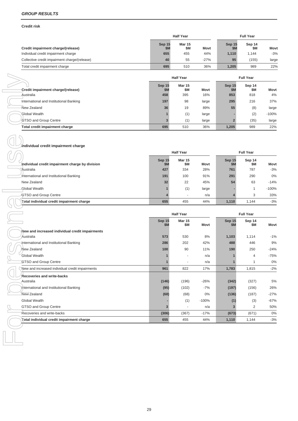## **Credit risk**

|                                               | <b>Half Year</b> |                      |             | <b>Full Year</b> |               |       |  |
|-----------------------------------------------|------------------|----------------------|-------------|------------------|---------------|-------|--|
| Credit impairment charge/(release)            | Sep 15<br>\$M    | <b>Mar 15</b><br>\$M | <b>Movt</b> | Sep 15<br>\$M    | Sep 14<br>\$M | Movt  |  |
| Individual credit impairment charge           | 655              | 455                  | 44%         | 1,110            | 1.144         | $-3%$ |  |
| Collective credit impairment charge/(release) | 40               | 55                   | $-27%$      | 95               | (155)         | large |  |
| Total credit impairment charge                | 695              | 510                  | 36%         | 1.205            | 989           | 22%   |  |

|                                         |               | <b>Half Year</b>     |       | <b>Full Year</b> |               |         |  |
|-----------------------------------------|---------------|----------------------|-------|------------------|---------------|---------|--|
| Credit impairment charge/(release)      | Sep 15<br>\$M | <b>Mar 15</b><br>\$M | Movt  | Sep 15<br>\$M    | Sep 14<br>\$M | Movt    |  |
| Australia                               | 458           | 395                  | 16%   | 853              | 818           | 4%      |  |
| International and Institutional Banking | 197           | 98                   | large | 295              | 216           | 37%     |  |
| New Zealand                             | 36            | 19                   | 89%   | 55               | (8)           | large   |  |
| Global Wealth                           |               | (1)                  | large |                  | (2)           | $-100%$ |  |
| <b>GTSO and Group Centre</b>            |               | (1)                  | large |                  | (35)          | large   |  |
| Total credit impairment charge          | 695           | 510                  | 36%   | 1.205            | 989           | 22%     |  |

|                                                 | <b>Half Year</b> |                      |       | <b>Full Year</b> |               |         |  |
|-------------------------------------------------|------------------|----------------------|-------|------------------|---------------|---------|--|
| Individual credit impairment charge by division | Sep 15<br>\$M    | <b>Mar 15</b><br>\$M | Movt  | Sep 15<br>\$M    | Sep 14<br>\$M | Movt    |  |
| Australia                                       | 427              | 334                  | 28%   | 761              | 787           | $-3%$   |  |
| International and Institutional Banking         | 191              | 100                  | 91%   | 291              | 290           | 0%      |  |
| New Zealand                                     | 32 <sup>2</sup>  | 22                   | 45%   | 54               | 63            | $-14%$  |  |
| Global Wealth                                   |                  | (1)                  | large |                  |               | $-100%$ |  |
| GTSO and Group Centre                           |                  | $\overline{a}$       | n/a   | 4                | 3             | 33%     |  |
| Total individual credit impairment charge       | 655              | 455                  | 44%   | 1,110            | 1,144         | $-3%$   |  |

| <b>Mar 15</b><br>\$Μ<br>Movt<br>395<br>98<br>large<br>19<br>(1)<br>large<br>(1)<br>large<br>510<br><b>Half Year</b><br><b>Mar 15</b><br>\$M<br>Movt<br>334<br>100<br>22<br>(1)<br>large<br>$\overline{\phantom{a}}$<br>44%<br>455<br><b>Half Year</b><br><b>Mar 15</b><br>\$Μ<br>Movt | Sep 15<br>\$M<br>16%<br>853<br>295<br>89%<br>55<br>$\overline{2}$<br>36%<br>1,205<br>Sep 15<br>\$M<br>28%<br>761<br>91%<br>291<br>45%<br>54<br>n/a<br>4<br>1,110<br><b>Sep 15</b><br>\$M | Sep 14<br>\$Μ<br>818<br>216<br>(8)<br>(2)<br>(35)<br>989<br><b>Full Year</b><br>Sep 14<br>\$Μ<br>787<br>290<br>63<br>1<br>3<br>1,144<br><b>Full Year</b><br>Sep 14<br>\$Μ | Movt<br>4%<br>37%<br>large<br>$-100%$<br>large<br>22%<br>Movt<br>$-3%$<br>0%<br>$-14%$<br>$-100%$<br>33%<br>$-3%$ |
|---------------------------------------------------------------------------------------------------------------------------------------------------------------------------------------------------------------------------------------------------------------------------------------|------------------------------------------------------------------------------------------------------------------------------------------------------------------------------------------|---------------------------------------------------------------------------------------------------------------------------------------------------------------------------|-------------------------------------------------------------------------------------------------------------------|
|                                                                                                                                                                                                                                                                                       |                                                                                                                                                                                          |                                                                                                                                                                           |                                                                                                                   |
|                                                                                                                                                                                                                                                                                       |                                                                                                                                                                                          |                                                                                                                                                                           |                                                                                                                   |
|                                                                                                                                                                                                                                                                                       |                                                                                                                                                                                          |                                                                                                                                                                           |                                                                                                                   |
|                                                                                                                                                                                                                                                                                       |                                                                                                                                                                                          |                                                                                                                                                                           |                                                                                                                   |
|                                                                                                                                                                                                                                                                                       |                                                                                                                                                                                          |                                                                                                                                                                           |                                                                                                                   |
|                                                                                                                                                                                                                                                                                       |                                                                                                                                                                                          |                                                                                                                                                                           |                                                                                                                   |
|                                                                                                                                                                                                                                                                                       |                                                                                                                                                                                          |                                                                                                                                                                           |                                                                                                                   |
|                                                                                                                                                                                                                                                                                       |                                                                                                                                                                                          |                                                                                                                                                                           |                                                                                                                   |
|                                                                                                                                                                                                                                                                                       |                                                                                                                                                                                          |                                                                                                                                                                           |                                                                                                                   |
|                                                                                                                                                                                                                                                                                       |                                                                                                                                                                                          |                                                                                                                                                                           |                                                                                                                   |
|                                                                                                                                                                                                                                                                                       |                                                                                                                                                                                          |                                                                                                                                                                           |                                                                                                                   |
|                                                                                                                                                                                                                                                                                       |                                                                                                                                                                                          |                                                                                                                                                                           |                                                                                                                   |
|                                                                                                                                                                                                                                                                                       |                                                                                                                                                                                          |                                                                                                                                                                           |                                                                                                                   |
|                                                                                                                                                                                                                                                                                       |                                                                                                                                                                                          |                                                                                                                                                                           |                                                                                                                   |
|                                                                                                                                                                                                                                                                                       |                                                                                                                                                                                          |                                                                                                                                                                           |                                                                                                                   |
|                                                                                                                                                                                                                                                                                       |                                                                                                                                                                                          |                                                                                                                                                                           |                                                                                                                   |
|                                                                                                                                                                                                                                                                                       |                                                                                                                                                                                          |                                                                                                                                                                           |                                                                                                                   |
|                                                                                                                                                                                                                                                                                       |                                                                                                                                                                                          |                                                                                                                                                                           |                                                                                                                   |
|                                                                                                                                                                                                                                                                                       |                                                                                                                                                                                          |                                                                                                                                                                           |                                                                                                                   |
|                                                                                                                                                                                                                                                                                       |                                                                                                                                                                                          |                                                                                                                                                                           | Movt                                                                                                              |
|                                                                                                                                                                                                                                                                                       |                                                                                                                                                                                          |                                                                                                                                                                           |                                                                                                                   |
| 530                                                                                                                                                                                                                                                                                   | 8%<br>1,103                                                                                                                                                                              | 1,114                                                                                                                                                                     | $-1%$                                                                                                             |
| 202                                                                                                                                                                                                                                                                                   | 42%<br>488                                                                                                                                                                               | 446                                                                                                                                                                       | 9%                                                                                                                |
| 90                                                                                                                                                                                                                                                                                    | 11%<br>190                                                                                                                                                                               | 250                                                                                                                                                                       | $-24%$                                                                                                            |
|                                                                                                                                                                                                                                                                                       | n/a<br>1                                                                                                                                                                                 | $\overline{4}$                                                                                                                                                            | $-75%$                                                                                                            |
|                                                                                                                                                                                                                                                                                       |                                                                                                                                                                                          | 1                                                                                                                                                                         | 0%                                                                                                                |
|                                                                                                                                                                                                                                                                                       |                                                                                                                                                                                          | 1,815                                                                                                                                                                     | $-2%$                                                                                                             |
|                                                                                                                                                                                                                                                                                       |                                                                                                                                                                                          |                                                                                                                                                                           |                                                                                                                   |
|                                                                                                                                                                                                                                                                                       |                                                                                                                                                                                          | (327)                                                                                                                                                                     | 5%                                                                                                                |
|                                                                                                                                                                                                                                                                                       |                                                                                                                                                                                          | (156)                                                                                                                                                                     | 26%                                                                                                               |
| (68)                                                                                                                                                                                                                                                                                  |                                                                                                                                                                                          | (187)                                                                                                                                                                     | $-27%$                                                                                                            |
| (1)                                                                                                                                                                                                                                                                                   |                                                                                                                                                                                          | (3)                                                                                                                                                                       | $-67%$                                                                                                            |
| $\overline{\phantom{a}}$                                                                                                                                                                                                                                                              |                                                                                                                                                                                          | $\overline{2}$                                                                                                                                                            | 50%                                                                                                               |
|                                                                                                                                                                                                                                                                                       |                                                                                                                                                                                          | (671)                                                                                                                                                                     | 0%                                                                                                                |
|                                                                                                                                                                                                                                                                                       |                                                                                                                                                                                          | 1,144                                                                                                                                                                     | $-3%$                                                                                                             |
|                                                                                                                                                                                                                                                                                       | 822<br>(196)<br>(102)<br>(367)<br>455                                                                                                                                                    | n/a<br>1<br>17%<br>$-26%$<br>$-7%$<br>$0\%$<br>$-100%$<br>n/a<br>$-17%$<br>44%                                                                                            | 1,783<br>(342)<br>(197)<br>(136)<br>(1)<br>3 <sup>5</sup><br>(673)<br>1,110                                       |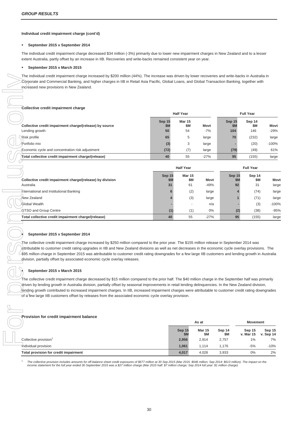#### **Individual credit impairment charge (cont'd)**

#### **September 2015 v September 2014**

The individual credit impairment charge decreased \$34 million (-3%) primarily due to lower new impairment charges in New Zealand and to a lesser extent Australia, partly offset by an increase in IIB. Recoveries and write-backs remained consistent year on year.

#### **September 2015 v March 2015**

|                                                         | <b>Half Year</b> |                      |        | <b>Full Year</b> |                  |         |  |
|---------------------------------------------------------|------------------|----------------------|--------|------------------|------------------|---------|--|
| Collective credit impairment charge/(release) by source | Sep 15<br>\$N    | <b>Mar 15</b><br>\$M | Movt   | Sep 15<br>\$M    | Sep 14<br>\$M    | Movt    |  |
| Lending growth                                          | 50               | 54                   | $-7%$  | 104              | 146              | $-29%$  |  |
| Risk profile                                            | 65               | 5                    | large  | 70               | (232)            | large   |  |
| Portfolio mix                                           | (3)              | 3                    | large  |                  | (20)             | $-100%$ |  |
| Economic cycle and concentration risk adjustment        | (72)             | (7)                  | large  | (79)             | (49)             | 61%     |  |
| Total collective credit impairment charge/(release)     | 40               | 55                   | $-27%$ | 95               | (155)            | large   |  |
|                                                         |                  | <b>Half Year</b>     |        |                  | <b>Full Year</b> |         |  |
|                                                         |                  |                      |        |                  |                  |         |  |

| Collective credit impairment charge                                                                                                                                                                                                                                                                                                                                                                                                                                                                                                                                                                                                                                                                                                                                                                                                                                                                                                                                                                                                                                                                                                                                            |               |                      |               |                      |                  |                                     |
|--------------------------------------------------------------------------------------------------------------------------------------------------------------------------------------------------------------------------------------------------------------------------------------------------------------------------------------------------------------------------------------------------------------------------------------------------------------------------------------------------------------------------------------------------------------------------------------------------------------------------------------------------------------------------------------------------------------------------------------------------------------------------------------------------------------------------------------------------------------------------------------------------------------------------------------------------------------------------------------------------------------------------------------------------------------------------------------------------------------------------------------------------------------------------------|---------------|----------------------|---------------|----------------------|------------------|-------------------------------------|
|                                                                                                                                                                                                                                                                                                                                                                                                                                                                                                                                                                                                                                                                                                                                                                                                                                                                                                                                                                                                                                                                                                                                                                                |               | <b>Half Year</b>     |               |                      | <b>Full Year</b> |                                     |
| Collective credit impairment charge/(release) by source                                                                                                                                                                                                                                                                                                                                                                                                                                                                                                                                                                                                                                                                                                                                                                                                                                                                                                                                                                                                                                                                                                                        | Sep 15<br>\$M | <b>Mar 15</b><br>\$M | Movt          | <b>Sep 15</b><br>\$M | Sep 14<br>\$M    | Movt                                |
| Lending growth                                                                                                                                                                                                                                                                                                                                                                                                                                                                                                                                                                                                                                                                                                                                                                                                                                                                                                                                                                                                                                                                                                                                                                 | 50            | 54                   | $-7%$         | 104                  | 146              | $-29%$                              |
| <b>Risk profile</b>                                                                                                                                                                                                                                                                                                                                                                                                                                                                                                                                                                                                                                                                                                                                                                                                                                                                                                                                                                                                                                                                                                                                                            | 65            | 5                    | large         | 70                   | (232)            | large                               |
| Portfolio mix                                                                                                                                                                                                                                                                                                                                                                                                                                                                                                                                                                                                                                                                                                                                                                                                                                                                                                                                                                                                                                                                                                                                                                  | (3)           | 3                    | large         |                      | (20)             | -100%                               |
| Economic cycle and concentration risk adjustment                                                                                                                                                                                                                                                                                                                                                                                                                                                                                                                                                                                                                                                                                                                                                                                                                                                                                                                                                                                                                                                                                                                               | (72)          | (7)                  | large         | (79)                 | (49)             | 61%                                 |
| Total collective credit impairment charge/(release)                                                                                                                                                                                                                                                                                                                                                                                                                                                                                                                                                                                                                                                                                                                                                                                                                                                                                                                                                                                                                                                                                                                            | 40            | 55                   | $-27%$        | 95                   | (155)            | large                               |
|                                                                                                                                                                                                                                                                                                                                                                                                                                                                                                                                                                                                                                                                                                                                                                                                                                                                                                                                                                                                                                                                                                                                                                                |               | <b>Half Year</b>     |               |                      | <b>Full Year</b> |                                     |
|                                                                                                                                                                                                                                                                                                                                                                                                                                                                                                                                                                                                                                                                                                                                                                                                                                                                                                                                                                                                                                                                                                                                                                                | Sep 15        | <b>Mar 15</b>        |               | Sep 15               | Sep 14           |                                     |
| Collective credit impairment charge/(release) by division                                                                                                                                                                                                                                                                                                                                                                                                                                                                                                                                                                                                                                                                                                                                                                                                                                                                                                                                                                                                                                                                                                                      | \$M           | \$M                  | Movt          | \$M                  | \$M              | Movt                                |
| Australia                                                                                                                                                                                                                                                                                                                                                                                                                                                                                                                                                                                                                                                                                                                                                                                                                                                                                                                                                                                                                                                                                                                                                                      | 31            | 61                   | $-49%$        | 92                   | 31               | large                               |
| International and Institutional Banking                                                                                                                                                                                                                                                                                                                                                                                                                                                                                                                                                                                                                                                                                                                                                                                                                                                                                                                                                                                                                                                                                                                                        | 6             | (2)                  | large         |                      | (74)             | large                               |
| New Zealand                                                                                                                                                                                                                                                                                                                                                                                                                                                                                                                                                                                                                                                                                                                                                                                                                                                                                                                                                                                                                                                                                                                                                                    |               | (3)                  | large         |                      | (71)             | large                               |
| Global Wealth                                                                                                                                                                                                                                                                                                                                                                                                                                                                                                                                                                                                                                                                                                                                                                                                                                                                                                                                                                                                                                                                                                                                                                  |               |                      | n/a           |                      | (3)              | $-100%$                             |
| GTSO and Group Centre<br>Total collective credit impairment charge/(release)                                                                                                                                                                                                                                                                                                                                                                                                                                                                                                                                                                                                                                                                                                                                                                                                                                                                                                                                                                                                                                                                                                   | (1)<br>40     | (1)<br>55            | 0%<br>$-27%$  | (2)<br>95            | (38)<br>(155)    | $-95%$<br>large                     |
| September 2015 v September 2014                                                                                                                                                                                                                                                                                                                                                                                                                                                                                                                                                                                                                                                                                                                                                                                                                                                                                                                                                                                                                                                                                                                                                |               |                      |               |                      |                  |                                     |
| The collective credit impairment charge increased by \$250 million compared to the prior year. The \$155 million release in September 2014 was<br>attributable to customer credit rating upgrades in IIB and New Zealand divisions as well as net decreases in the economic cycle overlay provisions. The<br>\$95 million charge in September 2015 was attributable to customer credit rating downgrades for a few large IIB customers and lending growth in Australia<br>division, partially offset by associated economic cycle overlay releases.<br>September 2015 v March 2015<br>The collective credit impairment charge decreased by \$15 million compared to the prior half. The \$40 million charge in the September half was primarily<br>driven by lending growth in Australia division, partially offset by seasonal improvements in retail lending delinquencies. In the New Zealand division,<br>lending growth contributed to increased impairment charges. In IIB, increased impairment charges were attributable to customer credit rating downgrades<br>of a few large IIB customers offset by releases from the associated economic cycle overlay provision. |               |                      |               |                      |                  |                                     |
| Provision for credit impairment balance                                                                                                                                                                                                                                                                                                                                                                                                                                                                                                                                                                                                                                                                                                                                                                                                                                                                                                                                                                                                                                                                                                                                        |               |                      | As at         |                      | <b>Movement</b>  |                                     |
|                                                                                                                                                                                                                                                                                                                                                                                                                                                                                                                                                                                                                                                                                                                                                                                                                                                                                                                                                                                                                                                                                                                                                                                |               | Sep 15               | <b>Mar 15</b> | Sep 14               | Sep 15           |                                     |
| Collective provision <sup>1</sup>                                                                                                                                                                                                                                                                                                                                                                                                                                                                                                                                                                                                                                                                                                                                                                                                                                                                                                                                                                                                                                                                                                                                              |               | \$M<br>2,956         | \$Μ<br>2,914  | \$M<br>2,757         | v. Mar 15<br>1%  |                                     |
| individual provision                                                                                                                                                                                                                                                                                                                                                                                                                                                                                                                                                                                                                                                                                                                                                                                                                                                                                                                                                                                                                                                                                                                                                           |               | 1,061                | 1,114         | 1,176                | $-5%$            | Sep 15<br>v. Sep 14<br>7%<br>$-10%$ |

#### **September 2015 v September 2014**

#### **September 2015 v March 2015**

#### **Provision for credit impairment balance**

|                                       |               | As at                | <b>Movement</b> |                     |                     |
|---------------------------------------|---------------|----------------------|-----------------|---------------------|---------------------|
|                                       | Sep 15<br>\$M | <b>Mar 15</b><br>\$M | Sep 14<br>\$M   | Sep 15<br>v. Mar 15 | Sep 15<br>v. Sep 14 |
| Collective provision <sup>1</sup>     | 2,956         | 2.914                | 2,757           | $1\%$               | 7%                  |
| Thdividual provision                  | 1.061         | 1,114                | 1.176           | $-5%$               | $-10%$              |
| Total provision for credit impairment | 4,017         | 4.028                | 3,933           | 0%                  | 2%                  |

*1. The collective provision includes amounts for off-balance sheet credit exposures of \$677 million at 30 Sep 2015 (Mar 2015: \$646 million; Sep 2014: \$613 million). The impact on the*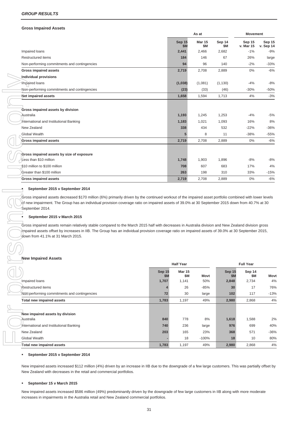#### **Gross Impaired Assets**

| Sep 15<br><b>Mar 15</b><br>Sep 14<br>Sep 15<br>\$M<br>v. Mar 15<br>\$Μ<br>\$M<br>Impaired loans<br>2,441<br>2,466<br>2,682<br>$-1%$<br><b>Restructured items</b><br>184<br>146<br>67<br>26%<br>94<br>Non-performing commitments and contingencies<br>96<br>140<br>$-2%$<br><b>Gross impaired assets</b><br>2,719<br>2,708<br>2,889<br>0%<br>Individual provisions<br>Impaired loans<br>(1,038)<br>(1,081)<br>(1, 130)<br>$-4%$<br>Non-performing commitments and contingencies<br>(23)<br>$-30%$<br>(33)<br>(46)<br>Net impaired assets<br>1,658<br>1,594<br>1,713<br>4%<br>Gross impaired assets by division<br>1,193<br>1,253<br>$-4%$<br>Australia<br>1,245<br>16%<br>International and Institutional Banking<br>1,183<br>1,021<br>1,093<br>338<br>532<br>$-22%$<br>New Zealand<br>434<br>Global Wealth<br>5<br>$-38%$<br>8<br>11<br>2,708<br>2,889<br>0%<br><b>Gross impaired assets</b><br>2,719<br>Gross impaired assets by size of exposure<br>Less than \$10 million<br>1,903<br>1,896<br>$-8%$<br>1,748<br>17%<br>\$10 million to \$100 million<br>708<br>607<br>683<br>Greater than \$100 million<br>263<br>198<br>310<br>33%<br><b>Gross impaired assets</b><br>2,719<br>2,708<br>2,889<br>0%<br>September 2015 v September 2014<br>Gross impaired assets decreased \$170 million (6%) primarily driven by the continued workout of the impaired asset portfolio combined with lower levels<br>of new impairment. The Group has an individual provision coverage ratio on impaired assets of 39.0% at 30 September 2015 down from 40.7% at 30<br>September 2014.<br>September 2015 v March 2015<br>٠<br>Gross impaired assets remain relatively stable compared to the March 2015 half with decreases in Australia division and New Zealand division gross<br>impaired assets offset by increases in IIB. The Group has an individual provision coverage ratio on impaired assets of 39.0% at 30 September 2015,<br>down from 41.1% at 31 March 2015.<br><b>New Impaired Assets</b><br><b>Half Year</b><br><b>Full Year</b><br>Sep 15<br><b>Mar 15</b><br>Sep 15<br>Sep 14<br>\$M<br>\$M<br>\$Μ<br>Movt<br>\$M<br>Impaired loans<br>1,707<br>50%<br>2,734<br>1,141<br>2,848<br>Restructured items<br>26<br>$-85%$<br>17<br>4<br>30<br>Non-performing commitments and contingencies<br>72<br>30<br>117<br>large<br>102<br><b>Total new impaired assets</b><br>1,783<br>1,197<br>49%<br>2,980<br>2,868<br>New impaired assets by division<br>Australia<br>778<br>8%<br>1,588<br>840<br>1,618<br>740<br>236<br>976<br>699<br>International and Institutional Banking<br>large<br>New Zealand<br>203<br>165<br>23%<br>368<br>571<br>Global Wealth<br>18<br>$-100%$<br>18<br>10<br>Total new impaired assets<br>1,783<br>49%<br>2,980<br>2,868<br>1,197<br>September 2015 v September 2014<br>٠<br>New impaired assets increased \$112 million (4%) driven by an increase in IIB due to the downgrade of a few large customers. This was partially offset by<br>New Zealand with decreases in the retail and commercial portfolios.<br>September 15 v March 2015<br>٠ |  |  | As at | <b>Movement</b> |                    |
|-----------------------------------------------------------------------------------------------------------------------------------------------------------------------------------------------------------------------------------------------------------------------------------------------------------------------------------------------------------------------------------------------------------------------------------------------------------------------------------------------------------------------------------------------------------------------------------------------------------------------------------------------------------------------------------------------------------------------------------------------------------------------------------------------------------------------------------------------------------------------------------------------------------------------------------------------------------------------------------------------------------------------------------------------------------------------------------------------------------------------------------------------------------------------------------------------------------------------------------------------------------------------------------------------------------------------------------------------------------------------------------------------------------------------------------------------------------------------------------------------------------------------------------------------------------------------------------------------------------------------------------------------------------------------------------------------------------------------------------------------------------------------------------------------------------------------------------------------------------------------------------------------------------------------------------------------------------------------------------------------------------------------------------------------------------------------------------------------------------------------------------------------------------------------------------------------------------------------------------------------------------------------------------------------------------------------------------------------------------------------------------------------------------------------------------------------------------------------------------------------------------------------------------------------------------------------------------------------------------------------------------------------------------------------------------------------------------------------------------------------------------------------------------------------------------------------------------------------------------------------------------------------------------------------------------------------------------------------------------------------------------------------------------------------------------------------------|--|--|-------|-----------------|--------------------|
|                                                                                                                                                                                                                                                                                                                                                                                                                                                                                                                                                                                                                                                                                                                                                                                                                                                                                                                                                                                                                                                                                                                                                                                                                                                                                                                                                                                                                                                                                                                                                                                                                                                                                                                                                                                                                                                                                                                                                                                                                                                                                                                                                                                                                                                                                                                                                                                                                                                                                                                                                                                                                                                                                                                                                                                                                                                                                                                                                                                                                                                                             |  |  |       |                 | Sep 15             |
|                                                                                                                                                                                                                                                                                                                                                                                                                                                                                                                                                                                                                                                                                                                                                                                                                                                                                                                                                                                                                                                                                                                                                                                                                                                                                                                                                                                                                                                                                                                                                                                                                                                                                                                                                                                                                                                                                                                                                                                                                                                                                                                                                                                                                                                                                                                                                                                                                                                                                                                                                                                                                                                                                                                                                                                                                                                                                                                                                                                                                                                                             |  |  |       |                 | v. Sep 14<br>$-9%$ |
|                                                                                                                                                                                                                                                                                                                                                                                                                                                                                                                                                                                                                                                                                                                                                                                                                                                                                                                                                                                                                                                                                                                                                                                                                                                                                                                                                                                                                                                                                                                                                                                                                                                                                                                                                                                                                                                                                                                                                                                                                                                                                                                                                                                                                                                                                                                                                                                                                                                                                                                                                                                                                                                                                                                                                                                                                                                                                                                                                                                                                                                                             |  |  |       |                 | large              |
|                                                                                                                                                                                                                                                                                                                                                                                                                                                                                                                                                                                                                                                                                                                                                                                                                                                                                                                                                                                                                                                                                                                                                                                                                                                                                                                                                                                                                                                                                                                                                                                                                                                                                                                                                                                                                                                                                                                                                                                                                                                                                                                                                                                                                                                                                                                                                                                                                                                                                                                                                                                                                                                                                                                                                                                                                                                                                                                                                                                                                                                                             |  |  |       |                 | $-33%$             |
|                                                                                                                                                                                                                                                                                                                                                                                                                                                                                                                                                                                                                                                                                                                                                                                                                                                                                                                                                                                                                                                                                                                                                                                                                                                                                                                                                                                                                                                                                                                                                                                                                                                                                                                                                                                                                                                                                                                                                                                                                                                                                                                                                                                                                                                                                                                                                                                                                                                                                                                                                                                                                                                                                                                                                                                                                                                                                                                                                                                                                                                                             |  |  |       |                 | $-6%$              |
|                                                                                                                                                                                                                                                                                                                                                                                                                                                                                                                                                                                                                                                                                                                                                                                                                                                                                                                                                                                                                                                                                                                                                                                                                                                                                                                                                                                                                                                                                                                                                                                                                                                                                                                                                                                                                                                                                                                                                                                                                                                                                                                                                                                                                                                                                                                                                                                                                                                                                                                                                                                                                                                                                                                                                                                                                                                                                                                                                                                                                                                                             |  |  |       |                 |                    |
|                                                                                                                                                                                                                                                                                                                                                                                                                                                                                                                                                                                                                                                                                                                                                                                                                                                                                                                                                                                                                                                                                                                                                                                                                                                                                                                                                                                                                                                                                                                                                                                                                                                                                                                                                                                                                                                                                                                                                                                                                                                                                                                                                                                                                                                                                                                                                                                                                                                                                                                                                                                                                                                                                                                                                                                                                                                                                                                                                                                                                                                                             |  |  |       |                 | $-8%$              |
|                                                                                                                                                                                                                                                                                                                                                                                                                                                                                                                                                                                                                                                                                                                                                                                                                                                                                                                                                                                                                                                                                                                                                                                                                                                                                                                                                                                                                                                                                                                                                                                                                                                                                                                                                                                                                                                                                                                                                                                                                                                                                                                                                                                                                                                                                                                                                                                                                                                                                                                                                                                                                                                                                                                                                                                                                                                                                                                                                                                                                                                                             |  |  |       |                 | $-50%$             |
|                                                                                                                                                                                                                                                                                                                                                                                                                                                                                                                                                                                                                                                                                                                                                                                                                                                                                                                                                                                                                                                                                                                                                                                                                                                                                                                                                                                                                                                                                                                                                                                                                                                                                                                                                                                                                                                                                                                                                                                                                                                                                                                                                                                                                                                                                                                                                                                                                                                                                                                                                                                                                                                                                                                                                                                                                                                                                                                                                                                                                                                                             |  |  |       |                 | $-3%$              |
|                                                                                                                                                                                                                                                                                                                                                                                                                                                                                                                                                                                                                                                                                                                                                                                                                                                                                                                                                                                                                                                                                                                                                                                                                                                                                                                                                                                                                                                                                                                                                                                                                                                                                                                                                                                                                                                                                                                                                                                                                                                                                                                                                                                                                                                                                                                                                                                                                                                                                                                                                                                                                                                                                                                                                                                                                                                                                                                                                                                                                                                                             |  |  |       |                 |                    |
|                                                                                                                                                                                                                                                                                                                                                                                                                                                                                                                                                                                                                                                                                                                                                                                                                                                                                                                                                                                                                                                                                                                                                                                                                                                                                                                                                                                                                                                                                                                                                                                                                                                                                                                                                                                                                                                                                                                                                                                                                                                                                                                                                                                                                                                                                                                                                                                                                                                                                                                                                                                                                                                                                                                                                                                                                                                                                                                                                                                                                                                                             |  |  |       |                 |                    |
|                                                                                                                                                                                                                                                                                                                                                                                                                                                                                                                                                                                                                                                                                                                                                                                                                                                                                                                                                                                                                                                                                                                                                                                                                                                                                                                                                                                                                                                                                                                                                                                                                                                                                                                                                                                                                                                                                                                                                                                                                                                                                                                                                                                                                                                                                                                                                                                                                                                                                                                                                                                                                                                                                                                                                                                                                                                                                                                                                                                                                                                                             |  |  |       |                 | $-5%$              |
|                                                                                                                                                                                                                                                                                                                                                                                                                                                                                                                                                                                                                                                                                                                                                                                                                                                                                                                                                                                                                                                                                                                                                                                                                                                                                                                                                                                                                                                                                                                                                                                                                                                                                                                                                                                                                                                                                                                                                                                                                                                                                                                                                                                                                                                                                                                                                                                                                                                                                                                                                                                                                                                                                                                                                                                                                                                                                                                                                                                                                                                                             |  |  |       |                 | 8%                 |
|                                                                                                                                                                                                                                                                                                                                                                                                                                                                                                                                                                                                                                                                                                                                                                                                                                                                                                                                                                                                                                                                                                                                                                                                                                                                                                                                                                                                                                                                                                                                                                                                                                                                                                                                                                                                                                                                                                                                                                                                                                                                                                                                                                                                                                                                                                                                                                                                                                                                                                                                                                                                                                                                                                                                                                                                                                                                                                                                                                                                                                                                             |  |  |       |                 | $-36%$             |
|                                                                                                                                                                                                                                                                                                                                                                                                                                                                                                                                                                                                                                                                                                                                                                                                                                                                                                                                                                                                                                                                                                                                                                                                                                                                                                                                                                                                                                                                                                                                                                                                                                                                                                                                                                                                                                                                                                                                                                                                                                                                                                                                                                                                                                                                                                                                                                                                                                                                                                                                                                                                                                                                                                                                                                                                                                                                                                                                                                                                                                                                             |  |  |       |                 | $-55%$             |
|                                                                                                                                                                                                                                                                                                                                                                                                                                                                                                                                                                                                                                                                                                                                                                                                                                                                                                                                                                                                                                                                                                                                                                                                                                                                                                                                                                                                                                                                                                                                                                                                                                                                                                                                                                                                                                                                                                                                                                                                                                                                                                                                                                                                                                                                                                                                                                                                                                                                                                                                                                                                                                                                                                                                                                                                                                                                                                                                                                                                                                                                             |  |  |       |                 | $-6%$              |
|                                                                                                                                                                                                                                                                                                                                                                                                                                                                                                                                                                                                                                                                                                                                                                                                                                                                                                                                                                                                                                                                                                                                                                                                                                                                                                                                                                                                                                                                                                                                                                                                                                                                                                                                                                                                                                                                                                                                                                                                                                                                                                                                                                                                                                                                                                                                                                                                                                                                                                                                                                                                                                                                                                                                                                                                                                                                                                                                                                                                                                                                             |  |  |       |                 |                    |
|                                                                                                                                                                                                                                                                                                                                                                                                                                                                                                                                                                                                                                                                                                                                                                                                                                                                                                                                                                                                                                                                                                                                                                                                                                                                                                                                                                                                                                                                                                                                                                                                                                                                                                                                                                                                                                                                                                                                                                                                                                                                                                                                                                                                                                                                                                                                                                                                                                                                                                                                                                                                                                                                                                                                                                                                                                                                                                                                                                                                                                                                             |  |  |       |                 |                    |
|                                                                                                                                                                                                                                                                                                                                                                                                                                                                                                                                                                                                                                                                                                                                                                                                                                                                                                                                                                                                                                                                                                                                                                                                                                                                                                                                                                                                                                                                                                                                                                                                                                                                                                                                                                                                                                                                                                                                                                                                                                                                                                                                                                                                                                                                                                                                                                                                                                                                                                                                                                                                                                                                                                                                                                                                                                                                                                                                                                                                                                                                             |  |  |       |                 | $-8%$              |
|                                                                                                                                                                                                                                                                                                                                                                                                                                                                                                                                                                                                                                                                                                                                                                                                                                                                                                                                                                                                                                                                                                                                                                                                                                                                                                                                                                                                                                                                                                                                                                                                                                                                                                                                                                                                                                                                                                                                                                                                                                                                                                                                                                                                                                                                                                                                                                                                                                                                                                                                                                                                                                                                                                                                                                                                                                                                                                                                                                                                                                                                             |  |  |       |                 | 4%                 |
|                                                                                                                                                                                                                                                                                                                                                                                                                                                                                                                                                                                                                                                                                                                                                                                                                                                                                                                                                                                                                                                                                                                                                                                                                                                                                                                                                                                                                                                                                                                                                                                                                                                                                                                                                                                                                                                                                                                                                                                                                                                                                                                                                                                                                                                                                                                                                                                                                                                                                                                                                                                                                                                                                                                                                                                                                                                                                                                                                                                                                                                                             |  |  |       |                 | $-15%$             |
|                                                                                                                                                                                                                                                                                                                                                                                                                                                                                                                                                                                                                                                                                                                                                                                                                                                                                                                                                                                                                                                                                                                                                                                                                                                                                                                                                                                                                                                                                                                                                                                                                                                                                                                                                                                                                                                                                                                                                                                                                                                                                                                                                                                                                                                                                                                                                                                                                                                                                                                                                                                                                                                                                                                                                                                                                                                                                                                                                                                                                                                                             |  |  |       |                 | $-6%$              |
|                                                                                                                                                                                                                                                                                                                                                                                                                                                                                                                                                                                                                                                                                                                                                                                                                                                                                                                                                                                                                                                                                                                                                                                                                                                                                                                                                                                                                                                                                                                                                                                                                                                                                                                                                                                                                                                                                                                                                                                                                                                                                                                                                                                                                                                                                                                                                                                                                                                                                                                                                                                                                                                                                                                                                                                                                                                                                                                                                                                                                                                                             |  |  |       |                 |                    |
|                                                                                                                                                                                                                                                                                                                                                                                                                                                                                                                                                                                                                                                                                                                                                                                                                                                                                                                                                                                                                                                                                                                                                                                                                                                                                                                                                                                                                                                                                                                                                                                                                                                                                                                                                                                                                                                                                                                                                                                                                                                                                                                                                                                                                                                                                                                                                                                                                                                                                                                                                                                                                                                                                                                                                                                                                                                                                                                                                                                                                                                                             |  |  |       |                 |                    |
|                                                                                                                                                                                                                                                                                                                                                                                                                                                                                                                                                                                                                                                                                                                                                                                                                                                                                                                                                                                                                                                                                                                                                                                                                                                                                                                                                                                                                                                                                                                                                                                                                                                                                                                                                                                                                                                                                                                                                                                                                                                                                                                                                                                                                                                                                                                                                                                                                                                                                                                                                                                                                                                                                                                                                                                                                                                                                                                                                                                                                                                                             |  |  |       |                 |                    |
|                                                                                                                                                                                                                                                                                                                                                                                                                                                                                                                                                                                                                                                                                                                                                                                                                                                                                                                                                                                                                                                                                                                                                                                                                                                                                                                                                                                                                                                                                                                                                                                                                                                                                                                                                                                                                                                                                                                                                                                                                                                                                                                                                                                                                                                                                                                                                                                                                                                                                                                                                                                                                                                                                                                                                                                                                                                                                                                                                                                                                                                                             |  |  |       |                 | Mov<br>4%          |
|                                                                                                                                                                                                                                                                                                                                                                                                                                                                                                                                                                                                                                                                                                                                                                                                                                                                                                                                                                                                                                                                                                                                                                                                                                                                                                                                                                                                                                                                                                                                                                                                                                                                                                                                                                                                                                                                                                                                                                                                                                                                                                                                                                                                                                                                                                                                                                                                                                                                                                                                                                                                                                                                                                                                                                                                                                                                                                                                                                                                                                                                             |  |  |       |                 | 76%                |
|                                                                                                                                                                                                                                                                                                                                                                                                                                                                                                                                                                                                                                                                                                                                                                                                                                                                                                                                                                                                                                                                                                                                                                                                                                                                                                                                                                                                                                                                                                                                                                                                                                                                                                                                                                                                                                                                                                                                                                                                                                                                                                                                                                                                                                                                                                                                                                                                                                                                                                                                                                                                                                                                                                                                                                                                                                                                                                                                                                                                                                                                             |  |  |       |                 | $-139$             |
|                                                                                                                                                                                                                                                                                                                                                                                                                                                                                                                                                                                                                                                                                                                                                                                                                                                                                                                                                                                                                                                                                                                                                                                                                                                                                                                                                                                                                                                                                                                                                                                                                                                                                                                                                                                                                                                                                                                                                                                                                                                                                                                                                                                                                                                                                                                                                                                                                                                                                                                                                                                                                                                                                                                                                                                                                                                                                                                                                                                                                                                                             |  |  |       |                 | 4 <sup>0</sup>     |
|                                                                                                                                                                                                                                                                                                                                                                                                                                                                                                                                                                                                                                                                                                                                                                                                                                                                                                                                                                                                                                                                                                                                                                                                                                                                                                                                                                                                                                                                                                                                                                                                                                                                                                                                                                                                                                                                                                                                                                                                                                                                                                                                                                                                                                                                                                                                                                                                                                                                                                                                                                                                                                                                                                                                                                                                                                                                                                                                                                                                                                                                             |  |  |       |                 |                    |
|                                                                                                                                                                                                                                                                                                                                                                                                                                                                                                                                                                                                                                                                                                                                                                                                                                                                                                                                                                                                                                                                                                                                                                                                                                                                                                                                                                                                                                                                                                                                                                                                                                                                                                                                                                                                                                                                                                                                                                                                                                                                                                                                                                                                                                                                                                                                                                                                                                                                                                                                                                                                                                                                                                                                                                                                                                                                                                                                                                                                                                                                             |  |  |       |                 |                    |
|                                                                                                                                                                                                                                                                                                                                                                                                                                                                                                                                                                                                                                                                                                                                                                                                                                                                                                                                                                                                                                                                                                                                                                                                                                                                                                                                                                                                                                                                                                                                                                                                                                                                                                                                                                                                                                                                                                                                                                                                                                                                                                                                                                                                                                                                                                                                                                                                                                                                                                                                                                                                                                                                                                                                                                                                                                                                                                                                                                                                                                                                             |  |  |       |                 | 2 <sup>0</sup>     |
|                                                                                                                                                                                                                                                                                                                                                                                                                                                                                                                                                                                                                                                                                                                                                                                                                                                                                                                                                                                                                                                                                                                                                                                                                                                                                                                                                                                                                                                                                                                                                                                                                                                                                                                                                                                                                                                                                                                                                                                                                                                                                                                                                                                                                                                                                                                                                                                                                                                                                                                                                                                                                                                                                                                                                                                                                                                                                                                                                                                                                                                                             |  |  |       |                 | 40%                |
|                                                                                                                                                                                                                                                                                                                                                                                                                                                                                                                                                                                                                                                                                                                                                                                                                                                                                                                                                                                                                                                                                                                                                                                                                                                                                                                                                                                                                                                                                                                                                                                                                                                                                                                                                                                                                                                                                                                                                                                                                                                                                                                                                                                                                                                                                                                                                                                                                                                                                                                                                                                                                                                                                                                                                                                                                                                                                                                                                                                                                                                                             |  |  |       |                 | $-36%$             |
|                                                                                                                                                                                                                                                                                                                                                                                                                                                                                                                                                                                                                                                                                                                                                                                                                                                                                                                                                                                                                                                                                                                                                                                                                                                                                                                                                                                                                                                                                                                                                                                                                                                                                                                                                                                                                                                                                                                                                                                                                                                                                                                                                                                                                                                                                                                                                                                                                                                                                                                                                                                                                                                                                                                                                                                                                                                                                                                                                                                                                                                                             |  |  |       |                 | 80%                |
|                                                                                                                                                                                                                                                                                                                                                                                                                                                                                                                                                                                                                                                                                                                                                                                                                                                                                                                                                                                                                                                                                                                                                                                                                                                                                                                                                                                                                                                                                                                                                                                                                                                                                                                                                                                                                                                                                                                                                                                                                                                                                                                                                                                                                                                                                                                                                                                                                                                                                                                                                                                                                                                                                                                                                                                                                                                                                                                                                                                                                                                                             |  |  |       |                 | 4 <sup>0</sup>     |
|                                                                                                                                                                                                                                                                                                                                                                                                                                                                                                                                                                                                                                                                                                                                                                                                                                                                                                                                                                                                                                                                                                                                                                                                                                                                                                                                                                                                                                                                                                                                                                                                                                                                                                                                                                                                                                                                                                                                                                                                                                                                                                                                                                                                                                                                                                                                                                                                                                                                                                                                                                                                                                                                                                                                                                                                                                                                                                                                                                                                                                                                             |  |  |       |                 |                    |
| New impaired assets increased \$586 million (49%) predominantly driven by the downgrade of few large customers in IIB along with more moderate                                                                                                                                                                                                                                                                                                                                                                                                                                                                                                                                                                                                                                                                                                                                                                                                                                                                                                                                                                                                                                                                                                                                                                                                                                                                                                                                                                                                                                                                                                                                                                                                                                                                                                                                                                                                                                                                                                                                                                                                                                                                                                                                                                                                                                                                                                                                                                                                                                                                                                                                                                                                                                                                                                                                                                                                                                                                                                                              |  |  |       |                 |                    |

#### **September 2015 v September 2014**

#### **September 2015 v March 2015**

#### **New Impaired Assets**

|                                              |               | <b>Half Year</b>     |         |               | <b>Full Year</b> |        |  |  |
|----------------------------------------------|---------------|----------------------|---------|---------------|------------------|--------|--|--|
|                                              | Sep 15<br>\$M | <b>Mar 15</b><br>\$M | Movt    | Sep 15<br>\$M | Sep 14<br>\$M    | Movt   |  |  |
| Impaired loans                               | 1,707         | 1,141                | 50%     | 2,848         | 2,734            | 4%     |  |  |
| <b>Restructured items</b>                    | 4             | 26                   | $-85%$  | 30            | 17               | 76%    |  |  |
| Non-performing commitments and contingencies | 72            | 30                   | large   | 102           | 117              | $-13%$ |  |  |
| <b>Total new impaired assets</b>             | 1,783         | 1,197                | 49%     | 2,980         | 2,868            | 4%     |  |  |
|                                              |               |                      |         |               |                  |        |  |  |
| New impaired assets by division              |               |                      |         |               |                  |        |  |  |
| Australia                                    | 840           | 778                  | 8%      | 1,618         | 1,588            | 2%     |  |  |
| International and Institutional Banking      | 740           | 236                  | large   | 976           | 699              | 40%    |  |  |
| New Zealand                                  | 203           | 165                  | 23%     | 368           | 571              | $-36%$ |  |  |
| Global Wealth                                |               | 18                   | $-100%$ | 18            | 10               | 80%    |  |  |
| Total new impaired assets                    | 1,783         | 1,197                | 49%     | 2,980         | 2,868            | 4%     |  |  |

#### **September 2015 v September 2014**

#### **September 15 v March 2015**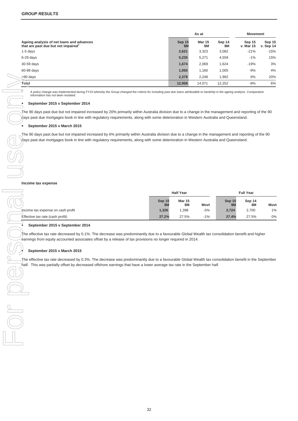|                                                                                 |               | As at                |               |                     |                     |
|---------------------------------------------------------------------------------|---------------|----------------------|---------------|---------------------|---------------------|
| Ageing analysis of net loans and advances<br>that are past due but not impaired | Sep 15<br>\$M | <b>Mar 15</b><br>\$M | Sep 14<br>\$M | Sep 15<br>v. Mar 15 | Sep 15<br>v. Sep 14 |
| $1-5$ days                                                                      | 2,621         | 3,323                | 3,082         | $-21%$              | $-15%$              |
| $6-29$ days                                                                     | 5,235         | 5,271                | 4,559         | $-1%$               | 15%                 |
| 30-59 days                                                                      | 1,674         | 2,069                | 1,624         | $-19%$              | 3%                  |
| 60-89 days                                                                      | 1.050         | 1,160                | 1,005         | $-9%$               | 4%                  |
| >90 days                                                                        | 2,378         | 2,248                | 1,982         | 6%                  | 20%                 |
| Total                                                                           | 12,958        | 14,071               | 12,252        | $-8%$               | 6%                  |

*1. A policy change was implemented during FY15 whereby the Group changed the criteria for including past due loans attributable to hardship in the ageing analysis. Comparative information has not been restated.* 

#### **September 2015 v September 2014**

The 90 days past due but not impaired increased by 20% primarily within Australia division due to a change in the management and reporting of the 90 days past due mortgages book in line with regulatory requirements, along with some deterioration in Western Australia and Queensland.

#### **September 2015 v March 2015**

The 90 days past due but not impaired increased by 6% primarily within Australia division due to a change in the management and reporting of the 90 days past due mortgages book in line with regulatory requirements, along with some deterioration in Western Australia and Queensland.

#### **Income tax expense**

|                                   | <b>Half Year</b> |                      |             | <b>Full Year</b> |               |      |  |
|-----------------------------------|------------------|----------------------|-------------|------------------|---------------|------|--|
|                                   | Sep 15<br>\$M    | <b>Mar 15</b><br>\$M | <b>Movt</b> | Sep 15<br>\$M    | Sep 14<br>\$M | Movt |  |
| Income tax expense on cash profit | 1,326            | ,398                 | -5%         | 2,724            | 2,700         | 1%   |  |
| Effective tax rate (cash profit)  | 27.2%            | 27.5%                | $-1%$       | 27.4%            | 27.5%         | 0%   |  |

#### **September 2015 v September 2014**

The effective tax rate decreased by 0.1%. The decrease was predominantly due to a favourable Global Wealth tax consolidation benefit and higher earnings from equity accounted associates offset by a release of tax provisions no longer required in 2014.

#### **September 2015 v March 2015**

The effective tax rate decreased by 0.3%. The decrease was predominantly due to a favourable Global Wealth tax consolidation benefit in the September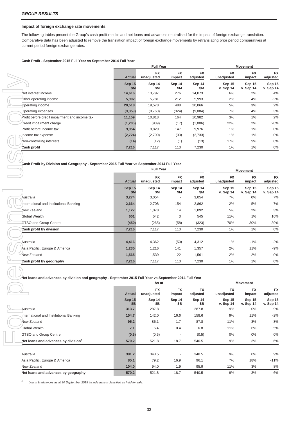#### **Impact of foreign exchange rate movements**

The following tables present the Group's cash profit results and net loans and advances neutralised for the impact of foreign exchange translation. Comparative data has been adjusted to remove the translation impact of foreign exchange movements by retranslating prior period comparatives at current period foreign exchange rates.

#### **Cash Profit - September 2015 Full Year vs September 2014 Full Year**

|                                                |                     | <b>Full Year</b>        |                     |                       | <b>Movement</b>         |                     |                       |
|------------------------------------------------|---------------------|-------------------------|---------------------|-----------------------|-------------------------|---------------------|-----------------------|
|                                                | <b>Actual</b>       | <b>FX</b><br>unadjusted | <b>FX</b><br>impact | <b>FX</b><br>adjusted | <b>FX</b><br>unadjusted | <b>FX</b><br>impact | <b>FX</b><br>adjusted |
|                                                | Sep 15<br><b>SM</b> | Sep 14<br>\$M           | Sep 14<br>\$M       | Sep 14<br>\$M         | Sep 15<br>v. Sep 14     | Sep 15<br>v. Sep 14 | Sep 15<br>v. Sep 14   |
| Net interest income                            | 14,616              | 13,797                  | 276                 | 14,073                | 6%                      | 2%                  | 4%                    |
| Other operating income                         | 5,902               | 5,781                   | 212                 | 5,993                 | 2%                      | 4%                  | $-2%$                 |
| Operating income                               | 20,518              | 19,578                  | 488                 | 20,066                | 5%                      | 3%                  | 2%                    |
| Operating expenses                             | (9, 359)            | (8,760)                 | (324)               | (9,084)               | 7%                      | 4%                  | 3%                    |
| Profit before credit impairment and income tax | 11,159              | 10,818                  | 164                 | 10,982                | 3%                      | 1%                  | 2%                    |
| Credit impairment charge                       | (1,205)             | (989)                   | (17)                | (1,006)               | 22%                     | 2%                  | 20%                   |
| Profit before income tax                       | 9,954               | 9,829                   | 147                 | 9,976                 | $1\%$                   | $1\%$               | 0%                    |
| Income tax expense                             | (2,724)             | (2,700)                 | (33)                | (2,733)               | $1\%$                   | $1\%$               | 0%                    |
| Non-controlling interests                      | (14)                | (12)                    | (1)                 | (13)                  | 17%                     | 9%                  | 8%                    |
| Cash profit                                    | 7,216               | 7,117                   | 113                 | 7,230                 | $1\%$                   | 1%                  | 0%                    |

#### **Cash Profit by Division and Geography - September 2015 Full Year vs September 2014 Full Year**

|                                                                                                         | <b>Actual</b> | unadjusted         | impact                   | adjusted       | unadjusted                 | impact                | adjusted                   |
|---------------------------------------------------------------------------------------------------------|---------------|--------------------|--------------------------|----------------|----------------------------|-----------------------|----------------------------|
|                                                                                                         | Sep 15<br>\$M | Sep 14<br>\$Μ      | Sep 14<br>\$Μ            | Sep 14<br>\$Μ  | Sep 15<br>v. Sep 14        | Sep 15<br>v. Sep 14   | <b>Sep 15</b><br>v. Sep 14 |
| Net interest income                                                                                     | 14,616        | 13,797             | 276                      | 14,073         | 6%                         | 2%                    | 4%                         |
| Other operating income                                                                                  | 5,902         | 5,781              | 212                      | 5,993          | 2%                         | 4%                    | $-2%$                      |
| Operating income                                                                                        | 20,518        | 19,578             | 488                      | 20,066         | 5%                         | 3%                    | 2%                         |
| Operating expenses                                                                                      | (9, 359)      | (8,760)            | (324)                    | (9,084)        | 7%                         | 4%                    | 3%                         |
| Profit before credit impairment and income tax                                                          | 11,159        | 10,818             | 164                      | 10,982         | 3%                         | 1%                    | 2%                         |
| Credit impairment charge                                                                                | (1, 205)      | (989)              | (17)                     | (1,006)        | 22%                        | 2%                    | 20%                        |
| Profit before income tax                                                                                | 9,954         | 9,829              | 147                      | 9,976          | 1%                         | 1%                    | $0\%$                      |
| Income tax expense                                                                                      | (2, 724)      | (2,700)            | (33)                     | (2,733)        | 1%                         | 1%                    | $0\%$                      |
| Non-controlling interests                                                                               | (14)          | (12)               | (1)                      | (13)           | 17%                        | 9%                    | 8%                         |
| Cash profit                                                                                             | 7,216         | 7,117              | 113                      | 7,230          | 1%                         | 1%                    | $0\%$                      |
| Cash Profit by Division and Geography - September 2015 Full Year vs September 2014 Full Year            |               | <b>Full Year</b>   |                          |                |                            | Movement              |                            |
|                                                                                                         | <b>Actual</b> | FX<br>unadjusted   | FX<br>impact             | FX<br>adjusted | FX<br>unadjusted           | FX<br>impact          | <b>FX</b><br>adjusted      |
|                                                                                                         | Sep 15<br>\$M | Sep 14<br>\$Μ      | Sep 14<br>\$Μ            | Sep 14<br>\$Μ  | <b>Sep 15</b><br>v. Sep 14 | Sep 15<br>v. Sep 14   | Sep 15<br>v. Sep 14        |
| Australia                                                                                               | 3,274         | 3,054              |                          | 3,054          | 7%                         | 0%                    | 7%                         |
| International and Institutional Banking                                                                 | 2,664         | 2,708              | 154                      | 2,862          | $-2%$                      | 5%                    | $-7%$                      |
| New Zealand                                                                                             | 1,127         | 1,078              | 14                       | 1,092          | 5%                         | 2%                    | 3%                         |
| Global Wealth                                                                                           | 601           | 542                | 3                        | 545            | 11%                        | 1%                    | 10%                        |
| GTSO and Group Centre                                                                                   | (450)         | (265)              | (58)                     | (323)          | 70%                        | 30%                   | 39%                        |
| Cash profit by division                                                                                 | 7,216         | 7,117              | 113                      | 7,230          | 1%                         | 1%                    | $0\%$                      |
|                                                                                                         |               |                    |                          |                |                            |                       |                            |
| Australia                                                                                               | 4,416         | 4,362              | (50)                     | 4,312          | 1%                         | $-1%$                 | 2%                         |
|                                                                                                         |               |                    |                          |                |                            | 11%                   | $-9%$                      |
| Asia Pacific, Europe & America                                                                          | 1,235         | 1,216              | 141                      | 1,357          | 2%                         |                       |                            |
| New Zealand                                                                                             | 1,565         | 1,539              | 22                       | 1,561          | 2%                         | 2%                    | 0%                         |
| Cash profit by geography                                                                                | 7,216         | 7,117              | 113                      | 7,230          | $1\%$                      | 1%                    | $0\%$                      |
| Net loans and advances by division and geography - September 2015 Full Year vs September 2014 Full Year |               | As at<br><b>FX</b> | FX                       | <b>FX</b>      | FX                         | <b>Movement</b><br>FX | FX                         |
|                                                                                                         | <b>Actual</b> | unadjusted         | impact                   | adjusted       | unadjusted                 | impact                | adjusted                   |
|                                                                                                         | Sep 15        | Sep 14             | Sep 14                   | Sep 14         | Sep 15                     | Sep 15                | Sep 15                     |
| Australia                                                                                               | \$B<br>313.7  | \$Β<br>287.8       | \$Β                      | \$В<br>287.8   | v. Sep 14<br>9%            | v. Sep 14<br>0%       | v. Sep 14<br>9%            |
| International and Institutional Banking                                                                 | 154.7         | 142.0              | 16.6                     | 158.6          | 9%                         | 11%                   | $-2%$                      |
| New Zealand                                                                                             | 95.2          | 86.1               | 1.7                      | 87.8           | 11%                        | 3%                    | 8%                         |
| <b>Global Wealth</b>                                                                                    | 7.1           | 6.4                | 0.4                      | 6.8            | 11%                        | 6%                    |                            |
|                                                                                                         |               |                    | $\overline{\phantom{a}}$ |                | 0%                         |                       | $5\%$                      |
| GTSO and Group Centre                                                                                   | (0.5)         | (0.5)              |                          | (0.5)          |                            | 0%                    | 0%                         |
| Net loans and advances by division <sup>1</sup>                                                         | 570.2         | 521.8              | 18.7                     | 540.5          | 9%                         | 3%                    | 6%                         |
|                                                                                                         |               |                    |                          |                |                            |                       |                            |
| Australia                                                                                               | 381.2         | 348.5              |                          | 348.5          | 9%                         | $0\%$                 | 9%                         |
| Asia Pacific, Europe & America<br>New Zealand                                                           | 85.1<br>104.0 | 79.2<br>94.0       | 16.9<br>1.9              | 96.1<br>95.9   | 7%<br>11%                  | 18%<br>3%             | $-11%$<br>8%               |

#### **Net loans and advances by division and geography - September 2015 Full Year vs September 2014 Full Year**

|                                                  |               | As at                   |                     |                       | Movement                |                     |                       |  |
|--------------------------------------------------|---------------|-------------------------|---------------------|-----------------------|-------------------------|---------------------|-----------------------|--|
|                                                  | <b>Actual</b> | <b>FX</b><br>unadjusted | <b>FX</b><br>impact | <b>FX</b><br>adjusted | <b>FX</b><br>unadjusted | <b>FX</b><br>impact | <b>FX</b><br>adjusted |  |
|                                                  | Sep 15<br>\$B | Sep 14<br>\$Β           | Sep 14<br>\$Β       | Sep 14<br>\$Β         | Sep 15<br>v. Sep 14     | Sep 15<br>v. Sep 14 | Sep 15<br>v. Sep 14   |  |
| Australia                                        | 313.7         | 287.8                   | -                   | 287.8                 | 9%                      | $0\%$               | 9%                    |  |
| International and Institutional Banking          | 154.7         | 142.0                   | 16.6                | 158.6                 | 9%                      | 11%                 | $-2%$                 |  |
| New Zealand                                      | 95.2          | 86.1                    | 1.7                 | 87.8                  | 11%                     | 3%                  | 8%                    |  |
| Global Wealth                                    | 7.1           | 6.4                     | 0.4                 | 6.8                   | 11%                     | 6%                  | 5%                    |  |
| GTSO and Group Centre                            | (0.5)         | (0.5)                   |                     | (0.5)                 | 0%                      | $0\%$               | 0%                    |  |
| Net loans and advances by division               | 570.2         | 521.8                   | 18.7                | 540.5                 | 9%                      | 3%                  | 6%                    |  |
| Australia                                        | 381.2         | 348.5                   |                     | 348.5                 | 9%                      | $0\%$               | 9%                    |  |
| Asia Pacific, Europe & America                   | 85.1          | 79.2                    | 16.9                | 96.1                  | 7%                      | 18%                 | $-11%$                |  |
| New Zealand                                      | 104.0         | 94.0                    | 1.9                 | 95.9                  | 11%                     | 3%                  | 8%                    |  |
| Net loans and advances by geography <sup>1</sup> | 570.2         | 521.8                   | 18.7                | 540.5                 | 9%                      | 3%                  | 6%                    |  |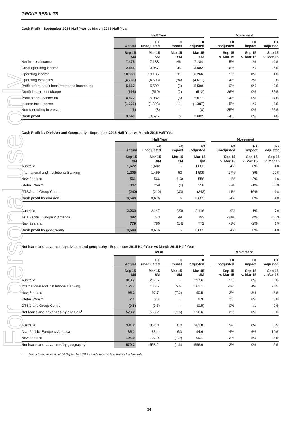**Cash Profit - September 2015 Half Year vs March 2015 Half Year** 

|                                                |               | <b>Half Year</b>        |                      |                       | <b>Movement</b>         |                     |                       |
|------------------------------------------------|---------------|-------------------------|----------------------|-----------------------|-------------------------|---------------------|-----------------------|
|                                                | <b>Actual</b> | <b>FX</b><br>unadjusted | <b>FX</b><br>impact  | <b>FX</b><br>adjusted | <b>FX</b><br>unadjusted | <b>FX</b><br>impact | <b>FX</b><br>adjusted |
|                                                | Sep 15<br>\$M | <b>Mar 15</b><br>\$M    | <b>Mar 15</b><br>\$M | <b>Mar 15</b><br>\$M  | Sep 15<br>v. Mar 15     | Sep 15<br>v. Mar 15 | Sep 15<br>v. Mar 15   |
| Net interest income                            | 7,478         | 7,138                   | 46                   | 7,184                 | 5%                      | 1%                  | 4%                    |
| Other operating income                         | 2,855         | 3,047                   | 35                   | 3,082                 | -6%                     | $1\%$               | $-7%$                 |
| Operating income                               | 10,333        | 10,185                  | 81                   | 10,266                | 1%                      | 0%                  | 1%                    |
| Operating expenses                             | (4,766)       | (4, 593)                | (84)                 | (4,677)               | 4%                      | 2%                  | 2%                    |
| Profit before credit impairment and income tax | 5,567         | 5,592                   | (3)                  | 5,589                 | $0\%$                   | $0\%$               | 0%                    |
| Credit impairment charge                       | (695)         | (510)                   | (2)                  | (512)                 | 36%                     | $0\%$               | 36%                   |
| Profit before income tax                       | 4,872         | 5,082                   | (5)                  | 5,077                 | -4%                     | $0\%$               | $-4%$                 |
| Income tax expense                             | (1, 326)      | (1,398)                 | 11                   | (1,387)               | $-5%$                   | $-1%$               | $-4%$                 |
| Non-controlling interests                      | (6)           | (8)                     |                      | (8)                   | $-25%$                  | $0\%$               | $-25%$                |
| Cash profit                                    | 3,540         | 3,676                   | 6                    | 3,682                 | -4%                     | $0\%$               | $-4%$                 |

|                                         |               | <b>Half Year</b>        |                      |                       | <b>Movement</b>         |                     |                       |  |
|-----------------------------------------|---------------|-------------------------|----------------------|-----------------------|-------------------------|---------------------|-----------------------|--|
|                                         | <b>Actual</b> | <b>FX</b><br>unadjusted | <b>FX</b><br>impact  | <b>FX</b><br>adjusted | <b>FX</b><br>unadjusted | <b>FX</b><br>impact | <b>FX</b><br>adjusted |  |
|                                         | Sep 15<br>\$M | <b>Mar 15</b><br>\$M    | <b>Mar 15</b><br>\$M | <b>Mar 15</b><br>\$M  | Sep 15<br>v. Mar 15     | Sep 15<br>v. Mar 15 | Sep 15<br>v. Mar 15   |  |
| Australia                               | 1,672         | 1,602                   | ٠                    | 1,602                 | 4%                      | $0\%$               | 4%                    |  |
| International and Institutional Banking | 1,205         | 1,459                   | 50                   | 1,509                 | $-17%$                  | 3%                  | $-20%$                |  |
| New Zealand                             | 561           | 566                     | (10)                 | 556                   | $-1%$                   | $-2%$               | 1%                    |  |
| <b>Global Wealth</b>                    | 342           | 259                     | (1)                  | 258                   | 32%                     | $-1%$               | 33%                   |  |
| GTSO and Group Centre                   | (240)         | (210)                   | (33)                 | (243)                 | 14%                     | 16%                 | $-1%$                 |  |
| Cash profit by division                 | 3,540         | 3,676                   | 6                    | 3,682                 | -4%                     | $0\%$               | $-4%$                 |  |
|                                         |               |                         |                      |                       |                         |                     |                       |  |
| Australia                               | 2,269         | 2,147                   | (29)                 | 2,118                 | 6%                      | $-1%$               | 7%                    |  |
| Asia Pacific, Europe & America          | 492           | 743                     | 49                   | 792                   | $-34%$                  | 4%                  | $-38%$                |  |
| New Zealand                             | 779           | 786                     | (14)                 | 772                   | $-1%$                   | $-2%$               | 1%                    |  |
| Cash profit by geography                | 3,540         | 3,676                   | 6                    | 3,682                 | -4%                     | $0\%$               | $-4%$                 |  |

#### **Net loans and advances by division and geography - September 2015 Half Year vs March 2015 Half Year**

|                                                                                                                                                | 10,333                  | 10,100                      | O <sub>1</sub>          | 10,200                    | 170                     | U70                 | 170                   |
|------------------------------------------------------------------------------------------------------------------------------------------------|-------------------------|-----------------------------|-------------------------|---------------------------|-------------------------|---------------------|-----------------------|
| Operating expenses                                                                                                                             | (4,766)                 | (4, 593)                    | (84)                    | (4,677)                   | 4%                      | 2%                  | 2%                    |
| Profit before credit impairment and income tax                                                                                                 | 5,567                   | 5,592                       | (3)                     | 5,589                     | 0%                      | $0\%$               | $0\%$                 |
| Credit impairment charge                                                                                                                       | (695)                   | (510)                       | (2)                     | (512)                     | 36%                     | 0%                  | 36%                   |
| Profit before income tax                                                                                                                       | 4,872                   | 5,082                       | (5)                     | 5,077                     | $-4%$                   | $0\%$               | $-4%$                 |
| Income tax expense                                                                                                                             | (1, 326)                | (1,398)                     | 11                      | (1, 387)                  | $-5%$                   | $-1%$               | $-4%$                 |
| Non-controlling interests                                                                                                                      | (6)                     | (8)                         |                         | (8)                       | $-25%$                  | 0%                  | $-25%$                |
| <b>Cash profit</b>                                                                                                                             | 3,540                   | 3,676                       | 6                       | 3,682                     | $-4%$                   | $0\%$               | $-4%$                 |
| Cash Profit by Division and Geography - September 2015 Half Year vs March 2015 Half Year                                                       |                         | <b>Half Year</b>            |                         |                           |                         | <b>Movement</b>     |                       |
|                                                                                                                                                | <b>Actual</b>           | <b>FX</b><br>unadjusted     | <b>FX</b><br>impact     | <b>FX</b><br>adjusted     | <b>FX</b><br>unadjusted | <b>FX</b><br>impact | <b>FX</b><br>adjusted |
|                                                                                                                                                | Sep 15<br>\$M           | <b>Mar 15</b><br>\$Μ        | <b>Mar 15</b><br>\$Μ    | <b>Mar 15</b><br>\$Μ      | Sep 15<br>v. Mar 15     | Sep 15<br>v. Mar 15 | Sep 15<br>v. Mar 15   |
| Australia                                                                                                                                      | 1,672                   | 1,602                       |                         | 1,602                     | 4%                      | 0%                  | 4%                    |
| International and Institutional Banking                                                                                                        | 1,205                   | 1,459                       | 50                      | 1,509                     | $-17%$                  | 3%                  | $-20%$                |
| New Zealand                                                                                                                                    | 561                     | 566                         | (10)                    | 556                       | $-1%$                   | $-2%$               | 1%                    |
| <b>Global Wealth</b>                                                                                                                           | 342                     | 259                         | (1)                     | 258                       | 32%                     | $-1%$               | 33%                   |
| GTSO and Group Centre                                                                                                                          | (240)                   | (210)                       | (33)                    | (243)                     | 14%                     | 16%                 | $-1%$                 |
| Cash profit by division                                                                                                                        | 3,540                   | 3,676                       | 6                       | 3,682                     | $-4%$                   | 0%                  | $-4%$                 |
|                                                                                                                                                |                         |                             |                         |                           |                         |                     |                       |
|                                                                                                                                                |                         |                             |                         |                           |                         |                     |                       |
| Australia                                                                                                                                      | 2,269                   | 2,147                       | (29)                    | 2,118                     | 6%                      | $-1%$               | 7%                    |
| Asia Pacific, Europe & America                                                                                                                 | 492                     | 743                         | 49                      | 792                       | $-34%$                  | 4%                  | $-38%$                |
|                                                                                                                                                | 779                     | 786                         | (14)                    | 772                       | $-1%$                   | $-2%$               | 1%                    |
|                                                                                                                                                | 3,540                   | 3,676                       | 6                       | 3,682                     | $-4%$                   | $0\%$               | $-4%$                 |
| New Zealand<br>Cash profit by geography<br>Net loans and advances by division and geography - September 2015 Half Year vs March 2015 Half Year |                         | As at<br>FX                 | FX                      | <b>FX</b>                 | FX                      | Movement<br>FX      | FX                    |
|                                                                                                                                                | <b>Actual</b><br>Sep 15 | unadjusted<br><b>Mar 15</b> | impact<br><b>Mar 15</b> | adjusted<br><b>Mar 15</b> | unadjusted<br>Sep 15    | impact<br>Sep 15    | adjusted<br>Sep 15    |
|                                                                                                                                                | \$M                     | \$M                         | \$Μ                     | \$Μ                       | v. Mar 15               | v. Mar 15           | v. Mar 15             |
| Australia                                                                                                                                      | 313.7                   | 297.6                       |                         | 297.6                     | 5%                      | 0%                  | 5%                    |
| International and Institutional Banking                                                                                                        | 154.7                   | 156.5                       | 5.6                     | 162.1                     | $-1%$                   | 4%                  | $-5%$                 |
| New Zealand                                                                                                                                    | 95.2                    | 97.7                        | (7.2)                   | 90.5                      | $-3%$                   | $-8%$               | $5%$                  |
| Global Wealth                                                                                                                                  | 7.1                     | 6.9                         |                         | 6.9                       | 3%                      | $0\%$               | 3%                    |
| <b>GTSO and Group Centre</b>                                                                                                                   | (0.5)                   | (0.5)                       |                         | (0.5)                     | $0\%$                   | n/a                 | $0\%$                 |
| Net loans and advances by division $1$                                                                                                         | 570.2                   | 558.2                       | (1.6)                   | 556.6                     | 2%                      | $0\%$               | 2%                    |
|                                                                                                                                                |                         |                             |                         |                           |                         |                     |                       |
| Australia                                                                                                                                      | 381.2                   | 362.8                       | 0.0                     | 362.8                     | 5%                      | $0\%$               | 5%                    |
| Asia Pacific, Europe & America<br>New Zealand                                                                                                  | 85.1<br>104.0           | 88.4<br>107.0               | 6.3<br>(7.9)            | 94.6<br>99.1              | $-4%$<br>$-3%$          | 6%<br>$-8%$         | $-10%$<br>5%          |

 $\bar{t}$ *Loans & advances as at 30 September 2015 include assets classified as held for sale.*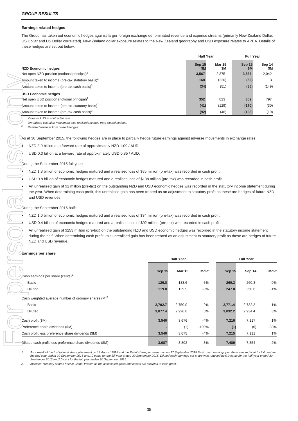#### **Earnings related hedges**

The Group has taken out economic hedges against larger foreign exchange denominated revenue and expense streams (primarily New Zealand Dollar, US Dollar and US Dollar correlated). New Zealand dollar exposure relates to the New Zealand geography and USD exposure relates to APEA. Details of these hedges are set out below.

|                                                               | <b>Half Year</b>    |                      | <b>Full Year</b> |               |
|---------------------------------------------------------------|---------------------|----------------------|------------------|---------------|
| <b>NZD Economic hedges</b>                                    | Sep 15<br><b>SM</b> | <b>Mar 15</b><br>\$M | Sep 15<br>\$M    | Sep 14<br>\$M |
| Net open NZD position (notional principal) <sup>1</sup>       | 3,567               | 2,375                | 3,567            | 2,042         |
| Amount taken to income (pre-tax statutory basis) <sup>2</sup> | 168                 | (220)                | (52)             | 3             |
| Amount taken to income (pre-tax cash basis) $3$               | (34)                | (51)                 | (85)             | (149)         |
| <b>USD Economic hedges</b>                                    |                     |                      |                  |               |
| Net open USD position (notional principal) $1$                | 352                 | 823                  | 352              | 797           |
| Amount taken to income (pre-tax statutory basis) <sup>2</sup> | (41)                | (129)                | (170)            | (30)          |
| Amount taken to income (pre-tax cash basis) $3$               | (92)                | (46)                 | (138)            | (19)          |

#### **Earnings per share**

| ivet open iver position (notional philopal)                                                                                                                                                                                                                                                                                    |         |                  |         |         |                  |        |
|--------------------------------------------------------------------------------------------------------------------------------------------------------------------------------------------------------------------------------------------------------------------------------------------------------------------------------|---------|------------------|---------|---------|------------------|--------|
| Amount taken to income (pre-tax statutory basis) <sup>2</sup>                                                                                                                                                                                                                                                                  |         |                  | 168     | (220)   | (52)             | 3      |
| Amount taken to income (pre-tax cash basis) <sup>3</sup>                                                                                                                                                                                                                                                                       |         |                  | (34)    | (51)    | (85)             | (149)  |
| <b>USD Economic hedges</b>                                                                                                                                                                                                                                                                                                     |         |                  |         |         |                  |        |
| Net open USD position (notional principal) $1$                                                                                                                                                                                                                                                                                 |         |                  | 352     | 823     | 352              | 797    |
| Amount taken to income (pre-tax statutory basis) <sup>2</sup>                                                                                                                                                                                                                                                                  |         |                  | (41)    | (129)   | (170)            | (30)   |
| Amount taken to income (pre-tax cash basis) <sup>3</sup>                                                                                                                                                                                                                                                                       |         |                  | (92)    | (46)    | (138)            | (19)   |
| Value in AUD at contracted rate.<br>Unrealised valuation movement plus realised revenue from closed hedges.<br>Realised revenue from closed hedges.                                                                                                                                                                            |         |                  |         |         |                  |        |
| As at 30 September 2015, the following hedges are in place to partially hedge future earnings against adverse movements in exchange rates:                                                                                                                                                                                     |         |                  |         |         |                  |        |
| NZD 3.9 billion at a forward rate of approximately NZD 1.09 / AUD.                                                                                                                                                                                                                                                             |         |                  |         |         |                  |        |
| USD 0.3 billion at a forward rate of approximately USD 0.85 / AUD.                                                                                                                                                                                                                                                             |         |                  |         |         |                  |        |
| During the September 2015 full year:                                                                                                                                                                                                                                                                                           |         |                  |         |         |                  |        |
| NZD 1.8 billion of economic hedges matured and a realised loss of \$85 million (pre-tax) was recorded in cash profit.                                                                                                                                                                                                          |         |                  |         |         |                  |        |
| USD 0.8 billion of economic hedges matured and a realised loss of \$138 million (pre-tax) was recorded in cash profit.                                                                                                                                                                                                         |         |                  |         |         |                  |        |
| An unrealised gain of \$1 million (pre-tax) on the outstanding NZD and USD economic hedges was recorded in the statutory income statement during<br>the year. When determining cash profit, this unrealised gain has been treated as an adjustment to statutory profit as these are hedges of future NZD                       |         |                  |         |         |                  |        |
| and USD revenues.                                                                                                                                                                                                                                                                                                              |         |                  |         |         |                  |        |
| During the September 2015 half:                                                                                                                                                                                                                                                                                                |         |                  |         |         |                  |        |
| NZD 1.0 billion of economic hedges matured and a realised loss of \$34 million (pre-tax) was recorded in cash profit.                                                                                                                                                                                                          |         |                  |         |         |                  |        |
| USD 0.4 billion of economic hedges matured and a realised loss of \$92 million (pre-tax) was recorded in cash profit.                                                                                                                                                                                                          |         |                  |         |         |                  |        |
| An unrealised gain of \$253 million (pre-tax) on the outstanding NZD and USD economic hedges was recorded in the statutory income statement<br>during the half. When determining cash profit, this unrealised gain has been treated as an adjustment to statutory profit as these are hedges of future<br>NZD and USD revenue. |         |                  |         |         |                  |        |
| Earnings per share                                                                                                                                                                                                                                                                                                             |         |                  |         |         |                  |        |
|                                                                                                                                                                                                                                                                                                                                |         | <b>Half Year</b> |         |         | <b>Full Year</b> |        |
|                                                                                                                                                                                                                                                                                                                                | Sep 15  | <b>Mar 15</b>    | Movt    | Sep 15  | Sep 14           | Movt   |
| Cash earnings per share (cents)                                                                                                                                                                                                                                                                                                |         |                  |         |         |                  |        |
| Basic                                                                                                                                                                                                                                                                                                                          | 126.8   | 133.6            | -5%     | 260.3   | 260.3            | 0%     |
| Diluted                                                                                                                                                                                                                                                                                                                        | 119.8   | 129.9            | $-8%$   | 247.0   | 250.6            | $-1%$  |
| Cash weighted average number of ordinary shares (M) <sup>2</sup>                                                                                                                                                                                                                                                               |         |                  |         |         |                  |        |
| Basic                                                                                                                                                                                                                                                                                                                          | 2,792.7 | 2,750.0          | 2%      | 2,771.4 | 2,732.2          | 1%     |
| Diluted                                                                                                                                                                                                                                                                                                                        | 3,077.4 | 2,926.8          | 5%      | 3,032.2 | 2,934.4          | 3%     |
| Cash profit (\$M)                                                                                                                                                                                                                                                                                                              | 3,540   | 3,676            | -4%     | 7,216   | 7,117            | 1%     |
| Preference share dividends (\$M)                                                                                                                                                                                                                                                                                               |         | (1)              | $-100%$ | (1)     | (6)              | $-83%$ |
| Cash profit less preference share dividends (\$M)                                                                                                                                                                                                                                                                              | 3,540   | 3,675            | -4%     | 7,215   | 7,111            | 1%     |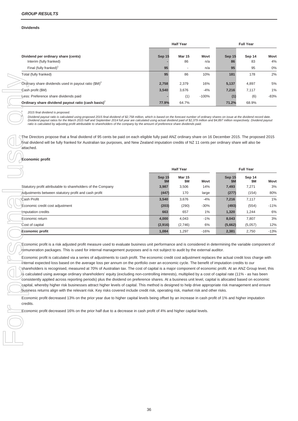#### **Dividends**

|                                                                |        | <b>Half Year</b>         |             |              | <b>Full Year</b> |            |  |  |
|----------------------------------------------------------------|--------|--------------------------|-------------|--------------|------------------|------------|--|--|
| Dividend per ordinary share (cents)<br>Interim (fully franked) | Sep 15 | <b>Mar 15</b><br>86      | Movt<br>n/a | Sep 15<br>86 | Sep 14<br>83     | Movt<br>4% |  |  |
| Final (fully franked) <sup>1</sup>                             | 95     | $\overline{\phantom{a}}$ | n/a         | 95           | 95               | 0%         |  |  |
| Total (fully franked)                                          | 95     | 86                       | 10%         | 181          | 178              | 2%         |  |  |
| Ordinary share dividends used in payout ratio $(SM)^2$         | 2,758  | 2,379                    | 16%         | 5,137        | 4,897            | 5%         |  |  |
| Cash profit (\$M)                                              | 3.540  | 3,676                    | $-4%$       | 7,216        | 7.117            | 1%         |  |  |
| Less: Preference share dividends paid                          |        | (1)                      | $-100%$     | (1)          | (6)              | $-83%$     |  |  |
| Ordinary share dividend payout ratio (cash basis) <sup>2</sup> | 77.9%  | 64.7%                    |             | 71.2%        | 68.9%            |            |  |  |

#### **Economic profit**

| Total (fully franked)                                                                                                                                                                                                                                                                                                                                                                                                                                                                                                                                                                                                                                                                                                                                                                                                                                                                                                                                                                                                                                                                                                                                                                                                                                                                                                                                                                                                                                                                                                                                                                                                                                                       | ນວ            | 80               | 10%         | 181          | 178              | $2\%$      |
|-----------------------------------------------------------------------------------------------------------------------------------------------------------------------------------------------------------------------------------------------------------------------------------------------------------------------------------------------------------------------------------------------------------------------------------------------------------------------------------------------------------------------------------------------------------------------------------------------------------------------------------------------------------------------------------------------------------------------------------------------------------------------------------------------------------------------------------------------------------------------------------------------------------------------------------------------------------------------------------------------------------------------------------------------------------------------------------------------------------------------------------------------------------------------------------------------------------------------------------------------------------------------------------------------------------------------------------------------------------------------------------------------------------------------------------------------------------------------------------------------------------------------------------------------------------------------------------------------------------------------------------------------------------------------------|---------------|------------------|-------------|--------------|------------------|------------|
| Ordinary share dividends used in payout ratio (\$M) <sup>2</sup>                                                                                                                                                                                                                                                                                                                                                                                                                                                                                                                                                                                                                                                                                                                                                                                                                                                                                                                                                                                                                                                                                                                                                                                                                                                                                                                                                                                                                                                                                                                                                                                                            | 2,758         | 2,379            | 16%         | 5,137        | 4,897            | 5%         |
| Cash profit (\$M)                                                                                                                                                                                                                                                                                                                                                                                                                                                                                                                                                                                                                                                                                                                                                                                                                                                                                                                                                                                                                                                                                                                                                                                                                                                                                                                                                                                                                                                                                                                                                                                                                                                           | 3,540         | 3,676            | $-4%$       | 7,216        | 7,117            | 1%         |
| tess: Preference share dividends paid                                                                                                                                                                                                                                                                                                                                                                                                                                                                                                                                                                                                                                                                                                                                                                                                                                                                                                                                                                                                                                                                                                                                                                                                                                                                                                                                                                                                                                                                                                                                                                                                                                       |               | (1)              | $-100%$     | (1)          | (6)              | $-83%$     |
| Ordinary share dividend payout ratio (cash basis) <sup>2</sup>                                                                                                                                                                                                                                                                                                                                                                                                                                                                                                                                                                                                                                                                                                                                                                                                                                                                                                                                                                                                                                                                                                                                                                                                                                                                                                                                                                                                                                                                                                                                                                                                              | 77.9%         | 64.7%            |             | 71.2%        | 68.9%            |            |
| 2015 final dividend is proposed.<br>Dividend payout ratio is calculated using proposed 2015 final dividend of \$2,758 million, which is based on the forecast number of ordinary shares on issue at the dividend record date.<br>Dividend payout ratios for the March 2015 half and September 2014 full year are calculated using actual dividend paid of \$2,379 million and \$4,897 million respectively. Dividend payout<br>ratio is calculated by adjusting profit attributable to shareholders of the company by the amount of preference share dividends paid.                                                                                                                                                                                                                                                                                                                                                                                                                                                                                                                                                                                                                                                                                                                                                                                                                                                                                                                                                                                                                                                                                                        |               |                  |             |              |                  |            |
| The Directors propose that a final dividend of 95 cents be paid on each eligible fully paid ANZ ordinary share on 16 December 2015. The proposed 2015<br>final dividend will be fully franked for Australian tax purposes, and New Zealand imputation credits of NZ 11 cents per ordinary share will also be<br>attached.<br><b>Economic profit</b>                                                                                                                                                                                                                                                                                                                                                                                                                                                                                                                                                                                                                                                                                                                                                                                                                                                                                                                                                                                                                                                                                                                                                                                                                                                                                                                         |               |                  |             |              |                  |            |
|                                                                                                                                                                                                                                                                                                                                                                                                                                                                                                                                                                                                                                                                                                                                                                                                                                                                                                                                                                                                                                                                                                                                                                                                                                                                                                                                                                                                                                                                                                                                                                                                                                                                             |               | <b>Half Year</b> |             |              | <b>Full Year</b> |            |
|                                                                                                                                                                                                                                                                                                                                                                                                                                                                                                                                                                                                                                                                                                                                                                                                                                                                                                                                                                                                                                                                                                                                                                                                                                                                                                                                                                                                                                                                                                                                                                                                                                                                             | <b>Sep 15</b> | <b>Mar 15</b>    |             | Sep 15       | Sep 14           |            |
| Statutory profit attributable to shareholders of the Company                                                                                                                                                                                                                                                                                                                                                                                                                                                                                                                                                                                                                                                                                                                                                                                                                                                                                                                                                                                                                                                                                                                                                                                                                                                                                                                                                                                                                                                                                                                                                                                                                | \$M<br>3,987  | \$M<br>3,506     | Movt<br>14% | \$M<br>7,493 | \$Μ<br>7,271     | Movt<br>3% |
| Adjustments between statutory profit and cash profit                                                                                                                                                                                                                                                                                                                                                                                                                                                                                                                                                                                                                                                                                                                                                                                                                                                                                                                                                                                                                                                                                                                                                                                                                                                                                                                                                                                                                                                                                                                                                                                                                        | (447)         | 170              | large       | (277)        | (154)            | 80%        |
| Cash Profit                                                                                                                                                                                                                                                                                                                                                                                                                                                                                                                                                                                                                                                                                                                                                                                                                                                                                                                                                                                                                                                                                                                                                                                                                                                                                                                                                                                                                                                                                                                                                                                                                                                                 | 3,540         | 3,676            | $-4%$       | 7,216        | 7,117            | 1%         |
| Economic credit cost adjustment                                                                                                                                                                                                                                                                                                                                                                                                                                                                                                                                                                                                                                                                                                                                                                                                                                                                                                                                                                                                                                                                                                                                                                                                                                                                                                                                                                                                                                                                                                                                                                                                                                             | (203)         | (290)            | $-30%$      | (493)        | (554)            | $-11%$     |
| Imputation credits                                                                                                                                                                                                                                                                                                                                                                                                                                                                                                                                                                                                                                                                                                                                                                                                                                                                                                                                                                                                                                                                                                                                                                                                                                                                                                                                                                                                                                                                                                                                                                                                                                                          | 663           | 657              | $1\%$       | 1,320        | 1,244            | 6%         |
| Economic return                                                                                                                                                                                                                                                                                                                                                                                                                                                                                                                                                                                                                                                                                                                                                                                                                                                                                                                                                                                                                                                                                                                                                                                                                                                                                                                                                                                                                                                                                                                                                                                                                                                             | 4,000         | 4,043            | $-1\%$      | 8,043        | 7,807            | 3%         |
| Cost of capital                                                                                                                                                                                                                                                                                                                                                                                                                                                                                                                                                                                                                                                                                                                                                                                                                                                                                                                                                                                                                                                                                                                                                                                                                                                                                                                                                                                                                                                                                                                                                                                                                                                             | (2,916)       | (2,746)          | 6%          | (5,662)      | (5,057)          | 12%        |
| Economic profit                                                                                                                                                                                                                                                                                                                                                                                                                                                                                                                                                                                                                                                                                                                                                                                                                                                                                                                                                                                                                                                                                                                                                                                                                                                                                                                                                                                                                                                                                                                                                                                                                                                             | 1,084         | 1,297            | $-16%$      | 2,381        | 2,750            | $-13%$     |
| Economic profit is a risk adjusted profit measure used to evaluate business unit performance and is considered in determining the variable component of<br>remuneration packages. This is used for internal management purposes and is not subject to audit by the external auditor.<br>Economic profit is calculated via a series of adjustments to cash profit. The economic credit cost adjustment replaces the actual credit loss charge with<br>ihternal expected loss based on the average loss per annum on the portfolio over an economic cycle. The benefit of imputation credits to our<br>shareholders is recognised, measured at 70% of Australian tax. The cost of capital is a major component of economic profit. At an ANZ Group level, this<br>is calculated using average ordinary shareholders' equity (excluding non-controlling interests), multiplied by a cost of capital rate (11% - as has been<br>consistently applied across reporting periods) plus the dividend on preference shares. At a business unit level, capital is allocated based on economic<br>capital, whereby higher risk businesses attract higher levels of capital. This method is designed to help drive appropriate risk management and ensure<br>business returns align with the relevant risk. Key risks covered include credit risk, operating risk, market risk and other risks.<br>Economic profit decreased 13% on the prior year due to higher capital levels being offset by an increase in cash profit of 1% and higher imputation<br>credits.<br>Economic profit decreased 16% on the prior half due to a decrease in cash profit of 4% and higher capital levels. |               |                  |             |              |                  |            |
|                                                                                                                                                                                                                                                                                                                                                                                                                                                                                                                                                                                                                                                                                                                                                                                                                                                                                                                                                                                                                                                                                                                                                                                                                                                                                                                                                                                                                                                                                                                                                                                                                                                                             |               |                  |             |              |                  |            |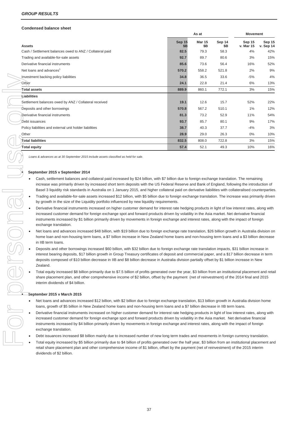# **Condensed balance sheet**

|                                                          |               | As at                | <b>Movement</b> |                     |                     |
|----------------------------------------------------------|---------------|----------------------|-----------------|---------------------|---------------------|
| <b>Assets</b>                                            | Sep 15<br>\$Β | <b>Mar 15</b><br>\$Β | Sep 14<br>\$Β   | Sep 15<br>v. Mar 15 | Sep 15<br>v. Sep 14 |
| Cash / Settlement balances owed to ANZ / Collateral paid | 82.5          | 79.3                 | 58.3            | 4%                  | 42%                 |
| Trading and available-for-sale assets                    | 92.7          | 89.7                 | 80.6            | 3%                  | 15%                 |
| Derivative financial instruments                         | 85.6          | 73.6                 | 56.4            | 16%                 | 52%                 |
| Net loans and advances <sup>1</sup>                      | 570.2         | 558.2                | 521.8           | 2%                  | 9%                  |
| Investment backing policy liabilities                    | 34.8          | 36.5                 | 33.6            | $-5%$               | 4%                  |
| Other                                                    | 24.1          | 22.8                 | 21.4            | 6%                  | 13%                 |
| <b>Total assets</b>                                      | 889.9         | 860.1                | 772.1           | 3%                  | 15%                 |
| <b>Liabilities</b>                                       |               |                      |                 |                     |                     |
| Settlement balances owed by ANZ / Collateral received    | 19.1          | 12.6                 | 15.7            | 52%                 | 22%                 |
| Deposits and other borrowings                            | 570.8         | 567.2                | 510.1           | 1%                  | 12%                 |
| Derivative financial instruments                         | 81.3          | 73.2                 | 52.9            | 11%                 | 54%                 |
| Debt issuances                                           | 93.7          | 85.7                 | 80.1            | 9%                  | 17%                 |
| Policy liabilities and external unit holder liabilities  | 38.7          | 40.3                 | 37.7            | $-4%$               | 3%                  |
| Other                                                    | 28.9          | 29.0                 | 26.3            | $0\%$               | 10%                 |
| <b>Total liabilities</b>                                 | 832.5         | 808.0                | 722.8           | 3%                  | 15%                 |
| Total equity                                             | 57.4          | 52.1                 | 49.3            | 10%                 | 16%                 |

*1. Loans & advances as at 30 September 2015 include assets classified as held for sale.* 

# **September 2015 v September 2014**

- Cash, settlement balances and collateral paid increased by \$24 billion, with \$7 billion due to foreign exchange translation. The remaining increase was primarily driven by increased short term deposits with the US Federal Reserve and Bank of England, following the introduction of Basel 3 liquidity risk standards in Australia on 1 January 2015, and higher collateral paid on derivative liabilities with collateralised counterparties.
- Trading and available-for-sale assets increased \$12 billion, with \$5 billion due to foreign exchange translation. The increase was primarily driven by growth in the size of the Liquidity portfolio influenced by new liquidity requirements.
- Derivative financial instruments increased on higher customer demand for interest rate hedging products in light of low interest rates, along with increased customer demand for foreign exchange spot and forward products driven by volatility in the Asia market. Net derivative financial instruments increased by \$1 billion primarily driven by movements in foreign exchange and interest rates, along with the impact of foreign exchange translation.
- Net loans and advances increased \$48 billion, with \$19 billion due to foreign exchange rate translation, \$26 billion growth in Australia division on home loan and non-housing term loans, a \$7 billion increase in New Zealand home loans and non-housing term loans and a \$3 billion decrease in IIB term loans.
- Deposits and other borrowings increased \$60 billion, with \$32 billion due to foreign exchange rate translation impacts, \$31 billion increase in interest bearing deposits, \$17 billion growth in Group Treasury certificates of deposit and commercial paper, and a \$17 billion decrease in term deposits composed of \$10 billion decrease in IIB and \$8 billion decrease in Australia division partially offset by \$1 billion increase in New Zealand.
- Total equity increased \$8 billion primarily due to \$7.5 billion of profits generated over the year, \$3 billion from an institutional placement and retail share placement plan, and other comprehensive income of \$2 billion, offset by the payment (net of reinvestment) of the 2014 final and 2015 interim dividends of \$4 billion.

# **September 2015 v March 2015**

- Net loans and advances increased \$12 billion, with \$2 billion due to foreign exchange translation, \$13 billion growth in Australia division home loans, growth of \$5 billion in New Zealand home loans and non-housing term loans and a \$7 billion decrease in IIB term loans.
- Derivative financial instruments increased on higher customer demand for interest rate hedging products in light of low interest rates, along with increased customer demand for foreign exchange spot and forward products driven by volatility in the Asia market. Net derivative financial instruments increased by \$4 billion primarily driven by movements in foreign exchange and interest rates, along with the impact of foreign exchange translation.
- Debt issuances increased \$8 billion mainly due to increased number of new long term trades and movements in foreign currency translation.
- Total equity increased by \$5 billion primarily due to \$4 billion of profits generated over the half year, \$3 billion from an institutional placement and retail share placement plan and other comprehensive income of \$1 billion, offset by the payment (net of reinvestment) of the 2015 interim dividends of \$2 billion.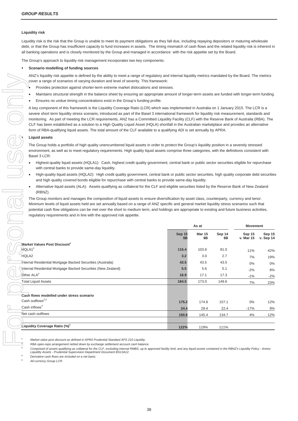## **Liquidity risk**

Liquidity risk is the risk that the Group is unable to meet its payment obligations as they fall due, including repaying depositors or maturing wholesale debt, or that the Group has insufficient capacity to fund increases in assets. The timing mismatch of cash flows and the related liquidity risk is inherent in all banking operations and is closely monitored by the Group and managed in accordance with the risk appetite set by the Board.

The Group's approach to liquidity risk management incorporates two key components:

#### **Scenario modelling of funding sources**

ANZ's liquidity risk appetite is defined by the ability to meet a range of regulatory and internal liquidity metrics mandated by the Board. The metrics cover a range of scenarios of varying duration and level of severity. This framework:

- **Provides protection against shorter-term extreme market dislocations and stresses.**
- Maintains structural strength in the balance sheet by ensuring an appropriate amount of longer-term assets are funded with longer-term funding.
- Ensures no undue timing concentrations exist in the Group's funding profile.

- Highest-quality liquid assets (HQLA1): Cash, highest credit quality government, central bank or public sector securities eligible for repurchase with central banks to provide same-day liquidity.
- High-quality liquid assets (HQLA2): High credit quality government, central bank or public sector securities, high quality corporate debt securities and high quality covered bonds eligible for repurchase with central banks to provide same-day liquidity.
- Alternative liquid assets (ALA): Assets qualifying as collateral for the CLF and eligible securities listed by the Reserve Bank of New Zealand (RBNZ).

|                            | ANZ's liquidity risk appetite is defined by the ability to meet a range of regulatory and internal liquidity metrics mandated by the Board. The metrics<br>cover a range of scenarios of varying duration and level of severity. This framework:                                                                                                                                                                                                                                                                                                                                                                                                                                                                                      |               |                      |               |                     |                                     |  |
|----------------------------|---------------------------------------------------------------------------------------------------------------------------------------------------------------------------------------------------------------------------------------------------------------------------------------------------------------------------------------------------------------------------------------------------------------------------------------------------------------------------------------------------------------------------------------------------------------------------------------------------------------------------------------------------------------------------------------------------------------------------------------|---------------|----------------------|---------------|---------------------|-------------------------------------|--|
|                            | Provides protection against shorter-term extreme market dislocations and stresses.<br>٠                                                                                                                                                                                                                                                                                                                                                                                                                                                                                                                                                                                                                                               |               |                      |               |                     |                                     |  |
|                            | Maintains structural strength in the balance sheet by ensuring an appropriate amount of longer-term assets are funded with longer-term funding.<br>٠                                                                                                                                                                                                                                                                                                                                                                                                                                                                                                                                                                                  |               |                      |               |                     |                                     |  |
|                            | Ensures no undue timing concentrations exist in the Group's funding profile.<br>$\bullet$                                                                                                                                                                                                                                                                                                                                                                                                                                                                                                                                                                                                                                             |               |                      |               |                     |                                     |  |
|                            | A key component of this framework is the Liquidity Coverage Ratio (LCR) which was implemented in Australia on 1 January 2015. The LCR is a<br>severe short term liquidity stress scenario, introduced as part of the Basel 3 international framework for liquidity risk measurement, standards and<br>monitoring. As part of meeting the LCR requirements, ANZ has a Committed Liquidity Facility (CLF) with the Reserve Bank of Australia (RBA). The<br>CLF has been established as a solution to a High Quality Liquid Asset (HQLA) shortfall in the Australian marketplace and provides an alternative<br>form of RBA-qualifying liquid assets. The total amount of the CLF available to a qualifying ADI is set annually by APRA. |               |                      |               |                     |                                     |  |
|                            | <b>Liquid assets</b>                                                                                                                                                                                                                                                                                                                                                                                                                                                                                                                                                                                                                                                                                                                  |               |                      |               |                     |                                     |  |
|                            | The Group holds a portfolio of high quality unencumbered liquid assets in order to protect the Group's liquidity position in a severely stressed<br>environment, as well as to meet regulatory requirements. High quality liquid assets comprise three categories, with the definitions consistent with<br>Basel 3 LCR:                                                                                                                                                                                                                                                                                                                                                                                                               |               |                      |               |                     |                                     |  |
|                            | Highest-quality liquid assets (HQLA1): Cash, highest credit quality government, central bank or public sector securities eligible for repurchase<br>with central banks to provide same-day liquidity.                                                                                                                                                                                                                                                                                                                                                                                                                                                                                                                                 |               |                      |               |                     |                                     |  |
|                            | High-quality liquid assets (HQLA2): High credit quality government, central bank or public sector securities, high quality corporate debt securities<br>$\bullet$<br>and high quality covered bonds eligible for repurchase with central banks to provide same-day liquidity.                                                                                                                                                                                                                                                                                                                                                                                                                                                         |               |                      |               |                     |                                     |  |
|                            | Alternative liquid assets (ALA): Assets qualifying as collateral for the CLF and eligible securities listed by the Reserve Bank of New Zealand<br>(RBNZ).                                                                                                                                                                                                                                                                                                                                                                                                                                                                                                                                                                             |               |                      |               |                     |                                     |  |
|                            | Minimum levels of liquid assets held are set annually based on a range of ANZ specific and general market liquidity stress scenarios such that                                                                                                                                                                                                                                                                                                                                                                                                                                                                                                                                                                                        |               |                      |               |                     |                                     |  |
|                            | potential cash flow obligations can be met over the short to medium term, and holdings are appropriate to existing and future business activities,<br>regulatory requirements and in line with the approved risk appetite.                                                                                                                                                                                                                                                                                                                                                                                                                                                                                                            |               | As at                |               | <b>Movement</b>     |                                     |  |
|                            |                                                                                                                                                                                                                                                                                                                                                                                                                                                                                                                                                                                                                                                                                                                                       | Sep 15<br>\$Β | <b>Mar 15</b><br>\$B | Sep 14<br>\$Β | Sep 15<br>v. Mar 15 | Sep 15<br>v. Sep 14                 |  |
|                            | Market Values Post Discount <sup>1</sup>                                                                                                                                                                                                                                                                                                                                                                                                                                                                                                                                                                                                                                                                                              |               |                      |               |                     |                                     |  |
|                            | HQLA1 <sup>2</sup>                                                                                                                                                                                                                                                                                                                                                                                                                                                                                                                                                                                                                                                                                                                    | 115.4         | 103.8                | 81.0          | 11%                 |                                     |  |
|                            | HQLA2                                                                                                                                                                                                                                                                                                                                                                                                                                                                                                                                                                                                                                                                                                                                 | 3.2           | 3.0                  | 2.7           | 7%                  |                                     |  |
|                            | Internal Residential Mortgage Backed Securities (Australia)                                                                                                                                                                                                                                                                                                                                                                                                                                                                                                                                                                                                                                                                           | 43.5          | 43.5                 | 43.5          | 0%                  |                                     |  |
|                            | Internal Residential Mortgage Backed Securities (New Zealand)                                                                                                                                                                                                                                                                                                                                                                                                                                                                                                                                                                                                                                                                         | 5.5           | 5.6                  | 5.1           | $-2%$               | 8%                                  |  |
|                            | Other ALA <sup>3</sup>                                                                                                                                                                                                                                                                                                                                                                                                                                                                                                                                                                                                                                                                                                                | 16.9          | 17.1                 | 17.3          | -1%                 |                                     |  |
|                            | <b>Total Liquid Assets</b>                                                                                                                                                                                                                                                                                                                                                                                                                                                                                                                                                                                                                                                                                                            | 184.5         | 173.0                | 149.6         | 7%                  | 23%                                 |  |
|                            |                                                                                                                                                                                                                                                                                                                                                                                                                                                                                                                                                                                                                                                                                                                                       |               |                      |               |                     |                                     |  |
|                            | Cash flows modelled under stress scenario                                                                                                                                                                                                                                                                                                                                                                                                                                                                                                                                                                                                                                                                                             |               |                      |               |                     |                                     |  |
|                            |                                                                                                                                                                                                                                                                                                                                                                                                                                                                                                                                                                                                                                                                                                                                       |               |                      |               |                     |                                     |  |
|                            | Cash outflows <sup>2,4</sup><br>Cash inflows <sup>4</sup>                                                                                                                                                                                                                                                                                                                                                                                                                                                                                                                                                                                                                                                                             | 175.2         | 174.8                | 157.1         | 0%                  |                                     |  |
|                            | Net cash outflows                                                                                                                                                                                                                                                                                                                                                                                                                                                                                                                                                                                                                                                                                                                     | 24.4          | 29.4                 | 22.4          | -17%                | 9%                                  |  |
|                            |                                                                                                                                                                                                                                                                                                                                                                                                                                                                                                                                                                                                                                                                                                                                       | 150.8         | 145.4                | 134.7         | 4%                  | 12%                                 |  |
|                            | Liquidity Coverage Ratio (%) <sup>5</sup>                                                                                                                                                                                                                                                                                                                                                                                                                                                                                                                                                                                                                                                                                             | 122%          | 119%                 | 111%          |                     | 42%<br>19%<br>$0\%$<br>$-2%$<br>12% |  |
| 1.<br>2.<br>3.<br>4.<br>5. | Market value post discount as defined in APRA Prudential Standard APS 210 Liquidity.<br>RBA open-repo arrangement netted down by exchange settlement account cash balance.<br>Comprised of assets qualifying as collateral for the CLF, excluding internal RMBS, up to approved facility limit; and any liquid assets contained in the RBNZ's Liquidity Policy - Annex:<br>Liquidity Assets - Prudential Supervision Department Document BS13A12.<br>Derivative cash flows are included on a net basis.<br>All currency Group LCR.                                                                                                                                                                                                    |               |                      |               |                     |                                     |  |

*<sup>2.</sup> RBA open-repo arrangement netted down by exchange settlement account cash balance.* 

*<sup>3.</sup> Comprised of assets qualifying as collateral for the CLF, excluding internal RMBS, up to approved facility limit; and any liquid assets contained in the RBNZ's Liquidity Policy - Annex: Liquidity Assets - Prudential Supervision Department Document BS13A12. 4. Derivative cash flows are included on a net basis.*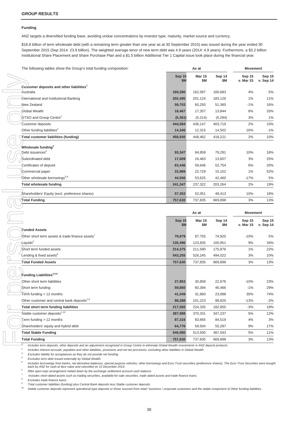## **Funding**

ANZ targets a diversified funding base, avoiding undue concentrations by investor type, maturity, market source and currency.

\$18.8 billion of term wholesale debt (with a remaining term greater than one year as at 30 September 2015) was issued during the year ended 30 September 2015 (Sep 2014: 23.9 billion). The weighted average tenor of new term debt was 4.9 years (2014: 4.9 years). Furthermore, a \$3.2 billion Institutional Share Placement and Share Purchase Plan and a \$1.5 billion Additional Tier 1 Capital issue took place during the financial year.

| The following tables show the Group's total funding composition: |               | As at                |               |                     | <b>Movement</b>     |  |
|------------------------------------------------------------------|---------------|----------------------|---------------|---------------------|---------------------|--|
|                                                                  | Sep 15<br>\$M | <b>Mar 15</b><br>\$Μ | Sep 14<br>\$M | Sep 15<br>v. Mar 15 | Sep 15<br>v. Sep 14 |  |
| Customer deposits and other liabilities <sup>1</sup>             |               |                      |               |                     |                     |  |
| Australia                                                        | 169,280       | 162,587              | 160,683       | 4%                  | 5%                  |  |
| International and Institutional Banking                          | 202,495       | 201,124              | 183,126       | $1\%$               | 11%                 |  |
| New Zealand                                                      | 59,703        | 60,293               | 51,360        | $-1%$               | 16%                 |  |
| <b>Global Wealth</b>                                             | 18.467        | 17,357               | 13,844        | 6%                  | 33%                 |  |
| GTSO and Group Centre <sup>1</sup>                               | (5, 361)      | (5,214)              | (5,294)       | 3%                  | 1%                  |  |
| <b>Customer deposits</b>                                         | 444.584       | 436,147              | 403,719       | 2%                  | 10%                 |  |
| Other funding liabilities <sup>2</sup>                           | 14,346        | 12,315               | 14,502        | 16%                 | $-1%$               |  |
| Total customer liabilities (funding)                             | 458,930       | 448,462              | 418,221       | 2%                  | 10%                 |  |
|                                                                  |               |                      |               |                     |                     |  |
| Wholesale funding <sup>3</sup><br>Debt issuances <sup>4</sup>    | 93,347        | 84,859               | 79,291        | 10%                 | 18%                 |  |
| Subordinated debt                                                | 17,009        | 16,463               | 13,607        | 3%                  | 25%                 |  |
| Certificates of deposit                                          | 63,446        | 59,646               | 52,754        | 6%                  | 20%                 |  |
| Commercial paper                                                 | 22,989        | 22,729               | 15,152        | 1%                  | 52%                 |  |
| Other wholesale borrowings <sup>5,6</sup>                        | 44.556        | 53,625               | 42,460        | $-17%$              | 5%                  |  |
| <b>Total wholesale funding</b>                                   | 241,347       | 237,322              | 203,264       | 2%                  | 19%                 |  |
| Shareholders' Equity (excl. preference shares)                   | 57,353        | 52,051               | 48,413        | 10%                 | 18%                 |  |
| <b>Total Funding</b>                                             | 757,630       | 737,835              | 669,898       | 3%                  | 13%                 |  |

|                                                                                                                                                                                                                                                                                            | Sep 15<br>\$M | <b>Mar 15</b><br>\$Μ | Sep 14<br>\$Μ | <b>Sep 15</b><br>v. Mar 15 | Sep 15<br>v. Sep 14 |
|--------------------------------------------------------------------------------------------------------------------------------------------------------------------------------------------------------------------------------------------------------------------------------------------|---------------|----------------------|---------------|----------------------------|---------------------|
| Customer deposits and other liabilities <sup>1</sup>                                                                                                                                                                                                                                       |               |                      |               |                            |                     |
| Australia                                                                                                                                                                                                                                                                                  | 169,280       | 162,587              | 160,683       | 4%                         | 5%                  |
| International and Institutional Banking                                                                                                                                                                                                                                                    | 202,495       | 201,124              | 183,126       | $1\%$                      | 11%                 |
| New Zealand                                                                                                                                                                                                                                                                                | 59,703        | 60,293               | 51,360        | $-1%$                      | 16%                 |
| <b>Global Wealth</b>                                                                                                                                                                                                                                                                       | 18,467        | 17,357               | 13,844        | 6%                         | 33%                 |
| GTSO and Group Centre <sup>1</sup>                                                                                                                                                                                                                                                         | (5, 361)      | (5,214)              | (5,294)       | 3%                         | 1%                  |
| Customer deposits                                                                                                                                                                                                                                                                          | 444,584       | 436,147              | 403,719       | 2%                         | 10%                 |
| Other funding liabilities <sup>2</sup>                                                                                                                                                                                                                                                     | 14,346        | 12,315               | 14,502        | 16%                        | $-1%$               |
| Total customer liabilities (funding)                                                                                                                                                                                                                                                       | 458,930       | 448,462              | 418,221       | 2%                         | 10%                 |
| Wholesale funding <sup>3</sup>                                                                                                                                                                                                                                                             |               |                      |               |                            |                     |
| Debt issuances <sup>4</sup>                                                                                                                                                                                                                                                                | 93,347        | 84,859               | 79,291        | 10%                        | 18%                 |
| Subordinated debt                                                                                                                                                                                                                                                                          | 17,009        | 16,463               | 13,607        | 3%                         | 25%                 |
| Certificates of deposit                                                                                                                                                                                                                                                                    | 63,446        | 59,646               | 52,754        | 6%                         | 20%                 |
| Commercial paper                                                                                                                                                                                                                                                                           | 22,989        | 22,729               | 15,152        | 1%                         | 52%                 |
| Other wholesale borrowings <sup>5,6</sup>                                                                                                                                                                                                                                                  | 44,556        | 53,625               | 42,460        | $-17%$                     | 5%                  |
| <b>Total wholesale funding</b>                                                                                                                                                                                                                                                             | 241,347       | 237,322              | 203,264       | 2%                         | 19%                 |
| Shareholders' Equity (excl. preference shares)                                                                                                                                                                                                                                             | 57,353        | 52,051               | 48,413        | 10%                        | 18%                 |
| <b>Total Funding</b>                                                                                                                                                                                                                                                                       | 757,630       | 737,835              | 669,898       | 3%                         | 13%                 |
|                                                                                                                                                                                                                                                                                            |               |                      |               |                            |                     |
|                                                                                                                                                                                                                                                                                            |               | As at                |               | <b>Movement</b>            |                     |
|                                                                                                                                                                                                                                                                                            | Sep 15<br>\$M | <b>Mar 15</b><br>\$Μ | Sep 14<br>\$Μ | Sep 15<br>v. Mar 15        | Sep 15<br>v. Sep 14 |
| <b>Funded Assets</b>                                                                                                                                                                                                                                                                       |               |                      |               |                            |                     |
| Other short term assets & trade finance assets                                                                                                                                                                                                                                             | 78,879        | 87,755               | 74,925        | $-10%$                     | 5%                  |
| Liquids <sup>6</sup>                                                                                                                                                                                                                                                                       | 135,496       | 123,835              | 100,951       | 9%                         | 34%                 |
| Short term funded assets                                                                                                                                                                                                                                                                   | 214,375       | 211,590              | 175,876       | 1%                         | 22%                 |
| Lending & fixed assets <sup>8</sup>                                                                                                                                                                                                                                                        | 543,255       | 526,245              | 494,022       | 3%                         | 10%                 |
| <b>Total Funded Assets</b>                                                                                                                                                                                                                                                                 | 757,630       | 737,835              | 669,898       | 3%                         | 13%                 |
|                                                                                                                                                                                                                                                                                            |               |                      |               |                            |                     |
| Funding Liabilities <sup>3,4,6</sup>                                                                                                                                                                                                                                                       |               |                      |               |                            |                     |
| Other short term liabilities                                                                                                                                                                                                                                                               | 27,863        | 30,858               | 22,676        | $-10%$                     | 23%                 |
| Short term funding                                                                                                                                                                                                                                                                         | 59,850        | 60,394               | 46,466        | $-1%$                      | 29%                 |
| Term funding < 12 months                                                                                                                                                                                                                                                                   | 41,549        | 31,860               | 23,888        | 30%                        | 74%                 |
| Other customer and central bank deposits <sup>1,9</sup>                                                                                                                                                                                                                                    | 88,288        | 101,223              | 89,825        | $-13%$                     | $-2%$               |
| Total short term funding liabilities                                                                                                                                                                                                                                                       | 217,550       | 224,335              | 182,855       | $-3%$                      | 19%                 |
| Stable customer deposits <sup>1,10</sup>                                                                                                                                                                                                                                                   | 387,988       | 370,331              | 347,237       | 5%                         | 12%                 |
| Term funding > 12 months                                                                                                                                                                                                                                                                   | 87,316        | 83,665               | 84,519        | 4%                         | 3%                  |
| Shareholders' equity and hybrid debt                                                                                                                                                                                                                                                       | 64,776        | 59,504               | 55,287        | 9%                         | 17%                 |
| <b>Total Stable Funding</b>                                                                                                                                                                                                                                                                | 540,080       | 513,500              | 487,043       | 5%                         | 11%                 |
| <b>Total Funding</b>                                                                                                                                                                                                                                                                       | 757,630       | 737,835              | 669,898       | 3%                         | 13%                 |
| 1<br>Includes term deposits, other deposits and an adjustment recognised in Group Centre to eliminate Global Wealth investments in ANZ deposit products.                                                                                                                                   |               |                      |               |                            |                     |
| $\mathfrak{2}.$<br>Includes interest accruals, payables and other liabilities, provisions and net tax provisions, excluding other liabilities in Global Wealth.<br>3.                                                                                                                      |               |                      |               |                            |                     |
| Excludes liability for acceptances as they do not provide net funding.<br>4.<br>Excludes term debt issued externally by Global Wealth.                                                                                                                                                     |               |                      |               |                            |                     |
| 5.<br>Includes borrowings from banks, net derivative balances, special purpose vehicles, other borrowings and Euro Trust securities (preference shares). The Euro Trust Securities were bougl                                                                                              |               |                      |               |                            |                     |
| back by ANZ for cash at face value and cancelled on 15 December 2014.<br>6.<br>RBA open-repo arrangement netted down by the exchange settlement account cash balance.                                                                                                                      |               |                      |               |                            |                     |
| 7.<br>Includes short-dated assets such as trading securities, available-for-sale securities, trade dated assets and trade finance loans.                                                                                                                                                   |               |                      |               |                            |                     |
| 8.<br>Excludes trade finance loans.<br>9.                                                                                                                                                                                                                                                  |               |                      |               |                            |                     |
| Total customer liabilities (funding) plus Central Bank deposits less Stable customer deposits.<br>10.<br>Stable customer deposits represent operational type deposits or those sourced from retail / business / corporate customers and the stable component of Other funding liabilities. |               |                      |               |                            |                     |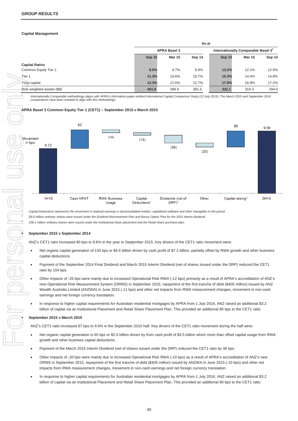# **Capital Management**

|                            |        | As at               |        |        |                                     |        |  |  |  |
|----------------------------|--------|---------------------|--------|--------|-------------------------------------|--------|--|--|--|
|                            |        | <b>APRA Basel 3</b> |        |        | Internationally Comparable Basel 3' |        |  |  |  |
|                            | Sep 15 | <b>Mar 15</b>       | Sep 14 | Sep 15 | <b>Mar 15</b>                       | Sep 14 |  |  |  |
| <b>Capital Ratios</b>      |        |                     |        |        |                                     |        |  |  |  |
| Common Equity Tier 1       | 9.6%   | 8.7%                | 8.8%   | 13.2%  | 12.1%                               | 12.5%  |  |  |  |
| Tier 1                     | 11.3%  | 10.6%               | 10.7%  | 15.3%  | 14.4%                               | 14.8%  |  |  |  |
| Total capital              | 13.3%  | 12.6%               | 12.7%  | 17.8%  | 16.8%                               | 17.2%  |  |  |  |
| Risk weighted assets (\$B) | 401.9  | 386.9               | 361.5  | 332.1  | 319.3                               | 294.0  |  |  |  |

Internationally Comparable methodology aligns with APRA's information paper entitled International Capital Comparison Study (13 July 2015). The March 2015 and September 2014<br>comparatives have been restated to align with th

# **APRA Basel 3 Common Equity Tier 1 (CET1) – September 2015 v March 2015**



2. *28.6 million ordinary shares were issued under the Dividend Reinvestment Plan and Bonus Option Plan for the 2015 interim dividend.* 

3. *108.1 million ordinary shares were issued under the Institutional share placement and the Retail share purchase plan.* 

# **September 2015 v September 2014**

ANZ's CET1 ratio increased 80 bps to 9.6% in the year to September 2015. Key drivers of the CET1 ratio movement were:

- Net organic capital generation of 130 bps or \$4.6 billion driven by cash profit of \$7.2 billion, partially offset by RWA growth and other business capital deductions.
- Payment of the September 2014 Final Dividend and March 2015 Interim Dividend (net of shares issued under the DRP) reduced the CET1 ratio by 104 bps.
- Capital Deductions represents the movement in retained earnings in deconsolidated entities, capitalised software and other intangibles in the period.<br>
10.8.1 million ordinary shares were issued under the Dividend Reinvestm Other impacts of -26 bps were mainly due to increased Operational Risk RWA (-12 bps) primarily as a result of APRA's accreditation of ANZ's new Operational Risk Measurement System (ORMS) in September 2015, repayment of the first tranche of debt (\$405 million) issued by ANZ Wealth Australia Limited (ANZWA) in June 2015 (-11 bps) and other net impacts from RWA measurement changes, movement in non-cash earnings and net foreign currency translation.
	- In response to higher capital requirements for Australian residential mortgages by APRA from 1 July 2016, ANZ raised an additional \$3.2 billion of capital via an Institutional Placement and Retail Share Placement Plan. This provided an additional 80 bps to the CET1 ratio.

# **September 2015 v March 2015**

ANZ's CET1 ratio increased 87 bps to 9.6% in the September 2015 half. Key drivers of the CET1 ratio movement during the half were:

- Net organic capital generation is 65 bps or \$2.5 billion driven by from cash profit of \$3.5 billion which more than offset capital usage from RWA growth and other business capital deductions.
- Payment of the March 2015 Interim Dividend (net of shares issued under the DRP) reduced the CET1 ratio by 38 bps.
- Other impacts of -20 bps were mainly due to increased Operational Risk RWA (-10 bps) as a result of APRA's accreditation of ANZ's new ORMS in September 2015, repayment of the first tranche of debt (\$405 million) issued by ANZWA in June 2015 (-10 bps) and other net impacts from RWA measurement changes, movement in non-cash earnings and net foreign currency translation.
- In response to higher capital requirements for Australian residential mortgages by APRA from 1 July 2016, ANZ raised an additional \$3.2 billion of capital via an Institutional Placement and Retail Share Placement Plan. This provided an additional 80 bps to the CET1 ratio.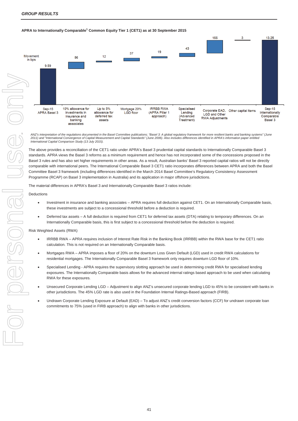# APRA to Internationally Comparable<sup>1</sup> Common Equity Tier 1 (CET1) as at 30 September 2015



2011) and "International Convergence of Capital Measurement and Capital Standards" (June 2006). Also includes differences identified in APRA's information paper entitled *International Capital Comparison Study (13 July 2015).* 

The above provides a reconciliation of the CET1 ratio under APRA's Basel 3 prudential capital standards to Internationally Comparable Basel 3 standards. APRA views the Basel 3 reforms as a minimum requirement and hence has not incorporated some of the concessions proposed in the Basel 3 rules and has also set higher requirements in other areas. As a result, Australian banks' Basel 3 reported capital ratios will not be directly comparable with international peers. The International Comparable Basel 3 CET1 ratio incorporates differences between APRA and both the Basel Committee Basel 3 framework (including differences identified in the March 2014 Basel Committee's Regulatory Consistency Assessment Programme (RCAP) on Basel 3 implementation in Australia) and its application in major offshore jurisdictions.

The material differences in APRA's Basel 3 and Internationally Comparable Basel 3 ratios include:

**Deductions** 

- Investment in insurance and banking associates APRA requires full deduction against CET1. On an Internationally Comparable basis, these investments are subject to a concessional threshold before a deduction is required.
- Deferred tax assets A full deduction is required from CET1 for deferred tax assets (DTA) relating to temporary differences. On an Internationally Comparable basis, this is first subject to a concessional threshold before the deduction is required.

# Risk Weighted Assets (RWA)

- IRRBB RWA APRA requires inclusion of Interest Rate Risk in the Banking Book (IRRBB) within the RWA base for the CET1 ratio calculation. This is not required on an Internationally Comparable basis.
- Mortgages RWA APRA imposes a floor of 20% on the downturn Loss Given Default (LGD) used in credit RWA calculations for residential mortgages. The Internationally Comparable Basel 3 framework only requires downturn LGD floor of 10%.
- Specialised Lending APRA requires the supervisory slotting approach be used in determining credit RWA for specialised lending exposures. The Internationally Comparable basis allows for the advanced internal ratings based approach to be used when calculating RWA for these exposures.
- Unsecured Corporate Lending LGD Adjustment to align ANZ's unsecured corporate lending LGD to 45% to be consistent with banks in other jurisdictions. The 45% LGD rate is also used in the Foundation Internal Ratings-Based approach (FIRB).
- Undrawn Corporate Lending Exposure at Default (EAD) To adjust ANZ's credit conversion factors (CCF) for undrawn corporate loan commitments to 75% (used in FIRB approach) to align with banks in other jurisdictions.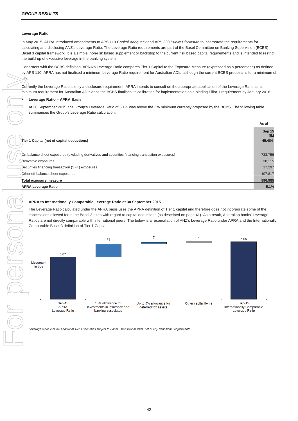# **Leverage Ratio**

In May 2015, APRA introduced amendments to APS 110 *Capital Adequacy* and APS 330 *Public Disclosure* to incorporate the requirements for calculating and disclosing ANZ's Leverage Ratio. The Leverage Ratio requirements are part of the Basel Committee on Banking Supervision (BCBS) Basel 3 capital framework. It is a simple, non-risk based supplement or backstop to the current risk based capital requirements and is intended to restrict the build-up of excessive leverage in the banking system.

Consistent with the BCBS definition, APRA's Leverage Ratio compares Tier 1 Capital to the Exposure Measure (expressed as a percentage) as defined by APS 110. APRA has not finalised a minimum Leverage Ratio requirement for Australian ADIs, although the current BCBS proposal is for a minimum of 3%.

Currently the Leverage Ratio is only a disclosure requirement. APRA intends to consult on the appropriate application of the Leverage Ratio as a minimum requirement for Australian ADIs once the BCBS finalises its calibration for implementation as a binding Pillar 1 requirement by January 2018.

# **Leverage Ratio – APRA Basis**

At 30 September 2015, the Group's Leverage Ratio of 5.1% was above the 3% minimum currently proposed by the BCBS. The following table summarises the Group's Leverage Ratio calculation:

|                                                                                                   | As at         |
|---------------------------------------------------------------------------------------------------|---------------|
|                                                                                                   | Sep 15<br>\$M |
| Tier 1 Capital (net of capital deductions)                                                        | 45,484        |
| On-balance sheet exposures (excluding derivatives and securities financing transaction exposures) | 733,756       |
| Derivative exposures                                                                              | 38,115        |
| Securities financing transaction (SFT) exposures                                                  | 17,297        |
| Other off-balance sheet exposures                                                                 | 107,817       |
| Total exposure measure                                                                            | 896,985       |
| <b>APRA Leverage Ratio</b>                                                                        | 5.1%          |

The Leverage Ratio calculated under the APRA basis uses the APRA definition of Tier 1 capital and therefore does not incorporate some of the concessions allowed for in the Basel 3 rules with regard to capital deductions (as described on page 41). As a result, Australian banks' Leverage Ratios are not directly comparable with international peers. The below is a reconciliation of ANZ's Leverage Ratio under APRA and the Internationally Comparable Basel 3 definition of Tier 1 Capital.

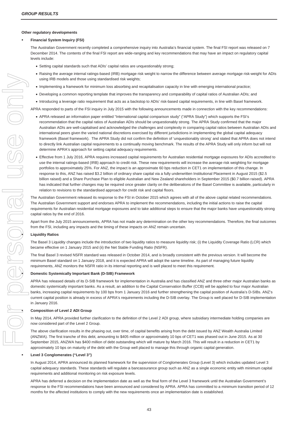# **Other regulatory developments**

# **Financial System Inquiry (FSI)**

The Australian Government recently completed a comprehensive inquiry into Australia's financial system. The final FSI report was released on 7 December 2014. The contents of the final FSI report are wide-ranging and key recommendations that may have an impact on regulatory capital levels include:

- Setting capital standards such that ADIs' capital ratios are unquestionably strong;
- Raising the average internal ratings-based (IRB) mortgage risk weight to narrow the difference between average mortgage risk-weight for ADIs using IRB models and those using standardised risk weights;
- Implementing a framework for minimum loss absorbing and recapitalisation capacity in line with emerging international practice;
- Developing a common reporting template that improves the transparency and comparability of capital ratios of Australian ADIs; and
- Introducing a leverage ratio requirement that acts as a backstop to ADIs' risk-based capital requirements, in line with Basel framework.

APRA responded to parts of the FSI inquiry in July 2015 with the following announcements made in connection with the key recommendations:

- APRA released an information paper entitled "International capital comparison study" ("APRA Study") which supports the FSI's recommendation that the capital ratios of Australian ADIs should be unquestionably strong. The APRA Study confirmed that the major Australian ADIs are well-capitalised and acknowledged the challenges and complexity in comparing capital ratios between Australian ADIs and international peers given the varied national discretions exercised by different jurisdictions in implementing the global capital adequacy framework (Basel framework). The APRA Study did not confirm the definition of 'unquestionably strong' and stated that APRA does not intend to directly link Australian capital requirements to a continually moving benchmark. The results of the APRA Study will only inform but will not determine APRA's approach for setting capital adequacy requirements.
- Effective from 1 July 2016, APRA requires increased capital requirements for Australian residential mortgage exposures for ADIs accredited to use the internal ratings-based (IRB) approach to credit risk. These new requirements will increase the average risk weighting for mortgage portfolios to approximately 25%. For ANZ, the impact is an approximate 60 bps reduction in CET1 on implementation of this change. In response to this, ANZ has raised \$3.2 billion of ordinary share capital via a fully underwritten Institutional Placement in August 2015 (\$2.5 billion raised) and a Share Purchase Plan to eligible Australian and New Zealand shareholders in September 2015 (\$0.7 billion raised). APRA has indicated that further changes may be required once greater clarity on the deliberations of the Basel Committee is available, particularly in relation to revisions to the standardised approach for credit risk and capital floors.

The Australian Government released its response to the FSI in October 2015 which agrees with all of the above capital related recommendations. The Australian Government support and endorses APRA to implement the recommendations, including the initial actions to raise the capital requirements for Australian residential mortgage exposures and to take additional steps to ensure that the major banks have unquestionably strong capital ratios by the end of 2016.

Apart from the July 2015 announcements, APRA has not made any determination on the other key recommendations. Therefore, the final outcomes from the FSI, including any impacts and the timing of these impacts on ANZ remain uncertain.

The Basel 3 Liquidity changes include the introduction of two liquidity ratios to measure liquidity risk; (i) the Liquidity Coverage Ratio (LCR) which became effective on 1 January 2015 and (ii) the Net Stable Funding Ratio (NSFR).

The final Basel 3 revised NSFR standard was released in October 2014, and is broadly consistent with the previous version. It will become the minimum Basel standard on 1 January 2018, and it is expected APRA will adopt the same timeline. As part of managing future liquidity requirements, ANZ monitors the NSFR ratio in its internal reporting and is well placed to meet this requirement.

#### **Domestic Systemically Important Bank (D-SIB) Framework**

APRA has released details of its D-SIB framework for implementation in Australia and has classified ANZ and three other major Australian banks as domestic systemically important banks. As a result, an addition to the Capital Conservation Buffer (CCB) will be applied to four major Australian banks, increasing capital requirements by 100 bps from 1 January 2016 and further strengthening the capital position of Australia's D-SIBs. ANZ's current capital position is already in excess of APRA's requirements including the D-SIB overlay. The Group is well placed for D-SIB implementation in January 2016.

#### **Composition of Level 2 ADI Group**

In May 2014, APRA provided further clarification to the definition of the Level 2 ADI group, where subsidiary intermediate holding companies are now considered part of the Level 2 Group.

The above clarification results in the phasing out, over time, of capital benefits arising from the debt issued by ANZ Wealth Australia Limited (ANZWA). The first tranche of this debt, amounting to \$405 million or approximately 10 bps of CET1 was phased out in June 2015. As at 30 September 2015, ANZWA has \$400 million of debt outstanding which will mature by March 2016. This will result in a reduction in CET1 by approximately 10 bps on maturity of the debt with the Group well placed to manage this through organic capital generation.

#### **Level 3 Conglomerates ("Level 3")**

In August 2014, APRA announced its planned framework for the supervision of Conglomerates Group (Level 3) which includes updated Level 3 capital adequacy standards. These standards will regulate a bancassurance group such as ANZ as a single economic entity with minimum capital requirements and additional monitoring on risk exposure levels.

APRA has deferred a decision on the implementation date as well as the final form of the Level 3 framework until the Australian Government's response to the FSI recommendations have been announced and considered by APRA. APRA has committed to a minimum transition period of 12 months for the affected institutions to comply with the new requirements once an implementation date is established.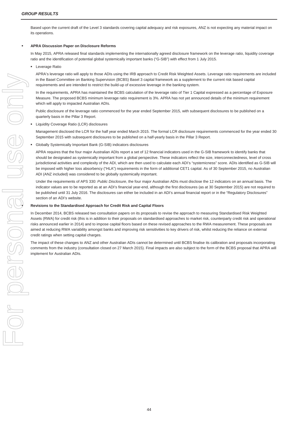Based upon the current draft of the Level 3 standards covering capital adequacy and risk exposures, ANZ is not expecting any material impact on its operations.

## **APRA Discussion Paper on Disclosure Reforms**

In May 2015, APRA released final standards implementing the internationally agreed disclosure framework on the leverage ratio, liquidity coverage ratio and the identification of potential global systemically important banks ("G-SIB") with effect from 1 July 2015.

Leverage Ratio

APRA's leverage ratio will apply to those ADIs using the IRB approach to Credit Risk Weighted Assets. Leverage ratio requirements are included in the Basel Committee on Banking Supervision (BCBS) Basel 3 capital framework as a supplement to the current risk based capital requirements and are intended to restrict the build-up of excessive leverage in the banking system.

In the requirements, APRA has maintained the BCBS calculation of the leverage ratio of Tier 1 Capital expressed as a percentage of Exposure Measure. The proposed BCBS minimum leverage ratio requirement is 3%. APRA has not yet announced details of the minimum requirement which will apply to impacted Australian ADIs.

Public disclosure of the leverage ratio commenced for the year ended September 2015, with subsequent disclosures to be published on a quarterly basis in the Pillar 3 Report.

Liquidity Coverage Ratio (LCR) disclosures

Management disclosed the LCR for the half year ended March 2015. The formal LCR disclosure requirements commenced for the year ended 30 September 2015 with subsequent disclosures to be published on a half-yearly basis in the Pillar 3 Report.

Globally Systemically Important Bank (G-SIB) indicators disclosures

APRA requires that the four major Australian ADIs report a set of 12 financial indicators used in the G-SIB framework to identify banks that should be designated as systemically important from a global perspective. These indicators reflect the size, interconnectedness, level of cross jurisdictional activities and complexity of the ADI, which are then used to calculate each ADI's "systemicness" score. ADIs identified as G-SIB will be imposed with higher loss absorbency ("HLA") requirements in the form of additional CET1 capital. As of 30 September 2015, no Australian ADI (ANZ included) was considered to be globally systemically important.

Under the requirements of APS 330: *Public Disclosure*, the four major Australian ADIs must disclose the 12 indicators on an annual basis. The indicator values are to be reported as at an ADI's financial year-end, although the first disclosures (as at 30 September 2015) are not required to be published until 31 July 2016. The disclosures can either be included in an ADI's annual financial report or in the "Regulatory Disclosures" section of an ADI's website.

In December 2014, BCBS released two consultation papers on its proposals to revise the approach to measuring Standardised Risk Weighted Assets (RWA) for credit risk (this is in addition to their proposals on standardised approaches to market risk, counterparty credit risk and operational risks announced earlier in 2014) and to impose capital floors based on these revised approaches to the RWA measurement. These proposals are aimed at reducing RWA variability amongst banks and improving risk sensitivities to key drivers of risk, whilst reducing the reliance on external credit ratings when setting capital charges.

The impact of these changes to ANZ and other Australian ADIs cannot be determined until BCBS finalise its calibration and proposals incorporating comments from the industry (consultation closed on 27 March 2015). Final impacts are also subject to the form of the BCBS proposal that APRA will implement for Australian ADIs.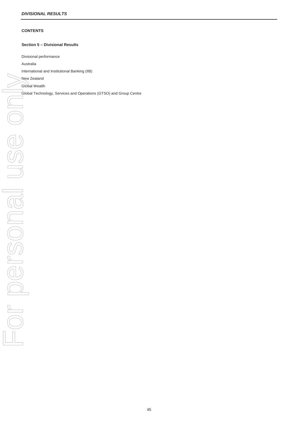# **CONTENTS**

# **Section 5 – Divisional Results**

Divisional performance

Australia

International and Institutional Banking (IIB)

New Zealand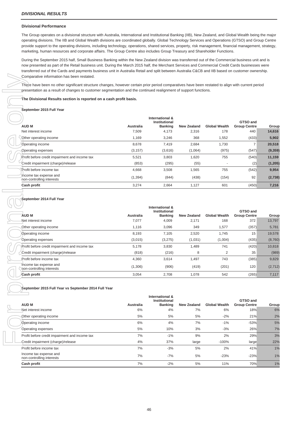# **Divisional Performance**

The Group operates on a divisional structure with Australia, International and Institutional Banking (IIB), New Zealand, and Global Wealth being the major operating divisions. The IIB and Global Wealth divisions are coordinated globally. Global Technology Services and Operations (GTSO) and Group Centre provide support to the operating divisions, including technology, operations, shared services, property, risk management, financial management, strategy, marketing, human resources and corporate affairs. The Group Centre also includes Group Treasury and Shareholder Functions.

During the September 2015 half, Small Business Banking within the New Zealand division was transferred out of the Commercial business unit and is now presented as part of the Retail business unit. During the March 2015 half, the Merchant Services and Commercial Credit Cards businesses were transferred out of the Cards and payments business unit in Australia Retail and split between Australia C&CB and IIB based on customer ownership. Comparative information has been restated.

### **The Divisional Results section is reported on a cash profit basis.**

|                                                     |           | International &<br>Institutional |             |                          | GTSO and            |         |
|-----------------------------------------------------|-----------|----------------------------------|-------------|--------------------------|---------------------|---------|
| <b>AUD M</b>                                        | Australia | <b>Banking</b>                   | New Zealand | <b>Global Wealth</b>     | <b>Group Centre</b> | Group   |
| Net interest income                                 | 7,509     | 4,173                            | 2,316       | 178                      | 440                 | 14,616  |
| Other operating income                              | 1,169     | 3,246                            | 368         | 1,552                    | (433)               | 5,902   |
| <b>Operating income</b>                             | 8,678     | 7,419                            | 2,684       | 1,730                    |                     | 20,518  |
| Operating expenses                                  | (3, 157)  | (3,616)                          | (1,064)     | (975)                    | (547)               | (9,359) |
| Profit before credit impairment and income tax      | 5,521     | 3,803                            | 1,620       | 755                      | (540)               | 11,159  |
| Credit impairment (charge)/release                  | (853)     | (295)                            | (55)        | $\overline{\phantom{a}}$ | (2)                 | (1,205) |
| Profit before income tax                            | 4,668     | 3,508                            | 1,565       | 755                      | (542)               | 9,954   |
| Income tax expense and<br>non-controlling interests | (1, 394)  | (844)                            | (438)       | (154)                    | 92                  | (2,738) |
| Cash profit                                         | 3,274     | 2,664                            | 1,127       | 601                      | (450)               | 7,216   |

#### **September 2014 Full Year**

| Comparative information has been restated.                                                                                                                                                                                                                            |                  |                                                    |                    |                      |                                 |          |
|-----------------------------------------------------------------------------------------------------------------------------------------------------------------------------------------------------------------------------------------------------------------------|------------------|----------------------------------------------------|--------------------|----------------------|---------------------------------|----------|
| There have been no other significant structure changes, however certain prior period comparatives have been restated to align with current period<br>presentation as a result of changes to customer segmentation and the continued realignment of support functions. |                  |                                                    |                    |                      |                                 |          |
| The Divisional Results section is reported on a cash profit basis.                                                                                                                                                                                                    |                  |                                                    |                    |                      |                                 |          |
| September 2015 Full Year                                                                                                                                                                                                                                              |                  |                                                    |                    |                      |                                 |          |
|                                                                                                                                                                                                                                                                       |                  | International &<br>Institutional                   |                    |                      | GTSO and                        |          |
| <b>AUD M</b>                                                                                                                                                                                                                                                          | <b>Australia</b> | <b>Banking</b>                                     | <b>New Zealand</b> | <b>Global Wealth</b> | <b>Group Centre</b>             | Group    |
| Net interest income                                                                                                                                                                                                                                                   | 7,509            | 4,173                                              | 2,316              | 178                  | 440                             | 14,616   |
| Other operating income                                                                                                                                                                                                                                                | 1,169            | 3,246                                              | 368                | 1,552                | (433)<br>$\overline{7}$         | 5,902    |
| Operating income                                                                                                                                                                                                                                                      | 8,678            | 7,419                                              | 2,684              | 1,730                |                                 | 20,518   |
| Operating expenses                                                                                                                                                                                                                                                    | (3, 157)         | (3,616)                                            | (1,064)            | (975)                | (547)                           | (9, 359) |
| Profit before credit impairment and income tax                                                                                                                                                                                                                        | 5,521            | 3,803                                              | 1,620              | 755                  | (540)                           | 11,159   |
| Credit impairment (charge)/release                                                                                                                                                                                                                                    | (853)            | (295)                                              | (55)               |                      | (2)                             | (1, 205) |
| Profit before income tax<br>Income tax expense and                                                                                                                                                                                                                    | 4,668            | 3,508                                              | 1,565              | 755                  | (542)                           | 9,954    |
| non-controlling interests                                                                                                                                                                                                                                             | (1, 394)         | (844)                                              | (438)              | (154)                | 92                              | (2,738)  |
| Cash profit                                                                                                                                                                                                                                                           | 3,274            | 2,664                                              | 1,127              | 601                  | (450)                           | 7,216    |
| AUD M                                                                                                                                                                                                                                                                 | <b>Australia</b> | International &<br>Institutional<br><b>Banking</b> | <b>New Zealand</b> | <b>Global Wealth</b> | GTSO and<br><b>Group Centre</b> | Group    |
| Net interest income                                                                                                                                                                                                                                                   | 7,077            | 4,009                                              | 2,171              | 168                  | 372                             | 13,797   |
| Other operating income                                                                                                                                                                                                                                                | 1,116            | 3,096                                              | 349                | 1,577                | (357)                           | 5,781    |
| Operating income                                                                                                                                                                                                                                                      | 8,193            | 7,105                                              | 2,520              | 1,745                | 15                              | 19,578   |
| Operating expenses                                                                                                                                                                                                                                                    | (3,015)          | (3,275)                                            | (1,031)            | (1,004)              | (435)                           | (8,760)  |
| Profit before credit impairment and income tax                                                                                                                                                                                                                        | 5,178            | 3,830                                              | 1,489              | 741                  | (420)                           | 10,818   |
| Credit impairment (charge)/release                                                                                                                                                                                                                                    | (818)            | (216)                                              | 8                  | 2                    | 35                              | (989)    |
| Profit before income tax                                                                                                                                                                                                                                              | 4,360            | 3,614                                              | 1,497              | 743                  | (385)                           | 9,829    |
| Income tax expense and<br>non-controlling interests                                                                                                                                                                                                                   | (1,306)          | (906)                                              | (419)              | (201)                | 120                             | (2,712)  |
| Cash profit                                                                                                                                                                                                                                                           | 3,054            | 2,708                                              | 1,078              | 542                  | (265)                           | 7,117    |
| September 2015 Full Year vs September 2014 Full Year                                                                                                                                                                                                                  |                  | International &                                    |                    |                      |                                 |          |
| <b>AUD M</b>                                                                                                                                                                                                                                                          | <b>Australia</b> | Institutional<br><b>Banking</b>                    | <b>New Zealand</b> | <b>Global Wealth</b> | GTSO and<br><b>Group Centre</b> | Group    |
| Net interest income                                                                                                                                                                                                                                                   | 6%               | 4%                                                 | 7%                 | 6%                   | 18%                             | 6%       |
| Other operating income                                                                                                                                                                                                                                                | 5%               | 5%                                                 | 5%                 | $-2%$                | 21%                             | 2%       |
| Operating income                                                                                                                                                                                                                                                      | 6%               | 4%                                                 | 7%                 | $-1%$                | $-53%$                          | 5%       |
| Operating expenses                                                                                                                                                                                                                                                    | 5%               | 10%                                                | 3%                 | $-3%$                | 26%                             | 7%       |
| Profit before credit impairment and income tax                                                                                                                                                                                                                        | 7%               | $-1%$                                              | 9%                 | 2%                   | 29%                             | 3%       |
| Credit impairment (charge)/release                                                                                                                                                                                                                                    | 4%               | 37%                                                | large              | $-100%$              | large                           | 22%      |
| Profit before income tax<br>Income tax expense and                                                                                                                                                                                                                    | 7%               | $-3%$                                              | 5%                 | 2%                   | 41%                             | 1%       |
| non-controlling interests                                                                                                                                                                                                                                             | 7%               | $-7%$                                              | 5%                 | $-23%$               | $-23%$                          | 1%       |
| Cash profit                                                                                                                                                                                                                                                           | 7%               | $-2%$                                              | 5%                 | 11%                  | 70%                             | 1%       |

#### **September 2015 Full Year vs September 2014 Full Year**

| <b>AUD M</b>                                        | Australia | International &<br>Institutional<br><b>Banking</b> | <b>New Zealand</b> | <b>Global Wealth</b> | GTSO and<br><b>Group Centre</b> | Group |
|-----------------------------------------------------|-----------|----------------------------------------------------|--------------------|----------------------|---------------------------------|-------|
| Net interest income                                 | 6%        | 4%                                                 | 7%                 | 6%                   | 18%                             | 6%    |
| Other operating income                              | 5%        | 5%                                                 | 5%                 | $-2%$                | 21%                             | 2%    |
| <b>Operating income</b>                             | 6%        | 4%                                                 | 7%                 | $-1%$                | $-53%$                          | 5%    |
| Operating expenses                                  | 5%        | 10%                                                | 3%                 | $-3%$                | 26%                             | 7%    |
| Profit before credit impairment and income tax      | 7%        | $-1%$                                              | 9%                 | 2%                   | 29%                             | 3%    |
| Credit impairment (charge)/release                  | 4%        | 37%                                                | large              | $-100%$              | large                           | 22%   |
| Profit before income tax                            | 7%        | $-3%$                                              | 5%                 | 2%                   | 41%                             | 1%    |
| Income tax expense and<br>non-controlling interests | 7%        | $-7%$                                              | 5%                 | $-23%$               | $-23%$                          | 1%    |
| Cash profit                                         | 7%        | $-2%$                                              | 5%                 | 11%                  | 70%                             | 1%    |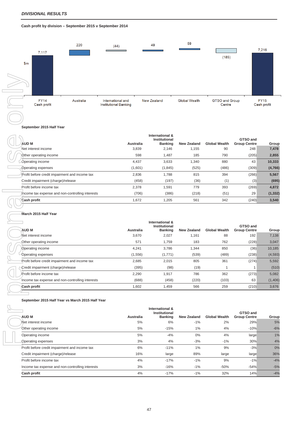# **Cash profit by division – September 2015 v September 2014**



# **September 2015 Half Year**

|  | <b>FY14</b><br>Australia<br>Cash profit                        | International and<br><b>Institutional Banking</b> | <b>New Zealand</b>                      | <b>Global Wealth</b> | <b>GTSO and Group</b><br>Centre |                                 | <b>FY15</b><br>Cash profit |
|--|----------------------------------------------------------------|---------------------------------------------------|-----------------------------------------|----------------------|---------------------------------|---------------------------------|----------------------------|
|  | September 2015 Half Year                                       |                                                   |                                         |                      |                                 |                                 |                            |
|  |                                                                |                                                   | International &<br><b>Institutional</b> |                      |                                 | GTSO and                        |                            |
|  | AUD M                                                          | Australia                                         | <b>Banking</b>                          | <b>New Zealand</b>   | <b>Global Wealth</b>            | <b>Group Centre</b>             | Group                      |
|  | Net interest income                                            | 3,839                                             | 2,146                                   | 1,155                | 90                              | 248                             | 7,478                      |
|  | Other operating income                                         | 598                                               | 1,487                                   | 185                  | 790                             | (205)                           | 2,855                      |
|  | Operating income                                               | 4,437                                             | 3,633                                   | 1,340                | 880                             | 43                              | 10,333                     |
|  | Operating expenses                                             | (1,601)                                           | (1,845)                                 | (525)                | (486)                           | (309)                           | (4, 766)                   |
|  | Profit before credit impairment and income tax                 | 2,836                                             | 1,788                                   | 815                  | 394                             | (266)                           | 5,567                      |
|  | Credit impairment (charge)/release                             | (458)                                             | (197)                                   | (36)                 | (1)                             | (3)                             | (695)                      |
|  | Profit before income tax                                       | 2,378                                             | 1,591                                   | 779                  | 393                             | (269)                           | 4,872                      |
|  | Income tax expense and non-controlling interests               | (706)                                             | (386)                                   | (218)                | (51)                            | 29                              | (1, 332)                   |
|  | Cash profit                                                    | 1,672                                             | 1,205                                   | 561                  | 342                             | (240)                           | 3,540                      |
|  | March 2015 Half Year                                           |                                                   | International &                         |                      |                                 |                                 |                            |
|  |                                                                |                                                   |                                         |                      |                                 |                                 |                            |
|  | AUD M                                                          | <b>Australia</b>                                  | Institutional<br><b>Banking</b>         | <b>New Zealand</b>   | <b>Global Wealth</b>            | GTSO and<br><b>Group Centre</b> | Group                      |
|  | Net interest income                                            | 3,670                                             | 2,027                                   | 1,161                | 88                              | 192                             | 7,138                      |
|  | Other operating income                                         | 571                                               | 1,759                                   | 183                  | 762                             | (228)                           | 3,047                      |
|  | Operating income                                               | 4,241                                             | 3,786                                   | 1,344                | 850                             | (36)                            | 10,185                     |
|  | Operating expenses                                             | (1,556)                                           | (1,771)                                 | (539)                | (489)                           | (238)                           | (4, 593)                   |
|  | Profit before credit impairment and income tax                 | 2,685                                             | 2,015                                   | 805                  | 361                             | (274)                           | 5,592                      |
|  | Credit impairment (charge)/release                             | (395)                                             | (98)                                    | (19)                 | 1                               | 1                               | (510)                      |
|  | Profit before income tax                                       | 2,290                                             | 1,917                                   | 786                  | 362                             | (273)                           | 5,082                      |
|  | Income tax expense and non-controlling interests               | (688)                                             | (458)                                   | (220)                | (103)                           | 63                              | (1,406)                    |
|  | Cash profit                                                    | 1,602                                             | 1,459                                   | 566                  | 259                             | (210)                           | 3,676                      |
|  |                                                                |                                                   |                                         |                      |                                 |                                 |                            |
|  | September 2015 Half Year vs March 2015 Half Year               |                                                   |                                         |                      |                                 |                                 |                            |
|  |                                                                |                                                   |                                         |                      |                                 |                                 |                            |
|  |                                                                |                                                   | International &<br>Institutional        |                      |                                 | GTSO and                        |                            |
|  | <b>AUD M</b>                                                   | <b>Australia</b>                                  | <b>Banking</b>                          | <b>New Zealand</b>   | <b>Global Wealth</b>            | <b>Group Centre</b>             | Group                      |
|  | Net interest income                                            |                                                   | 6%<br>5%                                | $-1%$                | 2%                              | 29%                             | 5%                         |
|  | Other operating income                                         |                                                   | 5%<br>$-15%$                            | $1\%$                | 4%                              | $-10%$                          | $-6%$                      |
|  | Operating income<br>Operating expenses                         |                                                   | 5%<br>-4%<br>3%<br>4%                   | 0%<br>$-3%$          | 4%<br>$-1%$                     | large<br>30%                    | 1%                         |
|  |                                                                |                                                   |                                         |                      |                                 |                                 | 4%                         |
|  | Profit before credit impairment and income tax                 |                                                   | 6%<br>$-11%$<br>16%                     | 1%<br>89%            | 9%                              | $-3%$                           | 0%                         |
|  | Credit impairment (charge)/release<br>Profit before income tax |                                                   | large<br>4%<br>$-17%$                   | $-1%$                | large<br>9%                     | large<br>$-1%$                  | 36%<br>$-4%$               |
|  | Income tax expense and non-controlling interests               |                                                   | 3%<br>$-16%$                            | $-1%$                | $-50%$                          | $-54%$                          | $-5%$                      |

#### **March 2015 Half Year**

| <b>AUD M</b>                                     | <b>Australia</b> | International &<br>Institutional<br><b>Banking</b> | <b>New Zealand</b> | <b>Global Wealth</b> | GTSO and<br><b>Group Centre</b> | Group    |
|--------------------------------------------------|------------------|----------------------------------------------------|--------------------|----------------------|---------------------------------|----------|
| Net interest income                              | 3,670            | 2,027                                              | 1,161              | 88                   | 192                             | 7,138    |
| Other operating income                           | 571              | 1,759                                              | 183                | 762                  | (228)                           | 3,047    |
| Operating income                                 | 4.241            | 3,786                                              | 1,344              | 850                  | (36)                            | 10,185   |
| Operating expenses                               | (1,556)          | (1,771)                                            | (539)              | (489)                | (238)                           | (4, 593) |
| Profit before credit impairment and income tax   | 2,685            | 2,015                                              | 805                | 361                  | (274)                           | 5,592    |
| Credit impairment (charge)/release               | (395)            | (98)                                               | (19)               |                      |                                 | (510)    |
| Profit before income tax                         | 2,290            | 1,917                                              | 786                | 362                  | (273)                           | 5,082    |
| Income tax expense and non-controlling interests | (688)            | (458)                                              | (220)              | (103)                | 63                              | (1,406)  |
| Cash profit                                      | 1,602            | 1,459                                              | 566                | 259                  | (210)                           | 3,676    |

### **September 2015 Half Year vs March 2015 Half Year**

|                                                  |                  | International &<br>Institutional |                    |                      | GTSO and            |       |
|--------------------------------------------------|------------------|----------------------------------|--------------------|----------------------|---------------------|-------|
| <b>AUD M</b>                                     | <b>Australia</b> | <b>Banking</b>                   | <b>New Zealand</b> | <b>Global Wealth</b> | <b>Group Centre</b> | Group |
| Net interest income                              | 5%               | 6%                               | $-1%$              | 2%                   | 29%                 | 5%    |
| Other operating income                           | 5%               | $-15%$                           | 1%                 | 4%                   | $-10%$              | $-6%$ |
| Operating income                                 | 5%               | $-4%$                            | $0\%$              | 4%                   | large               | 1%    |
| Operating expenses                               | 3%               | 4%                               | $-3%$              | $-1%$                | 30%                 | 4%    |
| Profit before credit impairment and income tax   | 6%               | $-11%$                           | 1%                 | 9%                   | $-3%$               | 0%    |
| Credit impairment (charge)/release               | 16%              | large                            | 89%                | large                | large               | 36%   |
| Profit before income tax                         | 4%               | $-17%$                           | $-1%$              | 9%                   | $-1%$               | $-4%$ |
| Income tax expense and non-controlling interests | 3%               | $-16%$                           | $-1%$              | $-50%$               | $-54%$              | $-5%$ |
| Cash profit                                      | 4%               | $-17%$                           | $-1%$              | 32%                  | 14%                 | $-4%$ |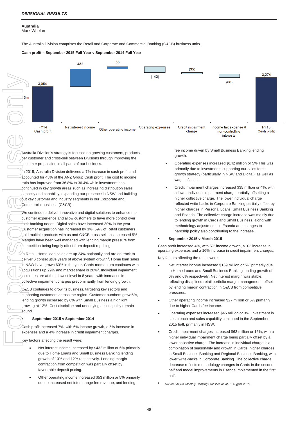The Australia Division comprises the Retail and Corporate and Commercial Banking (C&CB) business units.

**Cash profit – September 2015 Full Year v September 2014 Full Year** 



Australia Division's strategy is focused on growing customers, products per customer and cross-sell between Divisions through improving the customer proposition in all parts of our business.

In 2015, Australia Division delivered a 7% increase in cash profit and accounted for 45% of the ANZ Group Cash profit. The cost to income ratio has improved from 36.8% to 36.4% while investment has continued in key growth areas such as increasing distribution sales capacity and capability, expanding our presence in NSW and building out key customer and industry segments in our Corporate and Commercial business (C&CB).

We continue to deliver innovative and digital solutions to enhance the customer experience and allow customers to have more control over their banking needs. Digital sales have increased 30% in the year. Customer acquisition has increased by 3%, 59% of Retail customers hold multiple products with us and C&CB cross-sell has increased 5%. Margins have been well managed with lending margin pressure from competition being largely offset from deposit repricing.

In Retail, Home loan sales are up 24% nationally and are on track to deliver 6 consecutive years of above system growth<sup>1</sup>. Home loan sales in NSW have grown 63% in the year. Cards momentum continues with acquisitions up 29% and market share is 20%<sup>1</sup>. Individual impairment loss rates are at their lowest level in 8 years, with increases in collective impairment charges predominantly from lending growth.

C&CB continues to grow its business, targeting key sectors and supporting customers across the region. Customer numbers grew 5%, lending growth increased by 6% with Small Business a highlight growing at 12%. Cost discipline and underlying asset quality remain sound.

# **September 2015 v September 2014**

Cash profit increased 7%, with 6% income growth, a 5% increase in expenses and a 4% increase in credit impairment charges.

Key factors affecting the result were:

- Net interest income increased by \$432 million or 6% primarily due to Home Loans and Small Business Banking lending growth of 10% and 12% respectively. Lending margin contraction from competition was partially offset by favourable deposit pricing.
- Other operating income increased \$53 million or 5% primarily due to increased net interchange fee revenue, and lending

fee income driven by Small Business Banking lending growth.

- Operating expenses increased \$142 million or 5%.This was primarily due to investments supporting our sales force growth strategy (particularly in NSW and Digital), as well as wage inflation.
- Credit impairment charges increased \$35 million or 4%, with a lower individual impairment charge partially offsetting a higher collective charge. The lower individual charge reflected write-backs in Corporate Banking partially offset by higher charges in Personal Loans, Small Business Banking and Esanda. The collective charge increase was mainly due to lending growth in Cards and Small Business, along with methodology adjustments in Esanda and changes to hardship policy also contributing to the increase.

# **September 2015 v March 2015**

Cash profit increased 4%, with 5% income growth, a 3% increase in operating expenses and a 16% increase in credit impairment charges.

Key factors affecting the result were:

- Net interest income increased \$169 million or 5% primarily due to Home Loans and Small Business Banking lending growth of 6% and 6% respectively. Net interest margin was stable, reflecting disciplined retail portfolio margin management, offset by lending margin contraction in C&CB from competitive pressures.
- Other operating income increased \$27 million or 5% primarily due to higher Cards fee income.
- Operating expenses increased \$45 million or 3%. Investment in sales reach and sales capability continued in the September 2015 half, primarily in NSW.
- Credit impairment charges increased \$63 million or 16%, with a higher individual impairment charge being partially offset by a lower collective charge. The increase in individual charge is a combination of seasonality and growth in Cards, higher charges in Small Business Banking and Regional Business Banking, with lower write-backs in Corporate Banking. The collective charge decrease reflects methodology changes in Cards in the second half and model improvements in Esanda implemented in the first half.

<sup>1</sup> *Source: APRA Monthly Banking Statistics as at 31 August 2015.*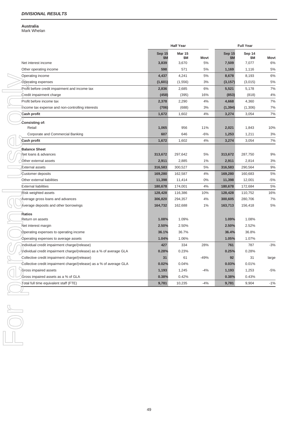|                                                                     | <b>Half Year</b> |                      |        | <b>Full Year</b> |                |          |
|---------------------------------------------------------------------|------------------|----------------------|--------|------------------|----------------|----------|
|                                                                     | Sep 15<br>\$M    | <b>Mar 15</b><br>\$M | Movt   | Sep 15<br>\$M    | Sep 14<br>\$M  | Movt     |
| Net interest income                                                 | 3,839            | 3,670                | 5%     | 7,509            | 7,077          | 6%       |
| Other operating income                                              | 598              | 571                  | 5%     | 1,169            | 1,116          | 5%       |
| Operating income                                                    | 4,437            | 4,241                | 5%     | 8,678            | 8,193          | 6%       |
| Operating expenses                                                  | (1,601)          | (1, 556)             | 3%     | (3, 157)         | (3,015)        | 5%       |
| Profit before credit impairment and income tax                      | 2,836            | 2,685                | 6%     | 5,521            | 5,178          | 7%       |
| Credit impairment charge                                            | (458)            | (395)                | 16%    | (853)            | (818)          | 4%       |
| Profit before income tax                                            | 2,378            | 2,290                | 4%     | 4,668            | 4,360          | 7%       |
| Income tax expense and non-controlling interests                    | (706)            | (688)                | 3%     | (1, 394)         | (1,306)        | 7%<br>7% |
| <b>Cash profit</b>                                                  | 1,672            | 1,602                | 4%     | 3,274            | 3,054          |          |
| Consisting of:                                                      |                  |                      |        |                  |                |          |
| Retail                                                              | 1,065            | 956                  | 11%    | 2,021            | 1,843          | 10%      |
| Corporate and Commercial Banking                                    | 607              | 646                  | $-6%$  | 1,253            | 1,211          | 3%       |
| Cash profit                                                         | 1,672            | 1,602                | 4%     | 3,274            | 3,054          | 7%       |
| <b>Balance Sheet</b>                                                |                  |                      |        |                  |                |          |
| Net loans & advances                                                | 313,672          | 297,642              | 5%     | 313,672          | 287,750        | 9%       |
| Other external assets                                               | 2,911            | 2,885                | 1%     | 2,911            | 2,814          | 3%       |
| <b>External assets</b>                                              | 316,583          | 300,527              | 5%     | 316,583          | 290,564        | 9%       |
| Customer deposits                                                   | 169,280          | 162,587              | 4%     | 169,280          | 160,683        | 5%       |
| Other external liabilities                                          | 11,398           | 11,414               | $0\%$  | 11,398           | 12,001         | $-5%$    |
| <b>External liabilities</b>                                         | 180,678          | 174,001              | 4%     | 180,678          | 172,684        | 5%       |
| Risk weighted assets                                                | 128,428          | 116,386              | 10%    | 128,428          | 110,752        | 16%      |
| Average gross loans and advances                                    | 306,820          | 294,357              | 4%     | 300,605          | 280,706        | 7%       |
| Average deposits and other borrowings                               | 164,732          | 162,688              | 1%     | 163,713          | 156,418        | $5\%$    |
| Ratios                                                              |                  |                      |        |                  |                |          |
| Return on assets                                                    | 1.08%            | 1.09%                |        | 1.09%            | 1.08%          |          |
| Net interest margin                                                 | 2.50%            | 2.50%                |        | 2.50%            | 2.52%          |          |
| Operating expenses to operating income                              | 36.1%            | 36.7%                |        | 36.4%            | 36.8%          |          |
| Operating expenses to average assets                                | 1.04%            | 1.06%                |        | 1.05%            | 1.07%          |          |
| Individual credit impairment charge/(release)                       | 427              | 334                  | 28%    | 761              | 787            | $-3%$    |
| Individual credit impairment charge/(release) as a % of average GLA | 0.28%            | 0.23%                |        | 0.25%            | 0.28%          |          |
| Collective credit impairment charge/(release)                       | 31               | 61                   | $-49%$ | 92               | 31             | large    |
| Collective credit impairment charge/(release) as a % of average GLA | 0.02%            | 0.04%                |        | 0.03%            | 0.01%          |          |
| Gross impaired assets<br>Gross impaired assets as a % of GLA        | 1,193<br>0.38%   | 1,245                | $-4%$  | 1,193<br>0.38%   | 1,253          | $-5%$    |
| Total full time equivalent staff (FTE)                              | 9,781            | 0.42%<br>10,235      | $-4%$  | 9,781            | 0.43%<br>9,904 | $-1%$    |
|                                                                     |                  |                      |        |                  |                |          |
|                                                                     |                  |                      |        |                  |                |          |
|                                                                     |                  |                      |        |                  |                |          |
|                                                                     |                  |                      |        |                  |                |          |
|                                                                     |                  |                      |        |                  |                |          |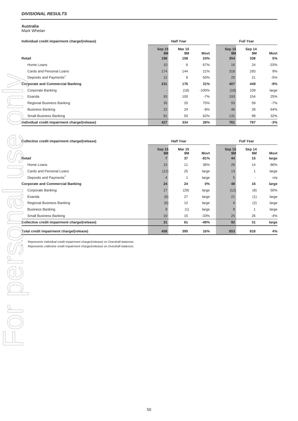| Individual credit impairment charge/(release) | <b>Half Year</b>     |                             |             | <b>Full Year</b>     |                      |            |  |
|-----------------------------------------------|----------------------|-----------------------------|-------------|----------------------|----------------------|------------|--|
| Retail                                        | Sep 15<br>\$M<br>196 | <b>Mar 15</b><br>\$M<br>158 | Movt<br>24% | Sep 15<br>\$M<br>354 | Sep 14<br>\$M<br>338 | Movt<br>5% |  |
| Home Loans                                    | 10                   | 6                           | 67%         | 16                   | 24                   | $-33%$     |  |
| Cards and Personal Loans                      | 174                  | 144                         | 21%         | 318                  | 293                  | 9%         |  |
| Deposits and Payments <sup>1</sup>            | 12                   | 8                           | 50%         | 20                   | 21                   | $-5%$      |  |
| <b>Corporate and Commercial Banking</b>       | 231                  | 176                         | 31%         | 407                  | 449                  | $-9%$      |  |
| Corporate Banking                             |                      | (18)                        | $-100%$     | (18)                 | 109                  | large      |  |
| Esanda                                        | 93                   | 100                         | $-7%$       | 193                  | 154                  | 25%        |  |
| Regional Business Banking                     | 35                   | 20                          | 75%         | 55                   | 59                   | $-7%$      |  |
| <b>Business Banking</b>                       | 22                   | 24                          | -8%         | 46                   | 28                   | 64%        |  |
| Small Business Banking                        | 81                   | 50                          | 62%         | 131                  | 99                   | 32%        |  |
| Individual credit impairment charge/(release) | 427                  | 334                         | 28%         | 761                  | 787                  | $-3%$      |  |

| Cards and Personal Loans                                                                                                                                           | 1/4            | 144              | 21%     | 318                  | 293                      | $9\%$ |
|--------------------------------------------------------------------------------------------------------------------------------------------------------------------|----------------|------------------|---------|----------------------|--------------------------|-------|
| Deposits and Payments <sup>1</sup>                                                                                                                                 | 12             | 8                | 50%     | 20                   | 21                       | $-5%$ |
| <b>Corporate and Commercial Banking</b>                                                                                                                            | 231            | 176              | 31%     | 407                  | 449                      | $-9%$ |
| Corporate Banking                                                                                                                                                  |                | (18)             | $-100%$ | (18)                 | 109                      | large |
| Esanda                                                                                                                                                             | 93             | 100              | $-7%$   | 193                  | 154                      | 25%   |
| Regional Business Banking                                                                                                                                          | 35             | 20               | 75%     | 55                   | 59                       | $-7%$ |
| <b>Business Banking</b>                                                                                                                                            | 22             | 24               | $-8%$   | 46                   | 28                       | 64%   |
| <b>Small Business Banking</b>                                                                                                                                      | 81             | 50               | 62%     | 131                  | 99                       | 32%   |
| Individual credit impairment charge/(release)                                                                                                                      | 427            | 334              | 28%     | 761                  | 787                      | $-3%$ |
| Collective credit impairment charge/(release)                                                                                                                      |                | <b>Half Year</b> |         |                      | <b>Full Year</b>         |       |
|                                                                                                                                                                    |                | <b>Mar 15</b>    |         |                      |                          |       |
|                                                                                                                                                                    | Sep 15<br>\$M  | \$Μ              | Movt    | <b>Sep 15</b><br>\$M | Sep 14<br>\$Μ            | Movt  |
| Retail                                                                                                                                                             | $\overline{7}$ | 37               | $-81%$  | 44                   | 15                       | large |
| Home Loans                                                                                                                                                         | 15             | 11               | 36%     | 26                   | 14                       | 86%   |
| Cards and Personal Loans                                                                                                                                           | (12)           | 25               | large   | 13                   | $\mathbf{1}$             | large |
| Deposits and Payments <sup>2</sup>                                                                                                                                 | $\overline{4}$ | $\mathbf{1}$     | large   | 5                    | $\overline{\phantom{a}}$ | n/a   |
| <b>Corporate and Commercial Banking</b>                                                                                                                            | 24             | 24               | $0\%$   | 48                   | 16                       | large |
| Corporate Banking                                                                                                                                                  | $17\,$         | (29)             | large   | (12)                 | (8)                      | 50%   |
| Esanda                                                                                                                                                             | (6)            | 27               | large   | 21                   | (1)                      | large |
| Regional Business Banking                                                                                                                                          | (6)            | 12               | large   | $\,6$                | (2)                      | large |
| <b>Business Banking</b>                                                                                                                                            | $9\,$          | (1)              | large   | $\bf 8$              | $\mathbf{1}$             | large |
| <b>Small Business Banking</b>                                                                                                                                      | 10             | 15               | $-33%$  | 25                   | 26                       | $-4%$ |
| Collective credit impairment charge/(release)                                                                                                                      | 31             | 61               | -49%    | 92                   | 31                       | large |
| Total credit impairment charge/(release)                                                                                                                           | 458            | 395              | 16%     | 853                  | 818                      | 4%    |
| Represents individual credit impairment charge/(release) on Overdraft balances.<br>Represents collective credit impairment charge/(release) on Overdraft balances. |                |                  |         |                      |                          |       |
|                                                                                                                                                                    |                |                  |         |                      |                          |       |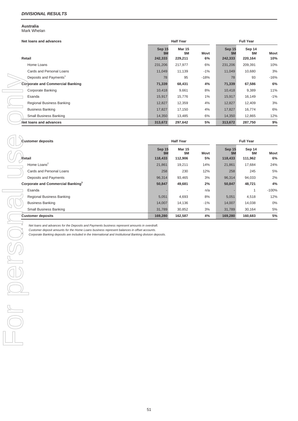| Net loans and advances                  |               | <b>Half Year</b>     | <b>Full Year</b> |                     |               |        |
|-----------------------------------------|---------------|----------------------|------------------|---------------------|---------------|--------|
|                                         | Sep 15<br>\$M | <b>Mar 15</b><br>\$M | Movt             | Sep 15<br><b>SM</b> | Sep 14<br>\$M | Movt   |
| Retail                                  | 242,333       | 229,211              | 6%               | 242,333             | 220,164       | 10%    |
| Home Loans                              | 231,206       | 217,977              | 6%               | 231,206             | 209,391       | 10%    |
| Cards and Personal Loans                | 11,049        | 11,139               | $-1%$            | 11,049              | 10,680        | 3%     |
| Deposits and Payments <sup>1</sup>      | 78            | 95                   | $-18%$           | 78                  | 93            | $-16%$ |
| <b>Corporate and Commercial Banking</b> | 71,339        | 68,431               | 4%               | 71,339              | 67,586        | 6%     |
| Corporate Banking                       | 10,418        | 9,661                | 8%               | 10,418              | 9,389         | 11%    |
| Esanda                                  | 15,917        | 15,776               | $1\%$            | 15,917              | 16,149        | $-1%$  |
| Regional Business Banking               | 12,827        | 12,359               | 4%               | 12,827              | 12,409        | 3%     |
| <b>Business Banking</b>                 | 17,827        | 17,150               | 4%               | 17,827              | 16,774        | 6%     |
| Small Business Banking                  | 14,350        | 13,485               | 6%               | 14,350              | 12,865        | 12%    |
| Net loans and advances                  | 313,672       | 297,642              | 5%               | 313,672             | 287,750       | 9%     |

| Deposits and Payments <sup>1</sup>                                                                                                                                                                                                                                                                        | 78            | 95                   | $-18%$ | 78            | 93               | $-16%$  |
|-----------------------------------------------------------------------------------------------------------------------------------------------------------------------------------------------------------------------------------------------------------------------------------------------------------|---------------|----------------------|--------|---------------|------------------|---------|
| <b>Corporate and Commercial Banking</b>                                                                                                                                                                                                                                                                   | 71,339        | 68,431               | 4%     | 71,339        | 67,586           | 6%      |
| Corporate Banking                                                                                                                                                                                                                                                                                         | 10,418        | 9,661                | $8\%$  | 10,418        | 9,389            | 11%     |
| Esanda                                                                                                                                                                                                                                                                                                    | 15,917        | 15,776               | 1%     | 15,917        | 16,149           | $-1%$   |
| Regional Business Banking                                                                                                                                                                                                                                                                                 | 12,827        | 12,359               | 4%     | 12,827        | 12,409           | 3%      |
| <b>Business Banking</b>                                                                                                                                                                                                                                                                                   | 17,827        | 17,150               | 4%     | 17,827        | 16,774           | 6%      |
| Small Business Banking                                                                                                                                                                                                                                                                                    | 14,350        | 13,485               | 6%     | 14,350        | 12,865           | 12%     |
| Net loans and advances                                                                                                                                                                                                                                                                                    | 313,672       | 297,642              | $5%$   | 313,672       | 287,750          | 9%      |
| <b>Customer deposits</b>                                                                                                                                                                                                                                                                                  |               | <b>Half Year</b>     |        |               | <b>Full Year</b> |         |
|                                                                                                                                                                                                                                                                                                           | Sep 15<br>\$M | <b>Mar 15</b><br>\$M | Movt   | Sep 15<br>\$M | Sep 14<br>\$M    | Movt    |
| Retail                                                                                                                                                                                                                                                                                                    | 118,433       | 112,906              | $5%$   | 118,433       | 111,962          | 6%      |
| Home Loans <sup>2</sup>                                                                                                                                                                                                                                                                                   | 21,861        | 19,211               | 14%    | 21,861        | 17,684           | 24%     |
| Cards and Personal Loans                                                                                                                                                                                                                                                                                  | 258           | 230                  | 12%    | 258           | 245              | 5%      |
| Deposits and Payments                                                                                                                                                                                                                                                                                     | 96,314        | 93,465               | 3%     | 96,314        | 94,033           | 2%      |
| Corporate and Commercial Banking <sup>3</sup>                                                                                                                                                                                                                                                             | 50,847        | 49,681               | 2%     | 50,847        | 48,721           | 4%      |
| Esanda                                                                                                                                                                                                                                                                                                    |               |                      | n/a    |               | $\mathbf{1}$     | $-100%$ |
| Regional Business Banking                                                                                                                                                                                                                                                                                 | 5,051         | 4,693                | 8%     | 5,051         | 4,518            | 12%     |
| <b>Business Banking</b>                                                                                                                                                                                                                                                                                   | 14,007        | 14,136               | $-1%$  | 14,007        | 14,038           | 0%      |
| <b>Small Business Banking</b>                                                                                                                                                                                                                                                                             | 31,789        | 30,852               | 3%     | 31,789        | 30,164           | 5%      |
| <b>Customer deposits</b>                                                                                                                                                                                                                                                                                  | 169,280       | 162,587              | 4%     | 169,280       | 160,683          | 5%      |
| Net loans and advances for the Deposits and Payments business represent amounts in overdraft.<br>Customer deposit amounts for the Home Loans business represent balances in offset accounts.<br>Corporate Banking deposits are included in the International and Institutional Banking division deposits. |               |                      |        |               |                  |         |
|                                                                                                                                                                                                                                                                                                           |               |                      |        |               |                  |         |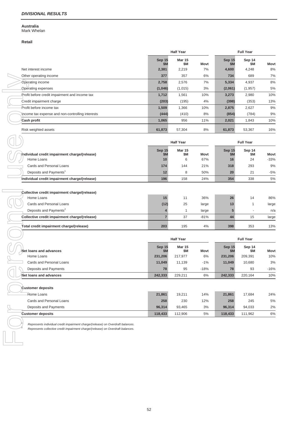# **Retail**

|                                                  | <b>Half Year</b>    |                      |      | <b>Full Year</b>    |               |      |  |
|--------------------------------------------------|---------------------|----------------------|------|---------------------|---------------|------|--|
|                                                  | Sep 15<br><b>SM</b> | <b>Mar 15</b><br>\$M | Movt | Sep 15<br><b>SM</b> | Sep 14<br>\$M | Movt |  |
| Net interest income                              | 2,381               | 2,219                | 7%   | 4,600               | 4,248         | 8%   |  |
| Other operating income                           | 377                 | 357                  | 6%   | 734                 | 689           | 7%   |  |
| Operating income                                 | 2,758               | 2,576                | 7%   | 5,334               | 4,937         | 8%   |  |
| Operating expenses                               | (1,046)             | (1,015)              | 3%   | (2,061)             | (1,957)       | 5%   |  |
| Profit before credit impairment and income tax   | 1,712               | 1,561                | 10%  | 3,273               | 2,980         | 10%  |  |
| Credit impairment charge                         | (203)               | (195)                | 4%   | (398)               | (353)         | 13%  |  |
| Profit before income tax                         | 1,509               | 1,366                | 10%  | 2,875               | 2,627         | 9%   |  |
| Income tax expense and non-controlling interests | (444)               | (410)                | 8%   | (854)               | (784)         | 9%   |  |
| <b>Cash profit</b>                               | 1,065               | 956                  | 11%  | 2,021               | 1,843         | 10%  |  |
| Risk weighted assets                             | 61,873              | 57,304               | 8%   | 61,873              | 53,367        | 16%  |  |

|                                               |               | <b>Half Year</b>     |      | <b>Full Year</b> |               |        |  |
|-----------------------------------------------|---------------|----------------------|------|------------------|---------------|--------|--|
| Individual credit impairment charge/(release) | Sep 15<br>\$M | <b>Mar 15</b><br>\$M | Movt | Sep 15<br>\$M    | Sep 14<br>\$M | Movt   |  |
| Home Loans                                    | 10            | 6                    | 67%  | 16               | 24            | $-33%$ |  |
| Cards and Personal Loans                      | 174           | 144                  | 21%  | 318              | 293           | 9%     |  |
| Deposits and Payments <sup>1</sup>            | 12            | 8                    | 50%  | 20 <sup>°</sup>  | 21            | $-5%$  |  |
| Individual credit impairment charge/(release) | 196           | 158                  | 24%  | 354              | 338           | 5%     |  |

| Total credit impairment charge/(release)      | 203  | 195 | 4%     | 398             | 353 | 13%   |
|-----------------------------------------------|------|-----|--------|-----------------|-----|-------|
| Collective credit impairment charge/(release) |      | 37  | $-81%$ | 44              | 15  | large |
| Deposits and Payments <sup>2</sup>            |      |     | large  |                 |     | n/a   |
| Cards and Personal Loans                      | (12) | 25  | large  | 13 <sup>°</sup> |     | large |
| Home Loans                                    | 15   | 11  | 36%    | 26              | 14  | 86%   |
|                                               |      |     |        |                 |     |       |

| Other operating income                                                                                                                                             | 377                 | 357              | 6%          | 734          | 689              | 7%        |
|--------------------------------------------------------------------------------------------------------------------------------------------------------------------|---------------------|------------------|-------------|--------------|------------------|-----------|
| Operating income                                                                                                                                                   | 2,758               | 2,576            | 7%          | 5,334        | 4,937            | 8%        |
| Operating expenses                                                                                                                                                 | (1,046)             | (1,015)          | 3%          | (2,061)      | (1,957)          | 5%        |
| Profit before credit impairment and income tax                                                                                                                     | 1,712               | 1,561            | 10%         | 3,273        | 2,980            | 10%       |
| Credit impairment charge                                                                                                                                           | (203)               | (195)            | 4%          | (398)        | (353)            | 13%       |
| Profit before income tax                                                                                                                                           | 1,509               | 1,366            | 10%         | 2,875        | 2,627            | 9%        |
| Income tax expense and non-controlling interests                                                                                                                   | (444)               | (410)            | 8%          | (854)        | (784)            | 9%        |
| Cash profit                                                                                                                                                        | 1,065               | 956              | 11%         | 2,021        | 1,843            | 10%       |
| Risk weighted assets                                                                                                                                               | 61,873              | 57,304           | 8%          | 61,873       | 53,367           | 16%       |
|                                                                                                                                                                    |                     | <b>Half Year</b> |             |              | <b>Full Year</b> |           |
|                                                                                                                                                                    | Sep 15              | <b>Mar 15</b>    |             | Sep 15       | Sep 14           |           |
| Individual credit impairment charge/(release)                                                                                                                      | \$M                 | \$Μ              | Movt        | \$M          | \$Μ              | Movt      |
| Home Loans                                                                                                                                                         | 10                  | 6                | 67%         | 16           | 24               | $-33%$    |
| Cards and Personal Loans                                                                                                                                           | 174                 | 144              | 21%         | 318          | 293              | 9%        |
| Deposits and Payments <sup>1</sup>                                                                                                                                 | 12                  | 8                | 50%         | 20           | 21               | $-5%$     |
| Individual credit impairment charge/(release)                                                                                                                      | 196                 | 158              | 24%         | 354          | 338              | 5%        |
|                                                                                                                                                                    |                     |                  |             |              |                  |           |
| Collective credit impairment charge/(release)                                                                                                                      | 15                  |                  |             |              |                  |           |
| Home Loans                                                                                                                                                         |                     | 11               | 36%         | 26           | 14               | 86%       |
| Cards and Personal Loans                                                                                                                                           | (12)                | 25               | large       | 13           | 1                | large     |
| Deposits and Payments <sup>2</sup><br>Collective credit impairment charge/(release)                                                                                | 4<br>$\overline{7}$ | 1<br>37          | large       | 5<br>44      | ٠                | n/a       |
|                                                                                                                                                                    |                     |                  | $-81%$      |              | 15               | large     |
| Total credit impairment charge/(release)                                                                                                                           | 203                 | 195              | 4%          | 398          | 353              | 13%       |
|                                                                                                                                                                    |                     | <b>Half Year</b> |             |              | <b>Full Year</b> |           |
|                                                                                                                                                                    | Sep 15              | <b>Mar 15</b>    |             | Sep 15       | Sep 14           |           |
| Net loans and advances                                                                                                                                             | \$M                 | \$Μ              | Movt        | \$M          | \$Μ              | Movt      |
| Home Loans<br>Cards and Personal Loans                                                                                                                             | 231,206             | 217,977          | 6%<br>$-1%$ | 231,206      | 209,391          | 10%<br>3% |
|                                                                                                                                                                    | 11,049<br>78        | 11,139<br>95     | $-18%$      | 11,049<br>78 | 10,680<br>93     | $-16%$    |
| Deposits and Payments<br>Net loans and advances                                                                                                                    |                     |                  | 6%          |              |                  | 10%       |
|                                                                                                                                                                    | 242,333             | 229,211          |             | 242,333      | 220,164          |           |
| <b>Customer deposits</b>                                                                                                                                           |                     |                  |             |              |                  |           |
| Home Loans                                                                                                                                                         | 21,861              | 19,211           | 14%         | 21,861       | 17,684           | 24%       |
| Cards and Personal Loans                                                                                                                                           | 258                 | 230              | 12%         | 258          | 245              | $5\%$     |
| Deposits and Payments                                                                                                                                              | 96,314              | 93,465           | 3%          | 96,314       | 94,033           | 2%        |
| <b>Customer deposits</b>                                                                                                                                           | 118,433             | 112,906          | 5%          | 118,433      | 111,962          | 6%        |
| Represents individual credit impairment charge/(release) on Overdraft balances.<br>Represents collective credit impairment charge/(release) on Overdraft balances. |                     |                  |             |              |                  |           |

| <b>Customer deposits</b> | 118,433 | 112.906 | 5%  | 118,433 | 111.962 | 6%  |
|--------------------------|---------|---------|-----|---------|---------|-----|
| Deposits and Payments    | 96.314  | 93.465  | 3%  | 96.314  | 94.033  | 2%  |
| Cards and Personal Loans | 258     | 230     | 12% | 258     | 245     | 5%  |
| Home Loans               | 21,861  | 19.211  | 14% | 21,861  | 17.684  | 24% |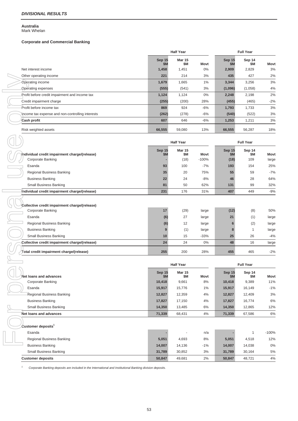# **Corporate and Commercial Banking**

|                                                  | <b>Half Year</b>       |                               |               | <b>Full Year</b>             |                        |            |  |
|--------------------------------------------------|------------------------|-------------------------------|---------------|------------------------------|------------------------|------------|--|
| Net interest income                              | Sep 15<br>\$M<br>1,458 | <b>Mar 15</b><br>\$M<br>1,451 | Movt<br>$0\%$ | Sep 15<br><b>SM</b><br>2,909 | Sep 14<br>\$Μ<br>2,829 | Movt<br>3% |  |
| Other operating income                           | 221                    | 214                           | 3%            | 435                          | 427                    | 2%         |  |
| Operating income                                 | 1,679                  | 1,665                         | 1%            | 3,344                        | 3,256                  | 3%         |  |
| Operating expenses                               | (555)                  | (541)                         | 3%            | (1,096)                      | (1,058)                | 4%         |  |
| Profit before credit impairment and income tax   | 1,124                  | 1,124                         | $0\%$         | 2,248                        | 2,198                  | 2%         |  |
| Credit impairment charge                         | (255)                  | (200)                         | 28%           | (455)                        | (465)                  | $-2%$      |  |
| Profit before income tax                         | 869                    | 924                           | $-6%$         | 1,793                        | 1,733                  | 3%         |  |
| Income tax expense and non-controlling interests | (262)                  | (278)                         | $-6%$         | (540)                        | (522)                  | 3%         |  |
| <b>Cash profit</b>                               | 607                    | 646                           | $-6%$         | 1,253                        | 1,211                  | 3%         |  |
| Risk weighted assets                             | 66,555                 | 59,080                        | 13%           | 66,555                       | 56,287                 | 18%        |  |

|                                               |               | <b>Half Year</b>     |         |               | <b>Full Year</b> |       |
|-----------------------------------------------|---------------|----------------------|---------|---------------|------------------|-------|
| Individual credit impairment charge/(release) | Sep 15<br>\$M | <b>Mar 15</b><br>\$M | Movt    | Sep 15<br>\$M | Sep 14<br>\$M    | Movt  |
| Corporate Banking                             |               | (18)                 | $-100%$ | (18)          | 109              | large |
| Esanda                                        | 93            | 100                  | $-7%$   | 193           | 154              | 25%   |
| Regional Business Banking                     | 35            | 20                   | 75%     | 55            | 59               | $-7%$ |
| <b>Business Banking</b>                       | 22            | 24                   | -8%     | 46            | 28               | 64%   |
| <b>Small Business Banking</b>                 | 81            | 50                   | 62%     | 131           | 99               | 32%   |
| Individual credit impairment charge/(release) | 231           | 176                  | 31%     | 407           | 449              | $-9%$ |
| Collective credit impairment charge/(release) |               |                      |         |               |                  |       |
| <b>Corporate Banking</b>                      | 17            | (29)                 | large   | (12)          | (8)              | 50%   |
| Esanda                                        | (6)           | 27                   | large   | 21            | (1)              | large |
| Regional Business Banking                     | (6)           | 12                   | large   | 6             | (2)              | large |
| <b>Business Banking</b>                       | q             | (1)                  | large   | 8             |                  | large |
| Small Business Banking                        | 10            | 15                   | $-33%$  | 25            | 26               | $-4%$ |

| 3,256<br>Operating income<br>1,679<br>1,665<br>1%<br>3,344<br>(555)<br>(541)<br>3%<br>(1,096)<br>(1,058)<br>Operating expenses<br>Profit before credit impairment and income tax<br>1,124<br>1,124<br>0%<br>2,248<br>2,198<br>Credit impairment charge<br>(255)<br>(200)<br>28%<br>(455)<br>(465)<br>Profit before income tax<br>869<br>924<br>$-6%$<br>1,793<br>1,733<br>(262)<br>(278)<br>$-6%$<br>(540)<br>(522)<br>Income tax expense and non-controlling interests<br>Cash profit<br>607<br>646<br>$-6%$<br>1,211<br>1,253<br>Risk weighted assets<br>66,555<br>59,080<br>13%<br>66,555<br>56,287 | 3%<br>4%     |  |  |  |
|--------------------------------------------------------------------------------------------------------------------------------------------------------------------------------------------------------------------------------------------------------------------------------------------------------------------------------------------------------------------------------------------------------------------------------------------------------------------------------------------------------------------------------------------------------------------------------------------------------|--------------|--|--|--|
|                                                                                                                                                                                                                                                                                                                                                                                                                                                                                                                                                                                                        |              |  |  |  |
|                                                                                                                                                                                                                                                                                                                                                                                                                                                                                                                                                                                                        |              |  |  |  |
|                                                                                                                                                                                                                                                                                                                                                                                                                                                                                                                                                                                                        | 2%           |  |  |  |
|                                                                                                                                                                                                                                                                                                                                                                                                                                                                                                                                                                                                        | $-2%$        |  |  |  |
|                                                                                                                                                                                                                                                                                                                                                                                                                                                                                                                                                                                                        | 3%           |  |  |  |
|                                                                                                                                                                                                                                                                                                                                                                                                                                                                                                                                                                                                        | 3%           |  |  |  |
|                                                                                                                                                                                                                                                                                                                                                                                                                                                                                                                                                                                                        | 3%           |  |  |  |
|                                                                                                                                                                                                                                                                                                                                                                                                                                                                                                                                                                                                        | 18%          |  |  |  |
| <b>Half Year</b><br><b>Full Year</b>                                                                                                                                                                                                                                                                                                                                                                                                                                                                                                                                                                   |              |  |  |  |
| <b>Mar 15</b><br><b>Sep 15</b><br>Sep 14<br><b>Sep 15</b>                                                                                                                                                                                                                                                                                                                                                                                                                                                                                                                                              |              |  |  |  |
| Individual credit impairment charge/(release)<br>\$M<br>\$Μ<br>Movt<br>\$M<br>\$M                                                                                                                                                                                                                                                                                                                                                                                                                                                                                                                      | Movt         |  |  |  |
| $-100%$<br>Corporate Banking<br>(18)<br>(18)<br>109                                                                                                                                                                                                                                                                                                                                                                                                                                                                                                                                                    | large        |  |  |  |
| 93<br>100<br>$-7%$<br>193<br>154<br>Esanda                                                                                                                                                                                                                                                                                                                                                                                                                                                                                                                                                             | 25%          |  |  |  |
| Regional Business Banking<br>35<br>20<br>75%<br>55<br>59                                                                                                                                                                                                                                                                                                                                                                                                                                                                                                                                               | $-7%$        |  |  |  |
| <b>Business Banking</b><br>$-8%$<br>28<br>22<br>24<br>46                                                                                                                                                                                                                                                                                                                                                                                                                                                                                                                                               | 64%          |  |  |  |
| Small Business Banking<br>81<br>50<br>62%<br>131<br>99                                                                                                                                                                                                                                                                                                                                                                                                                                                                                                                                                 | 32%          |  |  |  |
| Individual credit impairment charge/(release)<br>231<br>176<br>31%<br>407<br>449                                                                                                                                                                                                                                                                                                                                                                                                                                                                                                                       | $-9%$        |  |  |  |
|                                                                                                                                                                                                                                                                                                                                                                                                                                                                                                                                                                                                        |              |  |  |  |
| Collective credit impairment charge/(release)                                                                                                                                                                                                                                                                                                                                                                                                                                                                                                                                                          |              |  |  |  |
| 17<br>(12)<br>Corporate Banking<br>(29)<br>(8)<br>large                                                                                                                                                                                                                                                                                                                                                                                                                                                                                                                                                | 50%          |  |  |  |
| 27<br>large<br>21<br>(1)<br>Esanda<br>(6)                                                                                                                                                                                                                                                                                                                                                                                                                                                                                                                                                              | large        |  |  |  |
| Regional Business Banking<br>12<br>6<br>(2)<br>(6)<br>large                                                                                                                                                                                                                                                                                                                                                                                                                                                                                                                                            | large        |  |  |  |
| <b>Business Banking</b><br>(1)<br>9<br>8<br>$\mathbf{1}$<br>large                                                                                                                                                                                                                                                                                                                                                                                                                                                                                                                                      | large        |  |  |  |
| <b>Small Business Banking</b><br>10<br>15<br>$-33%$<br>25<br>26                                                                                                                                                                                                                                                                                                                                                                                                                                                                                                                                        | $-4%$        |  |  |  |
| 24<br>24<br>0%<br>48<br>16<br>Collective credit impairment charge/(release)                                                                                                                                                                                                                                                                                                                                                                                                                                                                                                                            | large        |  |  |  |
| Total credit impairment charge/(release)<br>255<br>200<br>28%<br>455<br>465                                                                                                                                                                                                                                                                                                                                                                                                                                                                                                                            | $-2%$        |  |  |  |
| <b>Half Year</b><br><b>Full Year</b>                                                                                                                                                                                                                                                                                                                                                                                                                                                                                                                                                                   |              |  |  |  |
| <b>Mar 15</b><br>Sep 14<br>Sep 15<br>Sep 15                                                                                                                                                                                                                                                                                                                                                                                                                                                                                                                                                            |              |  |  |  |
| Net loans and advances<br>\$Μ<br>Movt<br>\$M<br>\$M<br>\$M                                                                                                                                                                                                                                                                                                                                                                                                                                                                                                                                             | Movt         |  |  |  |
| 9,661<br>8%<br>9,389<br>Corporate Banking<br>10,418<br>10,418                                                                                                                                                                                                                                                                                                                                                                                                                                                                                                                                          | 11%<br>$-1%$ |  |  |  |
| 15,917<br>15,776<br>1%<br>15,917<br>16,149<br>Esanda<br>4%<br>12,409                                                                                                                                                                                                                                                                                                                                                                                                                                                                                                                                   |              |  |  |  |
| 12,827<br>12,359<br>Regional Business Banking<br>12,827                                                                                                                                                                                                                                                                                                                                                                                                                                                                                                                                                | 3%           |  |  |  |
| <b>Business Banking</b><br>17,827<br>17,150<br>$4\%$<br>17,827<br>16,774                                                                                                                                                                                                                                                                                                                                                                                                                                                                                                                               | 6%           |  |  |  |
| Small Business Banking<br>14,350<br>14,350<br>12,865<br>13,485<br>6%                                                                                                                                                                                                                                                                                                                                                                                                                                                                                                                                   | 12%          |  |  |  |
| Net loans and advances<br>71,339<br>4%<br>71,339<br>67,586<br>68,431                                                                                                                                                                                                                                                                                                                                                                                                                                                                                                                                   | $6\%$        |  |  |  |
| $\text{\textsf{C}}$ ustomer deposits <sup>1</sup>                                                                                                                                                                                                                                                                                                                                                                                                                                                                                                                                                      |              |  |  |  |
| Esanda<br>n/a<br>$\mathbf{1}$                                                                                                                                                                                                                                                                                                                                                                                                                                                                                                                                                                          | $-100%$      |  |  |  |
| Regional Business Banking<br>5,051<br>4,693<br>8%<br>5,051<br>4,518                                                                                                                                                                                                                                                                                                                                                                                                                                                                                                                                    | 12%          |  |  |  |
| <b>Business Banking</b><br>14,007<br>14,136<br>$-1%$<br>14,007<br>14,038                                                                                                                                                                                                                                                                                                                                                                                                                                                                                                                               | $0\%$        |  |  |  |
| Small Business Banking<br>31,789<br>30,852<br>$3%$<br>31,789<br>30,164                                                                                                                                                                                                                                                                                                                                                                                                                                                                                                                                 | 5%           |  |  |  |
| <b>Customer deposits</b><br>2%<br>48,721<br>50,847<br>49,681<br>50,847                                                                                                                                                                                                                                                                                                                                                                                                                                                                                                                                 | $4\%$        |  |  |  |
| 1.<br>Corporate Banking deposits are included in the International and Institutional Banking division deposits.                                                                                                                                                                                                                                                                                                                                                                                                                                                                                        |              |  |  |  |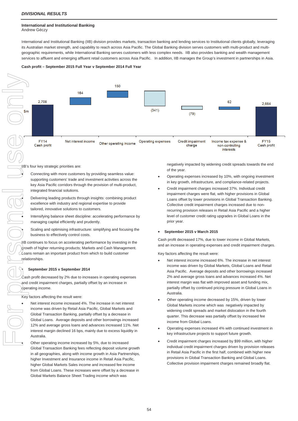International and Institutional Banking (IIB) division provides markets, transaction banking and lending services to Institutional clients globally, leveraging its Australian market strength, and capability to reach across Asia Pacific. The Global Banking division serves customers with multi-product and multigeographic requirements, while International Banking serves customers with less complex needs. IIB also provides banking and wealth management services to affluent and emerging affluent retail customers across Asia Pacific. In addition, IIB manages the Group's investment in partnerships in Asia.

# **Cash profit – September 2015 Full Year v September 2014 Full Year**



### IIB's four key strategic priorities are:

 Connecting with more customers by providing seamless value: supporting customers' trade and investment activities across the key Asia Pacific corridors through the provision of multi-product, integrated financial solutions.

 Delivering leading products through insights: combining product excellence with industry and regional expertise to provide tailored, innovative solutions to customers.

 Intensifying balance sheet discipline: accelerating performance by managing capital efficiently and prudently.

 Scaling and optimising infrastructure: simplifying and focusing the business to effectively control costs.

IIB continues to focus on accelerating performance by investing in the growth of higher returning products; Markets and Cash Management. Loans remain an important product from which to build customer relationships.

# **September 2015 v September 2014**

Cash profit decreased by 2% due to increases in operating expenses and credit impairment charges, partially offset by an increase in operating income.

Key factors affecting the result were:

- Net interest income increased 4%. The increase in net interest income was driven by Retail Asia Pacific, Global Markets and Global Transaction Banking, partially offset by a decrease in Global Loans. Average deposits and other borrowings increased 12% and average gross loans and advances increased 11%. Net interest margin declined 16 bps, mainly due to excess liquidity in **Australia**
- Other operating income increased by 5%, due to increased Global Transaction Banking fees reflecting deposit volume growth in all geographies, along with income growth in Asia Partnerships, higher Investment and Insurance income in Retail Asia Pacific, higher Global Markets Sales income and increased fee income from Global Loans. These increases were offset by a decrease in Global Markets Balance Sheet Trading income which was

negatively impacted by widening credit spreads towards the end of the year.

- Operating expenses increased by 10%, with ongoing investment in key growth, infrastructure, and compliance-related projects.
- Credit impairment charges increased 37%. Individual credit impairment charges were flat, with higher provisions in Global Loans offset by lower provisions in Global Transaction Banking. Collective credit impairment charges increased due to nonrecurring provision releases in Retail Asia Pacific and a higher level of customer credit rating upgrades in Global Loans in the prior year.

# **September 2015 v March 2015**

Cash profit decreased 17%, due to lower income in Global Markets, and an increase in operating expenses and credit impairment charges.

Key factors affecting the result were:

- Net interest income increased 6%. The increase in net interest income was driven by Global Markets, Global Loans and Retail Asia Pacific. Average deposits and other borrowings increased 2% and average gross loans and advances increased 4%. Net interest margin was flat with improved asset and funding mix, partially offset by continued pricing pressure in Global Loans in Australia.
- Other operating income decreased by 15%, driven by lower Global Markets income which was negatively impacted by widening credit spreads and market dislocation in the fourth quarter. This decrease was partially offset by increased fee income from Global Loans.
- Operating expenses increased 4% with continued investment in key infrastructure projects to support future growth.
- Credit impairment charges increased by \$99 million, with higher individual credit impairment charges driven by provision releases in Retail Asia Pacific in the first half, combined with higher new provisions in Global Transaction Banking and Global Loans. Collective provision impairment charges remained broadly flat.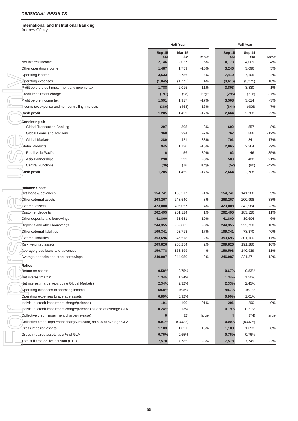# **International and Institutional Banking**

Andrew Géczy

|                                                                     | <b>Half Year</b> |                      |        | <b>Full Year</b> |               |        |  |
|---------------------------------------------------------------------|------------------|----------------------|--------|------------------|---------------|--------|--|
|                                                                     | Sep 15<br>\$M    | <b>Mar 15</b><br>\$M | Movt   | Sep 15<br>\$M    | Sep 14<br>\$Μ | Movt   |  |
| Net interest income                                                 | 2,146            | 2,027                | 6%     | 4,173            | 4,009         | 4%     |  |
| Other operating income                                              | 1,487            | 1,759                | $-15%$ | 3,246            | 3,096         | 5%     |  |
| Operating income                                                    | 3,633            | 3,786                | $-4%$  | 7,419            | 7,105         | 4%     |  |
| Operating expenses                                                  | (1, 845)         | (1,771)              | 4%     | (3,616)          | (3,275)       | 10%    |  |
| Profit before credit impairment and income tax                      | 1,788            | 2,015                | $-11%$ | 3,803            | 3,830         | $-1%$  |  |
| Credit impairment charge                                            | (197)            | (98)                 | large  | (295)            | (216)         | 37%    |  |
| Profit before income tax                                            | 1,591            | 1,917                | $-17%$ | 3,508            | 3,614         | $-3%$  |  |
| Income tax expense and non-controlling interests                    | (386)            | (458)                | $-16%$ | (844)            | (906)         | $-7%$  |  |
| Çash profit                                                         | 1,205            | 1,459                | $-17%$ | 2,664            | 2,708         | $-2%$  |  |
| Consisting of:                                                      |                  |                      |        |                  |               |        |  |
| <b>Global Transaction Banking</b>                                   | 297              | 305                  | $-3%$  | 602              | 557           | 8%     |  |
| Global Loans and Advisory                                           | 368              | 394                  | $-7%$  | 762              | 866           | $-12%$ |  |
| <b>Global Markets</b>                                               | 280              | 421                  | $-33%$ | 701              | 841           | $-17%$ |  |
| Global Products                                                     | 945              | 1,120                | $-16%$ | 2,065            | 2,264         | $-9%$  |  |
| Retail Asia Pacific                                                 | 6                | 56                   | $-89%$ | 62               | 46            | 35%    |  |
| Asia Partnerships                                                   | 290              | 299                  | $-3%$  | 589              | 488           | 21%    |  |
| <b>Central Functions</b>                                            | (36)             | (16)                 | large  | (52)             | (90)          | $-42%$ |  |
| Cash profit                                                         | 1,205            | 1,459                | $-17%$ | 2,664            | 2,708         | $-2%$  |  |
| <b>Balance Sheet</b>                                                |                  |                      |        |                  |               |        |  |
| Net loans & advances                                                | 154,741          | 156,517              | $-1%$  | 154,741          | 141,986       | 9%     |  |
| Other external assets                                               | 268,267          | 248,540              | 8%     | 268,267          | 200,998       | 33%    |  |
| <b>External assets</b>                                              | 423,008          | 405,057              | 4%     | 423,008          | 342,984       | 23%    |  |
| Customer deposits                                                   | 202,495          | 201,124              | $1\%$  | 202,495          | 183,126       | 11%    |  |
| Other deposits and borrowings                                       | 41,860           | 51,681               | $-19%$ | 41,860           | 39,604        | 6%     |  |
| Deposits and other borrowings                                       | 244,355          | 252,805              | $-3%$  | 244,355          | 222,730       | 10%    |  |
| Other external liabilities                                          | 109,341          | 93,713               | 17%    | 109,341          | 78,370        | 40%    |  |
| <b>External liabilities</b>                                         | 353,696          | 346,518              | 2%     | 353,696          | 301,100       | 17%    |  |
| Risk weighted assets                                                | 209,826          | 206,254              | 2%     | 209,826          | 191,286       | 10%    |  |
| Average gross loans and advances                                    | 159,778          | 153,399              | 4%     | 156,598          | 140,939       | 11%    |  |
| Average deposits and other borrowings                               | 249,907          | 244,050              | 2%     | 246,987          | 221,371       | 12%    |  |
| Ratios                                                              |                  |                      |        |                  |               |        |  |
| Return on assets                                                    | 0.58%            | 0.75%                |        | 0.67%            | 0.83%         |        |  |
| Net interest margin                                                 | 1.34%            | 1.34%                |        | 1.34%            | 1.50%         |        |  |
| Net interest margin (excluding Global Markets)                      | 2.34%            | 2.32%                |        | 2.33%            | 2.45%         |        |  |
| Operating expenses to operating income                              | 50.8%            | 46.8%                |        | 48.7%            | 46.1%         |        |  |
| Operating expenses to average assets                                | 0.89%            | 0.92%                |        | 0.90%            | 1.01%         |        |  |
| Individual credit impairment charge/(release)                       | 191              | 100                  | 91%    | 291              | 290           | $0\%$  |  |
| Individual credit impairment charge/(release) as a % of average GLA | 0.24%            | 0.13%                |        | 0.19%            | 0.21%         |        |  |
| Collective credit impairment charge/(release)                       | 6                | (2)                  | large  | 4                | (74)          | large  |  |
| Collective credit impairment charge/(release) as a % of average GLA | 0.01%            | $(0.00\%)$           |        | $0.00\%$         | $(0.05\%)$    |        |  |
| Gross impaired assets                                               | 1,183            | 1,021                | 16%    | 1,183            | 1,093         | 8%     |  |
| Gross impaired assets as a % of GLA                                 | 0.76%            | 0.65%                |        | 0.76%            | 0.76%         |        |  |
| Total full time equivalent staff (FTE)                              | 7,578            | 7,785                | $-3%$  | 7,578            | 7,749         | $-2%$  |  |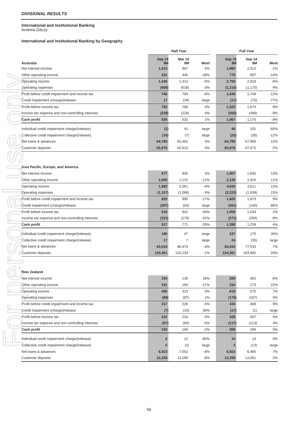# **International and Institutional Banking by Geography**

|                                                  |                         | <b>Half Year</b>     |        | <b>Full Year</b> |               |        |  |
|--------------------------------------------------|-------------------------|----------------------|--------|------------------|---------------|--------|--|
| <b>Australia</b>                                 | Sep 15<br>\$M           | <b>Mar 15</b><br>\$Μ | Movt   | Sep 15<br>\$M    | Sep 14<br>\$Μ | Movt   |  |
| Net interest income                              | 1,015                   | 967                  | 5%     | 1,982            | 2,012         | $-1%$  |  |
| Other operating income                           | 331                     | 445                  | $-26%$ | 776              | 907           | $-14%$ |  |
| Operating income                                 | 1,346                   | 1,412                | $-5%$  | 2,758            | 2,919         | $-6%$  |  |
| Operating expenses                               | (600)                   | (618)                | $-3%$  | (1,218)          | (1, 170)      | 4%     |  |
| Profit before credit impairment and income tax   | 746                     | 794                  | $-6%$  | 1,540            | 1,749         | $-12%$ |  |
| Credit impairment (charge)/release               | 17                      | (34)                 | large  | (17)             | (75)          | $-77%$ |  |
| Profit before income tax                         | 763                     | 760                  | $0\%$  | 1,523            | 1,674         | $-9%$  |  |
| Income tax expense and non-controlling interests | (228)                   | (228)                | $0\%$  | (456)            | (499)         | $-9%$  |  |
| Cash profit                                      | 535                     | 532                  | 1%     | 1,067            | 1,175         | $-9%$  |  |
| Individual credit impairment charge/(release)    | (1)                     | 41                   | large  | 40               | 101           | $-60%$ |  |
| Collective credit impairment charge/(release)    | (16)                    | (7)                  | large  | (23)             | (26)          | $-12%$ |  |
| Net loans & advances                             | 64,785                  | 62,491               | 4%     | 64,785           | 57,968        | 12%    |  |
| Customer deposits                                | 65,876                  | 62,610               | 5%     | 65,876           | 67,072        | $-2%$  |  |
|                                                  |                         |                      |        |                  |               |        |  |
| Asia Pacific, Europe, and America                |                         |                      |        |                  |               |        |  |
| Net interest income                              | 977                     | 930                  | 5%     | 1,907            | 1,695         | 13%    |  |
| Other operating income                           | 1,005                   | 1,131                | $-11%$ | 2,136            | 1,916         | 11%    |  |
| Operating income                                 | 1,982                   | 2,061                | $-4%$  | 4,043            | 3,611         | 12%    |  |
| Operating expenses                               | (1, 157)                | (1,066)              | 9%     | (2, 223)         | (1,938)       | 15%    |  |
| Profit before credit impairment and income tax   | 825                     | 995                  | $-17%$ | 1,820            | 1,673         | 9%     |  |
| Credit impairment (charge)/release               | (207)                   | (54)                 | large  | (261)            | (140)         | 86%    |  |
| Profit before income tax                         | 618                     | 941                  | $-34%$ | 1,559            | 1,533         | 2%     |  |
| Income tax expense and non-controlling interests | (101)                   | (170)                | $-41%$ | (271)            | (294)         | $-8%$  |  |
| Cash profit                                      | 517                     | 771                  | $-33%$ | 1,288            | 1,239         | 4%     |  |
| Individual credit impairment charge/(release)    | 190                     | 47                   | large  | 237              | 175           | 35%    |  |
| Collective credit impairment charge/(release)    | 17                      | 7                    | large  | 24               | (35)          | large  |  |
| Net loans & advances                             | 83,033                  | 86,474               | $-4%$  | 83,033           | 77,533        | 7%     |  |
| Customer deposits                                | 124,361                 | 125,234              | $-1%$  | 124,361          | 103,992       | 20%    |  |
|                                                  |                         |                      |        |                  |               |        |  |
| <b>New Zealand</b>                               |                         |                      |        |                  |               |        |  |
| Net interest income                              | 154                     | 130                  | 18%    | 284              | 302           | $-6%$  |  |
| Other operating income                           | 151                     | 183                  | $-17%$ | 334              | 273           | 22%    |  |
| Operating income                                 | 305                     | 313                  | $-3%$  | 618              | 575           | 7%     |  |
| Operating expenses                               | (88)                    | (87)                 | $1\%$  | (175)            | (167)         | 5%     |  |
| Profit before credit impairment and income tax   | 217                     | 226                  | $-4%$  | 443              | 408           | 9%     |  |
| Credit impairment (charge)/release               | (7)                     | (10)                 | $-30%$ | (17)             | (1)           | large  |  |
| Profit before income tax                         | 210                     | 216                  | $-3%$  | 426              | 407           | 5%     |  |
| Income tax expense and non-controlling interests | (57)                    | (60)                 | $-5%$  | (117)            | (113)         | 4%     |  |
| Cash profit                                      | 153                     | 156                  | $-2%$  | 309              | 294           | 5%     |  |
| Individual credit impairment charge/(release)    | $\overline{\mathbf{2}}$ | 12                   | -83%   | 14               | 14            | 0%     |  |
| Collective credit impairment charge/(release)    | 5                       | (2)                  | large  |                  | (13)          | large  |  |
| Net loans & advances                             | 6,923                   | 7,552                | $-8%$  | 6,923            | 6,485         | 7%     |  |
| Customer deposits                                | 12,258                  | 13,280               | $-8%$  | 12,258           | 12,061        | 2%     |  |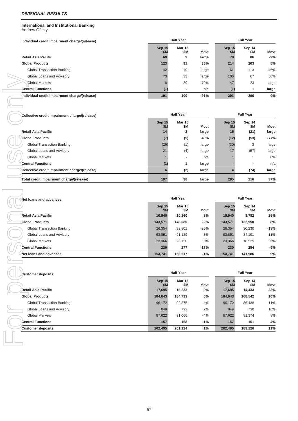| Individual credit impairment charge/(release) |               | <b>Half Year</b>     |        | <b>Full Year</b> |               |        |  |
|-----------------------------------------------|---------------|----------------------|--------|------------------|---------------|--------|--|
|                                               | Sep 15<br>\$M | <b>Mar 15</b><br>\$M | Movt   | Sep 15<br>\$M    | Sep 14<br>\$M | Movt   |  |
| <b>Retail Asia Pacific</b>                    | 69            | 9                    | large  | 78               | 86            | $-9%$  |  |
| <b>Global Products</b>                        | 123           | 91                   | 35%    | 214              | 203           | 5%     |  |
| <b>Global Transaction Banking</b>             | 42            | 19                   | large  | 61               | 113           | $-46%$ |  |
| Global Loans and Advisory                     | 73            | 33                   | large  | 106              | 67            | 58%    |  |
| Global Markets                                | 8             | 39                   | $-79%$ | 47               | 23            | large  |  |
| <b>Central Functions</b>                      | (1)           | ۰                    | n/a    | (1)              | 1             | large  |  |
| Individual credit impairment charge/(release) | 191           | 100                  | 91%    | 291              | 290           | 0%     |  |

| Global Loans and Advisory                     | 73            | 33                    | large         | 106           | 67               | 58%           |
|-----------------------------------------------|---------------|-----------------------|---------------|---------------|------------------|---------------|
| <b>Global Markets</b>                         | 8             | 39                    | $-79%$        | 47            | 23               | large         |
| <b>Central Functions</b>                      | (1)           | $\blacksquare$        | n/a           | (1)           | $\mathbf{1}$     | large         |
| Individual credit impairment charge/(release) | 191           | 100                   | 91%           | 291           | 290              | 0%            |
|                                               |               |                       |               |               |                  |               |
| Collective credit impairment charge/(release) |               | <b>Half Year</b>      |               |               | <b>Full Year</b> |               |
|                                               | Sep 15        | <b>Mar 15</b>         |               | <b>Sep 15</b> | Sep 14           |               |
| <b>Retail Asia Pacific</b>                    | \$M<br>14     | \$Μ<br>$\overline{2}$ | Movt<br>large | \$M<br>16     | \$M<br>(21)      | Movt<br>large |
| <b>Global Products</b>                        | (7)           | (5)                   | 40%           | (12)          | (53)             | $-77%$        |
| <b>Global Transaction Banking</b>             | (29)          | (1)                   | large         | (30)          | 3                | large         |
| Global Loans and Advisory                     | 21            | (4)                   | large         | 17            | (57)             | large         |
| <b>Global Markets</b>                         | 1             |                       | n/a           |               | $\mathbf{1}$     | $0\%$         |
| <b>Central Functions</b>                      | (1)           | $\mathbf{1}$          | large         |               |                  | n/a           |
| Collective credit impairment charge/(release) | 6             | (2)                   | large         | 4             | (74)             | large         |
| Total credit impairment charge/(release)      | 197           | 98                    | large         | 295           | 216              | 37%           |
| Net loans and advances                        |               | <b>Half Year</b>      |               |               | <b>Full Year</b> |               |
|                                               | Sep 15        | <b>Mar 15</b>         |               | Sep 15        | Sep 14           |               |
| Retail Asia Pacific                           | \$M<br>10,940 | \$M<br>10,160         | Movt<br>8%    | \$M<br>10,940 | \$Μ<br>8,782     | Movt<br>25%   |
| <b>Global Products</b>                        | 143,571       | 146,080               | $-2%$         | 143,571       | 132,950          | 8%            |
| <b>Global Transaction Banking</b>             | 26,354        | 32,801                | $-20%$        | 26,354        | 30,230           | $-13%$        |
| Global Loans and Advisory                     | 93,851        | 91,129                | 3%            | 93,851        | 84,191           | 11%           |
| <b>Global Markets</b>                         | 23,366        | 22,150                | 5%            | 23,366        | 18,529           | 26%           |
| <b>Central Functions</b>                      | 230           | 277                   | $-17%$        | 230           | 254              | $-9%$         |
| Net loans and advances                        | 154,741       | 156,517               | $-1%$         | 154,741       | 141,986          | 9%            |
|                                               |               |                       |               |               |                  |               |
| <b>Customer deposits</b>                      |               | <b>Half Year</b>      |               |               | <b>Full Year</b> |               |
|                                               | Sep 15<br>\$M | <b>Mar 15</b><br>\$Μ  | Movt          | Sep 15<br>\$M | Sep 14<br>\$Μ    | Movt          |
| Retail Asia Pacific                           | 17,695        | 16,233                | 9%            | 17,695        | 14,433           | 23%           |
| <b>Global Products</b>                        | 184,643       | 184,733               | 0%            | 184,643       | 168,542          | 10%           |
| <b>Global Transaction Banking</b>             | 96,172        | 92,875                | 4%            | 96,172        | 86,438           | 11%           |
| Global Loans and Advisory                     | 849           | 792                   | 7%            | 849           | 730              | 16%           |
|                                               | 87,622        | 91,066                | $-4%$         | 87,622        | 81,374           | 8%            |
| Global Markets                                |               |                       |               |               |                  |               |
| <b>Central Functions</b>                      | 157           | 158                   | $-1%$         | 157           | 151              | 4%            |

| Net loans and advances            |               | <b>Half Year</b>     |        | <b>Full Year</b> |               |        |  |
|-----------------------------------|---------------|----------------------|--------|------------------|---------------|--------|--|
|                                   | Sep 15<br>\$M | <b>Mar 15</b><br>\$M | Movt   | Sep 15<br>\$M    | Sep 14<br>\$M | Movt   |  |
| Retail Asia Pacific               | 10,940        | 10,160               | 8%     | 10,940           | 8,782         | 25%    |  |
| <b>Global Products</b>            | 143,571       | 146.080              | $-2%$  | 143.571          | 132,950       | 8%     |  |
| <b>Global Transaction Banking</b> | 26,354        | 32,801               | $-20%$ | 26.354           | 30,230        | $-13%$ |  |
| Global Loans and Advisory         | 93,851        | 91,129               | 3%     | 93,851           | 84.191        | 11%    |  |
| <b>Global Markets</b>             | 23,366        | 22.150               | 5%     | 23,366           | 18,529        | 26%    |  |
| <b>Central Functions</b>          | 230           | 277                  | $-17%$ | 230              | 254           | $-9%$  |  |
| Net loans and advances            | 154,741       | 156.517              | $-1%$  | 154,741          | 141,986       | 9%     |  |

| <b>Customer deposits</b>   |                         | <b>Half Year</b>               |            | <b>Full Year</b>        |                         |             |  |
|----------------------------|-------------------------|--------------------------------|------------|-------------------------|-------------------------|-------------|--|
| Retail Asia Pacific        | Sep 15<br>\$M<br>17,695 | <b>Mar 15</b><br>\$M<br>16,233 | Movt<br>9% | Sep 15<br>\$M<br>17,695 | Sep 14<br>\$M<br>14,433 | Movt<br>23% |  |
| <b>Global Products</b>     | 184,643                 | 184,733                        | 0%         | 184,643                 | 168,542                 | 10%         |  |
| Global Transaction Banking | 96,172                  | 92.875                         | 4%         | 96,172                  | 86,438                  | 11%         |  |
| Global Loans and Advisory  | 849                     | 792                            | 7%         | 849                     | 730                     | 16%         |  |
| <b>Global Markets</b>      | 87,622                  | 91.066                         | $-4%$      | 87,622                  | 81,374                  | 8%          |  |
| <b>Central Functions</b>   | 157                     | 158                            | $-1%$      | 157                     | 151                     | 4%          |  |
| <b>Customer deposits</b>   | 202,495                 | 201,124                        | 1%         | 202.495                 | 183.126                 | 11%         |  |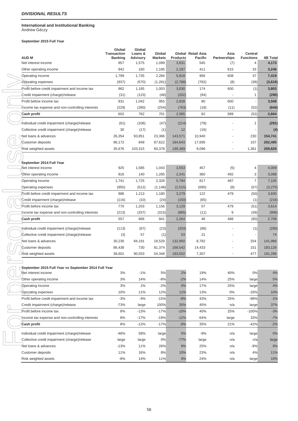# **September 2015 Full Year**

|  | <b>AUD M</b>                                         | Global<br><b>Transaction</b><br>Banking | Global<br>Loans &<br><b>Advisory</b> | Global<br><b>Markets</b> | <b>Products</b> | Global Retail Asia<br><b>Pacific</b> | Asia<br><b>Partnerships</b> | <b>Central</b><br><b>Functions</b> | <b>IIB Total</b> |
|--|------------------------------------------------------|-----------------------------------------|--------------------------------------|--------------------------|-----------------|--------------------------------------|-----------------------------|------------------------------------|------------------|
|  | Net interest income                                  | 957                                     | 1,575                                | 1,099                    | 3,631           | 545                                  | (7)                         | 4                                  | 4,173            |
|  | Other operating income                               | 842                                     | 160                                  | 1,185                    | 2,187           | 411                                  | 615                         | 33                                 | 3,246            |
|  | Operating income                                     | 1,799                                   | 1,735                                | 2,284                    | 5,818           | 956                                  | 608                         | 37                                 | 7,419            |
|  | Operating expenses                                   | (937)                                   | (570)                                | (1, 281)                 | (2,788)         | (782)                                | (8)                         | (38)                               | (3,616)          |
|  | Profit before credit impairment and income tax       | 862                                     | 1,165                                | 1,003                    | 3,030           | 174                                  | 600                         | (1)                                | 3,803            |
|  | Credit impairment (charge)/release                   | (31)                                    | (123)                                | (48)                     | (202)           | (94)                                 |                             | 1                                  | (295)            |
|  | Profit before income tax                             | 831                                     | 1,042                                | 955                      | 2,828           | 80                                   | 600                         |                                    | 3,508            |
|  | Income tax expense and non-controlling interests     | (229)                                   | (280)                                | (254)                    | (763)           | (18)                                 | (11)                        | (52)                               | (844)            |
|  | Cash profit                                          | 602                                     | 762                                  | 701                      | 2,065           | 62                                   | 589                         | (52)                               | 2,664            |
|  | Individual credit impairment (charge)/release        | (61)                                    | (106)                                | (47)                     | (214)           | (78)                                 |                             | 1                                  | (291)            |
|  | Collective credit impairment (charge)/release        | 30                                      | (17)                                 | (1)                      | 12              | (16)                                 |                             |                                    | (4)              |
|  | Net loans & advances                                 | 26,354                                  | 93,851                               | 23,366                   | 143,571         | 10,940                               |                             | 230                                | 154,741          |
|  | Customer deposits                                    | 96,172                                  | 849                                  | 87,622                   | 184,643         | 17,695                               |                             | 157                                | 202,495          |
|  | Risk weighted assets                                 | 35,676                                  | 103,315                              | 60,378                   | 199,369         | 9,096                                |                             | 1,361                              | 209,826          |
|  |                                                      |                                         |                                      |                          |                 |                                      |                             |                                    |                  |
|  | September 2014 Full Year                             |                                         |                                      |                          |                 |                                      |                             |                                    |                  |
|  | Net interest income                                  | 925                                     | 1,585                                | 1,043                    | 3,553           | 457                                  | (5)                         | 4                                  | 4,009            |
|  | Other operating income                               | 816                                     | 140                                  | 1,285                    | 2,241           | 360                                  | 492                         | 3                                  | 3,096            |
|  | Operating income                                     | 1,741                                   | 1,725                                | 2,328                    | 5,794           | 817                                  | 487                         | $\overline{7}$                     | 7,105            |
|  | Operating expenses                                   | (855)                                   | (512)                                | (1, 148)                 | (2, 515)        | (695)                                | (8)                         | (57)                               | (3, 275)         |
|  | Profit before credit impairment and income tax       | 886                                     | 1,213                                | 1,180                    | 3,279           | 122                                  | 479                         | (50)                               | 3,830            |
|  | Credit impairment (charge)/release                   | (116)                                   | (10)                                 | (24)                     | (150)           | (65)                                 |                             | (1)                                | (216)            |
|  | Profit before income tax                             | 770                                     | 1,203                                | 1,156                    | 3,129           | 57                                   | 479                         | (51)                               | 3,614            |
|  | Income tax expense and non-controlling interests     | (213)                                   | (337)                                | (315)                    | (865)           | (11)                                 | 9                           | (39)                               | (906)            |
|  | Cash profit                                          | 557                                     | 866                                  | 841                      | 2,264           | 46                                   | 488                         | (90)                               | 2,708            |
|  | Individual credit impairment (charge)/release        | (113)                                   | (67)                                 | (23)                     | (203)           | (86)                                 |                             | (1)                                | (290)            |
|  | Collective credit impairment (charge)/release        | (3)                                     | 57                                   | (1)                      | 53              | 21                                   |                             |                                    | 74               |
|  | Net loans & advances                                 | 30,230                                  | 84,191                               | 18,529                   | 132,950         | 8,782                                |                             | 254                                | 141,986          |
|  | <b>Customer deposits</b>                             | 86,438                                  | 730                                  | 81,374                   | 168,542         | 14,433                               |                             | 151                                | 183,126          |
|  | Risk weighted assets                                 | 38,601                                  | 90,553                               | 54,348                   | 183,502         | 7,307                                |                             | 477                                | 191,286          |
|  |                                                      |                                         |                                      |                          |                 |                                      |                             |                                    |                  |
|  | September 2015 Full Year vs September 2014 Full Year |                                         |                                      |                          |                 |                                      |                             |                                    |                  |
|  | Net interest income                                  | $3%$                                    | $-1%$                                | $5\%$                    | 2%              | 19%                                  | 40%                         | $0\%$                              | 4%               |
|  | Other operating income                               | 3%                                      | 14%                                  | $-8%$                    | $-2%$           | 14%                                  | 25%                         | large                              | 5%               |
|  | <b>Operating income</b>                              | 3%                                      | 1%                                   | $-2%$                    | 0%              | 17%                                  | 25%                         | large                              | 4%               |
|  | Operating expenses                                   | 10%                                     | 11%                                  | 12%                      | 11%             | 13%                                  | $0\%$                       | $-33%$                             | 10%              |
|  | Profit before credit impairment and income tax       | $-3%$                                   | $-4%$                                | $-15%$                   | $-8%$           | 43%                                  | 25%                         | $-98%$                             | $-1%$            |
|  | Credit impairment (charge)/release                   | $-73%$                                  | large                                | 100%                     | 35%             | 45%                                  | n/a                         | large                              | 37%              |
|  | Profit before income tax                             | 8%                                      | $-13%$                               | $-17%$                   | $-10%$          | 40%                                  | 25%                         | $-100%$                            | $-3%$            |
|  | Income tax expense and non-controlling interests     | 8%                                      | $-17%$                               | $-19%$                   | $-12%$          | 64%                                  | large                       | 33%                                | $-7%$            |
|  | Cash profit                                          | 8%                                      | $-12%$                               | $-17%$                   | $-9%$           | 35%                                  | 21%                         | $-42%$                             | $-2%$            |
|  | Individual credit impairment (charge)/release        |                                         |                                      |                          |                 | $-9%$                                |                             |                                    |                  |
|  | Collective credit impairment (charge)/release        | -46%                                    | 58%                                  | large<br>0%              | 5%<br>$-77%$    |                                      | n/a<br>n/a                  | large<br>n/a                       | 0%               |
|  | Net loans & advances                                 | large<br>$-13%$                         | large<br>11%                         | 26%                      | 8%              | large<br>25%                         | n/a                         | $-9%$                              | large<br>9%      |
|  | Customer deposits                                    | 11%                                     | 16%                                  | 8%                       | 10%             | 23%                                  | n/a                         | 4%                                 | 11%              |
|  | Risk weighted assets                                 | $-8%$                                   | 14%                                  | 11%                      | 9%              | 24%                                  | n/a                         | large                              | 10%              |
|  |                                                      |                                         |                                      |                          |                 |                                      |                             |                                    |                  |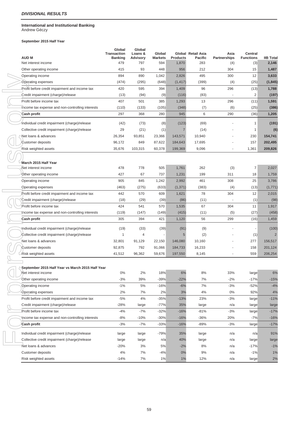# **September 2015 Half Year**

| <b>AUD M</b>                                     | Global<br><b>Transaction</b><br>Banking | Global<br>Loans &<br><b>Advisory</b> | Global<br><b>Markets</b> | <b>Products</b> | Global Retail Asia<br><b>Pacific</b> | Asia<br><b>Partnerships</b> | <b>Central</b><br><b>Functions</b> | <b>IIB Total</b> |
|--------------------------------------------------|-----------------------------------------|--------------------------------------|--------------------------|-----------------|--------------------------------------|-----------------------------|------------------------------------|------------------|
| Net interest income                              | 479                                     | 797                                  | 594                      | 1,870           | 283                                  | (4)                         | (3)                                | 2,146            |
| Other operating income                           | 415                                     | 93                                   | 448                      | 956             | 212                                  | 304                         | 15                                 | 1,487            |
| Operating income                                 | 894                                     | 890                                  | 1,042                    | 2,826           | 495                                  | 300                         | 12                                 | 3,633            |
| <b>Operating expenses</b>                        | (474)                                   | (295)                                | (648)                    | (1, 417)        | (399)                                | (4)                         | (25)                               | (1, 845)         |
| Profit before credit impairment and income tax   | 420                                     | 595                                  | 394                      | 1,409           | 96                                   | 296                         | (13)                               | 1,788            |
| Credit impairment (charge)/release               | (13)                                    | (94)                                 | (9)                      | (116)           | (83)                                 |                             | 2                                  | (197)            |
| Profit before income tax                         | 407                                     | 501                                  | 385                      | 1,293           | 13                                   | 296                         | (11)                               | 1,591            |
| Income tax expense and non-controlling interests | (110)                                   | (133)                                | (105)                    | (348)           | (7)                                  | (6)                         | (25)                               | (386)            |
| Cash profit                                      | 297                                     | 368                                  | 280                      | 945             | 6                                    | 290                         | (36)                               | 1,205            |
| Individual credit impairment (charge)/release    | (42)                                    | (73)                                 | (8)                      | (123)           | (69)                                 |                             | 1                                  | (191)            |
| Collective credit impairment (charge)/release    | 29                                      | (21)                                 | (1)                      | $\overline{7}$  | (14)                                 |                             | 1                                  | (6)              |
| Net loans & advances                             | 26,354                                  | 93,851                               | 23,366                   | 143,571         | 10,940                               |                             | 230                                | 154,741          |
| Customer deposits                                | 96,172                                  | 849                                  | 87,622                   | 184,643         | 17,695                               |                             | 157                                | 202,495          |
| Risk weighted assets                             | 35,676                                  | 103,315                              | 60,378                   | 199,369         | 9,096                                |                             | 1,361                              | 209,826          |
|                                                  |                                         |                                      |                          |                 |                                      |                             |                                    |                  |
| March 2015 Half Year                             |                                         |                                      |                          |                 |                                      |                             |                                    |                  |
| Net interest income                              | 478                                     | 778                                  | 505                      | 1,761           | 262                                  | (3)                         | $\overline{7}$                     | 2,027            |
| Other operating income                           | 427                                     | 67                                   | 737                      | 1,231           | 199                                  | 311                         | 18                                 | 1,759            |
| Operating income                                 | 905                                     | 845                                  | 1,242                    | 2,992           | 461                                  | 308                         | 25                                 | 3,786            |
| Operating expenses                               | (463)                                   | (275)                                | (633)                    | (1, 371)        | (383)                                | (4)                         | (13)                               | (1, 771)         |
| Profit before credit impairment and income tax   | 442                                     | 570                                  | 609                      | 1,621           | 78                                   | 304                         | 12                                 | 2,015            |
| Credit impairment (charge)/release               | (18)                                    | (29)                                 | (39)                     | (86)            | (11)                                 |                             | (1)                                | (98)             |
| Profit before income tax                         | 424                                     | 541                                  | 570                      | 1,535           | 67                                   | 304                         | 11                                 | 1,917            |
| Income tax expense and non-controlling interests | (119)                                   | (147)                                | (149)                    | (415)           | (11)                                 | (5)                         | (27)                               | (458)            |
| Cash profit                                      | 305                                     | 394                                  | 421                      | 1,120           | 56                                   | 299                         | (16)                               | 1,459            |
| Individual credit impairment (charge)/release    | (19)                                    | (33)                                 | (39)                     | (91)            | (9)                                  |                             |                                    | (100)            |
| Collective credit impairment (charge)/release    | 1                                       | 4                                    |                          | 5               | (2)                                  |                             | (1)                                | $\overline{2}$   |
| Net loans & advances                             | 32,801                                  | 91,129                               | 22,150                   | 146,080         | 10,160                               |                             | 277                                | 156,517          |
| <b>Customer deposits</b>                         | 92,875                                  | 792                                  | 91,066                   | 184,733         | 16,233                               |                             | 158                                | 201,124          |
| Risk weighted assets                             | 41,512                                  | 96,362                               | 59,676                   | 197,550         | 8,145                                |                             | 559                                | 206,254          |
|                                                  |                                         |                                      |                          |                 |                                      |                             |                                    |                  |
| September 2015 Half Year vs March 2015 Half Year |                                         |                                      |                          |                 |                                      |                             |                                    |                  |
| Net interest income                              | $0\%$                                   | 2%                                   | 18%                      | 6%              | $8%$                                 | 33%                         | large                              | 6%               |
| Other operating income                           | $-3%$                                   | 39%                                  | $-39%$                   | $-22%$          | 7%                                   | $-2%$                       | $-17%$                             | $-15%$           |
| <b>Operating income</b>                          | $-1%$                                   | 5%                                   | $-16%$                   | $-6%$           | 7%                                   | $-3%$                       | $-52%$                             | $-4%$            |
| Operating expenses                               | 2%                                      | 7%                                   | 2%                       | 3%              | 4%                                   | $0\%$                       | 92%                                | 4%               |
| Profit before credit impairment and income tax   | $-5%$                                   | 4%                                   | $-35%$                   | $-13%$          | 23%                                  | $-3%$                       | large                              | $-11%$           |
| Credit impairment (charge)/release               | -28%                                    | large                                | $-77%$                   | 35%             | large                                | n/a                         | large                              | large            |
| Profit before income tax                         | $-4%$                                   | $-7%$                                | $-32%$                   | $-16%$          | $-81%$                               | $-3%$                       | large                              | $-17%$           |
| Income tax expense and non-controlling interests | -8%                                     | $-10%$                               | $-30%$                   | $-16%$          | -36%                                 | 20%                         | $-7%$                              | $-16%$           |
| Cash profit                                      | $-3%$                                   | $-7%$                                | $-33%$                   | $-16%$          | $-89%$                               | $-3%$                       | large                              | $-17%$           |
|                                                  |                                         |                                      |                          |                 |                                      |                             |                                    |                  |
| Individual credit impairment (charge)/release    | large                                   | large                                | $-79%$                   | 35%             | large                                | n/a                         | n/a                                | 91%              |
| Collective credit impairment (charge)/release    | large                                   | large                                | n/a                      | 40%             | large                                | n/a                         | large                              | large            |
| Net loans & advances                             | -20%                                    | 3%                                   | 5%                       | $-2%$           | 8%                                   | n/a                         | $-17%$                             | $-1%$            |
| Customer deposits                                | 4%                                      | $7\%$                                | $-4%$                    | 0%              | 9%                                   | n/a                         | $-1%$                              | 1%               |
| Risk weighted assets                             | $-14%$                                  | 7%                                   | $1\%$                    | 1%              | 12%                                  | n/a                         | large                              | 2%               |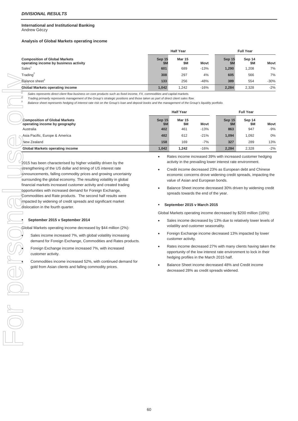# **Analysis of Global Markets operating income**

|                                                                               |               | <b>Half Year</b>     |        | <b>Full Year</b>    |               |        |  |
|-------------------------------------------------------------------------------|---------------|----------------------|--------|---------------------|---------------|--------|--|
| <b>Composition of Global Markets</b><br>operating income by business activity | Sep 15<br>\$M | <b>Mar 15</b><br>\$M | Movt   | Sep 15<br><b>SM</b> | Sep 14<br>\$M | Movt   |  |
| Sales <sup>1</sup>                                                            | 601           | 689                  | $-13%$ | 1.290               | 1,208         | 7%     |  |
| $\text{Trading}^2$                                                            | 308           | 297                  | 4%     | 605                 | 566           | 7%     |  |
| Balance sheet <sup>3</sup>                                                    | 133           | 256                  | $-48%$ | 389                 | 554           | $-30%$ |  |
| <b>Global Markets operating income</b>                                        | 1.042         | 1.242                | $-16%$ | 2,284               | 2,328         | $-2%$  |  |

Sales represents direct client flow business on core products such as fixed income, FX, commodities and capital markets.<br>Trading primarily represents management of the Group's strategic positions and those taken as part of

| --                                                                    |               | <b>Half Year</b>     |        | <b>Full Year</b> |               |       |  |
|-----------------------------------------------------------------------|---------------|----------------------|--------|------------------|---------------|-------|--|
| <b>Composition of Global Markets</b><br>operating income by geography | Sep 15<br>\$M | <b>Mar 15</b><br>\$M | Movt   | Sep 15<br>\$M    | Sep 14<br>\$M | Movt  |  |
| Australia                                                             | 402           | 461                  | $-13%$ | 863              | 947           | $-9%$ |  |
| Asia Pacific, Europe & America                                        | 482           | 612                  | $-21%$ | 1.094            | 1,092         | 0%    |  |
| New Zealand                                                           | 158           | 169                  | $-7%$  | 327              | 289           | 13%   |  |
| Global Markets operating income                                       | 1.042         | 1.242                | $-16%$ | 2,284            | 2,328         | $-2%$ |  |

2015 has been characterised by higher volatility driven by the strengthening of the US dollar and timing of US interest rate announcements, falling commodity prices and growing uncertainty surrounding the global economy. The resulting volatility in global financial markets increased customer activity and created trading opportunities with increased demand for Foreign Exchange, Commodities and Rate products. The second half results were impacted by widening of credit spreads and significant market dislocation in the fourth quarter.

# **September 2015 v September 2014**

Global Markets operating income decreased by \$44 million (2%):

 Sales income increased 7%, with global volatility increasing demand for Foreign Exchange, Commodities and Rates products.

 Foreign Exchange income increased 7%, with increased customer activity.

gold from Asian clients and falling commodity prices.

- Rates income increased 39% with increased customer hedging activity in the prevailing lower interest rate environment.
- Credit income decreased 23% as European debt and Chinese economic concerns drove widening credit spreads, impacting the value of Asian and European bonds.
- Balance Sheet income decreased 30% driven by widening credit spreads towards the end of the year.

# **September 2015 v March 2015**

Global Markets operating income decreased by \$200 million (16%):

- Sales income decreased by 13% due to relatively lower levels of volatility and customer seasonality.
- Foreign Exchange income decreased 13% impacted by lower customer activity.
- Rates income decreased 27% with many clients having taken the opportunity of the low interest rate environment to lock in their hedging profiles in the March 2015 half.
- Balance Sheet income decreased 48% and Credit income decreased 28% as credit spreads widened.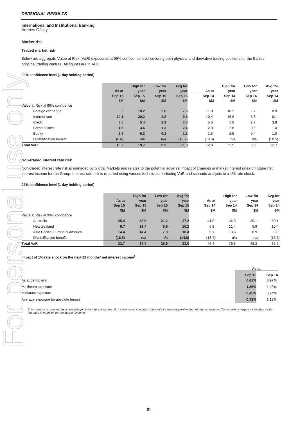# *DIVISIONAL RESULTS*

# **International and Institutional Banking**  Andrew Géczy

# **Market risk**

# **Traded market risk**

Below are aggregate Value at Risk (VaR) exposures at 99% confidence level covering both physical and derivative trading positions for the Bank's principal trading centres. All figures are in AUD.

# **99% confidence level (1 day holding period)**

|                                 | As at  | High for<br>year | Low for<br>year | Avg for<br>year | As at  | High for<br>vear | Low for<br>year | Avg for<br>year |
|---------------------------------|--------|------------------|-----------------|-----------------|--------|------------------|-----------------|-----------------|
|                                 | Sep 15 | Sep 15           | Sep 15          | Sep 15          | Sep 14 | Sep 14           | Sep 14          | Sep 14          |
|                                 | \$M    | \$M              | <b>\$M</b>      | \$M             | \$M    | \$M              | \$M             | \$M             |
| Value at Risk at 99% confidence |        |                  |                 |                 |        |                  |                 |                 |
| Foreign exchange                | 5.0    | 18.2             | 2.8             | 7.9             | 11.9   | 18.5             | 1.7             | 8.9             |
| Interest rate                   | 10.1   | 20.2             | 4.8             | 9.3             | 10.4   | 16.6             | 3.8             | 8.1             |
| Credit                          | 3.5    | 5.4              | 2.9             | 3.8             | 5.8    | 5.8              | 2.7             | 3.8             |
| Commodities                     | 1.6    | 3.6              | 1.3             | 2.4             | 2.0    | 2.8              | 0.9             | 1.4             |
| Equity                          | 2.5    | 6.3              | 0.1             | 1.1             | 1.3    | 2.5              | 0.4             | 1.0             |
| Diversification benefit         | (6.0)  | n/a              | n/a             | (13.2)          | (18.6) | n/a              | n/a             | (10.5)          |
| <b>∦otal VaR</b>                | 16.7   | 19.7             | 6.9             | 11.3            | 12.8   | 22.9             | 5.5             | 12.7            |

# **Non-traded interest rate risk**

Non-traded interest rate risk is managed by Global Markets and relates to the potential adverse impact of changes in market interest rates on future net interest income for the Group. Interest rate risk is reported using various techniques including VaR and scenario analysis to a 1% rate shock.

#### **99% confidence level (1 day holding period)**

|                                 | As at         | <b>High for</b><br>year | Low for<br>year | Avg for<br>year | As at         | High for<br>year | Low for<br>vear | Avg for<br>year |
|---------------------------------|---------------|-------------------------|-----------------|-----------------|---------------|------------------|-----------------|-----------------|
|                                 | Sep 15<br>\$M | Sep 15<br>\$M           | Sep 15<br>\$M   | Sep 15<br>\$M   | Sep 14<br>\$M | Sep 14<br>\$M    | Sep 14<br>\$M   | Sep 14<br>\$M   |
| Value at Risk at 99% confidence |               |                         |                 |                 |               |                  |                 |                 |
| Australia                       | 25.4          | 38.5                    | 21.2            | 27.2            | 41.8          | 64.5             | 39.1            | 50.1            |
| New Zealand                     | 9.7           | 11.4                    | 8.9             | 10.2            | 8.9           | 11.4             | 8.9             | 10.4            |
| Asia Pacific, Europe & America  | 14.4          | 14.4                    | 7.9             | 10.4            | 9.1           | 10.6             | 8.9             | 9.8             |
| Diversification benefit         | (16.8)        | n/a                     | n/a             | (14.8)          | (13.4)        | n/a              | n/a             | (13.7)          |
| <b>Total VaR</b>                | 32.7          | 37.4                    | 28.6            | 33.0            | 46.4          | 76.3             | 43.3            | 56.6            |

Impact of 1% rate shock on the next 12 months' net interest income<sup>1</sup>

|                                      | As at  |        |
|--------------------------------------|--------|--------|
|                                      | Sep 15 | Sep 14 |
| As at period end                     | 0.61%  | 0.97%  |
| Maximum exposure                     | 1.36%  | 1.48%  |
| Minimum exposure                     | 0.45%  | 0.74%  |
| Average exposure (in absolute terms) | 0.93%  | 1.12%  |

The impact is expressed as a percentage of net interest income. A positive result indicates that a rate increase is positive for net interest income. Conversely, a negative indicates a rate increase is negative for net int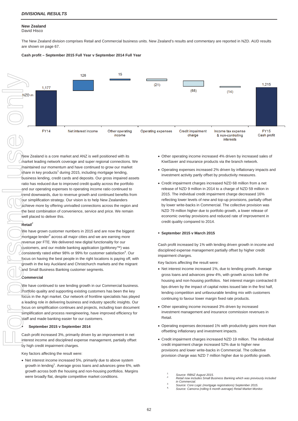The New Zealand division comprises Retail and Commercial business units. New Zealand's results and commentary are reported in NZD. AUD results are shown on page 67.

**Cash profit – September 2015 Full Year v September 2014 Full Year** 



New Zealand is a core market and ANZ is well positioned with its market leading network coverage and super regional connections. We maintained our momentum and have continued to grow our market share in key products<sup>1</sup> during 2015, including mortgage lending, business lending, credit cards and deposits. Our gross impaired assets ratio has reduced due to improved credit quality across the portfolio and our operating expenses to operating income ratio continued to trend downwards, due to revenue growth and continued benefits from our simplification strategy. Our vision is to help New Zealanders achieve more by offering unrivalled connections across the region and the best combination of convenience, service and price. We remain well placed to deliver this.

# **Retail**<sup>2</sup>

We have grown customer numbers in 2015 and are now the biggest mortgage lender<sup>3</sup> across all major cities and we are earning more revenue per FTE. We delivered new digital functionality for our customers, and our mobile banking application (goMoney™) was  $\zeta$ onsistently rated either 98% or 99% for customer satisfaction<sup>4</sup>. Our focus on having the best people in the right locations is paying off, with growth in the key Auckland and Christchurch markets and the migrant and Small Business Banking customer segments.

# **Commercial**

We have continued to see lending growth in our Commercial business. Portfolio quality and supporting existing customers has been the key focus in the Agri market. Our network of frontline specialists has played a leading role in delivering business and industry specific insights. Our focus on simplification continues and projects, including loan document simplification and process reengineering, have improved efficiency for staff and made banking easier for our customers.

# **September 2015 v September 2014**

Cash profit increased 3%, primarily driven by an improvement in net interest income and disciplined expense management, partially offset by high credit impairment charges.

Key factors affecting the result were:

 Net interest income increased 5%, primarily due to above system growth in lending<sup>1</sup>. Average gross loans and advances grew 6%, with growth across both the housing and non-housing portfolios. Margins were broadly flat, despite competitive market conditions.

- Other operating income increased 4% driven by increased sales of KiwiSaver and insurance products via the branch network.
- Operating expenses increased 2% driven by inflationary impacts and investment activity partly offset by productivity measures.
- Credit impairment charges increased NZD 68 million from a net release of NZD 9 million in 2014 to a charge of NZD 59 million in 2015. The individual credit impairment charge decreased 16% reflecting lower levels of new and top-up provisions, partially offset by lower write-backs in Commercial. The collective provision was NZD 79 million higher due to portfolio growth, a lower release of economic overlay provisions and reduced rate of improvement in credit quality compared to 2014.

# **September 2015 v March 2015**

Cash profit increased by 1% with lending driven growth in income and disciplined expense management partially offset by higher credit impairment charges.

Key factors affecting the result were:

- Net interest income increased 1%, due to lending growth. Average gross loans and advances grew 4%, with growth across both the housing and non-housing portfolios. Net interest margin contracted 8 bps driven by the impact of capital notes issued late in the first half, lending competition and unfavourable lending mix with customers continuing to favour lower margin fixed rate products.
- Other operating income increased 3% driven by increased investment management and insurance commission revenues in Retail.
- Operating expenses decreased 1% with productivity gains more than offsetting inflationary and investment impacts.
- Credit impairment charges increased NZD 19 million. The individual credit impairment charge increased 52% due to higher new provisions and lower write-backs in Commercial. The collective provision charge was NZD 7 million higher due to portfolio growth.

- *2. Retail now includes Small Business Banking which was previously included*
- *in Commercial. 3. Source: Core Logic (mortgage registrations) September 2015. 4. Source: Camorra (rolling 6 month average) Retail Market Monitor.*
- 

*<sup>1.</sup> Source: RBNZ August 2015.*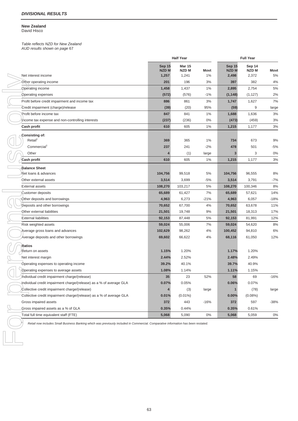*Table reflects NZD for New Zealand AUD results shown on page* 67

|                                                                                                                                    | <b>Half Year</b>       |                               |             | <b>Full Year</b>      |                        |          |  |
|------------------------------------------------------------------------------------------------------------------------------------|------------------------|-------------------------------|-------------|-----------------------|------------------------|----------|--|
|                                                                                                                                    | Sep 15<br><b>NZD M</b> | <b>Mar 15</b><br><b>NZD M</b> | Movt        | Sep 15<br><b>NZDM</b> | Sep 14<br><b>NZD M</b> | Movt     |  |
| Net interest income                                                                                                                | 1,257<br>201           | 1,241<br>196                  | 1%<br>3%    | 2,498<br>397          | 2,372<br>382           | 5%<br>4% |  |
| Other operating income                                                                                                             |                        |                               |             |                       |                        | 5%       |  |
| Operating income                                                                                                                   | 1,458<br>(572)         | 1,437<br>(576)                | 1%<br>$-1%$ | 2,895                 | 2,754<br>(1, 127)      | 2%       |  |
| Operating expenses                                                                                                                 |                        |                               |             | (1, 148)              |                        |          |  |
| Profit before credit impairment and income tax<br>Credit impairment (charge)/release                                               | 886                    | 861<br>(20)                   | 3%<br>95%   | 1,747                 | 1,627<br>9             | 7%       |  |
| Profit before income tax                                                                                                           | (39)                   |                               |             | (59)                  |                        | large    |  |
|                                                                                                                                    | 847<br>(237)           | 841<br>(236)                  | 1%<br>0%    | 1,688<br>(473)        | 1,636<br>(459)         | 3%<br>3% |  |
| Income tax expense and non-controlling interests<br>Cash profit                                                                    | 610                    | 605                           | 1%          | 1,215                 | 1,177                  | 3%       |  |
|                                                                                                                                    |                        |                               |             |                       |                        |          |  |
| <b>Consisting of:</b><br>Retail <sup>1</sup>                                                                                       | 369                    | 365                           | 1%          | 734                   | 673                    | 9%       |  |
| Commercial <sup>1</sup>                                                                                                            | 237                    | 241                           | $-2%$       | 478                   | 501                    | -5%      |  |
| Other                                                                                                                              | 4                      | (1)                           | large       | 3                     | 3                      | 0%       |  |
| Cash profit                                                                                                                        | 610                    | 605                           | 1%          | 1,215                 | 1,177                  | 3%       |  |
| <b>Balance Sheet</b>                                                                                                               |                        |                               |             |                       |                        |          |  |
| Net loans & advances                                                                                                               | 104,756                | 99,518                        | 5%          | 104,756               | 96,555                 | 8%       |  |
| Other external assets                                                                                                              | 3,514                  | 3,699                         | $-5%$       | 3,514                 | 3,791                  | -7%      |  |
| <b>External assets</b>                                                                                                             | 108,270                | 103,217                       | 5%          | 108,270               | 100,346                | 8%       |  |
| Customer deposits                                                                                                                  | 65,689                 | 61,427                        | 7%          | 65,689                | 57,621                 | 14%      |  |
| Other deposits and borrowings                                                                                                      | 4,963                  | 6,273                         | $-21%$      | 4,963                 | 6,057                  | $-18%$   |  |
| Deposits and other borrowings                                                                                                      | 70,652                 | 67,700                        | 4%          | 70,652                | 63,678                 | 11%      |  |
| Other external liabilities                                                                                                         | 21,501                 | 19,748                        | 9%          | 21,501                | 18,313                 | 17%      |  |
| <b>External liabilities</b>                                                                                                        | 92,153                 | 87,448                        | 5%          | 92,153                | 81,991                 | 12%      |  |
| Risk weighted assets                                                                                                               | 59,024                 | 55,006                        | 7%          | 59,024                | 54,620                 | 8%       |  |
| Average gross loans and advances                                                                                                   | 102,629                | 98,262                        | 4%          | 100,452               | 94,810                 | 6%       |  |
| Average deposits and other borrowings                                                                                              | 69,602                 | 66,622                        | 4%          | 68,116                | 61,050                 | 12%      |  |
| Ratios                                                                                                                             |                        |                               |             |                       |                        |          |  |
| Return on assets                                                                                                                   | 1.15%                  | 1.20%                         |             | 1.17%                 | 1.20%                  |          |  |
| Net interest margin                                                                                                                | 2.44%                  | 2.52%                         |             | 2.48%                 | 2.49%                  |          |  |
| Operating expenses to operating income                                                                                             | 39.2%                  | 40.1%                         |             | 39.7%                 | 40.9%                  |          |  |
| Operating expenses to average assets                                                                                               | 1.08%                  | 1.14%                         |             | 1.11%                 | 1.15%                  |          |  |
| Individual credit impairment charge/(release)                                                                                      | 35                     | 23                            | 52%         | 58                    | 69                     | $-16%$   |  |
| Individual credit impairment charge/(release) as a % of average GLA                                                                | 0.07%                  | 0.05%                         |             | 0.06%                 | 0.07%                  |          |  |
| Collective credit impairment charge/(release)                                                                                      | 4                      | (3)                           | large       | 1                     | (78)                   | large    |  |
| Collective credit impairment charge/(release) as a % of average GLA                                                                | 0.01%                  | $(0.01\%)$                    |             | 0.00%                 | $(0.08\%)$             |          |  |
| Gross impaired assets                                                                                                              | 372                    | 443                           | $-16%$      | 372                   | 597                    | $-38%$   |  |
| Gross impaired assets as a % of GLA                                                                                                | 0.35%                  | 0.44%                         |             | 0.35%                 | 0.61%                  |          |  |
| Total full time equivalent staff (FTE)                                                                                             | 5,068                  | 5,090                         | $0\%$       | 5,068                 | 5,059                  | 0%       |  |
| Retail now includes Small Business Banking which was previously included in Commercial. Comparative information has been restated. |                        |                               |             |                       |                        |          |  |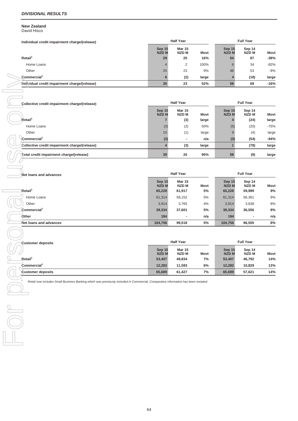# **New Zealand**

David Hisco

| Individual credit impairment charge/(release) |                        | <b>Half Year</b>       |       |                        | <b>Full Year</b> |        |  |  |
|-----------------------------------------------|------------------------|------------------------|-------|------------------------|------------------|--------|--|--|
|                                               | Sep 15<br><b>NZD M</b> | <b>Mar 15</b><br>NZD M | Movt  | Sep 15<br><b>NZD M</b> | Sep 14<br>NZD M  | Movt   |  |  |
| Retail <sup>1</sup>                           | 29                     | 25                     | 16%   | 54                     | 87               | $-38%$ |  |  |
| Home Loans                                    | 4                      | 2                      | 100%  | 6                      | 34               | $-82%$ |  |  |
| Other                                         | 25                     | 23                     | 9%    | 48                     | 53               | $-9%$  |  |  |
| Commercial <sup>1</sup>                       | 6                      | (2)                    | large | 4                      | (18)             | large  |  |  |
| Individual credit impairment charge/(release) | 35                     | 23                     | 52%   | 58                     | 69               | $-16%$ |  |  |

| Commercial <sup>1</sup>                                                                                                            | 6                                  | (2)                                | large        | 4                | (18)             | large           |  |
|------------------------------------------------------------------------------------------------------------------------------------|------------------------------------|------------------------------------|--------------|------------------|------------------|-----------------|--|
| Individual credit impairment charge/(release)                                                                                      | 35 <sup>5</sup>                    | 23                                 | 52%          | 58               | 69               | $-16%$          |  |
|                                                                                                                                    |                                    |                                    |              |                  |                  |                 |  |
|                                                                                                                                    |                                    |                                    |              |                  |                  |                 |  |
| Collective credit impairment charge/(release)                                                                                      |                                    | <b>Half Year</b>                   |              |                  | <b>Full Year</b> |                 |  |
|                                                                                                                                    | Sep 15                             | <b>Mar 15</b>                      |              | Sep 15           | Sep 14           |                 |  |
| $R$ etail $^1$                                                                                                                     | NZD <sub>M</sub><br>$\overline{7}$ | <b>NZD M</b>                       | Movt         | <b>NZDM</b><br>4 | <b>NZD M</b>     | Movt            |  |
| Home Loans                                                                                                                         | (3)                                | (3)<br>(2)                         | large<br>50% | (5)              | (24)<br>(20)     | large<br>$-75%$ |  |
| Other                                                                                                                              | 10 <sup>°</sup>                    | (1)                                | large        | 9                | (4)              | large           |  |
| $\mathbb{C}{\mathsf{ommercial}}^1$                                                                                                 | (3)                                | $\overline{\phantom{a}}$           | n/a          | (3)              | (54)             | $-94%$          |  |
| Collective credit impairment charge/(release)                                                                                      | $\overline{4}$                     | (3)                                | large        | $\mathbf{1}$     | (78)             | large           |  |
| Total credit impairment charge/(release)                                                                                           | 39                                 | 20                                 | 95%          | 59               | (9)              | large           |  |
|                                                                                                                                    |                                    |                                    |              |                  |                  |                 |  |
|                                                                                                                                    |                                    |                                    |              |                  |                  |                 |  |
| Net loans and advances                                                                                                             |                                    | <b>Half Year</b>                   |              |                  | <b>Full Year</b> |                 |  |
|                                                                                                                                    | Sep 15                             | <b>Mar 15</b>                      |              | Sep 15           | Sep 14           |                 |  |
|                                                                                                                                    | <b>NZDM</b>                        | <b>NZD M</b>                       | Movt         | <b>NZDM</b>      | <b>NZD M</b>     | Movt            |  |
| Retail <sup>1</sup>                                                                                                                | 65,228                             | 61,917                             | 5%           | 65,228           | 59,999           | 9%              |  |
| Home Loans                                                                                                                         | 61,314                             | 58,152                             | 5%           | 61,314           | 56,361           | 9%              |  |
| Other                                                                                                                              | 3,914                              | 3,765                              | 4%           | 3,914            | 3,638            | 8%              |  |
| Commercial <sup>1</sup><br>Other                                                                                                   | 39,334<br>194                      | 37,601<br>$\overline{\phantom{a}}$ | 5%           | 39,334<br>194    | 36,556           | 8%              |  |
| Net loans and advances                                                                                                             | 104,756                            | 99,518                             | n/a<br>5%    | 104,756          | 96,555           | n/a<br>8%       |  |
|                                                                                                                                    |                                    |                                    |              |                  |                  |                 |  |
|                                                                                                                                    |                                    |                                    |              |                  |                  |                 |  |
| <b>Customer deposits</b>                                                                                                           | <b>Half Year</b>                   |                                    |              | <b>Full Year</b> |                  |                 |  |
|                                                                                                                                    | Sep 15                             | <b>Mar 15</b>                      |              | Sep 15           | Sep 14           |                 |  |
|                                                                                                                                    | <b>NZDM</b>                        | <b>NZD M</b>                       | Movt         | <b>NZDM</b>      | <b>NZD M</b>     | Movt            |  |
| Retail <sup>1</sup>                                                                                                                | 53,407                             | 49,834                             | 7%           | 53,407           | 46,792           | 14%             |  |
| Commercial <sup>1</sup>                                                                                                            | 12,282                             | 11,593                             | 6%           | 12,282           | 10,829           | 13%             |  |
| <b>Customer deposits</b>                                                                                                           | 65,689                             | 61,427                             | 7%           | 65,689           | 57,621           | 14%             |  |
| Retail now includes Small Business Banking which was previously included in Commercial. Comparative information has been restated. |                                    |                                    |              |                  |                  |                 |  |
|                                                                                                                                    |                                    |                                    |              |                  |                  |                 |  |
|                                                                                                                                    |                                    |                                    |              |                  |                  |                 |  |
|                                                                                                                                    |                                    |                                    |              |                  |                  |                 |  |
|                                                                                                                                    |                                    |                                    |              |                  |                  |                 |  |
|                                                                                                                                    |                                    |                                    |              |                  |                  |                 |  |
|                                                                                                                                    |                                    |                                    |              |                  |                  |                 |  |
|                                                                                                                                    |                                    |                                    |              |                  |                  |                 |  |
|                                                                                                                                    |                                    |                                    |              |                  |                  |                 |  |
|                                                                                                                                    |                                    |                                    |              |                  |                  |                 |  |

| Net loans and advances  |                                  | <b>Half Year</b>                 |            | <b>Full Year</b>                 |                           |            |  |
|-------------------------|----------------------------------|----------------------------------|------------|----------------------------------|---------------------------|------------|--|
| Retail <sup>1</sup>     | Sep 15<br><b>NZD M</b><br>65,228 | <b>Mar 15</b><br>NZD M<br>61,917 | Movt<br>5% | Sep 15<br><b>NZD M</b><br>65,228 | Sep 14<br>NZD M<br>59,999 | Movt<br>9% |  |
| Home Loans              | 61,314                           | 58,152                           | 5%         | 61,314                           | 56,361                    | 9%         |  |
| Other                   | 3.914                            | 3,765                            | 4%         | 3.914                            | 3,638                     | 8%         |  |
| Commercial <sup>1</sup> | 39,334                           | 37,601                           | 5%         | 39,334                           | 36,556                    | 8%         |  |
| Other                   | 194                              | ۰                                | n/a        | 194                              | ۰                         | n/a        |  |
| Net loans and advances  | 104,756                          | 99,518                           | 5%         | 104,756                          | 96,555                    | 8%         |  |

| Customer deposits |                         | <b>Half Year</b>       |                        |             | <b>Full Year</b>       |                        |      |  |
|-------------------|-------------------------|------------------------|------------------------|-------------|------------------------|------------------------|------|--|
|                   |                         | Sep 15<br><b>NZD M</b> | <b>Mar 15</b><br>NZD M | <b>Movt</b> | Sep 15<br><b>NZD M</b> | Sep 14<br><b>NZD M</b> | Movt |  |
|                   | Retail <sup>1</sup>     | 53,407                 | 49,834                 | 7%          | 53,407                 | 46,792                 | 14%  |  |
|                   | Commercial <sup>1</sup> | 12,282                 | 11,593                 | 6%          | 12,282                 | 10,829                 | 13%  |  |
|                   | Gustomer deposits       | 65,689                 | 61.427                 | 7%          | 65,689                 | 57.621                 | 14%  |  |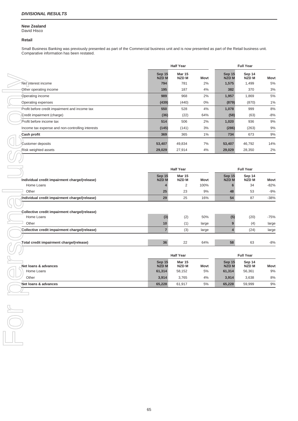# **Retail**

Small Business Banking was previously presented as part of the Commercial business unit and is now presented as part of the Retail business unit. Comparative information has been restated.

|                                                  | <b>Half Year</b>       |                               |       | <b>Full Year</b>       |                        |       |  |
|--------------------------------------------------|------------------------|-------------------------------|-------|------------------------|------------------------|-------|--|
|                                                  | Sep 15<br><b>NZD M</b> | <b>Mar 15</b><br><b>NZD M</b> | Movt  | Sep 15<br><b>NZD M</b> | Sep 14<br><b>NZD M</b> | Movt  |  |
| Net interest income                              | 794                    | 781                           | 2%    | 1,575                  | 1,499                  | 5%    |  |
| Other operating income                           | 195                    | 187                           | 4%    | 382                    | 370                    | 3%    |  |
| <b>Operating income</b>                          | 989                    | 968                           | 2%    | 1,957                  | 1,869                  | 5%    |  |
| Operating expenses                               | (439)                  | (440)                         | $0\%$ | (879)                  | (870)                  | $1\%$ |  |
| Profit before credit impairment and income tax   | 550                    | 528                           | 4%    | 1,078                  | 999                    | 8%    |  |
| Credit impairment (charge)                       | (36)                   | (22)                          | 64%   | (58)                   | (63)                   | $-8%$ |  |
| Profit before income tax                         | 514                    | 506                           | 2%    | 1,020                  | 936                    | 9%    |  |
| Income tax expense and non-controlling interests | (145)                  | (141)                         | 3%    | (286)                  | (263)                  | 9%    |  |
| Cash profit                                      | 369                    | 365                           | 1%    | 734                    | 673                    | 9%    |  |
| Customer deposits                                | 53,407                 | 49,834                        | 7%    | 53,407                 | 46,792                 | 14%   |  |
| Risk weighted assets                             | 29,029                 | 27,914                        | 4%    | 29,029                 | 28,350                 | 2%    |  |

| Net interest income                                         | эер тэ<br><b>NZDM</b> | <b>Mario</b><br>NZD M | Movt         | эер тэ<br><b>NZDM</b> | эер 14<br><b>NZD M</b> | Movt           |
|-------------------------------------------------------------|-----------------------|-----------------------|--------------|-----------------------|------------------------|----------------|
|                                                             | 794                   | 781                   | 2%           | 1,575                 | 1,499                  | 5%             |
| Other operating income                                      | 195                   | 187                   | 4%           | 382                   | 370                    | 3%             |
| <b>Operating income</b>                                     | 989                   | 968                   | 2%           | 1,957                 | 1,869                  | 5%             |
| Operating expenses                                          | (439)                 | (440)                 | $0\%$        | (879)                 | (870)                  | 1%             |
| Profit before credit impairment and income tax              | 550                   | 528                   | 4%           | 1,078                 | 999                    | 8%             |
| Credit impairment (charge)                                  | (36)                  | (22)                  | 64%          | (58)                  | (63)                   | $-8%$          |
| Profit before income tax                                    | 514                   | 506                   | 2%           | 1,020                 | 936                    | 9%             |
| Income tax expense and non-controlling interests            | (145)                 | (141)                 | 3%           | (286)                 | (263)                  | 9%             |
| Cash profit                                                 | 369                   | 365                   | $1\%$        | 734                   | 673                    | 9%             |
| Customer deposits                                           | 53,407                | 49,834                | 7%           | 53,407                | 46,792                 | 14%            |
| Risk weighted assets                                        | 29,029                | 27,914                | 4%           | 29,029                | 28,350                 | 2%             |
|                                                             |                       |                       |              |                       |                        |                |
|                                                             |                       | <b>Half Year</b>      |              |                       | <b>Full Year</b>       |                |
|                                                             | Sep 15                | <b>Mar 15</b>         |              | Sep 15                | Sep 14                 |                |
| Individual credit impairment charge/(release)<br>Home Loans | <b>NZDM</b><br>4      | <b>NZD M</b><br>2     | Movt<br>100% | <b>NZDM</b><br>6      | <b>NZD M</b><br>34     | Movt<br>$-82%$ |
| Other                                                       | 25                    | 23                    | 9%           | 48                    | 53                     | $-9%$          |
|                                                             |                       |                       |              |                       |                        |                |
| individual credit impairment charge/(release)               | 29                    | 25                    | 16%          | 54                    | 87                     | $-38%$         |
|                                                             |                       |                       |              |                       |                        |                |
| Collective credit impairment charge/(release)               |                       |                       |              |                       |                        |                |
| Home Loans<br>Other                                         | (3)                   | (2)                   | 50%          | (5)<br>9              | (20)                   | $-75%$         |
| Collective credit impairment charge/(release)               | 10<br>$\overline{7}$  | (1)<br>(3)            | large        | $\overline{4}$        | (4)<br>(24)            | large          |
|                                                             |                       |                       | large        |                       |                        | large          |
| Total credit impairment charge/(release)                    | 36                    | 22                    | 64%          | 58                    | 63                     | $-8%$          |
|                                                             |                       |                       |              |                       |                        |                |
|                                                             |                       |                       |              |                       | <b>Full Year</b>       |                |
|                                                             |                       | <b>Half Year</b>      |              |                       |                        |                |
|                                                             | Sep 15                | <b>Mar 15</b>         |              | Sep 15                | Sep 14                 |                |
| Net loans & advances                                        | <b>NZD M</b>          | <b>NZD M</b>          | Movt         | NZD <sub>M</sub>      | <b>NZD M</b>           | Movt           |
| Home Loans                                                  | 61,314                | 58,152                | 5%           | 61,314                | 56,361                 | 9%             |
| Other<br>Net loans & advances                               | 3,914<br>65,228       | 3,765<br>61,917       | 4%<br>5%     | 3,914<br>65,228       | 3,638<br>59,999        | 8%<br>9%       |

|                      |                        | <b>Half Year</b>              |             |                        | <b>Full Year</b> |      |  |  |
|----------------------|------------------------|-------------------------------|-------------|------------------------|------------------|------|--|--|
| Net loans & advances | Sep 15<br><b>NZD M</b> | <b>Mar 15</b><br><b>NZD M</b> | <b>Movt</b> | Sep 15<br><b>NZD M</b> | Sep 14<br>NZD M  | Movt |  |  |
| Home Loans           | 61,314                 | 58,152                        | 5%          | 61,314                 | 56,361           | 9%   |  |  |
| Other                | 3.914                  | 3.765                         | 4%          | 3,914                  | 3,638            | 8%   |  |  |
| Net Ioans & advances | 65.228                 | 61.917                        | 5%          | 65,228                 | 59.999           | 9%   |  |  |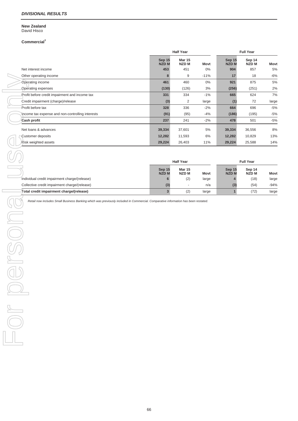# **Commercial<sup>1</sup>**

|                                                                                                                                         | <b>Half Year</b>             |                               |               |                              | <b>Full Year</b>       |               |  |  |
|-----------------------------------------------------------------------------------------------------------------------------------------|------------------------------|-------------------------------|---------------|------------------------------|------------------------|---------------|--|--|
| Net interest income                                                                                                                     | Sep 15<br><b>NZDM</b><br>453 | <b>Mar 15</b><br><b>NZD M</b> | Movt<br>$0\%$ | Sep 15<br><b>NZDM</b><br>904 | Sep 14<br>NZD M<br>857 | Movt<br>5%    |  |  |
| Other operating income                                                                                                                  | 8                            | 451<br>9                      | $-11%$        | 17                           | 18                     | $-6%$         |  |  |
| Operating income                                                                                                                        | 461                          | 460                           | $0\%$         | 921                          | 875                    | 5%            |  |  |
| Operating expenses                                                                                                                      | (130)                        | (126)                         | 3%            | (256)                        | (251)                  | 2%            |  |  |
| Profit before credit impairment and income tax                                                                                          | 331                          | 334                           | $-1%$         | 665                          | 624                    | 7%            |  |  |
| Credit impairment (charge)/release                                                                                                      | (3)                          | $\overline{2}$                | large         | (1)                          | 72                     | large         |  |  |
| Profit before tax                                                                                                                       | 328                          | 336                           | $-2%$         | 664                          | 696                    | $-5%$         |  |  |
| Income tax expense and non-controlling interests                                                                                        | (91)                         | (95)                          | $-4%$         | (186)                        | (195)                  | $-5%$         |  |  |
| Cash profit                                                                                                                             | 237                          | 241                           | $-2%$         | 478                          | 501                    | $-5%$         |  |  |
| Net loans & advances                                                                                                                    | 39,334                       | 37,601                        | 5%            | 39,334                       | 36,556                 | $8\%$         |  |  |
| Customer deposits                                                                                                                       | 12,282                       | 11,593                        | 6%            | 12,282                       | 10,829                 | 13%           |  |  |
| Risk weighted assets                                                                                                                    | 29,224                       | 26,403                        | 11%           | 29,224                       | 25,588                 | 14%           |  |  |
|                                                                                                                                         |                              |                               |               |                              |                        |               |  |  |
|                                                                                                                                         |                              |                               |               |                              |                        |               |  |  |
|                                                                                                                                         |                              | <b>Half Year</b>              |               |                              | <b>Full Year</b>       |               |  |  |
|                                                                                                                                         | Sep 15                       | <b>Mar 15</b>                 |               | Sep 15                       | Sep 14                 |               |  |  |
| Individual credit impairment charge/(release)                                                                                           | <b>NZDM</b><br>6             | <b>NZD M</b><br>(2)           | Movt<br>large | <b>NZD M</b><br>4            | NZD M<br>(18)          | Movt<br>large |  |  |
| Collective credit impairment charge/(release)                                                                                           | (3)                          | $\overline{\phantom{a}}$      | n/a           | (3)                          | (54)                   | $-94%$        |  |  |
| Total credit impairment charge/(release)                                                                                                | $\overline{\mathbf{3}}$      | (2)                           | large         | 1                            | (72)                   | large         |  |  |
| Retail now includes Small Business Banking which was previously included in Commercial. Comparative information has been restated.<br>W |                              |                               |               |                              |                        |               |  |  |
|                                                                                                                                         |                              |                               |               |                              |                        |               |  |  |

|                                               | <b>Half Year</b>       |                               |       | <b>Full Year</b>       |                        |        |  |
|-----------------------------------------------|------------------------|-------------------------------|-------|------------------------|------------------------|--------|--|
|                                               | Sep 15<br><b>NZD M</b> | <b>Mar 15</b><br><b>NZD M</b> | Movt  | Sep 15<br><b>NZD M</b> | Sep 14<br><b>NZD M</b> | Movt   |  |
| Individual credit impairment charge/(release) |                        | (2)                           | large |                        | (18)                   | large  |  |
| Collective credit impairment charge/(release) | (3)                    |                               | n/a   | (3)                    | (54)                   | $-94%$ |  |
| Total credit impairment charge/(release)      |                        | (2)                           | large |                        | (72)                   | large  |  |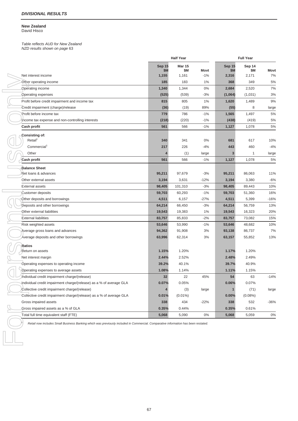*Table reflects AUD for New Zealand NZD results shown on page* 63

|                                                                                                                                    |               | <b>Half Year</b>     |        | <b>Full Year</b> |               |        |  |
|------------------------------------------------------------------------------------------------------------------------------------|---------------|----------------------|--------|------------------|---------------|--------|--|
|                                                                                                                                    | Sep 15<br>\$M | <b>Mar 15</b><br>\$Μ | Movt   | Sep 15<br>\$M    | Sep 14<br>\$M | Movt   |  |
| Net interest income                                                                                                                | 1,155         | 1,161                | $-1%$  | 2,316            | 2,171         | 7%     |  |
| Other operating income                                                                                                             | 185           | 183                  | 1%     | 368              | 349           | 5%     |  |
| Operating income                                                                                                                   | 1,340         | 1,344                | $0\%$  | 2,684            | 2,520         | 7%     |  |
| Operating expenses                                                                                                                 | (525)         | (539)                | $-3%$  | (1,064)          | (1,031)       | 3%     |  |
| Profit before credit impairment and income tax                                                                                     | 815           | 805                  | $1\%$  | 1,620            | 1,489         | 9%     |  |
| Credit impairment (charge)/release                                                                                                 | (36)          | (19)                 | 89%    | (55)             | 8             | large  |  |
| Profit before income tax                                                                                                           | 779           | 786                  | $-1%$  | 1,565            | 1,497         | 5%     |  |
| Income tax expense and non-controlling interests                                                                                   | (218)         | (220)                | $-1%$  | (438)            | (419)         | 5%     |  |
| Cash profit                                                                                                                        | 561           | 566                  | $-1%$  | 1,127            | 1,078         | 5%     |  |
| <b>Consisting of:</b>                                                                                                              |               |                      |        |                  |               |        |  |
| $Retai^1$                                                                                                                          | 340           | 341                  | $0\%$  | 681              | 617           | 10%    |  |
| Commercial <sup>1</sup>                                                                                                            | 217           | 226                  | $-4%$  | 443              | 460           | $-4%$  |  |
| Other                                                                                                                              | 4             | (1)                  | large  | 3                | 1             | large  |  |
| Cash profit                                                                                                                        | 561           | 566                  | $-1%$  | 1,127            | 1,078         | 5%     |  |
| <b>Balance Sheet</b>                                                                                                               |               |                      |        |                  |               |        |  |
| Net loans & advances                                                                                                               | 95,211        | 97,679               | $-3%$  | 95,211           | 86,063        | 11%    |  |
| Other external assets                                                                                                              | 3,194         | 3,631                | $-12%$ | 3,194            | 3,380         | $-6%$  |  |
| <b>External assets</b>                                                                                                             | 98,405        | 101,310              | $-3%$  | 98,405           | 89,443        | 10%    |  |
| Customer deposits                                                                                                                  | 59,703        | 60,293               | $-1%$  | 59,703           | 51,360        | 16%    |  |
| Other deposits and borrowings                                                                                                      | 4,511         | 6,157                | $-27%$ | 4,511            | 5,399         | $-16%$ |  |
| Deposits and other borrowings                                                                                                      | 64,214        | 66,450               | $-3%$  | 64,214           | 56,759        | 13%    |  |
| Other external liabilities                                                                                                         | 19,543        | 19,383               | $1\%$  | 19,543           | 16,323        | 20%    |  |
| <b>External liabilities</b>                                                                                                        | 83,757        | 85,833               | $-2%$  | 83,757           | 73,082        | 15%    |  |
| Risk weighted assets                                                                                                               | 53,646        | 53,990               | $-1%$  | 53,646           | 48,682        | 10%    |  |
| Average gross loans and advances                                                                                                   | 94,362        | 91,908               | 3%     | 93,138           | 86,737        | 7%     |  |
| Average deposits and other borrowings                                                                                              | 63,996        | 62,314               | 3%     | 63,157           | 55,852        | 13%    |  |
| Ratios                                                                                                                             |               |                      |        |                  |               |        |  |
| Return on assets                                                                                                                   | 1.15%         | 1.20%                |        | 1.17%            | 1.20%         |        |  |
| Net interest margin                                                                                                                | 2.44%         | 2.52%                |        | 2.48%            | 2.49%         |        |  |
| Operating expenses to operating income                                                                                             | 39.2%         | 40.1%                |        | 39.7%            | 40.9%         |        |  |
| Operating expenses to average assets                                                                                               | 1.08%         | 1.14%                |        | 1.11%            | 1.15%         |        |  |
| Individual credit impairment charge/(release)                                                                                      | 32            | 22                   | 45%    | 54               | 63            | $-14%$ |  |
| Individual credit impairment charge/(release) as a % of average GLA                                                                | 0.07%         | 0.05%                |        | 0.06%            | 0.07%         |        |  |
| Collective credit impairment charge/(release)                                                                                      | 4             | (3)                  | large  | 1                | (71)          | large  |  |
| Collective credit impairment charge/(release) as a % of average GLA                                                                | 0.01%         | $(0.01\%)$           |        | 0.00%            | $(0.08\%)$    |        |  |
| Gross impaired assets                                                                                                              | 338           | 434                  | $-22%$ | 338              | 532           | $-36%$ |  |
| Gross impaired assets as a % of GLA                                                                                                | 0.35%         | 0.44%                |        | 0.35%            | 0.61%         |        |  |
| Total full time equivalent staff (FTE)                                                                                             | 5,068         | 5,090                | $0\%$  | 5,068            | 5,059         | 0%     |  |
| Retail now includes Small Business Banking which was previously included in Commercial. Comparative information has been restated. |               |                      |        |                  |               |        |  |
|                                                                                                                                    |               |                      |        |                  |               |        |  |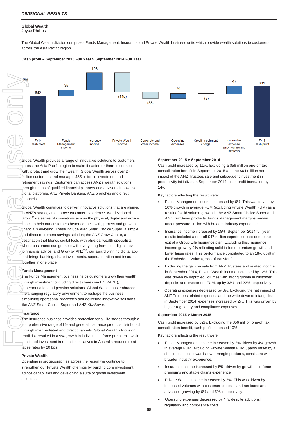## **Global Wealth**  Joyce Phillips

The Global Wealth division comprises Funds Management, Insurance and Private Wealth business units which provide wealth solutions to customers across the Asia Pacific region.

**Cash profit – September 2015 Full Year v September 2014 Full Year** 



Global Wealth provides a range of innovative solutions to customers across the Asia Pacific region to make it easier for them to connect with, protect and grow their wealth. Global Wealth serves over 2.4 million customers and manages \$65 billion in investment and retirement savings. Customers can access ANZ's wealth solutions through teams of qualified financial planners and advisers, innovative digital platforms, ANZ Private Bankers, ANZ branches and direct channels.

Global Wealth continues to deliver innovative solutions that are aligned to ANZ's strategy to improve customer experience. We developed GrowTM - a series of innovations across the physical, digital and advice space to help our customers better connect with, protect and grow their financial well-being. These include ANZ Smart Choice Super, a simple and direct retirement savings solution; the ANZ Grow Centre, a destination that blends digital tools with physical wealth specialists, where customers can get help with everything from their digital device to financial advice; and Grow by ANZ™, our award winning digital app that brings banking, share investments, superannuation and insurance, together in one place.

# **Funds Management**

The Funds Management business helps customers grow their wealth through investment (including direct shares via E\*TRADE), superannuation and pension solutions. Global Wealth has embraced the changing regulatory environment to reshape the business. simplifying operational processes and delivering innovative solutions like ANZ Smart Choice Super and ANZ KiwiSaver.

# **Insurance**

The Insurance business provides protection for all life stages through a comprehensive range of life and general insurance products distributed through intermediated and direct channels. Global Wealth's focus on retail risk resulted in a 9% growth in individual in-force premiums, while continued investment in retention initiatives in Australia reduced retail lapse rates by 20 bps.

# **Private Wealth**

Operating in six geographies across the region we continue to strengthen our Private Wealth offerings by building core investment advice capabilities and developing a suite of global investment solutions.

# **September 2015 v September 2014**

Cash profit increased by 11%. Excluding a \$56 million one-off tax consolidation benefit in September 2015 and the \$64 million net impact of the ANZ Trustees sale and subsequent investment in productivity initiatives in September 2014, cash profit increased by 14%.

Key factors affecting the result were:

- Funds Management income increased by 6%. This was driven by 10% growth in average FUM (excluding Private Wealth FUM) as a result of solid volume growth in the ANZ Smart Choice Super and ANZ KiwiSaver products. Funds Management margins remain under pressure, in line with broader industry experience.
- Insurance income increased by 18%. September 2014 full year results included a one-off \$47 million experience loss due to the exit of a Group Life Insurance plan. Excluding this, Insurance income grew by 9% reflecting solid in-force premium growth and lower lapse rates. This performance contributed to an 18% uplift in the Embedded Value (gross of transfers).
- Excluding the gain on sale from ANZ Trustees and related income in September 2014, Private Wealth income increased by 12%. This was driven by improved volumes with strong growth in customer deposits and investment FUM, up by 33% and 22% respectively.
- Operating expenses decreased by 3%. Excluding the net impact of ANZ Trustees related expenses and the write-down of intangibles in September 2014, expenses increased by 2%. This was driven by higher regulatory and compliance expenses.

# **September 2015 v March 2015**

Cash profit increased by 32%. Excluding the \$56 million one-off tax consolidation benefit, cash profit increased 10%.

Key factors affecting the result were:

- Funds Management income increased by 2% driven by 4% growth in average FUM (excluding Private Wealth FUM), partly offset by a shift in business towards lower margin products, consistent with broader industry experience.
- Insurance income increased by 5%, driven by growth in in-force premiums and stable claims experience.
- Private Wealth income increased by 2%. This was driven by increased volumes with customer deposits and net loans and advances growing by 6% and 5%, respectively.
- Operating expenses decreased by 1%, despite additional regulatory and compliance costs.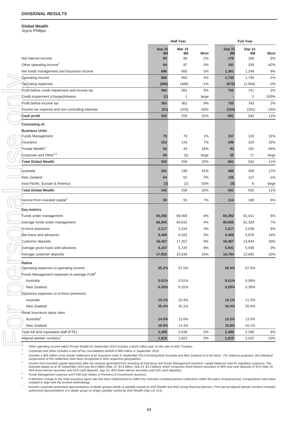**Global Wealth**  Joyce Phillips

**Consisting of: Business Units** 

| Net interest income                                   |                                                                                                                                                                                                                                                                                                                                                                                     | 90     | 88     | 2%    | 178    | 168     | 6%      |
|-------------------------------------------------------|-------------------------------------------------------------------------------------------------------------------------------------------------------------------------------------------------------------------------------------------------------------------------------------------------------------------------------------------------------------------------------------|--------|--------|-------|--------|---------|---------|
| Other operating income <sup>1</sup>                   |                                                                                                                                                                                                                                                                                                                                                                                     | 94     | 97     | $-3%$ | 191    | 328     | $-42%$  |
| Net funds management and insurance income             |                                                                                                                                                                                                                                                                                                                                                                                     | 696    | 665    | 5%    | 1,361  | 1,249   | 9%      |
| Operating income                                      |                                                                                                                                                                                                                                                                                                                                                                                     | 880    | 850    | 4%    | 1,730  | 1,745   | $-1%$   |
| Operating expenses                                    |                                                                                                                                                                                                                                                                                                                                                                                     | (486)  | (489)  | $-1%$ | (975)  | (1,004) | $-3%$   |
| Profit before credit impairment and income tax        |                                                                                                                                                                                                                                                                                                                                                                                     | 394    | 361    | 9%    | 755    | 741     | 2%      |
| Credit impairment (charge)/release                    |                                                                                                                                                                                                                                                                                                                                                                                     | (1)    | 1      | large |        | 2       | $-100%$ |
| Profit before income tax                              |                                                                                                                                                                                                                                                                                                                                                                                     | 393    | 362    | 9%    | 755    | 743     | 2%      |
| Income tax expense and non-controlling interests      |                                                                                                                                                                                                                                                                                                                                                                                     | (51)   | (103)  | -50%  | (154)  | (201)   | $-23%$  |
| Cash profit                                           |                                                                                                                                                                                                                                                                                                                                                                                     | 342    | 259    | 32%   | 601    | 542     | 11%     |
| Consisting of:                                        |                                                                                                                                                                                                                                                                                                                                                                                     |        |        |       |        |         |         |
| <b>Business Units</b>                                 |                                                                                                                                                                                                                                                                                                                                                                                     |        |        |       |        |         |         |
| <b>Funds Management</b>                               |                                                                                                                                                                                                                                                                                                                                                                                     | 79     | 78     | 1%    | 157    | 120     | 31%     |
| Insurance                                             |                                                                                                                                                                                                                                                                                                                                                                                     | 153    | 143    | 7%    | 296    | 224     | 32%     |
| Private Wealth <sup>1</sup>                           |                                                                                                                                                                                                                                                                                                                                                                                     | 50     | 43     | 16%   | 93     | 181     | -49%    |
| Corporate and Other <sup>2,3</sup>                    |                                                                                                                                                                                                                                                                                                                                                                                     | 60     | (5)    | large | 55     | 17      | large   |
| <i><b>Total Global Wealth</b></i>                     |                                                                                                                                                                                                                                                                                                                                                                                     | 342    | 259    | 32%   | 601    | 542     | 11%     |
|                                                       |                                                                                                                                                                                                                                                                                                                                                                                     |        |        |       |        |         |         |
| Australia                                             |                                                                                                                                                                                                                                                                                                                                                                                     | 281    | 199    | 41%   | 480    | 409     | 17%     |
| New Zealand                                           |                                                                                                                                                                                                                                                                                                                                                                                     | 64     | 62     | 3%    | 126    | 127     | $-1%$   |
| Asia Pacific, Europe & America                        |                                                                                                                                                                                                                                                                                                                                                                                     | (3)    | (2)    | 50%   | (5)    | 6       | large   |
| Total Global Wealth                                   |                                                                                                                                                                                                                                                                                                                                                                                     | 342    | 259    | 32%   | 601    | 542     | 11%     |
| Income from invested capital <sup>*</sup>             |                                                                                                                                                                                                                                                                                                                                                                                     | 59     | 55     | 7%    | 114    | 108     | 6%      |
| <b>Key metrics</b>                                    |                                                                                                                                                                                                                                                                                                                                                                                     |        |        |       |        |         |         |
| Funds under management                                |                                                                                                                                                                                                                                                                                                                                                                                     | 65,392 | 68,405 | $-4%$ | 65,392 | 61,411  | 6%      |
| Average funds under management                        |                                                                                                                                                                                                                                                                                                                                                                                     | 66,993 | 64,615 | 4%    | 65,805 | 61,329  | 7%      |
| In-force premiums                                     |                                                                                                                                                                                                                                                                                                                                                                                     | 2,217  | 2,154  | 3%    | 2,217  | 2,038   | 9%      |
| Net loans and advances                                |                                                                                                                                                                                                                                                                                                                                                                                     | 6,468  | 6,163  | 5%    | 6,468  | 5,678   | 14%     |
| Customer deposits                                     |                                                                                                                                                                                                                                                                                                                                                                                     | 18,467 | 17,357 | 6%    | 18,467 | 13,844  | 33%     |
| Average gross loans and advances                      |                                                                                                                                                                                                                                                                                                                                                                                     | 6,157  | 5,725  | 8%    | 5,941  | 5,936   | 0%      |
| Average customer deposits                             |                                                                                                                                                                                                                                                                                                                                                                                     | 17,922 | 15,639 | 15%   | 16,784 | 12,692  | 32%     |
| Ratios                                                |                                                                                                                                                                                                                                                                                                                                                                                     |        |        |       |        |         |         |
| Operating expenses to operating income                |                                                                                                                                                                                                                                                                                                                                                                                     | 55.2%  | 57.5%  |       | 56.4%  | 57.5%   |         |
| Funds Management expenses to average FUM <sup>5</sup> |                                                                                                                                                                                                                                                                                                                                                                                     |        |        |       |        |         |         |
| Australia                                             |                                                                                                                                                                                                                                                                                                                                                                                     | 0.51%  | 0.51%  |       | 0.51%  | 0.59%   |         |
| New Zealand                                           |                                                                                                                                                                                                                                                                                                                                                                                     | 0.28%  | 0.31%  |       | 0.29%  | 0.38%   |         |
| Insurance expenses to in-force premiums               |                                                                                                                                                                                                                                                                                                                                                                                     |        |        |       |        |         |         |
| Australia                                             |                                                                                                                                                                                                                                                                                                                                                                                     | 10.1%  | 10.4%  |       | 10.1%  | 11.2%   |         |
| New Zealand                                           |                                                                                                                                                                                                                                                                                                                                                                                     | 35.4%  | 32.1%  |       | 34.4%  | 35.4%   |         |
| Retail Insurance lapse rates                          |                                                                                                                                                                                                                                                                                                                                                                                     |        |        |       |        |         |         |
| Australia <sup>6</sup>                                |                                                                                                                                                                                                                                                                                                                                                                                     | 14.0%  | 12.6%  |       | 13.3%  | 13.5%   |         |
| New Zealand                                           |                                                                                                                                                                                                                                                                                                                                                                                     | 16.8%  | 14.3%  |       | 15.8%  | 16.1%   |         |
|                                                       |                                                                                                                                                                                                                                                                                                                                                                                     |        |        |       |        |         |         |
| Total full time equivalent staff (FTE)                |                                                                                                                                                                                                                                                                                                                                                                                     | 2,489  | 2,538  | $-2%$ | 2,489  | 2,290   | 9%      |
| Aligned adviser numbers'                              |                                                                                                                                                                                                                                                                                                                                                                                     | 1,819  | 1,823  | 0%    | 1,819  | 2,022   | $-10%$  |
| $\overline{2}$                                        | Other operating income within Private Wealth for September 2014 includes a \$125 million gain on the sale of ANZ Trustees.<br>Corporate and Other includes a one-off tax consolidation benefit of \$56 million in September 2015.                                                                                                                                                   |        |        |       |        |         |         |
| 3.                                                    | Includes a \$26 million cross border settlement of an insurance claim in September 2014 involving both Australia and New Zealand on a net basis. For statutory purposes, the individual                                                                                                                                                                                             |        |        |       |        |         |         |
| 4.                                                    | components of this settlement have been recognised in their respective geographies.                                                                                                                                                                                                                                                                                                 |        |        |       |        |         |         |
|                                                       | Income from invested capital represents after tax revenue generated from investing all Insurance and Funds Management business' capital balances held for regulatory purposes. The<br>invested capital as at 30 September 2015 was \$3.6 billion (Mar 15: \$3.6 billion, Sep 14: \$3.3 billion), which comprises fixed interest securities of 49% and cash deposits of 51% (Mar 15: |        |        |       |        |         |         |
| 5.                                                    | 49% fixed interest securities and 51% cash deposits, Sep 14: 49% fixed interest securities and 51% cash deposits).<br>Funds Management expense and FUM only relates to Pensions & Investments business.                                                                                                                                                                             |        |        |       |        |         |         |
| 6.                                                    | A definition change to the retail insurance lapse rate has been implemented to reflect the inclusion of partial premium reductions within the policy renewal period. Comparatives have beer                                                                                                                                                                                         |        |        |       |        |         |         |
| restated to align with the revised methodology.<br>7. | Includes corporate authorised representatives of dealer groups wholly or partially owned by ANZ Wealth and ANZ Group financial planners. Prior period aligned adviser numbers included                                                                                                                                                                                              |        |        |       |        |         |         |
|                                                       | authorised representatives of a dealer group no longer partially owned by ANZ Wealth (Sep 14: 211).                                                                                                                                                                                                                                                                                 |        |        |       |        |         |         |

**Sep 15 \$M** **Mar 15**

**Half Year Full Year** 

**Sep 15 \$M** **Sep 14**

**\$M Movt**

**\$M Movt**

out the state of the state of the state of the state of dealer groups wholly or partially owned by ANZ Wealth and ANZ Group financial planners. Prior period aligned adviser numbers included<br>authorised representatives of a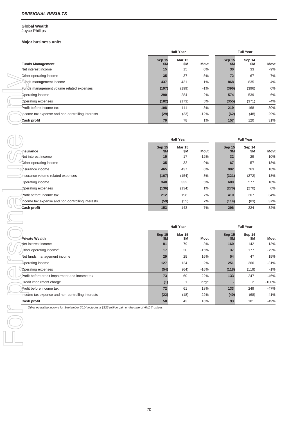# **Global Wealth**

Joyce Phillips

# **Major business units**

|                                                  |               | <b>Half Year</b>     |        |               | <b>Full Year</b> |       |  |  |
|--------------------------------------------------|---------------|----------------------|--------|---------------|------------------|-------|--|--|
| <b>Funds Management</b>                          | Sep 15<br>\$M | <b>Mar 15</b><br>\$M | Movt   | Sep 15<br>\$M | Sep 14<br>\$M    | Movt  |  |  |
| Net interest income                              | 15            | 15                   | $0\%$  | 30            | 33               | $-9%$ |  |  |
| Other operating income                           | 35            | 37                   | $-5%$  | 72            | 67               | 7%    |  |  |
| Funds management income                          | 437           | 431                  | 1%     | 868           | 835              | 4%    |  |  |
| Funds management volume related expenses         | (197)         | (199)                | $-1\%$ | (396)         | (396)            | 0%    |  |  |
| Operating income                                 | 290           | 284                  | 2%     | 574           | 539              | 6%    |  |  |
| Operating expenses                               | (182)         | (173)                | 5%     | (355)         | (371)            | $-4%$ |  |  |
| Profit before income tax                         | 108           | 111                  | $-3%$  | 219           | 168              | 30%   |  |  |
| Income tax expense and non-controlling interests | (29)          | (33)                 | $-12%$ | (62)          | (48)             | 29%   |  |  |
| <b>Cash profit</b>                               | 79            | 78                   | 1%     | 157           | 120              | 31%   |  |  |

|                                                  |                     | <b>Half Year</b>     |        | <b>Full Year</b> |               |      |  |
|--------------------------------------------------|---------------------|----------------------|--------|------------------|---------------|------|--|
| <b>Insurance</b>                                 | Sep 15<br><b>SM</b> | <b>Mar 15</b><br>\$M | Movt   | Sep 15<br>\$M    | Sep 14<br>\$M | Movt |  |
| Net interest income                              | 15                  | 17                   | $-12%$ | 32               | 29            | 10%  |  |
| Other operating income                           | 35                  | 32                   | 9%     | 67               | 57            | 18%  |  |
| Insurance income                                 | 465                 | 437                  | 6%     | 902              | 763           | 18%  |  |
| Insurance volume related expenses                | (167)               | (154)                | 8%     | (321)            | (272)         | 18%  |  |
| Operating income                                 | 348                 | 332                  | 5%     | 680              | 577           | 18%  |  |
| Operating expenses                               | (136)               | (134)                | 1%     | (270)            | (270)         | 0%   |  |
| Profit before income tax                         | 212                 | 198                  | 7%     | 410              | 307           | 34%  |  |
| Income tax expense and non-controlling interests | (59)                | (55)                 | 7%     | (114)            | (83)          | 37%  |  |
| Cash profit                                      | 153                 | 143                  | 7%     | 296              | 224           | 32%  |  |

| Other operating income                           | 35          | 37               | $-5%$          | 72           | 67               | 7%              |
|--------------------------------------------------|-------------|------------------|----------------|--------------|------------------|-----------------|
| Funds management income                          | 437         | 431              | 1%             | 868          | 835              | $4\%$           |
| Funds management volume related expenses         | (197)       | (199)            | $-1%$          | (396)        | (396)            | 0%              |
| Operating income                                 | 290         | 284              | 2%             | 574          | 539              | 6%              |
| Operating expenses                               | (182)       | (173)            | 5%             | (355)        | (371)            | $-4%$           |
| Profit before income tax                         | 108         | 111              | $-3%$          | 219          | 168              | 30%             |
| Income tax expense and non-controlling interests | (29)        | (33)             | $-12%$         | (62)         | (48)             | 29%             |
| Cash profit                                      | 79          | 78               | 1%             | 157          | 120              | 31%             |
|                                                  |             |                  |                |              |                  |                 |
|                                                  |             | <b>Half Year</b> |                |              | <b>Full Year</b> |                 |
|                                                  | Sep 15      | <b>Mar 15</b>    |                | Sep 15       | Sep 14           |                 |
| <b>Insurance</b><br>Net interest income          | \$M<br>15   | \$Μ<br>17        | Movt<br>$-12%$ | \$M<br>32    | \$Μ<br>29        | Movt<br>10%     |
| Other operating income                           | 35          | 32               | 9%             | 67           | 57               | 18%             |
| Insurance income                                 | 465         | 437              | 6%             | 902          | 763              | 18%             |
| Insurance volume related expenses                | (167)       | (154)            | 8%             | (321)        | (272)            | 18%             |
| Operating income                                 | 348         | 332              | 5%             | 680          | 577              | 18%             |
|                                                  |             | (134)            | $1\%$          | (270)        | (270)            | 0%              |
|                                                  |             |                  |                |              |                  |                 |
| Operating expenses                               | (136)       |                  |                |              |                  |                 |
| Profit before income tax                         | 212         | 198              | 7%             | 410          | 307              | 34%             |
| Income tax expense and non-controlling interests | (59)        | (55)             | 7%             | (114)        | (83)             | 37%             |
| Cash profit                                      | 153         | 143              | 7%             | 296          | 224              | 32%             |
|                                                  |             |                  |                |              |                  |                 |
|                                                  |             | <b>Half Year</b> |                |              | <b>Full Year</b> |                 |
|                                                  | Sep 15      | <b>Mar 15</b>    |                | Sep 15       | Sep 14           |                 |
| Private Wealth                                   | \$M         | \$M              | Movt           | \$M          | \$Μ              | Movt            |
| Net interest income                              | 81          | 79               | 3%             | 160          | 142              | 13%             |
| Other operating income <sup>1</sup>              | 17<br>29    | 20<br>25         | $-15%$<br>16%  | 37<br>54     | 177<br>47        | $-79%$          |
| Net funds management income                      |             |                  |                |              |                  | 15%             |
| Operating income<br>Operating expenses           | 127<br>(54) | 124<br>(64)      | 2%<br>$-16%$   | 251<br>(118) | 366              | $-31%$<br>$-1%$ |
| Profit before credit impairment and income tax   | 73          | 60               | 22%            | 133          | (119)<br>247     | $-46%$          |
| Credit impairment charge                         |             | $\mathbf{1}$     | large          |              | $\overline{2}$   | $-100%$         |
| Profit before income tax                         | (1)<br>72   | 61               | 18%            | 133          | 249              | $-47%$          |
| Income tax expense and non-controlling interests | (22)        | (18)             | 22%            | (40)         | (68)             | $-41%$          |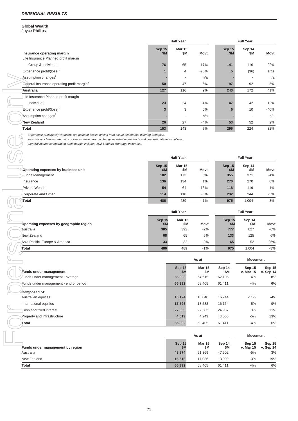# **Global Wealth**

Joyce Phillips

|                                                                    | <b>Half Year</b> |                          |        | <b>Full Year</b> |               |        |  |
|--------------------------------------------------------------------|------------------|--------------------------|--------|------------------|---------------|--------|--|
| Insurance operating margin<br>Life Insurance Planned profit margin | Sep 15<br>\$M    | <b>Mar 15</b><br>\$M     | Movt   | Sep 15<br>\$M    | Sep 14<br>\$M | Movt   |  |
| Group & Individual                                                 | 76               | 65                       | 17%    | 141              | 116           | 22%    |  |
| Experience profit/(loss) <sup>1</sup>                              |                  | 4                        | $-75%$ | 5                | (36)          | large  |  |
| Assumption changes <sup>2</sup>                                    |                  | ٠                        | n/a    |                  | ۰             | n/a    |  |
| General Insurance operating profit margin <sup>3</sup>             | 50               | 47                       | 6%     | 97               | 92            | 5%     |  |
| Australia                                                          | 127              | 116                      | 9%     | 243              | 172           | 41%    |  |
| Life Insurance Planned profit margin                               |                  |                          |        |                  |               |        |  |
| Individual                                                         | 23               | 24                       | $-4%$  | 47               | 42            | 12%    |  |
| Experience $profit/ (loss)^1$                                      | $\overline{3}$   | 3                        | 0%     | 6                | 10            | $-40%$ |  |
| Assumption changes <sup>2</sup>                                    |                  | $\overline{\phantom{a}}$ | n/a    |                  | ٠             | n/a    |  |
| New Zealand                                                        | 26               | 27                       | $-4%$  | 53               | 52            | 2%     |  |
| Total                                                              | 153              | 143                      | 7%     | 296              | 224           | 32%    |  |

|                                     |                      | <b>Half Year</b>     |        |                      | <b>Full Year</b> |       |  |  |
|-------------------------------------|----------------------|----------------------|--------|----------------------|------------------|-------|--|--|
| Operating expenses by business unit | <b>Sep 15</b><br>\$M | <b>Mar 15</b><br>\$M | Movt   | <b>Sep 15</b><br>\$M | Sep 14<br>\$M    | Movt  |  |  |
| Funds Management                    | 182                  | 173                  | 5%     | 355                  | 371              | $-4%$ |  |  |
| Insurance                           | 136                  | 134                  | $1\%$  | 270                  | 270              | $0\%$ |  |  |
| Private Wealth                      | 54                   | 64                   | $-16%$ | 118                  | 119              | $-1%$ |  |  |
| Corporate and Other                 | 114                  | 118                  | $-3%$  | 232                  | 244              | $-5%$ |  |  |
| Total                               | 486                  | 489                  | $-1%$  | 975                  | 1.004            | $-3%$ |  |  |

|                                         |               | <b>Half Year</b>     |       |               | <b>Full Year</b> |       |  |  |
|-----------------------------------------|---------------|----------------------|-------|---------------|------------------|-------|--|--|
| Operating expenses by geographic region | Sep 15<br>\$M | <b>Mar 15</b><br>\$M | Movt  | Sep 15<br>\$M | Sep 14<br>\$M    | Movt  |  |  |
| Australia                               | 385           | 392                  | $-2%$ | 777           | 827              | $-6%$ |  |  |
| New Zealand                             | 68            | 65                   | 5%    | 133           | 125              | 6%    |  |  |
| Asia Pacific, Europe & America          | 33            | 32                   | 3%    | 65            | 52               | 25%   |  |  |
| Total                                   | 486           | 489                  | $-1%$ | 975           | 1,004            | $-3%$ |  |  |

| Assumption changes <sup>2</sup>                                                                                                                                                                                                                                                                                       |                      |                  | n/a           |               | ÷,                 | n/a             |
|-----------------------------------------------------------------------------------------------------------------------------------------------------------------------------------------------------------------------------------------------------------------------------------------------------------------------|----------------------|------------------|---------------|---------------|--------------------|-----------------|
| General Insurance operating profit margin <sup>3</sup>                                                                                                                                                                                                                                                                | 50                   | 47               | 6%            | 97            | 92                 | 5%              |
| Australia                                                                                                                                                                                                                                                                                                             | 127                  | 116              | 9%            | 243           | 172                | 41%             |
| Life Insurance Planned profit margin                                                                                                                                                                                                                                                                                  |                      |                  |               |               |                    |                 |
| Individual                                                                                                                                                                                                                                                                                                            | 23                   | 24               | $-4%$         | 47            | 42                 | 12%             |
| Experience profit/(loss) <sup>1</sup>                                                                                                                                                                                                                                                                                 | 3                    | 3                | 0%            | 6             | 10                 | $-40%$          |
| Assumption changes <sup>2</sup>                                                                                                                                                                                                                                                                                       |                      |                  | n/a           |               | ä,                 | n/a             |
| <b>New Zealand</b>                                                                                                                                                                                                                                                                                                    | 26                   | 27               | $-4%$         | 53            | 52                 | 2%              |
| Total                                                                                                                                                                                                                                                                                                                 | 153                  | 143              | $7\%$         | 296           | 224                | 32%             |
| Experience profit/(loss) variations are gains or losses arising from actual experience differing from plan.<br>Assumption changes are gains or losses arising from a change in valuation methods and best estimate assumptions.<br>General Insurance operating profit margin includes ANZ Lenders Mortgage Insurance. |                      |                  |               |               |                    |                 |
|                                                                                                                                                                                                                                                                                                                       |                      | <b>Half Year</b> |               |               | <b>Full Year</b>   |                 |
|                                                                                                                                                                                                                                                                                                                       | Sep 15               | <b>Mar 15</b>    |               | Sep 15        | Sep 14             |                 |
| Operating expenses by business unit                                                                                                                                                                                                                                                                                   | \$M                  | \$Μ              | Movt          | \$M           | \$Μ                | Movt            |
| Funds Management                                                                                                                                                                                                                                                                                                      | 182                  | 173              | 5%            | 355           | 371                | $-4%$           |
| Insurance                                                                                                                                                                                                                                                                                                             | 136                  | 134              | 1%            | 270           | 270                | $0\%$           |
| <b>Private Wealth</b>                                                                                                                                                                                                                                                                                                 | 54                   | 64               | $-16%$        | 118           | 119                | $-1%$           |
| Corporate and Other                                                                                                                                                                                                                                                                                                   | 114                  | 118              | $-3%$         | 232           | 244                | -5%             |
| Total                                                                                                                                                                                                                                                                                                                 | 486                  | 489              | $-1%$         | 975           | 1,004              | $-3%$           |
|                                                                                                                                                                                                                                                                                                                       |                      | <b>Half Year</b> |               |               | <b>Full Year</b>   |                 |
|                                                                                                                                                                                                                                                                                                                       |                      | <b>Mar 15</b>    |               |               |                    |                 |
| Operating expenses by geographic region                                                                                                                                                                                                                                                                               | <b>Sep 15</b><br>\$M | \$Μ              | Movt          | Sep 15<br>\$M | Sep 14<br>\$Μ      | Movt            |
| Australia                                                                                                                                                                                                                                                                                                             | 385                  | 392              | $-2%$         | 777           | 827                | $-6%$           |
| New Zealand                                                                                                                                                                                                                                                                                                           | 68                   | 65               | 5%            | 133           | 125                | 6%              |
| Asia Pacific, Europe & America                                                                                                                                                                                                                                                                                        | 33                   | 32               | 3%            | 65            | 52                 | 25%             |
| Total                                                                                                                                                                                                                                                                                                                 | 486                  | 489              | $-1%$         | 975           | 1,004              | $-3%$           |
|                                                                                                                                                                                                                                                                                                                       |                      |                  | As at         |               | <b>Movement</b>    |                 |
|                                                                                                                                                                                                                                                                                                                       |                      | Sep 15           | <b>Mar 15</b> | Sep 14        | Sep 15             | Sep 15          |
| Funds under management                                                                                                                                                                                                                                                                                                |                      | \$Μ              | \$M           | \$Μ           | v. Mar 15          | v. Sep 14       |
| Funds under management - average                                                                                                                                                                                                                                                                                      |                      | 66,993           | 64,615        | 62,106        | 4%                 | 8%              |
| Funds under management - end of period                                                                                                                                                                                                                                                                                |                      | 65,392           | 68,405        | 61,411        | $-4%$              | 6%              |
| Composed of:                                                                                                                                                                                                                                                                                                          |                      |                  |               |               |                    |                 |
| Australian equities                                                                                                                                                                                                                                                                                                   |                      | 16,124           | 18,040        | 16,744        | $-11%$             | $-4%$           |
| International equities                                                                                                                                                                                                                                                                                                |                      | 17,596           | 18,533        | 16,164        | $-5%$              | 9%              |
| Cash and fixed interest                                                                                                                                                                                                                                                                                               |                      | 27,653           | 27,583        | 24,937        | $0\%$              | 11%             |
| Property and infrastructure                                                                                                                                                                                                                                                                                           |                      | 4,019            | 4,249         | 3,566         | $-5%$              | 13%             |
| Total                                                                                                                                                                                                                                                                                                                 |                      | 65,392           | 68,405        | 61,411        | $-4%$              | 6%              |
|                                                                                                                                                                                                                                                                                                                       |                      |                  |               |               |                    |                 |
|                                                                                                                                                                                                                                                                                                                       |                      |                  | As at         |               | <b>Movement</b>    |                 |
|                                                                                                                                                                                                                                                                                                                       |                      | Sep 15           | <b>Mar 15</b> | Sep 14        | Sep 15             | Sep 15          |
| Funds under management by region<br>Australia                                                                                                                                                                                                                                                                         |                      | \$M<br>48,874    | \$M<br>51,369 | \$Μ<br>47,502 | v. Mar 15<br>$-5%$ | v. Sep 14<br>3% |
| New Zealand                                                                                                                                                                                                                                                                                                           |                      | 16,518           | 17,036        | 13,909        | $-3%$              | 19%             |
|                                                                                                                                                                                                                                                                                                                       |                      | 65,392           | 68,405        | 61,411        | $-4%$              | 6%              |

|                                  | As at         |                      |               | <b>Movement</b>     |                     |  |
|----------------------------------|---------------|----------------------|---------------|---------------------|---------------------|--|
| Funds under management by region | Sep 15<br>\$M | <b>Mar 15</b><br>\$M | Sep 14<br>\$M | Sep 15<br>v. Mar 15 | Sep 15<br>v. Sep 14 |  |
| Australia                        | 48,874        | 51,369               | 47,502        | $-5%$               | 3%                  |  |
| New Zealand                      | 16.518        | 17.036               | 13.909        | $-3%$               | 19%                 |  |
| Total                            | 65,392        | 68,405               | 61.411        | $-4%$               | 6%                  |  |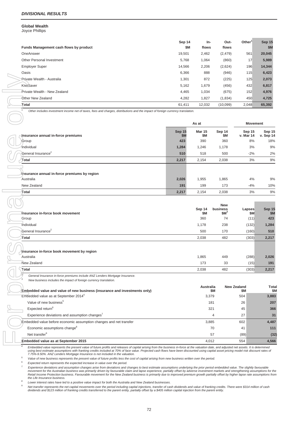#### **Global Wealth**  Joyce Phillips

| Funds Management cash flows by product | Sep 14<br>\$Μ | In-<br>flows | Out-<br>flows | Other <sup>1</sup> | Sep 15<br>\$M |
|----------------------------------------|---------------|--------------|---------------|--------------------|---------------|
| OneAnswer                              | 19,501        | 2,462        | (2, 479)      | 561                | 20,045        |
| Other Personal Investment              | 5.768         | 1,064        | (860)         | 17                 | 5,989         |
| <b>Employer Super</b>                  | 14,566        | 2,206        | (2,624)       | 196                | 14,344        |
| Oasis                                  | 6,366         | 888          | (946)         | 115                | 6,423         |
| Private Wealth - Australia             | 1,301         | 872          | (225)         | 125                | 2,073         |
| KiwiSaver                              | 5,162         | 1,679        | (456)         | 432                | 6,817         |
| Private Wealth - New Zealand           | 4,465         | 1,034        | (675)         | 152                | 4,976         |
| Other New Zealand                      | 4,282         | 1,827        | (1,834)       | 450                | 4,725         |
| Total                                  | 61.411        | 12,032       | (10,099)      | 2,048              | 65,392        |

|                | Udolo                                                                                                                                                                                                                                                                                                                                                                                                                                                                 | u,uuu  | uuu           | $(5 + 0)$              | .                  | ט⊾⊤בט         |
|----------------|-----------------------------------------------------------------------------------------------------------------------------------------------------------------------------------------------------------------------------------------------------------------------------------------------------------------------------------------------------------------------------------------------------------------------------------------------------------------------|--------|---------------|------------------------|--------------------|---------------|
|                | Private Wealth - Australia                                                                                                                                                                                                                                                                                                                                                                                                                                            | 1,301  | 872           | (225)                  | 125                | 2,073         |
|                | KiwiSaver                                                                                                                                                                                                                                                                                                                                                                                                                                                             | 5,162  | 1,679         | (456)                  | 432                | 6,817         |
|                | Private Wealth - New Zealand                                                                                                                                                                                                                                                                                                                                                                                                                                          | 4,465  | 1,034         | (675)                  | 152                | 4,976         |
|                | Other New Zealand                                                                                                                                                                                                                                                                                                                                                                                                                                                     | 4,282  | 1,827         | (1,834)                | 450                | 4,725         |
|                | Total                                                                                                                                                                                                                                                                                                                                                                                                                                                                 | 61,411 | 12,032        | (10,099)               | 2,048              | 65,392        |
| 1.             | Other includes investment income net of taxes, fees and charges, distributions and the impact of foreign currency translation.                                                                                                                                                                                                                                                                                                                                        |        |               |                        |                    |               |
|                |                                                                                                                                                                                                                                                                                                                                                                                                                                                                       |        |               |                        |                    |               |
|                |                                                                                                                                                                                                                                                                                                                                                                                                                                                                       |        | As at         |                        | <b>Movement</b>    |               |
|                |                                                                                                                                                                                                                                                                                                                                                                                                                                                                       | Sep 15 | <b>Mar 15</b> | Sep 14                 | Sep 15             | Sep 15        |
|                | Insurance annual in-force premiums                                                                                                                                                                                                                                                                                                                                                                                                                                    | \$M    | \$M           | \$M                    | v. Mar 14          | v. Sep 14     |
|                | Group                                                                                                                                                                                                                                                                                                                                                                                                                                                                 | 423    | 390           | 360                    | 8%                 | 18%           |
|                | <b>Individual</b>                                                                                                                                                                                                                                                                                                                                                                                                                                                     | 1,284  | 1,246         | 1,178                  | 3%                 | 9%            |
|                | General Insurance <sup>2</sup>                                                                                                                                                                                                                                                                                                                                                                                                                                        | 510    | 518           | 500                    | $-2%$              | 2%            |
|                | Total                                                                                                                                                                                                                                                                                                                                                                                                                                                                 | 2,217  | 2,154         | 2,038                  | 3%                 | 9%            |
|                |                                                                                                                                                                                                                                                                                                                                                                                                                                                                       |        |               |                        |                    |               |
|                | Insurance annual in-force premiums by region                                                                                                                                                                                                                                                                                                                                                                                                                          |        |               |                        |                    |               |
|                | Australia                                                                                                                                                                                                                                                                                                                                                                                                                                                             | 2,026  | 1,955         | 1,865                  | 4%                 | 9%            |
|                | New Zealand                                                                                                                                                                                                                                                                                                                                                                                                                                                           | 191    | 199           | 173                    | $-4%$              | 10%           |
|                | Total                                                                                                                                                                                                                                                                                                                                                                                                                                                                 | 2,217  | 2,154         | 2,038                  | 3%                 | 9%            |
|                |                                                                                                                                                                                                                                                                                                                                                                                                                                                                       |        |               |                        |                    |               |
|                |                                                                                                                                                                                                                                                                                                                                                                                                                                                                       |        | Sep 14        | <b>New</b><br>business | Lapses             | <b>Sep 15</b> |
|                | Insurance in-force book movement                                                                                                                                                                                                                                                                                                                                                                                                                                      |        | \$M           | \$M <sup>3</sup>       | \$M                | \$M           |
|                | Group                                                                                                                                                                                                                                                                                                                                                                                                                                                                 |        | 360           | 74                     | (11)               | 423           |
|                | <b>Individual</b>                                                                                                                                                                                                                                                                                                                                                                                                                                                     |        | 1,178         | 238                    | (132)              | 1,284         |
|                | General Insurance <sup>2</sup>                                                                                                                                                                                                                                                                                                                                                                                                                                        |        | 500           | 170                    | (160)              | 510           |
|                | Total                                                                                                                                                                                                                                                                                                                                                                                                                                                                 |        | 2,038         | 482                    | (303)              | 2,217         |
|                |                                                                                                                                                                                                                                                                                                                                                                                                                                                                       |        |               |                        |                    |               |
|                | Insurance in-force book movement by region                                                                                                                                                                                                                                                                                                                                                                                                                            |        |               |                        |                    |               |
|                | Australia                                                                                                                                                                                                                                                                                                                                                                                                                                                             |        | 1,865         | 449                    | (288)              | 2,026         |
|                | New Zealand                                                                                                                                                                                                                                                                                                                                                                                                                                                           |        | 173           | 33                     | (15)               | 191           |
|                | Total                                                                                                                                                                                                                                                                                                                                                                                                                                                                 |        | 2,038         | 482                    | (303)              | 2,217         |
|                | General Insurance in-force premiums include ANZ Lenders Mortgage Insurance.<br>New business includes the impact of foreign currency translation.                                                                                                                                                                                                                                                                                                                      |        |               |                        |                    |               |
|                |                                                                                                                                                                                                                                                                                                                                                                                                                                                                       |        | Australia     |                        | <b>New Zealand</b> | Tota          |
|                | Embedded value and value of new business (insurance and investments only)                                                                                                                                                                                                                                                                                                                                                                                             |        |               | \$M                    | \$M                | \$M           |
|                | Embedded value as at September 2014 <sup>4</sup>                                                                                                                                                                                                                                                                                                                                                                                                                      |        | 3,379         |                        | 504                | 3,883         |
|                | Value of new business <sup>5</sup>                                                                                                                                                                                                                                                                                                                                                                                                                                    |        |               | 181                    | 26                 | 207           |
|                | Expected return <sup>6</sup>                                                                                                                                                                                                                                                                                                                                                                                                                                          |        |               | 321                    | 45                 | 366           |
|                | Experience deviations and assumption changes'                                                                                                                                                                                                                                                                                                                                                                                                                         |        |               | 4                      | 27                 | 31            |
|                | Embedded value before economic assumption changes and net transfer                                                                                                                                                                                                                                                                                                                                                                                                    |        | 3,885         |                        | 602                | 4,487         |
|                | Economic assumptions change <sup>®</sup>                                                                                                                                                                                                                                                                                                                                                                                                                              |        |               | 70                     | 41                 | 111           |
|                | Net transfer <sup>9</sup>                                                                                                                                                                                                                                                                                                                                                                                                                                             |        |               | 57                     | (89)               | (32)          |
|                | Embedded value as at September 2015                                                                                                                                                                                                                                                                                                                                                                                                                                   |        | 4,012         |                        | 554                | 4,566         |
| $\overline{4}$ | Embedded value represents the present value of future profits and releases of capital arising from the business in-force at the valuation date, and adjusted net assets. It is determined<br>using best estimate assumptions with franking credits included at 70% of face value. Projected cash flows have been discounted using capital asset pricing model risk discount rates of<br>7.75%-9.50%. ANZ Lenders Mortgage Insurance is not included in the valuation. |        |               |                        |                    |               |
| 5.<br>6.       | Value of new business represents the present value of future profits less the cost of capital arising from new business written over the period.<br>Expected return represents the expected increase in value over the period.                                                                                                                                                                                                                                        |        |               |                        |                    |               |
| 7.             | Experience deviations and assumption changes arise from deviations and changes to best estimate assumptions underlying the prior period embedded value. The slightly favourable<br>movement for the Australian business was primarily driven by favourable claim and lapse experience, partially offset by adverse investment markets and strengthening assumptions for the                                                                                           |        |               |                        |                    |               |
|                | Retail Income Protection business. Favourable movement for the New Zealand business is primarily due to improved premium growth partially offset by higher lapse rate assumptions fror.<br>the Life Insurance business.                                                                                                                                                                                                                                               |        |               |                        |                    |               |
| 8.             | Lower interest rates have led to a positive value impact for both the Australia and New Zealand businesses.                                                                                                                                                                                                                                                                                                                                                           |        |               |                        |                    |               |
| 9.             | Net transfer represents the net capital movements over the period including capital injections, transfer of cash dividends and value of franking credits. There were \$314 million of cash<br>dividends and \$123 million of franking credits transferred to the parent entity, partially offset by a \$405 million capital injection from the parent entity.                                                                                                         |        |               |                        |                    |               |

|                                            | Sep 14 | <b>New</b><br>business | Lapses | Sep 15 |
|--------------------------------------------|--------|------------------------|--------|--------|
| Insurance in-force book movement           | \$M    | \$M <sup>3</sup>       | \$M    | \$M    |
| Group                                      | 360    | 74                     | (11)   | 423    |
| <b>Individual</b>                          | 1,178  | 238                    | (132)  | 1,284  |
| General Insurance <sup>2</sup>             | 500    | 170                    | (160)  | 510    |
| ∕Total                                     | 2,038  | 482                    | (303)  | 2,217  |
| Insurance in-force book movement by region |        |                        |        |        |
| Australia                                  | 1,865  | 449                    | (288)  | 2,026  |
| New Zealand                                | 173    | 33                     | (15)   | 191    |
| Total                                      | 2,038  | 482                    | (303)  | 2,217  |

| Embedded value and value of new business (insurance and investments only) | Australia<br>\$M | New Zealand<br>\$M | Total<br>\$M |
|---------------------------------------------------------------------------|------------------|--------------------|--------------|
| Embedded value as at September 2014 <sup>4</sup>                          | 3,379            | 504                | 3.883        |
| Value of new business <sup>5</sup>                                        | 181              | 26                 | 207          |
| Expected return <sup>6</sup>                                              | 321              | 45                 | 366          |
| Experience deviations and assumption changes'                             | 4                | 27                 | 31           |
| Embedded value before economic assumption changes and net transfer        | 3,885            | 602                | 4.487        |
| Economic assumptions change <sup>8</sup>                                  | 70               | 41                 | 111          |
| Net transfer <sup>9</sup>                                                 | 57               | (89)               | (32)         |
| Embedded value as at September 2015                                       | 4,012            | 554                | 4.566        |

the Life Insurance business.<br><sup>8.</sup> Lower interest rates have led to a positive value impact for both the Australia and New Zealand businesses.<br><sup>9.</sup> Net transfer represents the net capital movements over the period including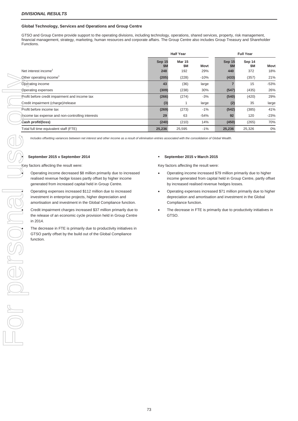## **Global Technology, Services and Operations and Group Centre**

GTSO and Group Centre provide support to the operating divisions, including technology, operations, shared services, property, risk management, financial management, strategy, marketing, human resources and corporate affairs. The Group Centre also includes Group Treasury and Shareholder Functions.

|                                                                                                                                                                                               | <b>Half Year</b> |                                        |        | <b>Full Year</b>    |               |        |  |
|-----------------------------------------------------------------------------------------------------------------------------------------------------------------------------------------------|------------------|----------------------------------------|--------|---------------------|---------------|--------|--|
|                                                                                                                                                                                               | Sep 15<br>\$M    | <b>Mar 15</b><br>\$M                   | Movt   | Sep 15<br><b>SM</b> | Sep 14<br>\$M | Movt   |  |
| Net interest income <sup>1</sup>                                                                                                                                                              | 248              | 192                                    | 29%    | 440                 | 372           | 18%    |  |
| Other operating income <sup>1</sup>                                                                                                                                                           | (205)            | (228)                                  | $-10%$ | (433)               | (357)         | 21%    |  |
| Operating income                                                                                                                                                                              | 43               | (36)                                   | large  |                     | 15            | $-53%$ |  |
| <b>Operating expenses</b>                                                                                                                                                                     | (309)            | (238)                                  | 30%    | (547)               | (435)         | 26%    |  |
| Profit before credit impairment and income tax                                                                                                                                                | (266)            | (274)                                  | $-3%$  | (540)               | (420)         | 29%    |  |
| Credit impairment (charge)/release                                                                                                                                                            | (3)              |                                        | large  | (2)                 | 35            | large  |  |
| Profit before income tax                                                                                                                                                                      | (269)            | (273)                                  | $-1%$  | (542)               | (385)         | 41%    |  |
| Income tax expense and non-controlling interests                                                                                                                                              | 29               | 63                                     | $-54%$ | 92                  | 120           | $-23%$ |  |
| Cash profit/(loss)                                                                                                                                                                            | (240)            | (210)                                  | 14%    | (450)               | (265)         | 70%    |  |
| Total full time equivalent staff (FTE)                                                                                                                                                        | 25,236           | 25,595                                 | $-1\%$ | 25,236              | 25,326        | 0%     |  |
| Includes offsetting variances between net interest and other income as a result of elimination entries associated with the consolidation of Global Wealth.<br>September 2015 v September 2014 |                  | September 2015 v March 2015            |        |                     |               |        |  |
| Koy factors offecting the result were:                                                                                                                                                        |                  | Koy factors offecting the result were: |        |                     |               |        |  |

### **September 2015 v September 2014**

Key factors affecting the result were:

 Operating income decreased \$8 million primarily due to increased realised revenue hedge losses partly offset by higher income generated from increased capital held in Group Centre.

investment in enterprise projects, higher depreciation and amortisation and investment in the Global Compliance function.

 Credit impairment charges increased \$37 million primarily due to the release of an economic cycle provision held in Group Centre in 2014.

 The decrease in FTE is primarily due to productivity initiatives in GTSO partly offset by the build out of the Global Compliance function.

#### **September 2015 v March 2015**

Key factors affecting the result were:

- Operating income increased \$79 million primarily due to higher income generated from capital held in Group Centre, partly offset by increased realised revenue hedges losses.
- Operating expenses increased \$71 million primarily due to higher depreciation and amortisation and investment in the Global Compliance function.
- The decrease in FTE is primarily due to productivity initiatives in GTSO.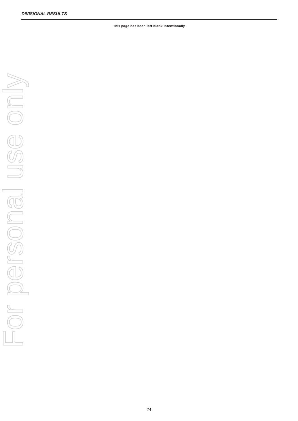**This page has been left blank intentionally**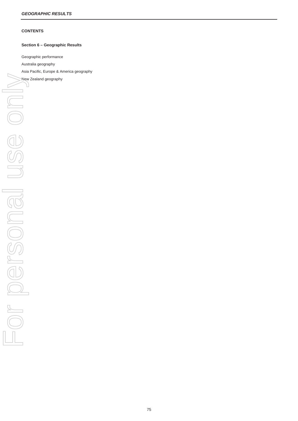# **CONTENTS**

## **Section 6 – Geographic Results**

Geographic performance

Australia geography

Asia Pacific, Europe & America geography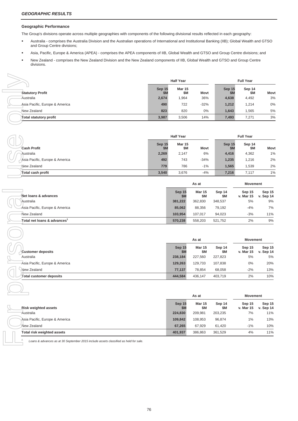### **Geographic Performance**

The Group's divisions operate across multiple geographies with components of the following divisional results reflected in each geography:

- Australia comprises the Australia Division and the Australian operations of International and Institutional Banking (IIB); Global Wealth and GTSO and Group Centre divisions;
- Asia, Pacific, Europe & America (APEA) comprises the APEA components of IIB, Global Wealth and GTSO and Group Centre divisions; and
- New Zealand comprises the New Zealand Division and the New Zealand components of IIB, Global Wealth and GTSO and Group Centre divisions.

|                                |                     | <b>Half Year</b>     |             |               | <b>Full Year</b> |      |  |  |
|--------------------------------|---------------------|----------------------|-------------|---------------|------------------|------|--|--|
| <b>Statutory Profit</b>        | Sep 15<br><b>SM</b> | <b>Mar 15</b><br>\$M | <b>Movt</b> | Sep 15<br>\$M | Sep 14<br>\$M    | Movt |  |  |
| Australia                      | 2,674               | 1,964                | 36%         | 4,638         | 4,492            | 3%   |  |  |
| Asia Pacific, Europe & America | 490                 | 722                  | $-32%$      | 1.212         | 1,214            | 0%   |  |  |
| New Zealand                    | 823                 | 820                  | $0\%$       | 1.643         | .565             | 5%   |  |  |
| Total statutory profit         | 3,987               | 3,506                | 14%         | 7,493         | 7,271            | 3%   |  |  |

|                                |               | <b>Half Year</b>     |        | <b>Full Year</b> |               |      |
|--------------------------------|---------------|----------------------|--------|------------------|---------------|------|
| <b>Cash Profit</b>             | Sep 15<br>\$M | <b>Mar 15</b><br>\$M | Movt   | Sep 15<br>\$M    | Sep 14<br>\$M | Movt |
| Australia                      | 2,269         | 2,147                | 6%     | 4,416            | 4,362         | 1%   |
| Asia Pacific, Europe & America | 492           | 743                  | $-34%$ | 1,235            | 1,216         | 2%   |
| New Zealand                    | 779           | 786                  | $-1%$  | 1,565            | 1,539         | 2%   |
| Total cash profit              | 3,540         | 3,676                | $-4%$  | 7,216            | 7,117         | 1%   |

|                                                                                            |               | <b>Half Year</b>     |                      |                   | <b>Full Year</b>    |                     |
|--------------------------------------------------------------------------------------------|---------------|----------------------|----------------------|-------------------|---------------------|---------------------|
| <b>Statutory Profit</b>                                                                    | Sep 15        | <b>Mar 15</b><br>\$Μ | Movt                 | Sep 15            | Sep 14<br>\$Μ       | Mov                 |
| Australia                                                                                  | \$M<br>2,674  | 1,964                | 36%                  | \$M<br>4,638      | 4,492               | 3%                  |
| Asia Pacific, Europe & America                                                             | 490           | 722                  | $-32%$               | 1,212             | 1,214               | 0%                  |
| New Zealand                                                                                | 823           | 820                  | 0%                   | 1,643             | 1,565               | 5%                  |
| Total statutory profit                                                                     | 3,987         | 3,506                | 14%                  | 7,493             | 7,271               | 3%                  |
|                                                                                            |               | <b>Half Year</b>     |                      |                   | <b>Full Year</b>    |                     |
|                                                                                            |               |                      |                      |                   |                     |                     |
| <b>Cash Profit</b>                                                                         | Sep 15<br>\$M | <b>Mar 15</b><br>\$Μ | Movt                 | Sep 15<br>\$M     | Sep 14<br>\$Μ       | Mov                 |
| Australia                                                                                  | 2,269         | 2,147                | 6%                   | 4,416             | 4,362               | 1%                  |
| Asia Pacific, Europe & America                                                             | 492           | 743                  | $-34%$               | 1,235             | 1,216               | 2%                  |
| New Zealand                                                                                | 779           | 786                  | $-1%$                | 1,565             | 1,539               | 2%                  |
| Total cash profit                                                                          | 3,540         | 3,676                | $-4%$                | 7,216             | 7,117               | 1%                  |
|                                                                                            |               |                      | As at                |                   | <b>Movement</b>     |                     |
|                                                                                            |               | Sep 15               | <b>Mar 15</b>        | Sep 14            | Sep 15              | Sep 15              |
| Net loans & advances                                                                       |               | \$M                  | \$Μ                  | \$Μ               | v. Mar 15           | v. Sep 14           |
| Australia                                                                                  |               | 381,222              | 362,830              | 348,537           | 5%                  | 9%                  |
| Asia Pacific, Europe & America                                                             |               | 85,062               | 88,356               | 79,192            | $-4%$               | 7%                  |
| New Zealand                                                                                |               | 103,954              | 107,017              | 94,023            | $-3%$               | 11%                 |
| Total net loans & advances $^{\rm \scriptscriptstyle 1}$                                   |               | 570,238              | 558,203              | 521,752           | 2%                  | 9%                  |
|                                                                                            |               |                      | As at                |                   | <b>Movement</b>     |                     |
|                                                                                            |               | Sep 15               | <b>Mar 15</b>        | Sep 14            | Sep 15              | Sep 15              |
| <b>Customer deposits</b><br>Australia                                                      |               | \$M                  | \$Μ                  | \$Μ               | v. Mar 15           | v. Sep 14           |
|                                                                                            |               | 238,184              | 227,560              | 227,823           | 5%                  | 5%                  |
| Asia Pacific, Europe & America<br>New Zealand                                              |               | 129,263              | 129,733              | 107,838           | $0\%$<br>$-2%$      | 20%                 |
| Total customer deposits                                                                    |               | 77,137<br>444,584    | 78,854<br>436,147    | 68,058<br>403,719 | 2%                  | 13%<br>10%          |
|                                                                                            |               |                      |                      |                   |                     |                     |
|                                                                                            |               |                      |                      |                   |                     |                     |
|                                                                                            |               |                      | As at                |                   | Movement            |                     |
| <b>Risk weighted assets</b>                                                                |               | Sep 15<br>\$M        | <b>Mar 15</b><br>\$Μ | Sep 14<br>\$Μ     | Sep 15<br>v. Mar 15 | Sep 15<br>v. Sep 14 |
| Australia                                                                                  |               | 224,830              | 209,981              | 203,235           | 7%                  | 11%                 |
| Asia Pacific, Europe & America                                                             |               | 109,842              | 108,953              | 96,874            | 1%                  | 13%                 |
| New Zealand                                                                                |               | 67,265               | 67,929               | 61,420            | $-1%$               | 10%                 |
| <b>Total risk weighted assets</b>                                                          |               | 401,937              | 386,863              | 361,529           | 4%                  | 11%                 |
| 1.<br>Loans & advances as at 30 September 2015 include assets classified as held for sale. |               |                      |                      |                   |                     |                     |

|                                | As at         |                      |               | <b>Movement</b>     |                     |  |
|--------------------------------|---------------|----------------------|---------------|---------------------|---------------------|--|
| <b>Customer deposits</b>       | Sep 15<br>\$M | <b>Mar 15</b><br>\$M | Sep 14<br>\$M | Sep 15<br>v. Mar 15 | Sep 15<br>v. Sep 14 |  |
| Australia                      | 238,184       | 227,560              | 227,823       | 5%                  | 5%                  |  |
| Asia Pacific, Europe & America | 129,263       | 129.733              | 107,838       | 0%                  | 20%                 |  |
| New Zealand                    | 77.137        | 78.854               | 68,058        | $-2%$               | 13%                 |  |
| Total customer deposits        | 444,584       | 436,147              | 403,719       | 2%                  | 10%                 |  |

| - -                               |               | As at                |               |                     | <b>Movement</b>     |  |  |
|-----------------------------------|---------------|----------------------|---------------|---------------------|---------------------|--|--|
| <b>Risk weighted assets</b>       | Sep 15<br>\$M | <b>Mar 15</b><br>\$M | Sep 14<br>\$M | Sep 15<br>v. Mar 15 | Sep 15<br>v. Sep 14 |  |  |
| Australia                         | 224.830       | 209.981              | 203,235       | 7%                  | 11%                 |  |  |
| Asia Pacific, Europe & America    | 109.842       | 108.953              | 96,874        | $1\%$               | 13%                 |  |  |
| New Zealand                       | 67.265        | 67.929               | 61.420        | $-1%$               | 10%                 |  |  |
| <b>Total risk weighted assets</b> | 401.937       | 386.863              | 361.529       | 4%                  | 11%                 |  |  |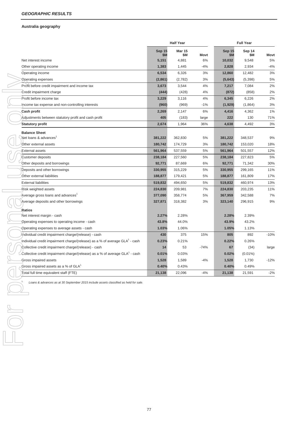### **Australia geography**

|                                                                                         | <b>Half Year</b> |                      |        | <b>Full Year</b> |               |        |  |
|-----------------------------------------------------------------------------------------|------------------|----------------------|--------|------------------|---------------|--------|--|
|                                                                                         | Sep 15<br>\$M    | <b>Mar 15</b><br>\$Μ | Movt   | Sep 15<br>\$M    | Sep 14<br>\$Μ | Movt   |  |
| Net interest income                                                                     | 5,151            | 4,881                | 6%     | 10,032           | 9,548         | 5%     |  |
| Other operating income                                                                  | 1,383            | 1,445                | $-4%$  | 2,828            | 2,934         | $-4%$  |  |
| Operating income                                                                        | 6,534            | 6,326                | 3%     | 12,860           | 12,482        | 3%     |  |
| Operating expenses                                                                      | (2,861)          | (2,782)              | 3%     | (5,643)          | (5,398)       | 5%     |  |
| Profit before credit impairment and income tax                                          | 3,673            | 3,544                | 4%     | 7,217            | 7,084         | 2%     |  |
| Credit impairment charge                                                                | (444)            | (428)                | 4%     | (872)            | (858)         | 2%     |  |
| Profit before income tax                                                                | 3,229            | 3,116                | 4%     | 6,345            | 6,226         | 2%     |  |
| Income tax expense and non-controlling interests                                        | (960)            | (969)                | $-1%$  | (1,929)          | (1,864)       | 3%     |  |
| Cash profit                                                                             | 2,269            | 2,147                | 6%     | 4,416            | 4,362         | 1%     |  |
| Adjustments between statutory profit and cash profit                                    | 405              | (183)                | large  | 222              | 130           | 71%    |  |
| <b>Statutory profit</b>                                                                 | 2,674            | 1,964                | 36%    | 4,638            | 4,492         | 3%     |  |
| <b>Balance Sheet</b>                                                                    |                  |                      |        |                  |               |        |  |
| Net loans & advances <sup>1</sup>                                                       | 381,222          | 362,830              | 5%     | 381,222          | 348,537       | 9%     |  |
| Other external assets                                                                   | 180,742          | 174,729              | 3%     | 180,742          | 153,020       | 18%    |  |
| <b>External assets</b>                                                                  | 561,964          | 537,559              | 5%     | 561,964          | 501,557       | 12%    |  |
| Customer deposits                                                                       | 238,184          | 227,560              | 5%     | 238,184          | 227,823       | 5%     |  |
| Other deposits and borrowings                                                           | 92,771           | 87,669               | 6%     | 92,771           | 71,342        | 30%    |  |
| Deposits and other borrowings                                                           | 330,955          | 315,229              | 5%     | 330,955          | 299,165       | 11%    |  |
| Other external liabilities                                                              | 188,877          | 179,421              | 5%     | 188,877          | 161,809       | 17%    |  |
| <b>External liabilities</b>                                                             | 519,832          | 494,650              | 5%     | 519,832          | 460,974       | 13%    |  |
| Risk weighted assets                                                                    | 224,830          | 209,981              | 7%     | 224,830          | 203,235       | 11%    |  |
| Average gross loans and advances <sup>1</sup>                                           | 377,090          | 358,774              | 5%     | 367,959          | 342,588       | 7%     |  |
| Average deposits and other borrowings                                                   | 327,871          | 318,382              | 3%     | 323,140          | 296,915       | 9%     |  |
| <b>Ratios</b>                                                                           |                  |                      |        |                  |               |        |  |
| Net interest margin - cash                                                              | 2.27%            | 2.28%                |        | 2.28%            | 2.39%         |        |  |
| Operating expenses to operating income - cash                                           | 43.8%            | 44.0%                |        | 43.9%            | 43.2%         |        |  |
| Operating expenses to average assets - cash                                             | 1.03%            | 1.06%                |        | 1.05%            | 1.13%         |        |  |
| Individual credit impairment charge/(release) - cash                                    | 430              | 375                  | 15%    | 805              | 892           | $-10%$ |  |
| Individual credit impairment charge/(release) as a % of average GLA <sup>1</sup> - cash | 0.23%            | 0.21%                |        | 0.22%            | 0.26%         |        |  |
| Collective credit impairment charge/(release) - cash                                    | 14               | 53                   | $-74%$ | 67               | (34)          | large  |  |
| Collective credit impairment charge/(release) as a % of average $GLA1$ - cash           | 0.01%            | 0.03%                |        | 0.02%            | $(0.01\%)$    |        |  |
| Gross impaired assets                                                                   | 1,528            | 1,589                | $-4%$  | 1,528            | 1,730         | $-12%$ |  |
| Gross impaired assets as a % of GLA                                                     | 0.40%            | 0.43%                |        | 0.40%            | 0.49%         |        |  |
| Total full time equivalent staff (FTE)                                                  | 21,138           | 22,096               | $-4%$  | 21,138           | 21,591        | $-2%$  |  |
| Loans & advances as at 30 September 2015 include assets classified as held for sale.    |                  |                      |        |                  |               |        |  |
|                                                                                         |                  |                      |        |                  |               |        |  |
|                                                                                         |                  |                      |        |                  |               |        |  |
|                                                                                         |                  |                      |        |                  |               |        |  |
|                                                                                         |                  |                      |        |                  |               |        |  |
|                                                                                         |                  |                      |        |                  |               |        |  |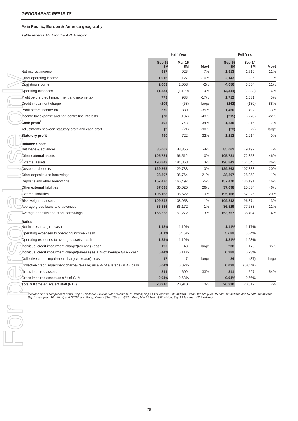### **Asia Pacific, Europe & America geography**

*Table reflects AUD for the APEA region* 

|                                                                                                                                                                                                                                                                                                                                                                                     | <b>Half Year</b> |                      |        | <b>Full Year</b> |               |        |  |
|-------------------------------------------------------------------------------------------------------------------------------------------------------------------------------------------------------------------------------------------------------------------------------------------------------------------------------------------------------------------------------------|------------------|----------------------|--------|------------------|---------------|--------|--|
|                                                                                                                                                                                                                                                                                                                                                                                     | Sep 15<br>\$M    | <b>Mar 15</b><br>\$Μ | Movt   | Sep 15<br>\$M    | Sep 14<br>\$Μ | Movt   |  |
| Net interest income                                                                                                                                                                                                                                                                                                                                                                 | 987              | 926                  | 7%     | 1,913            | 1,719         | 11%    |  |
| Other operating income                                                                                                                                                                                                                                                                                                                                                              | 1,016            | 1,127                | $-10%$ | 2,143            | 1,935         | 11%    |  |
| Operating income                                                                                                                                                                                                                                                                                                                                                                    | 2,003            | 2,053                | $-2%$  | 4,056            | 3,654         | 11%    |  |
| Operating expenses                                                                                                                                                                                                                                                                                                                                                                  | (1, 224)         | (1, 120)             | 9%     | (2, 344)         | (2,023)       | 16%    |  |
| Profit before credit impairment and income tax                                                                                                                                                                                                                                                                                                                                      | 779              | 933                  | $-17%$ | 1,712            | 1,631         | 5%     |  |
| Credit impairment charge                                                                                                                                                                                                                                                                                                                                                            | (209)            | (53)                 | large  | (262)            | (139)         | 88%    |  |
| Profit before income tax                                                                                                                                                                                                                                                                                                                                                            | 570              | 880                  | $-35%$ | 1,450            | 1,492         | $-3%$  |  |
| Income tax expense and non-controlling interests                                                                                                                                                                                                                                                                                                                                    | (78)             | (137)                | -43%   | (215)            | (276)         | $-22%$ |  |
| Cash profit <sup>1</sup>                                                                                                                                                                                                                                                                                                                                                            | 492              | 743                  | $-34%$ | 1,235            | 1,216         | 2%     |  |
| Adjustments between statutory profit and cash profit                                                                                                                                                                                                                                                                                                                                | (2)              | (21)                 | $-90%$ | (23)             | (2)           | large  |  |
| <b>Statutory profit</b>                                                                                                                                                                                                                                                                                                                                                             | 490              | 722                  | $-32%$ | 1,212            | 1,214         | $0\%$  |  |
| <b>Balance Sheet</b>                                                                                                                                                                                                                                                                                                                                                                |                  |                      |        |                  |               |        |  |
| Net loans & advances                                                                                                                                                                                                                                                                                                                                                                | 85,062           | 88,356               | $-4%$  | 85,062           | 79,192        | 7%     |  |
| Other external assets                                                                                                                                                                                                                                                                                                                                                               | 105,781          | 96,512               | 10%    | 105,781          | 72,353        | 46%    |  |
| <b>External assets</b>                                                                                                                                                                                                                                                                                                                                                              | 190,843          | 184,868              | 3%     | 190,843          | 151,545       | 26%    |  |
| Customer deposits                                                                                                                                                                                                                                                                                                                                                                   | 129,263          | 129,733              | 0%     | 129,263          | 107,838       | 20%    |  |
| Other deposits and borrowings                                                                                                                                                                                                                                                                                                                                                       | 28,207           | 35,764               | $-21%$ | 28,207           | 28,353        | $-1%$  |  |
| Deposits and other borrowings                                                                                                                                                                                                                                                                                                                                                       | 157,470          | 165,497              | $-5%$  | 157,470          | 136,191       | 16%    |  |
| Other external liabilities                                                                                                                                                                                                                                                                                                                                                          | 37,698           | 30,025               | 26%    | 37,698           | 25,834        | 46%    |  |
| <b>External liabilities</b>                                                                                                                                                                                                                                                                                                                                                         | 195,168          | 195,522              | 0%     | 195,168          | 162,025       | 20%    |  |
| Risk weighted assets                                                                                                                                                                                                                                                                                                                                                                | 109,842          | 108,953              | 1%     | 109,842          | 96,874        | 13%    |  |
| Average gross loans and advances                                                                                                                                                                                                                                                                                                                                                    | 86,886           | 86,172               | 1%     | 86,529           | 77,683        | 11%    |  |
| Average deposits and other borrowings                                                                                                                                                                                                                                                                                                                                               | 156,228          | 151,272              | 3%     | 153,757          | 135,404       | 14%    |  |
| Ratios                                                                                                                                                                                                                                                                                                                                                                              |                  |                      |        |                  |               |        |  |
| Net interest margin - cash                                                                                                                                                                                                                                                                                                                                                          | 1.12%            | 1.10%                |        | 1.11%            | 1.17%         |        |  |
| Operating expenses to operating income - cash                                                                                                                                                                                                                                                                                                                                       | 61.1%            | 54.6%                |        | 57.8%            | 55.4%         |        |  |
| Operating expenses to average assets - cash                                                                                                                                                                                                                                                                                                                                         | 1.23%            | 1.19%                |        | 1.21%            | 1.23%         |        |  |
| Individual credit impairment charge/(release) - cash                                                                                                                                                                                                                                                                                                                                | 190              | 48                   | large  | 238              | 176           | 35%    |  |
| Individual credit impairment charge/(release) as a % of average GLA - cash                                                                                                                                                                                                                                                                                                          | 0.44%            | 0.11%                |        | 0.28%            | 0.23%         |        |  |
| Collective credit impairment charge/(release) - cash                                                                                                                                                                                                                                                                                                                                | 17               | 7                    | large  | 24               | (37)          | large  |  |
| Collective credit impairment charge/(release) as a % of average GLA - cash                                                                                                                                                                                                                                                                                                          | 0.04%            | 0.02%                |        | 0.03%            | $(0.05\%)$    |        |  |
| Gross impaired assets                                                                                                                                                                                                                                                                                                                                                               | 811              | 609                  | 33%    | 811              | 527           | 54%    |  |
| Gross impaired assets as a % of GLA                                                                                                                                                                                                                                                                                                                                                 | 0.94%            | 0.68%                |        | 0.94%            | 0.66%         |        |  |
| Total full time equivalent staff (FTE)                                                                                                                                                                                                                                                                                                                                              | 20,910           | 20,910               | $0\%$  | 20,910           | 20,512        | 2%     |  |
| Includes APEA components of IIB (Sep 15 half: \$517 million; Mar 15 half: \$771 million; Sep 14 full year: \$1,239 million), Global Wealth (Sep 15 half: -\$3 million; Mar 15 half: -\$2 million; Mar 15 half: -\$2 million;<br>Sep 14 full year: \$6 million) and GTSO and Group Centre (Sep 15 half: -\$22 million; Mar 15 half: -\$26 million; Sep 14 full year: -\$29 million). |                  |                      |        |                  |               |        |  |
|                                                                                                                                                                                                                                                                                                                                                                                     |                  |                      |        |                  |               |        |  |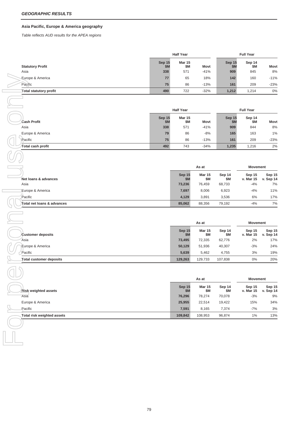# **Asia Pacific, Europe & America geography**

*Table reflects AUD results for the APEA regions* 

|                         |               | <b>Half Year</b>     |        |               | <b>Full Year</b> |        |  |  |
|-------------------------|---------------|----------------------|--------|---------------|------------------|--------|--|--|
| <b>Statutory Profit</b> | Sep 15<br>\$M | <b>Mar 15</b><br>\$M | Movt   | Sep 15<br>\$M | Sep 14<br>\$M    | Movt   |  |  |
| Asia                    | 338           | 571                  | $-41%$ | 909           | 845              | 8%     |  |  |
| Europe & America        | 77            | 65                   | 18%    | 142           | 160              | $-11%$ |  |  |
| Pacific                 | 75            | 86                   | $-13%$ | 161           | 209              | $-23%$ |  |  |
| Total statutory profit  | 490           | 722                  | $-32%$ | 1,212         | 1,214            | $0\%$  |  |  |

|                    | <b>Half Year</b> |                      |        | <b>Full Year</b> |               |        |  |
|--------------------|------------------|----------------------|--------|------------------|---------------|--------|--|
| <b>Cash Profit</b> | Sep 15<br>\$M    | <b>Mar 15</b><br>\$M | Movt   | Sep 15<br>\$M    | Sep 14<br>\$M | Movt   |  |
| Asia               | 338              | 571                  | $-41%$ | 909              | 844           | 8%     |  |
| Europe & America   | 79               | 86                   | $-8%$  | 165              | 163           | 1%     |  |
| Pacific            | 75               | 86                   | $-13%$ | 161              | 209           | $-23%$ |  |
| Total cash profit  | 492              | 743                  | $-34%$ | 1,235            | 1,216         | 2%     |  |

| $-$ |                            | As at         |                      |               | <b>Movement</b>     |                     |  |
|-----|----------------------------|---------------|----------------------|---------------|---------------------|---------------------|--|
|     | Net loans & advances       | Sep 15<br>\$M | <b>Mar 15</b><br>\$M | Sep 14<br>\$M | Sep 15<br>v. Mar 15 | Sep 15<br>v. Sep 14 |  |
|     | Asia                       | 73,236        | 76,459               | 68,733        | $-4%$               | 7%                  |  |
|     | Europe & America           | 7,697         | 8.006                | 6,923         | $-4%$               | 11%                 |  |
|     | Pacific                    | 4.129         | 3,891                | 3.536         | 6%                  | 17%                 |  |
|     | Total net loans & advances | 85,062        | 88,356               | 79,192        | $-4%$               | 7%                  |  |

|                         |               | As at                |               |                     | <b>Movement</b>     |  |  |
|-------------------------|---------------|----------------------|---------------|---------------------|---------------------|--|--|
| Customer deposits       | Sep 15<br>\$M | <b>Mar 15</b><br>\$M | Sep 14<br>\$M | Sep 15<br>v. Mar 15 | Sep 15<br>v. Sep 14 |  |  |
| Asia                    | 73,495        | 72,335               | 62,776        | 2%                  | 17%                 |  |  |
| Europe & America        | 50,129        | 51,936               | 40,307        | $-3%$               | 24%                 |  |  |
| Pacific                 | 5.639         | 5.462                | 4.755         | 3%                  | 19%                 |  |  |
| Total customer deposits | 129,263       | 129,733              | 107,838       | 0%                  | 20%                 |  |  |

| Europe & America               | 77     | 65               | 18%                  | 142           | 160                 | $-11%$              |
|--------------------------------|--------|------------------|----------------------|---------------|---------------------|---------------------|
| Pacific                        | 75     | 86               | $-13%$               | 161           | 209                 | $-23%$              |
| Total statutory profit         | 490    | 722              | $-32%$               | 1,212         | 1,214               | $0\%$               |
|                                |        |                  |                      |               |                     |                     |
|                                |        |                  |                      |               |                     |                     |
|                                |        | <b>Half Year</b> |                      |               | <b>Full Year</b>    |                     |
|                                | Sep 15 | <b>Mar 15</b>    |                      | Sep 15        | Sep 14              |                     |
| Cash Profit                    | \$M    | \$M              | Movt                 | \$M           | \$Μ                 | Movt                |
| Asia                           | 338    | 571              | $-41%$               | 909           | 844                 | 8%                  |
| Europe & America               | 79     | 86               | $-8%$                | 165           | 163                 | $1\%$               |
| Pacific                        | 75     | 86               | $-13%$               | 161           | 209                 | $-23%$              |
| ∕Total cash profit             | 492    | 743              | $-34%$               | 1,235         | 1,216               | 2%                  |
|                                |        |                  |                      |               |                     |                     |
|                                |        |                  |                      |               |                     |                     |
|                                |        |                  | As at                |               | <b>Movement</b>     |                     |
|                                |        | Sep 15           | <b>Mar 15</b>        | Sep 14        | Sep 15              | Sep 15              |
| Net loans & advances           |        | \$M              | \$Μ                  | \$M           | v. Mar 15           | v. Sep 14           |
| Asia                           |        | 73,236           | 76,459               | 68,733        | $-4%$               | 7%                  |
| Europe & America               |        | 7,697            | 8,006                | 6,923         | $-4%$               | 11%                 |
| Pacific                        |        | 4,129            | 3,891                | 3,536         | 6%                  | 17%                 |
| Total net loans & advances     |        | 85,062           | 88,356               | 79,192        | $-4%$               | 7%                  |
|                                |        |                  |                      |               |                     |                     |
|                                |        |                  | As at                |               | <b>Movement</b>     |                     |
|                                |        |                  |                      |               |                     |                     |
| <b>Customer deposits</b>       |        | Sep 15<br>\$M    | <b>Mar 15</b>        | Sep 14        |                     |                     |
|                                |        |                  |                      |               | <b>Sep 15</b>       | Sep 15              |
| Asia                           |        | 73,495           | \$M<br>72,335        | \$M<br>62,776 | v. Mar 15<br>2%     | v. Sep 14<br>17%    |
| Europe & America               |        | 50,129           | 51,936               | 40,307        | $-3%$               | 24%                 |
| Pacific                        |        | 5,639            | 5,462                | 4,755         | 3%                  | 19%                 |
| <b>Total customer deposits</b> |        | 129,263          | 129,733              | 107,838       | $0\%$               | 20%                 |
|                                |        |                  |                      |               |                     |                     |
|                                |        |                  |                      |               |                     |                     |
|                                |        |                  | As at                |               | <b>Movement</b>     |                     |
|                                |        |                  |                      |               |                     |                     |
| <b>Risk weighted assets</b>    |        | Sep 15<br>\$M    | <b>Mar 15</b><br>\$Μ | Sep 14<br>\$Μ | Sep 15<br>v. Mar 15 | Sep 15<br>v. Sep 14 |
| Asia                           |        | 76,296           | 78,274               | 70,078        | $-3%$               | 9%                  |
| Europe & America               |        | 25,955           | 22,514               | 19,422        | 15%                 | 34%                 |
| Pacific                        |        | 7,591            | 8,165                | 7,374         | $-7%$               | $3%$                |
| Total risk weighted assets     |        | 109,842          | 108,953              | 96,874        | $1\%$               | 13%                 |
|                                |        |                  |                      |               |                     |                     |
|                                |        |                  |                      |               |                     |                     |
|                                |        |                  |                      |               |                     |                     |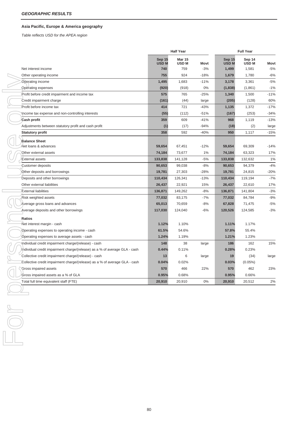# **Asia Pacific, Europe & America geography**

*Table reflects USD for the APEA region* 

|                                                                            |                       | <b>Half Year</b>             |        |                        | <b>Full Year</b>      |        |
|----------------------------------------------------------------------------|-----------------------|------------------------------|--------|------------------------|-----------------------|--------|
|                                                                            | Sep 15<br><b>USDM</b> | <b>Mar 15</b><br><b>USDM</b> | Movt   | Sep 15<br><b>USD M</b> | Sep 14<br><b>USDM</b> | Movt   |
| Net interest income                                                        | 740                   | 759                          | $-3%$  | 1,499                  | 1,581                 | $-5%$  |
| Other operating income                                                     | 755                   | 924                          | $-18%$ | 1,679                  | 1,780                 | $-6%$  |
| Operating income                                                           | 1,495                 | 1,683                        | $-11%$ | 3,178                  | 3,361                 | $-5%$  |
| Operating expenses                                                         | (920)                 | (918)                        | $0\%$  | (1,838)                | (1,861)               | $-1%$  |
| Profit before credit impairment and income tax                             | 575                   | 765                          | $-25%$ | 1,340                  | 1,500                 | $-11%$ |
| Credit impairment charge                                                   | (161)                 | (44)                         | large  | (205)                  | (128)                 | 60%    |
| Profit before income tax                                                   | 414                   | 721                          | $-43%$ | 1,135                  | 1,372                 | $-17%$ |
| Income tax expense and non-controlling interests                           | (55)                  | (112)                        | $-51%$ | (167)                  | (253)                 | $-34%$ |
| <b>Cash profit</b>                                                         | 359                   | 609                          | $-41%$ | 968                    | 1,119                 | $-13%$ |
| Adjustments between statutory profit and cash profit                       | (1)                   | (17)                         | $-94%$ | (18)                   | (2)                   | large  |
| <b>Statutory profit</b>                                                    | 358                   | 592                          | $-40%$ | 950                    | 1,117                 | $-15%$ |
| <b>Balance Sheet</b>                                                       |                       |                              |        |                        |                       |        |
| Net loans & advances                                                       | 59,654                | 67,451                       | $-12%$ | 59,654                 | 69,309                | $-14%$ |
| Other external assets                                                      | 74,184                | 73,677                       | 1%     | 74,184                 | 63,323                | 17%    |
| <b>External assets</b>                                                     | 133,838               | 141,128                      | $-5%$  | 133,838                | 132,632               | $1\%$  |
| Customer deposits                                                          | 90,653                | 99,038                       | $-8%$  | 90,653                 | 94,379                | $-4%$  |
| Other deposits and borrowings                                              | 19,781                | 27,303                       | $-28%$ | 19,781                 | 24,815                | $-20%$ |
| Deposits and other borrowings                                              | 110,434               | 126,341                      | $-13%$ | 110,434                | 119,194               | $-7%$  |
| Other external liabilities                                                 | 26,437                | 22,921                       | 15%    | 26,437                 | 22,610                | 17%    |
| <b>External liabilities</b>                                                | 136,871               | 149,262                      | $-8%$  | 136,871                | 141,804               | $-3%$  |
| Risk weighted assets                                                       | 77,032                | 83,175                       | $-7%$  | 77,032                 | 84,784                | $-9%$  |
| Average gross loans and advances                                           | 65,013                | 70,659                       | $-8%$  | 67,828                 | 71,475                | $-5%$  |
| Average deposits and other borrowings                                      | 117,030               | 124,040                      | $-6%$  | 120,526                | 124,585               | $-3%$  |
| Ratios                                                                     |                       |                              |        |                        |                       |        |
| Net interest margin - cash                                                 | 1.12%                 | 1.10%                        |        | 1.11%                  | 1.17%                 |        |
| Operating expenses to operating income - cash                              | 61.5%                 | 54.6%                        |        | 57.8%                  | 55.4%                 |        |
| Operating expenses to average assets - cash                                | 1.24%                 | 1.19%                        |        | 1.21%                  | 1.23%                 |        |
| Individual credit impairment charge/(release) - cash                       | 148                   | 38                           | large  | 186                    | 162                   | 15%    |
| Individual credit impairment charge/(release) as a % of average GLA - cash | 0.44%                 | 0.11%                        |        | 0.28%                  | 0.23%                 |        |
| Collective credit impairment charge/(release) - cash                       | 13                    | 6                            | large  | 19                     | (34)                  | large  |
| Collective credit impairment charge/(release) as a % of average GLA - cash | 0.04%                 | 0.02%                        |        | 0.03%                  | $(0.05\%)$            |        |
| Gross impaired assets                                                      | 570                   | 466                          | 22%    | 570                    | 462                   | 23%    |
| Gross impaired assets as a % of GLA                                        | 0.95%                 | 0.68%                        |        | 0.95%                  | 0.66%                 |        |
| Total full time equivalent staff (FTE)                                     | 20,910                | 20,910                       | $0\%$  | 20,910                 | 20,512                | 2%     |
|                                                                            |                       |                              |        |                        |                       |        |
|                                                                            |                       |                              |        |                        |                       |        |
|                                                                            |                       |                              |        |                        |                       |        |
|                                                                            |                       |                              |        |                        |                       |        |
|                                                                            |                       |                              |        |                        |                       |        |
|                                                                            |                       |                              |        |                        |                       |        |
|                                                                            |                       |                              |        |                        |                       |        |
|                                                                            |                       |                              |        |                        |                       |        |
|                                                                            |                       |                              |        |                        |                       |        |
|                                                                            |                       |                              |        |                        |                       |        |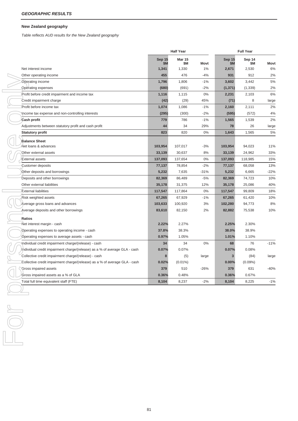# **New Zealand geography**

*Table reflects AUD results for the New Zealand geography* 

|                                                                            |               | <b>Half Year</b>     |        |               | <b>Full Year</b> |        |
|----------------------------------------------------------------------------|---------------|----------------------|--------|---------------|------------------|--------|
|                                                                            | Sep 15<br>\$M | <b>Mar 15</b><br>\$M | Movt   | Sep 15<br>\$M | Sep 14<br>\$Μ    | Movt   |
| Net interest income                                                        | 1,341         | 1,330                | 1%     | 2,671         | 2,530            | 6%     |
| Other operating income                                                     | 455           | 476                  | $-4%$  | 931           | 912              | 2%     |
| Operating income                                                           | 1,796         | 1,806                | $-1%$  | 3,602         | 3,442            | 5%     |
| Operating expenses                                                         | (680)         | (691)                | $-2%$  | (1, 371)      | (1, 339)         | 2%     |
| Profit before credit impairment and income tax                             | 1,116         | 1,115                | $0\%$  | 2,231         | 2,103            | 6%     |
| Credit impairment charge                                                   | (42)          | (29)                 | 45%    | (71)          | 8                | large  |
| Profit before income tax                                                   | 1,074         | 1,086                | $-1%$  | 2,160         | 2,111            | 2%     |
| Income tax expense and non-controlling interests                           | (295)         | (300)                | $-2%$  | (595)         | (572)            | 4%     |
| <b>Cash profit</b>                                                         | 779           | 786                  | $-1%$  | 1,565         | 1,539            | 2%     |
| Adjustments between statutory profit and cash profit                       | 44            | 34                   | 29%    | 78            | 26               | large  |
| <b>Statutory profit</b>                                                    | 823           | 820                  | 0%     | 1,643         | 1,565            | 5%     |
| <b>Balance Sheet</b>                                                       |               |                      |        |               |                  |        |
| Net loans & advances                                                       | 103,954       | 107,017              | $-3%$  | 103,954       | 94,023           | 11%    |
| Other external assets                                                      | 33,139        | 30,637               | 8%     | 33,139        | 24,962           | 33%    |
| <b>External assets</b>                                                     | 137,093       | 137,654              | $0\%$  | 137,093       | 118,985          | 15%    |
| Customer deposits                                                          | 77,137        | 78,854               | $-2%$  | 77,137        | 68,058           | 13%    |
| Other deposits and borrowings                                              | 5,232         | 7,635                | $-31%$ | 5,232         | 6,665            | $-22%$ |
| Deposits and other borrowings                                              | 82,369        | 86,489               | $-5%$  | 82,369        | 74,723           | 10%    |
| Other external liabilities                                                 | 35,178        | 31,375               | 12%    | 35,178        | 25,086           | 40%    |
| <b>External liabilities</b>                                                | 117,547       | 117,864              | $0\%$  | 117,547       | 99,809           | 18%    |
| Risk weighted assets                                                       | 67,265        | 67,929               | $-1%$  | 67,265        | 61,420           | 10%    |
| Average gross loans and advances                                           | 103,633       | 100,920              | 3%     | 102,280       | 94,773           | 8%     |
| Average deposits and other borrowings                                      | 83,610        | 82,150               | 2%     | 82,882        | 75,538           | 10%    |
| <b>Ratios</b>                                                              |               |                      |        |               |                  |        |
| Net interest margin - cash                                                 | 2.22%         | 2.27%                |        | 2.25%         | 2.30%            |        |
| Operating expenses to operating income - cash                              | 37.8%         | 38.3%                |        | 38.0%         | 38.9%            |        |
| Operating expenses to average assets - cash                                | 0.97%         | 1.05%                |        | 1.01%         | 1.10%            |        |
| Individual credit impairment charge/(release) - cash                       | 34            | 34                   | $0\%$  | 68            | 76               | $-11%$ |
| Individual credit impairment charge/(release) as a % of average GLA - cash | 0.07%         | 0.07%                |        | 0.07%         | 0.08%            |        |
| Collective credit impairment charge/(release) - cash                       | 8             | (5)                  | large  | 3             | (84)             | large  |
| Collective credit impairment charge/(release) as a % of average GLA - cash | 0.02%         | $(0.01\%)$           |        | 0.00%         | $(0.09\%)$       |        |
| Gross impaired assets                                                      | 379           | 510                  | $-26%$ | 379           | 631              | $-40%$ |
| Gross impaired assets as a % of GLA                                        | 0.36%         | 0.48%                |        | 0.36%         | 0.67%            |        |
| Total full time equivalent staff (FTE)                                     | 8,104         | 8,237                | $-2%$  | 8,104         | 8,225            | $-1%$  |
|                                                                            |               |                      |        |               |                  |        |
|                                                                            |               |                      |        |               |                  |        |
|                                                                            |               |                      |        |               |                  |        |
|                                                                            |               |                      |        |               |                  |        |
|                                                                            |               |                      |        |               |                  |        |
|                                                                            |               |                      |        |               |                  |        |
|                                                                            |               |                      |        |               |                  |        |
|                                                                            |               |                      |        |               |                  |        |
|                                                                            |               |                      |        |               |                  |        |
|                                                                            |               |                      |        |               |                  |        |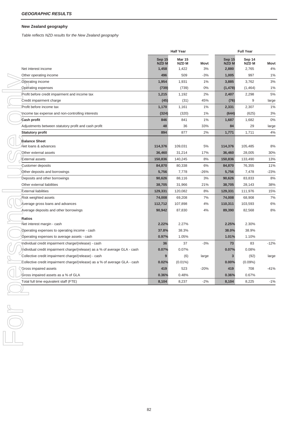# **New Zealand geography**

*Table reflects NZD results for the New Zealand geography* 

|                                                                            |                       | <b>Half Year</b>              |        |                        | <b>Full Year</b>       |        |
|----------------------------------------------------------------------------|-----------------------|-------------------------------|--------|------------------------|------------------------|--------|
|                                                                            | Sep 15<br><b>NZDM</b> | <b>Mar 15</b><br><b>NZD M</b> | Movt   | Sep 15<br><b>NZD M</b> | Sep 14<br><b>NZD M</b> | Movt   |
| Net interest income                                                        | 1,458                 | 1,422                         | 3%     | 2,880                  | 2,765                  | 4%     |
| Other operating income                                                     | 496                   | 509                           | $-3%$  | 1,005                  | 997                    | 1%     |
| Operating income                                                           | 1,954                 | 1,931                         | 1%     | 3,885                  | 3,762                  | 3%     |
| Operating expenses                                                         | (739)                 | (739)                         | 0%     | (1, 478)               | (1,464)                | 1%     |
| Profit before credit impairment and income tax                             | 1,215                 | 1,192                         | 2%     | 2,407                  | 2,298                  | 5%     |
| Credit impairment charge                                                   | (45)                  | (31)                          | 45%    | (76)                   | 9                      | large  |
| Profit before income tax                                                   | 1,170                 | 1,161                         | 1%     | 2,331                  | 2,307                  | 1%     |
| Income tax expense and non-controlling interests                           | (324)                 | (320)                         | 1%     | (644)                  | (625)                  | 3%     |
| Cash profit                                                                | 846                   | 841                           | 1%     | 1,687                  | 1,682                  | 0%     |
| Adjustments between statutory profit and cash profit                       | 48                    | 36                            | 33%    | 84                     | 29                     | large  |
| <b>Statutory profit</b>                                                    | 894                   | 877                           | 2%     | 1,771                  | 1,711                  | 4%     |
| <b>Balance Sheet</b>                                                       |                       |                               |        |                        |                        |        |
| Net loans & advances                                                       | 114,376               | 109,031                       | 5%     | 114,376                | 105,485                | 8%     |
| Other external assets                                                      | 36,460                | 31,214                        | 17%    | 36,460                 | 28,005                 | 30%    |
| <b>External assets</b>                                                     | 150,836               | 140,245                       | 8%     | 150,836                | 133,490                | 13%    |
| Customer deposits                                                          | 84,870                | 80,338                        | 6%     | 84,870                 | 76,355                 | 11%    |
| Other deposits and borrowings                                              | 5,756                 | 7,778                         | $-26%$ | 5,756                  | 7,478                  | $-23%$ |
| Deposits and other borrowings                                              | 90,626                | 88,116                        | 3%     | 90,626                 | 83,833                 | 8%     |
| Other external liabilities                                                 | 38,705                | 31,966                        | 21%    | 38,705                 | 28,143                 | 38%    |
| <b>External liabilities</b>                                                | 129,331               | 120,082                       | 8%     | 129,331                | 111,976                | 15%    |
| Risk weighted assets                                                       | 74,008                | 69,208                        | 7%     | 74,008                 | 68,908                 | 7%     |
| Average gross loans and advances                                           | 112,712               | 107,898                       | 4%     | 110,311                | 103,593                | 6%     |
| Average deposits and other borrowings                                      | 90,942                | 87,830                        | 4%     | 89,390                 | 82,568                 | 8%     |
| Ratios                                                                     |                       |                               |        |                        |                        |        |
| Net interest margin - cash                                                 | 2.22%                 | 2.27%                         |        | 2.25%                  | 2.30%                  |        |
| Operating expenses to operating income - cash                              | 37.8%                 | 38.3%                         |        | 38.0%                  | 38.9%                  |        |
| Operating expenses to average assets - cash                                | 0.97%                 | 1.05%                         |        | 1.01%                  | 1.10%                  |        |
| Individual credit impairment charge/(release) - cash                       | 36                    | 37                            | $-3%$  | 73                     | 83                     | $-12%$ |
| Individual credit impairment charge/(release) as a % of average GLA - cash | 0.07%                 | 0.07%                         |        | 0.07%                  | 0.08%                  |        |
| Collective credit impairment charge/(release) - cash                       | 9                     | (6)                           | large  | 3                      | (92)                   | large  |
| Collective credit impairment charge/(release) as a % of average GLA - cash | 0.02%                 | $(0.01\%)$                    |        | 0.00%                  | $(0.09\%)$             |        |
| Gross impaired assets                                                      | 419                   | 523                           | $-20%$ | 419                    | 708                    | $-41%$ |
| Gross impaired assets as a % of GLA                                        | 0.36%                 | 0.48%                         |        | 0.36%                  | 0.67%                  |        |
| Total full time equivalent staff (FTE)                                     | 8,104                 | 8,237                         | $-2%$  | 8,104                  | 8,225                  | $-1%$  |
|                                                                            |                       |                               |        |                        |                        |        |
|                                                                            |                       |                               |        |                        |                        |        |
|                                                                            |                       |                               |        |                        |                        |        |
|                                                                            |                       |                               |        |                        |                        |        |
|                                                                            |                       |                               |        |                        |                        |        |
|                                                                            |                       |                               |        |                        |                        |        |
|                                                                            |                       |                               |        |                        |                        |        |
|                                                                            |                       |                               |        |                        |                        |        |
|                                                                            |                       |                               |        |                        |                        |        |
|                                                                            |                       |                               |        |                        |                        |        |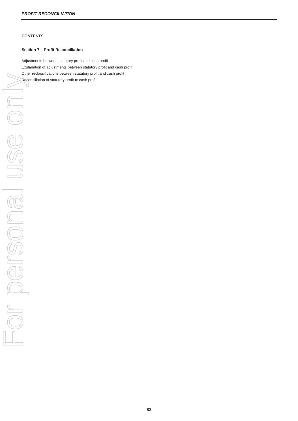# **CONTENTS**

# **Section 7 – Profit Reconciliation**

Adjustments between statutory profit and cash profit Explanation of adjustments between statutory profit and cash profit Other reclassifications between statutory profit and cash profit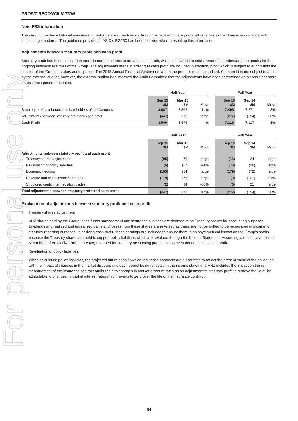## **Non-IFRS information**

The Group provides additional measures of performance in the Results Announcement which are prepared on a basis other than in accordance with accounting standards. The guidance provided in ASIC's RG230 has been followed when presenting this information.

# **Adjustments between statutory profit and cash profit**

Statutory profit has been adjusted to exclude non-core items to arrive at cash profit, which is provided to assist readers to understand the results for the ongoing business activities of the Group. The adjustments made in arriving at cash profit are included in statutory profit which is subject to audit within the context of the Group statutory audit opinion. The 2015 Annual Financial Statements are in the process of being audited. Cash profit is not subject to audit by the external auditor, however, the external auditor has informed the Audit Committee that the adjustments have been determined on a consistent basis across each period presented.

|                                                              | <b>Half Year</b> |               | <b>Full Year</b> |               |               |      |
|--------------------------------------------------------------|------------------|---------------|------------------|---------------|---------------|------|
|                                                              | Sep 15<br>\$M    | Mar 15<br>\$M | Movt             | Sep 15<br>\$M | Sep 14<br>\$M | Movt |
| Statutory profit attributable to shareholders of the Company | 3,987            | 3.506         | 14%              | 7.493         | 7.271         | 3%   |
| Adjustments between statutory profit and cash profit         | (447)            | 170           | large            | (277)         | (154)         | 80%  |
| <b>Cash Profit</b>                                           | 3.540            | 3.676         | $-4%$            | 7.216         | 7.117         | 1%   |

| by the external auditor, however, the external auditor has informed the Audit Committee that the adjustments have been determined on a consistent basis<br>across each period presented.                                                                                                                                                                                                                                                                                                                                                                                                         |               |                      |        |                      |                  |        |
|--------------------------------------------------------------------------------------------------------------------------------------------------------------------------------------------------------------------------------------------------------------------------------------------------------------------------------------------------------------------------------------------------------------------------------------------------------------------------------------------------------------------------------------------------------------------------------------------------|---------------|----------------------|--------|----------------------|------------------|--------|
|                                                                                                                                                                                                                                                                                                                                                                                                                                                                                                                                                                                                  |               | <b>Half Year</b>     |        |                      | <b>Full Year</b> |        |
|                                                                                                                                                                                                                                                                                                                                                                                                                                                                                                                                                                                                  | Sep 15<br>\$M | <b>Mar 15</b><br>\$Μ | Movt   | <b>Sep 15</b><br>\$M | Sep 14<br>\$M    | Movt   |
| Statutory profit attributable to shareholders of the Company                                                                                                                                                                                                                                                                                                                                                                                                                                                                                                                                     | 3,987         | 3,506                | 14%    | 7,493                | 7,271            | 3%     |
| Adjustments between statutory profit and cash profit                                                                                                                                                                                                                                                                                                                                                                                                                                                                                                                                             | (447)         | 170                  | large  | (277)                | (154)            | 80%    |
| Cash Profit                                                                                                                                                                                                                                                                                                                                                                                                                                                                                                                                                                                      | 3,540         | 3,676                | $-4%$  | 7,216                | 7,117            | 1%     |
|                                                                                                                                                                                                                                                                                                                                                                                                                                                                                                                                                                                                  |               | <b>Half Year</b>     |        |                      | <b>Full Year</b> |        |
|                                                                                                                                                                                                                                                                                                                                                                                                                                                                                                                                                                                                  | Sep 15<br>\$M | <b>Mar 15</b><br>\$M | Movt   | Sep 15<br>\$M        | Sep 14<br>\$Μ    | Movt   |
| Adjustments between statutory profit and cash profit                                                                                                                                                                                                                                                                                                                                                                                                                                                                                                                                             |               |                      |        |                      |                  |        |
| Treasury shares adjustments                                                                                                                                                                                                                                                                                                                                                                                                                                                                                                                                                                      | (95)          | 79                   | large  | (16)                 | 24               | large  |
| Revaluation of policy liabilities                                                                                                                                                                                                                                                                                                                                                                                                                                                                                                                                                                | (6)           | (67)                 | $-91%$ | (73)                 | (26)             | large  |
| Economic hedging                                                                                                                                                                                                                                                                                                                                                                                                                                                                                                                                                                                 | (165)         | (14)                 | large  | (179)                | (72)             | large  |
| Revenue and net investment hedges                                                                                                                                                                                                                                                                                                                                                                                                                                                                                                                                                                | (179)         | 176                  | large  | (3)                  | (101)            | $-97%$ |
| Structured credit intermediation trades                                                                                                                                                                                                                                                                                                                                                                                                                                                                                                                                                          | (2)           | (4)                  | $-50%$ | (6)                  | 21               | large  |
| Total adjustments between statutory profit and cash profit                                                                                                                                                                                                                                                                                                                                                                                                                                                                                                                                       | (447)         | 170                  | large  | (277)                | (154)            | 80%    |
| Dividends and realised and unrealised gains and losses from these shares are reversed as these are not permitted to be recognised in income for<br>statutory reporting purposes. In deriving cash profit, these earnings are included to ensure there is no asymmetrical impact on the Group's profits<br>because the Treasury shares are held to support policy liabilities which are revalued through the Income Statement. Accordingly, the full year loss of<br>\$16 million after tax (\$21 million pre tax) reversed for statutory accounting purposes has been added back to cash profit. |               |                      |        |                      |                  |        |
| Revaluation of policy liabilities                                                                                                                                                                                                                                                                                                                                                                                                                                                                                                                                                                |               |                      |        |                      |                  |        |
| When calculating policy liabilities, the projected future cash flows on insurance contracts are discounted to reflect the present value of the obligation,<br>with the impact of changes in the market discount rate each period being reflected in the income statement. ANZ includes the impact on the re-<br>measurement of the insurance contract attributable to changes in market discount rates as an adjustment to statutory profit to remove the volatility<br>attributable to changes in market interest rates which reverts to zero over the life of the insurance contract.          |               |                      |        |                      |                  |        |
|                                                                                                                                                                                                                                                                                                                                                                                                                                                                                                                                                                                                  |               |                      |        |                      |                  |        |

### **Explanation of adjustments between statutory profit and cash profit**

### Treasury shares adjustment

### Revaluation of policy liabilities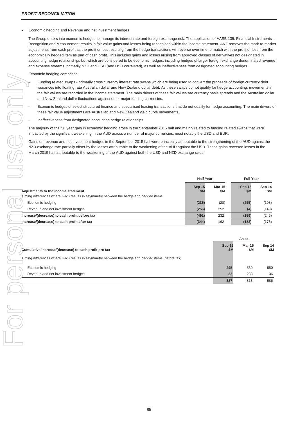Economic hedging and Revenue and net investment hedges

The Group enters into economic hedges to manage its interest rate and foreign exchange risk. The application of AASB 139: Financial Instruments – Recognition and Measurement results in fair value gains and losses being recognised within the income statement. ANZ removes the mark-to-market adjustments from cash profit as the profit or loss resulting from the hedge transactions will reverse over time to match with the profit or loss from the economically hedged item as part of cash profit. This includes gains and losses arising from approved classes of derivatives not designated in accounting hedge relationships but which are considered to be economic hedges, including hedges of larger foreign exchange denominated revenue and expense streams, primarily NZD and USD (and USD correlated), as well as ineffectiveness from designated accounting hedges.

Economic hedging comprises:

– Funding related swaps - primarily cross currency interest rate swaps which are being used to convert the proceeds of foreign currency debt issuances into floating rate Australian dollar and New Zealand dollar debt. As these swaps do not qualify for hedge accounting, movements in the fair values are recorded in the income statement. The main drivers of these fair values are currency basis spreads and the Australian dollar and New Zealand dollar fluctuations against other major funding currencies.

- Economic hedges of select structured finance and specialised leasing transactions that do not qualify for hedge accounting. The main drivers of these fair value adjustments are Australian and New Zealand yield curve movements.
- Ineffectiveness from designated accounting hedge relationships.

The majority of the full year gain in economic hedging arose in the September 2015 half and mainly related to funding related swaps that were impacted by the significant weakening in the AUD across a number of major currencies, most notably the USD and EUR.

Gains on revenue and net investment hedges in the September 2015 half were principally attributable to the strengthening of the AUD against the NZD exchange rate partially offset by the losses attributable to the weakening of the AUD against the USD. These gains reversed losses in the March 2015 half attributable to the weakening of the AUD against both the USD and NZD exchange rates.

|                                                                                                                              | <b>Half Year</b> |                      | <b>Full Year</b>    |               |
|------------------------------------------------------------------------------------------------------------------------------|------------------|----------------------|---------------------|---------------|
| Adjustments to the income statement<br>Timing differences where IFRS results in asymmetry between the hedge and hedged items | Sep 15<br>\$M    | <b>Mar 15</b><br>\$M | Sep 15<br><b>SM</b> | Sep 14<br>\$M |
| Economic hedging                                                                                                             | (235)            | (20)                 | (255)               | (103)         |
| Revenue and net investment hedges                                                                                            | (256)            | 252                  | (4)                 | (143)         |
| Increase/(decrease) to cash profit before tax                                                                                | (491)            | 232                  | (259)               | (246)         |
| increase/(decrease) to cash profit after tax                                                                                 | (344)            | 162                  | (182)               | (173)         |

|                                                                                                    |               | As at                |               |
|----------------------------------------------------------------------------------------------------|---------------|----------------------|---------------|
| Cumulative increase/(decrease) to cash profit pre-tax                                              | Sep 15<br>\$M | <b>Mar 15</b><br>\$M | Sep 14<br>\$M |
| Timing differences where IFRS results in asymmetry between the hedge and hedged items (before tax) |               |                      |               |
| Economic hedging                                                                                   | 295           | 530                  | 550           |
| Revenue and net investment hedges                                                                  | 32            | 288                  | 36            |
|                                                                                                    | 327           | 818                  | 586           |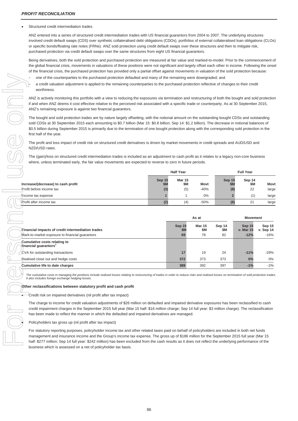Structured credit intermediation trades

ANZ entered into a series of structured credit intermediation trades with US financial guarantors from 2004 to 2007. The underlying structures involved credit default swaps (CDS) over synthetic collateralised debt obligations (CDOs), portfolios of external collateralised loan obligations (CLOs) or specific bonds/floating rate notes (FRNs). ANZ sold protection using credit default swaps over these structures and then to mitigate risk, purchased protection via credit default swaps over the same structures from eight US financial guarantors.

Being derivatives, both the sold protection and purchased protection are measured at fair value and marked-to-model. Prior to the commencement of the global financial crisis, movements in valuations of these positions were not significant and largely offset each other in income. Following the onset of the financial crisis, the purchased protection has provided only a partial offset against movements in valuation of the sold protection because:

- one of the counterparties to the purchased protection defaulted and many of the remaining were downgraded; and
- a credit valuation adjustment is applied to the remaining counterparties to the purchased protection reflective of changes to their credit worthiness.

|                                    | <b>Half Year</b> |                      |        | <b>Full Year</b> |               |       |
|------------------------------------|------------------|----------------------|--------|------------------|---------------|-------|
| Increase/(decrease) to cash profit | Sep 15<br>\$M    | <b>Mar 15</b><br>\$M | Movt   | Sep 15<br>\$M    | Sep 14<br>\$M | Movt  |
| Profit before income tax           | (3)              | (5)                  | $-40%$ | (8)              | 22            | large |
| income tax expense                 |                  |                      | 0%     |                  | (1)           | large |
| Profit after income tax            | (2)              | (4)                  | $-50%$ | (6)              | 21            | large |

| one of the counterparties to the purchased protection defaulted and many of the remaining were downgraded; and<br>a credit valuation adjustment is applied to the remaining counterparties to the purchased protection reflective of changes to their credit<br>worthiness.                                                                                                                                                                                                               |               |                      |                            |                       |                     |                               |
|-------------------------------------------------------------------------------------------------------------------------------------------------------------------------------------------------------------------------------------------------------------------------------------------------------------------------------------------------------------------------------------------------------------------------------------------------------------------------------------------|---------------|----------------------|----------------------------|-----------------------|---------------------|-------------------------------|
| ANZ is actively monitoring this portfolio with a view to reducing the exposures via termination and restructuring of both the bought and sold protectio<br>if and when ANZ deems it cost effective relative to the perceived risk associated with a specific trade or counterparty. As at 30 September 2015,<br>ANZ's remaining exposure is against two financial guarantors.                                                                                                             |               |                      |                            |                       |                     |                               |
| The bought and sold protection trades are by nature largely offsetting, with the notional amount on the outstanding bought CDSs and outstanding<br>sold CDSs at 30 September 2015 each amounting to \$0.7 billion (Mar 15: \$0.8 billion; Sep 14: \$1.2 billion). The decrease in notional balances of<br>\$0.5 billion during September 2015 is primarily due to the termination of one bought protection along with the corresponding sold protection in the<br>first half of the year. |               |                      |                            |                       |                     |                               |
| The profit and loss impact of credit risk on structured credit derivatives is driven by market movements in credit spreads and AUD/USD and<br>NZD/USD rates.                                                                                                                                                                                                                                                                                                                              |               |                      |                            |                       |                     |                               |
| The (gain)/loss on structured credit intermediation trades is included as an adjustment to cash profit as it relates to a legacy non-core business<br>where, unless terminated early, the fair value movements are expected to reverse to zero in future periods.                                                                                                                                                                                                                         |               |                      |                            |                       |                     |                               |
|                                                                                                                                                                                                                                                                                                                                                                                                                                                                                           |               | <b>Half Year</b>     |                            |                       | <b>Full Year</b>    |                               |
| Increase/(decrease) to cash profit                                                                                                                                                                                                                                                                                                                                                                                                                                                        | Sep 15<br>\$M | <b>Mar 15</b><br>\$M | Movt                       | Sep 15<br>\$M         | Sep 14<br>\$M       | Mov                           |
| Profit before income tax                                                                                                                                                                                                                                                                                                                                                                                                                                                                  | (3)           | (5)                  | $-40%$                     | (8)                   | 22                  | large                         |
| income tax expense<br>Profit after income tax                                                                                                                                                                                                                                                                                                                                                                                                                                             | 1<br>(2)      | 1<br>(4)             | 0%<br>$-50%$               | $\overline{2}$<br>(6) | (1)<br>21           | large<br>large                |
|                                                                                                                                                                                                                                                                                                                                                                                                                                                                                           |               |                      | As at                      |                       | <b>Movement</b>     |                               |
| Financial impacts of credit intermediation trades                                                                                                                                                                                                                                                                                                                                                                                                                                         |               | <b>Sep 15</b><br>\$M | <b>Mar 15</b><br>\$Μ<br>78 | Sep 14<br>\$M         | Sep 15<br>v. Mar 15 | Sep 15<br>v. Sep 14<br>$-16%$ |
|                                                                                                                                                                                                                                                                                                                                                                                                                                                                                           |               |                      |                            |                       |                     |                               |
| Mark-to-market exposure to financial guarantors<br><b>Cumulative costs relating to</b><br>financial guarantors'                                                                                                                                                                                                                                                                                                                                                                           |               | 69                   |                            | 82                    | $-12%$              |                               |
| CVA for outstanding transactions                                                                                                                                                                                                                                                                                                                                                                                                                                                          |               | 17                   | 19                         | 24                    | $-11%$              | $-29%$                        |
| Realised close out and hedge costs                                                                                                                                                                                                                                                                                                                                                                                                                                                        |               | 372                  | 373                        | 373                   | 0%                  | 0%                            |
| <b>Cumulative life to date charges</b>                                                                                                                                                                                                                                                                                                                                                                                                                                                    |               | 389                  | 392                        | 397                   | $-1%$               | $-2%$                         |
| The cumulative costs in managing the positions include realised losses relating to restructuring of trades in order to reduce risks and realised losses on termination of sold protection trade.<br>It also includes foreign exchange hedging losses.<br>Other reclassifications between statutory profit and cash profit                                                                                                                                                                 |               |                      |                            |                       |                     |                               |
| Credit risk on impaired derivatives (nil profit after tax impact)<br>The charge to income for credit valuation adjustments of \$26 million on defaulted and impaired derivative exposures has been reclassified to cash<br>credit impairment charges in the September 2015 full year (Mar 15 half: \$16 million charge; Sep 14 full year: \$3 million charge). The reclassification<br>has been made to reflect the manner in which the defaulted and impaired derivatives are managed.   |               |                      |                            |                       |                     |                               |
| Policyholders tax gross up (nil profit after tax impact)                                                                                                                                                                                                                                                                                                                                                                                                                                  |               |                      |                            |                       |                     |                               |

#### **Other reclassifications between statutory profit and cash profit**

For statutory reporting purposes, policyholder income tax and other related taxes paid on behalf of policyholders are included in both net funds management and insurance income and the Group's income tax expense. The gross up of \$186 million for the September 2015 full year (Mar 15 business which is assessed on a net of policyholder tax basis.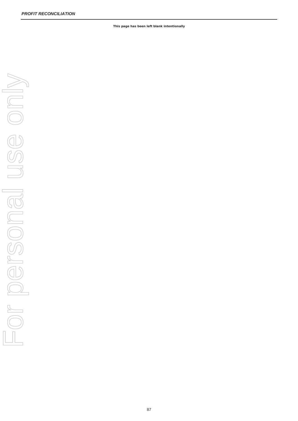**This page has been left blank intentionally**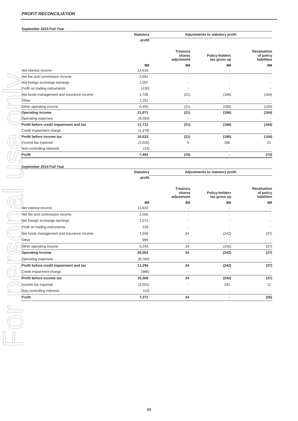|                                           | <b>Statutory</b> |                                         | Adjustments to statutory profit       |                                                |
|-------------------------------------------|------------------|-----------------------------------------|---------------------------------------|------------------------------------------------|
|                                           | profit           |                                         |                                       |                                                |
|                                           |                  | <b>Treasury</b><br>shares<br>adjustment | <b>Policy-holders</b><br>tax gross up | <b>Revaluation</b><br>of policy<br>liabilities |
|                                           | \$M              | \$M                                     | \$M                                   | \$M                                            |
| Net interest income                       | 14,616           |                                         |                                       |                                                |
| Net fee and commission income             | 2,591            |                                         |                                       |                                                |
| Net foreign exchange earnings             | 1,007            |                                         |                                       |                                                |
| Profit on trading instruments             | (130)            |                                         |                                       |                                                |
| Net funds management and insurance income | 1,736            | (21)                                    | (186)                                 | (104)                                          |
| Other                                     | 1,251            |                                         |                                       |                                                |
| Other operating income                    | 6,455            | (21)                                    | (186)                                 | (104)                                          |
| <b>Operating income</b>                   | 21,071           | (21)                                    | (186)                                 | (104)                                          |
| Operating expenses                        | (9,359)          |                                         |                                       |                                                |
| Profit before credit impairment and tax   | 11,712           | (21)                                    | (186)                                 | (104)                                          |
| Credit impairment charge                  | (1, 179)         |                                         |                                       |                                                |
| Profit before income tax                  | 10,533           | (21)                                    | (186)                                 | (104)                                          |
| Income tax expense                        | (3,026)          | 5                                       | 186                                   | 31                                             |
| Non-controlling interests                 | (14)             |                                         |                                       |                                                |
| Profit                                    | 7,493            | (16)                                    | ٠                                     | (73)                                           |

**September 2014 Full Year** 

|                                                 | 2,591            |                                         |                                |                                                |
|-------------------------------------------------|------------------|-----------------------------------------|--------------------------------|------------------------------------------------|
| Net foreign exchange earnings                   | 1,007            |                                         |                                |                                                |
| Profit on trading instruments                   | (130)            |                                         |                                |                                                |
| Net funds management and insurance income       | 1,736            | (21)                                    | (186)                          | (104)                                          |
| Other                                           | 1,251            | $\overline{\phantom{a}}$                |                                | $\overline{\phantom{a}}$                       |
| Other operating income                          | 6,455            | (21)                                    | (186)                          | (104)                                          |
| Operating income                                | 21,071           | (21)                                    | (186)                          | (104)                                          |
| <b>Operating expenses</b>                       | (9,359)          | $\overline{\phantom{a}}$                | $\overline{\phantom{a}}$       |                                                |
| Profit before credit impairment and tax         | 11,712           | (21)                                    | (186)                          | (104)                                          |
| Credit impairment charge                        | (1, 179)         | ÷,                                      |                                | $\overline{\phantom{a}}$                       |
| Profit before income tax                        | 10,533           | (21)                                    | (186)                          | (104)                                          |
| Income tax expense                              | (3,026)          | 5                                       | 186                            | 31                                             |
| Non-controlling interests                       | (14)             |                                         |                                |                                                |
| Profit                                          | 7,493            |                                         | $\overline{\phantom{a}}$       | (73)                                           |
| September 2014 Full Year                        |                  |                                         |                                |                                                |
|                                                 | <b>Statutory</b> |                                         |                                |                                                |
|                                                 | profit           |                                         |                                |                                                |
|                                                 |                  | <b>Treasury</b><br>shares<br>adjustment | Policy-holders<br>tax gross up | <b>Revaluation</b><br>of policy<br>liabilities |
|                                                 | \$M              | \$Μ                                     | \$Μ                            | \$M                                            |
| Net interest income                             | 13,810           |                                         |                                |                                                |
| Net fee and commission income                   | 2,505            | $\overline{a}$                          |                                |                                                |
| Net foreign exchange earnings                   | 1,073            |                                         |                                |                                                |
| Profit on trading instruments                   | 139              |                                         |                                |                                                |
| Net funds management and insurance income       | 1,538            | 24                                      | (242)                          | (37)                                           |
| Other                                           | 989              |                                         |                                | $\mathcal{L}_{\mathcal{A}}$                    |
| Other operating income                          | 6,244            | 24                                      | (242)                          | (37)                                           |
| Operating income                                | 20,054           | 24                                      | (242)                          | (37)                                           |
|                                                 |                  |                                         |                                |                                                |
| Operating expenses                              | (8,760)          |                                         |                                |                                                |
| Profit before credit impairment and tax         | 11,294           | 24                                      |                                |                                                |
| Credit impairment charge                        | (986)            |                                         | (242)                          | (37)<br>$\overline{\phantom{a}}$               |
| Profit before income tax                        |                  | 24                                      |                                |                                                |
|                                                 | 10,308           |                                         | (242)                          | (37)<br>11                                     |
| Income tax expense<br>Non-controlling interests | (3,025)<br>(12)  |                                         | 242                            |                                                |
|                                                 |                  |                                         | (16)                           | Adjustments to statutory profit                |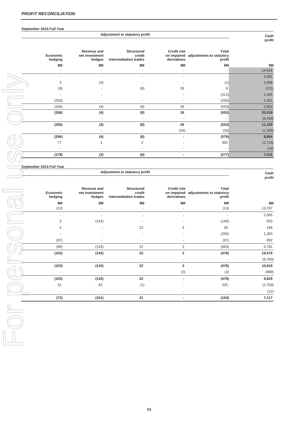# **September 2015 Full Year**

| Economic<br>hedging      | <b>Revenue and</b><br>net investment<br>hedges | Structured<br>credit<br>intermediation trades | <b>Credit risk</b><br>derivatives | <b>Total</b><br>on impaired adjustments to statutory<br>profit |          |
|--------------------------|------------------------------------------------|-----------------------------------------------|-----------------------------------|----------------------------------------------------------------|----------|
| \$M                      | \$M                                            | \$M                                           | \$M                               | \$M                                                            | \$M      |
| $\overline{\phantom{a}}$ |                                                |                                               | ٠                                 |                                                                | 14,616   |
|                          |                                                |                                               |                                   |                                                                | 2,591    |
| 3                        | (4)                                            |                                               |                                   | (1)                                                            | 1,006    |
| (9)                      |                                                | (8)                                           | 26                                | 9                                                              | (121)    |
| ٠                        |                                                |                                               |                                   | (311)                                                          | 1,425    |
| (250)                    |                                                |                                               |                                   | (250)                                                          | 1,001    |
| (256)                    | (4)                                            | (8)                                           | 26                                | (553)                                                          | 5,902    |
| (256)                    | (4)                                            | (8)                                           | 26                                | (553)                                                          | 20,518   |
| ٠                        |                                                | ٠                                             | ٠                                 | ٠                                                              | (9, 359) |
| (256)                    | (4)                                            | (8)                                           | 26                                | (553)                                                          | 11,159   |
| ٠                        |                                                | $\overline{\phantom{a}}$                      | (26)                              | (26)                                                           | (1, 205) |
| (256)                    | (4)                                            | (8)                                           | ٠                                 | (579)                                                          | 9,954    |
| 77                       |                                                | 2                                             |                                   | 302                                                            | (2, 724) |
| ٠                        |                                                | -                                             | $\overline{\phantom{a}}$          | $\overline{\phantom{a}}$                                       | (14)     |
| (179)                    | (3)                                            | (6)                                           | ٠                                 | (277)                                                          | 7,216    |

Adjustment to statutory profit Cash

**profit**

**profit**

| 3                        | (4)                                     |                                                      |                          | (1)                                            | 1,006           |
|--------------------------|-----------------------------------------|------------------------------------------------------|--------------------------|------------------------------------------------|-----------------|
|                          |                                         |                                                      |                          |                                                |                 |
| (9)                      |                                         | (8)                                                  | 26                       | 9                                              | (121)           |
| ×.                       |                                         |                                                      |                          | (311)                                          | 1,425           |
| (250)                    |                                         |                                                      |                          | (250)                                          | 1,001           |
| (256)                    | (4)                                     | (8)                                                  | 26                       | (553)                                          | 5,902           |
| (256)                    | (4)                                     | (8)                                                  | 26                       | (553)                                          | 20,518          |
| $\Box$                   | $\Box$                                  | $\Box$                                               | $\overline{\phantom{a}}$ | $\overline{\phantom{a}}$                       | (9, 359)        |
| (256)                    | (4)                                     | (8)                                                  | 26                       | (553)                                          | 11,159          |
| $\overline{\phantom{a}}$ | $\blacksquare$                          | $\Box$                                               | (26)                     | (26)                                           | (1, 205)        |
| (256)                    | (4)                                     | (8)                                                  | ٠                        | (579)                                          | 9,954           |
| $77$                     | $\mathbf{1}$                            | $\sqrt{2}$                                           |                          | 302                                            | (2,724)         |
| $\overline{\phantom{a}}$ |                                         | $\sim$                                               |                          |                                                | (14)            |
| (179)                    | (3)                                     | (6)                                                  | $\overline{\phantom{a}}$ | (277)                                          | 7,216           |
| September 2014 Full Year |                                         |                                                      |                          |                                                |                 |
|                          |                                         | Adjustment to statutory profit                       |                          |                                                | Cash<br>profit  |
|                          |                                         |                                                      | <b>Credit risk</b>       | <b>Total</b>                                   |                 |
|                          |                                         |                                                      |                          |                                                |                 |
| Economic<br>hedging      | Revenue and<br>net investment<br>hedges | <b>Structured</b><br>credit<br>intermediation trades | derivatives              | on impaired adjustments to statutory<br>profit |                 |
| \$M                      | \$M                                     | \$M                                                  | \$M                      | \$M                                            | \$M             |
| (13)                     |                                         |                                                      |                          | (13)                                           | 13,797          |
|                          | $\overline{\phantom{a}}$                |                                                      |                          | $\blacksquare$                                 | 2,505           |
| 3                        | (143)                                   |                                                      |                          | (140)                                          | 933             |
| 4                        |                                         | 22                                                   | 3                        | 29                                             | 168             |
|                          |                                         |                                                      |                          | (255)                                          | 1,283           |
| (97)                     |                                         |                                                      |                          | (97)                                           | 892             |
| (90)                     | (143)                                   | 22                                                   | 3                        | (463)                                          | 5,781           |
| (103)                    | (143)                                   | 22                                                   | $\mathbf 3$              | (476)                                          | 19,578          |
| ÷,                       | $\bar{z}$                               | $\sim$                                               | $\mathcal{L}$            | $\sim$                                         | (8,760)         |
|                          |                                         | 22                                                   | $\mathbf 3$              |                                                |                 |
| (103)<br>÷,              | (143)<br>$\bar{z}$                      | $\mathcal{L}$                                        |                          | (476)                                          | 10,818          |
|                          |                                         | 22                                                   | (3)<br>٠                 | (3)                                            | (989)           |
| (103)<br>31              | (143)<br>42                             |                                                      |                          | (479)                                          | 9,829           |
|                          | ÷,                                      | (1)<br>$\overline{\phantom{a}}$                      |                          | 325                                            | (2,700)<br>(12) |

89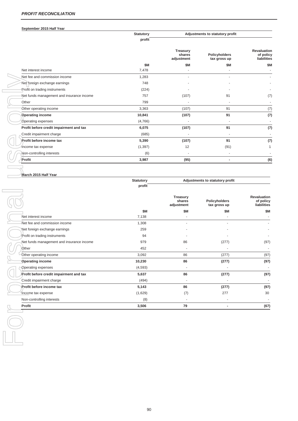| September 2015 Half Year                  | <b>Statutory</b> | Adjustments to statutory profit         |                               |                                                |
|-------------------------------------------|------------------|-----------------------------------------|-------------------------------|------------------------------------------------|
|                                           | profit           |                                         |                               |                                                |
|                                           |                  | <b>Treasury</b><br>shares<br>adjustment | Policyholders<br>tax gross up | <b>Revaluation</b><br>of policy<br>liabilities |
|                                           | \$M              | \$M                                     | \$M                           | \$M                                            |
| Net interest income                       | 7,478            |                                         |                               |                                                |
| Net fee and commission income             | 1,283            | ٠                                       |                               |                                                |
| Net foreign exchange earnings             | 748              |                                         |                               |                                                |
| Profit on trading instruments             | (224)            |                                         |                               |                                                |
| Net funds management and insurance income | 757              | (107)                                   | 91                            | (7)                                            |
| Other                                     | 799              |                                         |                               |                                                |
| Other operating income                    | 3,363            | (107)                                   | 91                            | (7)                                            |
| Operating income                          | 10,841           | (107)                                   | 91                            | (7)                                            |
| Operating expenses                        | (4,766)          |                                         |                               |                                                |
| Profit before credit impairment and tax   | 6,075            | (107)                                   | 91                            | (7)                                            |
| Credit impairment charge                  | (685)            |                                         |                               |                                                |
| Profit before income tax                  | 5,390            | (107)                                   | 91                            | (7)                                            |
| Income tax expense                        | (1, 397)         | 12                                      | (91)                          |                                                |
| Non-controlling interests                 | (6)              | ٠                                       |                               |                                                |
| Profit                                    | 3,987            | (95)                                    |                               | (6)                                            |

### **March 2015 Half Year**

|                                           | 1,283            |                     |                                 |                                  |
|-------------------------------------------|------------------|---------------------|---------------------------------|----------------------------------|
| Net foreign exchange earnings             | 748              |                     |                                 |                                  |
| Profit on trading instruments             | (224)            |                     |                                 |                                  |
| Net funds management and insurance income | 757              | (107)               | 91                              | (7                               |
| Other                                     | 799              |                     |                                 |                                  |
| Other operating income                    | 3,363            | (107)               | 91                              | $\binom{7}{ }$                   |
| Operating income                          | 10,841           | (107)               | 91                              | $\binom{7}{ }$                   |
| Operating expenses                        | (4,766)          |                     |                                 |                                  |
| Profit before credit impairment and tax   | 6,075            | (107)               | 91                              | $\sqrt{ }$                       |
| Credit impairment charge                  | (685)            |                     | $\sim$                          |                                  |
| Profit before income tax                  | 5,390            | (107)               | 91                              | (7                               |
| Income tax expense                        | (1, 397)         | 12                  | (91)                            |                                  |
| Non-controlling interests                 | (6)              |                     |                                 |                                  |
| Profit                                    | 3,987            | (95)                | $\blacksquare$                  | (6                               |
|                                           |                  |                     |                                 |                                  |
| March 2015 Half Year                      |                  |                     |                                 |                                  |
|                                           | <b>Statutory</b> |                     | Adjustments to statutory profit |                                  |
|                                           | profit           |                     |                                 |                                  |
|                                           |                  | <b>Treasury</b>     |                                 |                                  |
|                                           |                  | shares              | Policyholders                   | Revaluation<br>of policy         |
|                                           |                  |                     |                                 |                                  |
|                                           |                  | adjustment          | tax gross up                    | liabilities                      |
|                                           | \$Μ              | \$М                 | \$Μ                             | \$M                              |
| Net interest income                       | 7,138            | $\blacksquare$      |                                 |                                  |
| Net fee and commission income             | 1,308            | ä,                  |                                 |                                  |
| Net foreign exchange earnings             | 259              |                     |                                 |                                  |
| Profit on trading instruments             | 94               |                     |                                 |                                  |
| Net funds management and insurance income | 979              | 86                  | (277)                           | (97)                             |
| Other                                     | 452              |                     |                                 |                                  |
| Other operating income                    | 3,092            | 86                  | (277)                           | (97)                             |
| <b>Operating income</b>                   | 10,230           | 86                  | (277)                           | (97)                             |
| Operating expenses                        | (4, 593)         | $\blacksquare$      | $\blacksquare$                  | $\blacksquare$                   |
| Profit before credit impairment and tax   | 5,637            | 86                  | (277)                           | (97)                             |
| Credit impairment charge                  | (494)            | $\sim$              |                                 |                                  |
| Profit before income tax                  | 5,143            | 86                  | (277)                           | (97)                             |
| fricome tax expense                       | (1,629)          | (7)                 | 277                             | 30                               |
| Non-controlling interests<br>Profit       | (8)<br>3,506     | $\frac{1}{2}$<br>79 | $\overline{\phantom{a}}$<br>٠   | $\overline{\phantom{a}}$<br>(67) |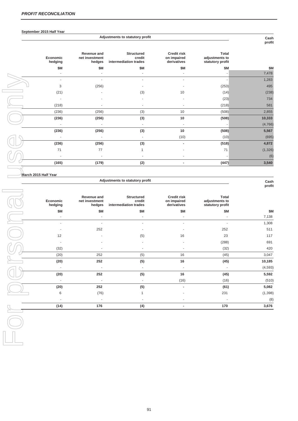# **September 2015 Half Year**

 $\begin{picture}(40,40) \put(0,0){\line(1,0){10}} \put(15,0){\line(1,0){10}} \put(15,0){\line(1,0){10}} \put(15,0){\line(1,0){10}} \put(15,0){\line(1,0){10}} \put(15,0){\line(1,0){10}} \put(15,0){\line(1,0){10}} \put(15,0){\line(1,0){10}} \put(15,0){\line(1,0){10}} \put(15,0){\line(1,0){10}} \put(15,0){\line(1,0){10}} \put(15,0){\line(1$ 

| Adjustments to statutory profit | Cash |
|---------------------------------|------|
|---------------------------------|------|

| Economic<br>hedging | Revenue and<br>net investment<br>hedges | Structured<br>credit<br>intermediation trades | <b>Credit risk</b><br>on impaired<br>derivatives | <b>Total</b><br>adjustments to<br>statutory profit |          |
|---------------------|-----------------------------------------|-----------------------------------------------|--------------------------------------------------|----------------------------------------------------|----------|
| \$M                 | \$M                                     | \$M                                           | \$M                                              | \$M                                                | \$M      |
|                     |                                         | ٠                                             |                                                  |                                                    | 7,478    |
|                     |                                         |                                               |                                                  |                                                    | 1,283    |
| 3                   | (256)                                   |                                               |                                                  | (253)                                              | 495      |
| (21)                |                                         | (3)                                           | 10                                               | (14)                                               | (238)    |
|                     |                                         | $\overline{\phantom{a}}$                      | ٠                                                | (23)                                               | 734      |
| (218)               |                                         |                                               |                                                  | (218)                                              | 581      |
| (236)               | (256)                                   | (3)                                           | 10                                               | (508)                                              | 2,855    |
| (236)               | (256)                                   | (3)                                           | 10                                               | (508)                                              | 10,333   |
|                     | ٠                                       | ٠                                             | ٠                                                |                                                    | (4, 766) |
| (236)               | (256)                                   | (3)                                           | 10                                               | (508)                                              | 5,567    |
|                     |                                         |                                               | (10)                                             | (10)                                               | (695)    |
| (236)               | (256)                                   | (3)                                           |                                                  | (518)                                              | 4,872    |
| 71                  | 77                                      |                                               |                                                  | 71                                                 | (1, 326) |
|                     |                                         |                                               |                                                  |                                                    | (6)      |
| (165)               | (179)                                   | (2)                                           |                                                  | (447)                                              | 3,540    |

**profit**

|                           |                          |                                 |                            |                                    | 1,283        |
|---------------------------|--------------------------|---------------------------------|----------------------------|------------------------------------|--------------|
|                           | ÷,                       |                                 |                            |                                    |              |
| $\ensuremath{\mathsf{3}}$ | (256)                    |                                 |                            | (253)                              | 495          |
| (21)                      |                          | (3)                             | 10                         | (14)                               | (238)        |
|                           |                          |                                 |                            | (23)                               | 734          |
| (218)                     | ÷                        |                                 |                            | (218)                              | 581          |
| (236)                     | (256)                    | (3)                             | 10                         | (508)                              | 2,855        |
| (236)                     | (256)                    | (3)                             | 10                         | (508)                              | 10,333       |
| $\Box$                    | $\Box$                   | $\Box$                          | $\overline{\phantom{a}}$   | $\overline{\phantom{a}}$           | (4, 766)     |
| (236)                     | (256)                    | (3)                             | 10                         | (508)                              | 5,567        |
| $\overline{\phantom{a}}$  | ÷,                       | $\overline{\phantom{a}}$        | (10)                       | (10)                               | (695)        |
| (236)                     | (256)                    | (3)                             |                            | (518)                              | 4,872        |
| $71$                      | $77\,$                   | $\mathbf{1}$                    |                            | 71                                 | (1, 326)     |
| ÷,                        | $\overline{\phantom{a}}$ | $\overline{\phantom{a}}$        |                            | ÷                                  | (6)          |
| (165)                     | (179)                    | (2)                             | $\overline{\phantom{a}}$   | (447)                              | 3,540        |
| March 2015 Half Year      |                          |                                 |                            |                                    |              |
|                           |                          | Adjustments to statutory profit |                            |                                    | Cash         |
|                           |                          |                                 |                            |                                    | profit       |
|                           |                          |                                 |                            |                                    |              |
|                           | Revenue and              | <b>Structured</b>               | <b>Credit risk</b>         | <b>Total</b>                       |              |
| Economic<br>hedging       | net investment<br>hedges | credit<br>intermediation trades | on impaired<br>derivatives | adjustments to<br>statutory profit |              |
| \$M                       | \$M                      | \$M                             | \$M                        | \$M                                | \$M          |
| $\Box$                    | $\sim$                   | $\overline{\phantom{a}}$        | $\bar{z}$                  | $\sim$                             | 7,138        |
| $\overline{\phantom{a}}$  | $\Box$                   | ÷,                              |                            | $\blacksquare$                     | 1,308        |
| ÷,                        | 252                      |                                 |                            | 252                                | 511          |
| 12                        |                          | (5)                             | 16                         | 23                                 | 117          |
| ÷,                        |                          |                                 |                            | (288)                              | 691          |
| (32)                      | ÷,                       |                                 |                            | (32)                               | 420          |
| (20)                      | 252                      | (5)                             | 16                         | (45)                               | 3,047        |
| (20)                      | 252                      | (5)                             | 16                         | (45)                               | 10,185       |
| $\Box$                    | $\overline{\phantom{a}}$ | $\Box$                          | $\overline{\phantom{a}}$   | $\overline{\phantom{a}}$           | (4, 593)     |
| (20)                      | 252                      | (5)                             | 16                         | (45)                               | 5,592        |
| $\overline{a}$            | $\overline{\phantom{a}}$ | $\Box$                          | (16)                       | (16)                               | (510)        |
| (20)                      | 252                      | (5)                             |                            | (61)                               | 5,082        |
| $\,6$                     | (76)                     | $\mathbf{1}$                    |                            | 231                                | (1, 398)     |
| $\overline{\phantom{a}}$  | $\sim$                   | $\sim$                          |                            | $\overline{\phantom{a}}$           | (8)<br>3,676 |

91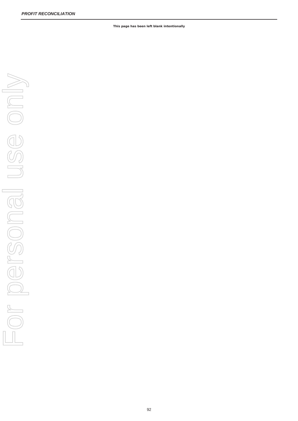**This page has been left blank intentionally**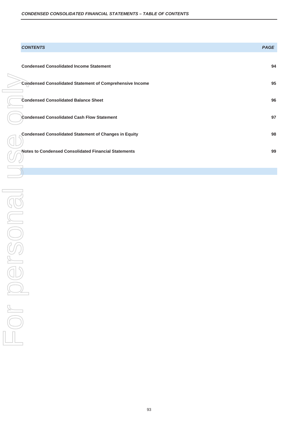# *CONTENTS PAGE*

| <b>Condensed Consolidated Income Statement</b>                                                    | 94     |
|---------------------------------------------------------------------------------------------------|--------|
| <b>Condensed Consolidated Statement of Comprehensive Income</b>                                   | 95     |
| <b>Condensed Consolidated Balance Sheet</b>                                                       | 96     |
| <b>Condensed Consolidated Cash Flow Statement</b>                                                 | $97\,$ |
| <b>Condensed Consolidated Statement of Changes in Equity</b>                                      | 98     |
| Notes to Condensed Consolidated Financial Statements                                              | 99     |
|                                                                                                   |        |
| $\frac{2}{2}$                                                                                     |        |
| $\begin{array}{c} \hline \begin{array}{c} \hline \end{array} \\ \hline \end{array}$<br>$\bigcirc$ |        |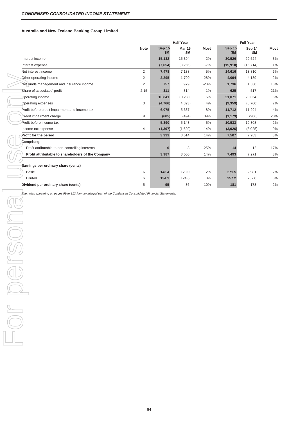|                                                    |                |               | <b>Half Year</b>     |        |               | <b>Full Year</b> |       |
|----------------------------------------------------|----------------|---------------|----------------------|--------|---------------|------------------|-------|
|                                                    | <b>Note</b>    | Sep 15<br>\$M | <b>Mar 15</b><br>\$M | Movt   | Sep 15<br>\$M | Sep 14<br>\$M    | Movt  |
| Interest income                                    |                | 15,132        | 15,394               | $-2%$  | 30,526        | 29,524           | 3%    |
| Interest expense                                   |                | (7,654)       | (8,256)              | $-7%$  | (15,910)      | (15, 714)        | 1%    |
| Net interest income                                | 2              | 7,478         | 7,138                | 5%     | 14,616        | 13,810           | 6%    |
| Other operating income                             | 2              | 2,295         | 1,799                | 28%    | 4,094         | 4,189            | $-2%$ |
| Net funds management and insurance income          | $\overline{2}$ | 757           | 979                  | $-23%$ | 1,736         | 1,538            | 13%   |
| Share of associates' profit                        | 2,15           | 311           | 314                  | $-1%$  | 625           | 517              | 21%   |
| Operating income                                   |                | 10,841        | 10,230               | 6%     | 21,071        | 20,054           | 5%    |
| Operating expenses                                 | 3              | (4,766)       | (4, 593)             | 4%     | (9,359)       | (8,760)          | 7%    |
| Profit before credit impairment and income tax     |                | 6.075         | 5,637                | 8%     | 11,712        | 11,294           | 4%    |
| Credit impairment charge                           | 9              | (685)         | (494)                | 39%    | (1, 179)      | (986)            | 20%   |
| Profit before income tax                           |                | 5,390         | 5,143                | 5%     | 10,533        | 10,308           | 2%    |
| Income tax expense                                 | 4              | (1, 397)      | (1,629)              | $-14%$ | (3,026)       | (3,025)          | 0%    |
| Profit for the period                              |                | 3,993         | 3,514                | 14%    | 7,507         | 7,283            | 3%    |
| Comprising:                                        |                |               |                      |        |               |                  |       |
| Profit attributable to non-controlling interests   |                | 6             | 8                    | $-25%$ | 14            | 12               | 17%   |
| Profit attributable to shareholders of the Company |                | 3,987         | 3,506                | 14%    | 7,493         | 7,271            | 3%    |
|                                                    |                |               |                      |        |               |                  |       |
| Earnings per ordinary share (cents)                |                |               |                      |        |               |                  |       |
| <b>Basic</b>                                       | 6              | 143.4         | 128.0                | 12%    | 271.5         | 267.1            | 2%    |
| <b>Diluted</b>                                     | 6              | 134.9         | 124.6                | 8%     | 257.2         | 257.0            | 0%    |
| Dividend per ordinary share (cents)                | 5              | 95            | 86                   | 10%    | 181           | 178              | 2%    |

*The notes appearing on pages 99 to 112 form an integral part of the Condensed Consolidated Financial Statements.*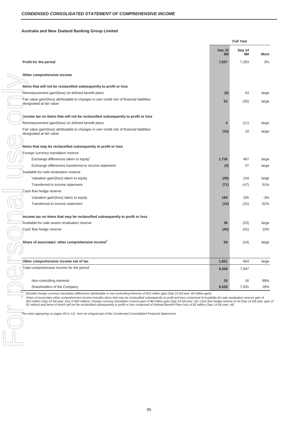|                                                                                                                                                                                                                                                                                                                                                                                                                                                                                                                                                                                                                                                                                                                                                                                                                                                               |                      | <b>Full Year</b> |        |
|---------------------------------------------------------------------------------------------------------------------------------------------------------------------------------------------------------------------------------------------------------------------------------------------------------------------------------------------------------------------------------------------------------------------------------------------------------------------------------------------------------------------------------------------------------------------------------------------------------------------------------------------------------------------------------------------------------------------------------------------------------------------------------------------------------------------------------------------------------------|----------------------|------------------|--------|
|                                                                                                                                                                                                                                                                                                                                                                                                                                                                                                                                                                                                                                                                                                                                                                                                                                                               | <b>Sep 15</b><br>\$M | Sep 14<br>\$Μ    | Movt   |
| Profit for the period                                                                                                                                                                                                                                                                                                                                                                                                                                                                                                                                                                                                                                                                                                                                                                                                                                         | 7,507                | 7,283            | 3%     |
| Other comprehensive income                                                                                                                                                                                                                                                                                                                                                                                                                                                                                                                                                                                                                                                                                                                                                                                                                                    |                      |                  |        |
|                                                                                                                                                                                                                                                                                                                                                                                                                                                                                                                                                                                                                                                                                                                                                                                                                                                               |                      |                  |        |
| Items that will not be reclassified subsequently to profit or loss                                                                                                                                                                                                                                                                                                                                                                                                                                                                                                                                                                                                                                                                                                                                                                                            |                      |                  |        |
| Remeasurement gain/(loss) on defined benefit plans                                                                                                                                                                                                                                                                                                                                                                                                                                                                                                                                                                                                                                                                                                                                                                                                            | (6)                  | 43               | large  |
| Fair value gain/(loss) attributable to changes in own credit risk of financial liabilities<br>designated at fair value                                                                                                                                                                                                                                                                                                                                                                                                                                                                                                                                                                                                                                                                                                                                        | 52                   | (35)             | large  |
| Income tax on items that will not be reclassified subsequently to profit or loss                                                                                                                                                                                                                                                                                                                                                                                                                                                                                                                                                                                                                                                                                                                                                                              |                      |                  |        |
| Remeasurement gain/(loss) on defined benefit plans                                                                                                                                                                                                                                                                                                                                                                                                                                                                                                                                                                                                                                                                                                                                                                                                            | 4                    | (11)             | large  |
| Fair value gain/(loss) attributable to changes in own credit risk of financial liabilities<br>designated at fair value                                                                                                                                                                                                                                                                                                                                                                                                                                                                                                                                                                                                                                                                                                                                        | (15)                 | 10               | large  |
| Items that may be reclassified subsequently to profit or loss                                                                                                                                                                                                                                                                                                                                                                                                                                                                                                                                                                                                                                                                                                                                                                                                 |                      |                  |        |
| Foreign currency translation reserve                                                                                                                                                                                                                                                                                                                                                                                                                                                                                                                                                                                                                                                                                                                                                                                                                          |                      |                  |        |
| Exchange differences taken to equity <sup>1</sup>                                                                                                                                                                                                                                                                                                                                                                                                                                                                                                                                                                                                                                                                                                                                                                                                             | 1,736                | 487              | large  |
| Exchange differences transferred to income statement                                                                                                                                                                                                                                                                                                                                                                                                                                                                                                                                                                                                                                                                                                                                                                                                          | (4)                  | 37               | large  |
| Available-for-sale revaluation reserve                                                                                                                                                                                                                                                                                                                                                                                                                                                                                                                                                                                                                                                                                                                                                                                                                        |                      |                  |        |
| Valuation gain/(loss) taken to equity                                                                                                                                                                                                                                                                                                                                                                                                                                                                                                                                                                                                                                                                                                                                                                                                                         | (40)                 | 134              | large  |
| Transferred to income statement                                                                                                                                                                                                                                                                                                                                                                                                                                                                                                                                                                                                                                                                                                                                                                                                                               | (71)                 | (47)             | 51%    |
| Cash flow hedge reserve                                                                                                                                                                                                                                                                                                                                                                                                                                                                                                                                                                                                                                                                                                                                                                                                                                       |                      |                  |        |
| Valuation gain/(loss) taken to equity                                                                                                                                                                                                                                                                                                                                                                                                                                                                                                                                                                                                                                                                                                                                                                                                                         | 160                  | 165              | $-3%$  |
| Transferred to income statement                                                                                                                                                                                                                                                                                                                                                                                                                                                                                                                                                                                                                                                                                                                                                                                                                               | (15)                 | (31)             | $-52%$ |
| Income tax on items that may be reclassified subsequently to profit or loss                                                                                                                                                                                                                                                                                                                                                                                                                                                                                                                                                                                                                                                                                                                                                                                   |                      |                  |        |
| Available-for-sale assets revaluation reserve                                                                                                                                                                                                                                                                                                                                                                                                                                                                                                                                                                                                                                                                                                                                                                                                                 | 36                   | (23)             | large  |
| Cash flow hedge reserve                                                                                                                                                                                                                                                                                                                                                                                                                                                                                                                                                                                                                                                                                                                                                                                                                                       | (45)                 | (41)             | 10%    |
| Share of associates' other comprehensive income <sup>2</sup>                                                                                                                                                                                                                                                                                                                                                                                                                                                                                                                                                                                                                                                                                                                                                                                                  | 59                   | (24)             | large  |
| Other comprehensive income net of tax                                                                                                                                                                                                                                                                                                                                                                                                                                                                                                                                                                                                                                                                                                                                                                                                                         | 1,851                | 664              | large  |
| Total comprehensive income for the period                                                                                                                                                                                                                                                                                                                                                                                                                                                                                                                                                                                                                                                                                                                                                                                                                     | 9,358                | 7,947            |        |
| Non-controlling interests                                                                                                                                                                                                                                                                                                                                                                                                                                                                                                                                                                                                                                                                                                                                                                                                                                     | 30                   | 16               | 88%    |
| Shareholders of the Company                                                                                                                                                                                                                                                                                                                                                                                                                                                                                                                                                                                                                                                                                                                                                                                                                                   | 9,328                | 7,931            | 18%    |
| Tricludes foreign currency translation differences attributable to non-controlling interests of \$16 million gain (Sep 14 full year: \$4 million gain).<br>2.<br>Share of associates other comprehensive income includes items that may be reclassified subsequently to profit and loss comprised of Available-for-sale revaluation reserve gain of<br>\$53 million (Sep 14 full year: loss of \$25 million); Foreign currency translation reserve gain of \$8 million gain (Sep 14 full year: nil); Cash flow hedge reserve of nil (Sep 14 full year: gain or<br>\$1 million) and items of which will not be reclassified subsequently to profit or loss comprised of Defined Benefit Plans loss of \$2 million (Sep 14 full year: nil).<br>The notes appearing on pages 99 to 112 form an integral part of the Condensed Consolidated Financial Statements. |                      |                  |        |
|                                                                                                                                                                                                                                                                                                                                                                                                                                                                                                                                                                                                                                                                                                                                                                                                                                                               |                      |                  |        |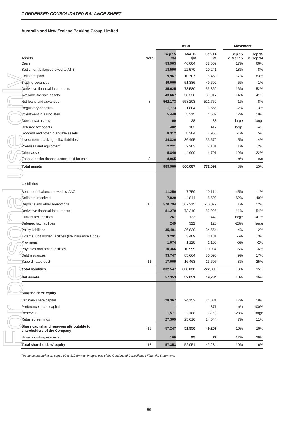|                                                                                                                  |             |                         | As at                          |                         | <b>Movement</b>            |                            |
|------------------------------------------------------------------------------------------------------------------|-------------|-------------------------|--------------------------------|-------------------------|----------------------------|----------------------------|
| <b>Assets</b><br>Cash                                                                                            | <b>Note</b> | Sep 15<br>\$M<br>53,903 | <b>Mar 15</b><br>\$Μ<br>46,004 | Sep 14<br>\$Μ<br>32,559 | Sep 15<br>v. Mar 15<br>17% | Sep 15<br>v. Sep 14<br>66% |
| Settlement balances owed to ANZ                                                                                  |             | 18,596                  | 22,570                         | 20,241                  | $-18%$                     | $-8%$                      |
| Collateral paid                                                                                                  |             | 9,967                   | 10,707                         | 5,459                   | $-7%$                      | 83%                        |
| <b>Trading securities</b>                                                                                        |             | 49,000                  | 51,386                         | 49,692                  | $-5%$                      | $-1%$                      |
| Derivative financial instruments                                                                                 |             | 85,625                  | 73,580                         | 56,369                  | 16%                        | 52%                        |
| Available-for-sale assets                                                                                        |             | 43,667                  | 38,336                         | 30,917                  | 14%                        | 41%                        |
| Net loans and advances                                                                                           | 8           | 562,173                 | 558,203                        | 521,752                 | 1%                         | 8%                         |
| Regulatory deposits                                                                                              |             | 1,773                   | 1,804                          | 1,565                   | $-2%$                      | 13%                        |
| Investment in associates                                                                                         |             | 5,440                   | 5,315                          | 4,582                   | 2%                         | 19%                        |
| Current tax assets                                                                                               |             | 90                      |                                | 38                      |                            |                            |
| Deferred tax assets                                                                                              |             | 402                     | 38                             |                         | large                      | large<br>$-4%$             |
|                                                                                                                  |             |                         | 162                            | 417                     | large                      |                            |
| Goodwill and other intangible assets                                                                             |             | 8,312                   | 8,384                          | 7,950                   | $-1%$                      | 5%                         |
| Investments backing policy liabilities                                                                           |             | 34,820                  | 36,495                         | 33,579                  | $-5%$                      | 4%                         |
| Premises and equipment                                                                                           |             | 2,221                   | 2,203                          | 2,181                   | 1%                         | 2%                         |
| Other assets                                                                                                     |             | 5,846                   | 4,900                          | 4,791                   | 19%                        | 22%                        |
| Esanda dealer finance assets held for sale                                                                       | 8           | 8,065                   |                                |                         | n/a                        | n/a                        |
| Total assets                                                                                                     |             | 889,900                 | 860,087                        | 772,092                 | 3%                         | 15%                        |
|                                                                                                                  |             |                         |                                |                         |                            |                            |
| <b>Liabilities</b>                                                                                               |             |                         |                                |                         |                            |                            |
| Settlement balances owed by ANZ                                                                                  |             | 11,250                  | 7,759                          | 10,114                  | 45%                        | 11%                        |
| Collateral received                                                                                              |             | 7,829                   | 4,844                          | 5,599                   | 62%                        | 40%                        |
| Deposits and other borrowings                                                                                    | 10          | 570,794                 | 567,215                        | 510,079                 | 1%                         | 12%                        |
| Derivative financial instruments                                                                                 |             | 81,270                  | 73,210                         | 52,925                  | 11%                        | 54%                        |
| <b>Current tax liabilities</b>                                                                                   |             | 267                     | 123                            | 449                     | large                      | $-41%$                     |
| Deferred tax liabilities                                                                                         |             | 249                     | 322                            | 120                     | $-23%$                     | large                      |
| <b>Policy liabilities</b>                                                                                        |             | 35,401                  | 36,820                         | 34,554                  | $-4%$                      | 2%                         |
| External unit holder liabilities (life insurance funds)                                                          |             | 3,291                   | 3,489                          | 3,181                   | $-6%$                      | 3%                         |
| Provisions                                                                                                       |             | 1,074                   | 1,128                          | 1,100                   | $-5%$                      | $-2%$                      |
| Payables and other liabilities                                                                                   |             | 10,366                  | 10,999                         | 10,984                  | $-6%$                      | $-6%$                      |
| Debt issuances                                                                                                   |             | 93,747                  | 85,664                         | 80,096                  | 9%                         | 17%                        |
| Subordinated debt                                                                                                | 11          | 17,009                  | 16,463                         | 13,607                  | 3%                         | 25%                        |
| <b>Total liabilities</b>                                                                                         |             | 832,547                 | 808,036                        | 722,808                 | $3%$                       | 15%                        |
| Net assets                                                                                                       |             | 57,353                  | 52,051                         | 49,284                  | 10%                        | 16%                        |
|                                                                                                                  |             |                         |                                |                         |                            |                            |
| Shareholders' equity                                                                                             |             |                         |                                |                         |                            |                            |
| Ordinary share capital                                                                                           |             | 28,367                  | 24,152                         | 24,031                  | 17%                        | 18%                        |
| Preference share capital                                                                                         |             |                         |                                | 871                     | n/a                        | $-100%$                    |
| Reserves                                                                                                         |             | 1,571                   | 2,188                          | (239)                   | -28%                       | large                      |
| Retained earnings                                                                                                |             | 27,309                  | 25,616                         | 24,544                  | 7%                         | 11%                        |
| Share capital and reserves attributable to<br>shareholders of the Company                                        | 13          | 57,247                  | 51,956                         | 49,207                  | 10%                        | 16%                        |
| Non-controlling interests                                                                                        |             | 106                     | 95                             | 77                      | 12%                        | 38%                        |
| Total shareholders' equity                                                                                       | 13          | 57,353                  | 52,051                         | 49,284                  | 10%                        | 16%                        |
| The notes appearing on pages 99 to 112 form an integral part of the Condensed Consolidated Financial Statements. |             |                         |                                |                         |                            |                            |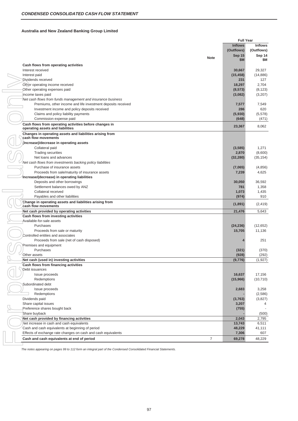|                                                                                |                | <b>Full Year</b> |                |
|--------------------------------------------------------------------------------|----------------|------------------|----------------|
|                                                                                |                | <b>Inflows</b>   | <b>Inflows</b> |
|                                                                                |                | (Outflows)       | (Outflows)     |
|                                                                                |                | Sep 15           | Sep 14         |
|                                                                                | <b>Note</b>    | \$M              | \$M            |
| Cash flows from operating activities                                           |                |                  |                |
| Interest received                                                              |                | 30,667           | 29,327         |
| Interest paid                                                                  |                | (15, 458)        | (14, 886)      |
| <b>Dividends received</b>                                                      |                | 231              | 127            |
| Other operating income received                                                |                | 18,297           | 2,704          |
| Other operating expenses paid                                                  |                | (8, 573)         | (8, 123)       |
| Income taxes paid                                                              |                | (3,082)          | (3,207)        |
| Net cash flows from funds management and insurance business                    |                |                  |                |
| Premiums, other income and life investment deposits received                   |                | 7,577            | 7,549          |
| Investment income and policy deposits received                                 |                | 286              | 620            |
| Claims and policy liability payments                                           |                | (5,930)          | (5,578)        |
| Commission expense paid                                                        |                | (648)            | (471)          |
| Cash flows from operating activities before changes in                         |                |                  |                |
| operating assets and liabilities                                               |                | 23,367           | 8,062          |
| Changes in operating assets and liabilities arising from                       |                |                  |                |
| cash flow movements                                                            |                |                  |                |
| (Increase)/decrease in operating assets                                        |                |                  |                |
| Collateral paid                                                                |                | (3, 585)         | 1,271          |
| <b>Trading securities</b>                                                      |                | 2,870            | (8,600)        |
| Net loans and advances                                                         |                | (32, 280)        | (35, 154)      |
| Net cash flows from investments backing policy liabilities                     |                |                  |                |
| Purchase of insurance assets                                                   |                | (7,065)          | (4,856)        |
| Proceeds from sale/maturity of insurance assets                                |                | 7,239            | 4,625          |
| Increase/(decrease) in operating liabilities                                   |                |                  |                |
| Deposits and other borrowings                                                  |                | 30,050           | 36,592         |
| Settlement balances owed by ANZ                                                |                | 781              | 1,358          |
| Collateral received                                                            |                |                  |                |
|                                                                                |                | 1,073            | 1,435          |
| Payables and other liabilities                                                 |                | (974)            | 910            |
| Change in operating assets and liabilities arising from<br>cash flow movements |                | (1,891)          | (2, 419)       |
| Net cash provided by operating activities                                      |                | 21,476           | 5,643          |
| Cash flows from investing activities                                           |                |                  |                |
| Available-for-sale assets                                                      |                |                  |                |
| Purchases                                                                      |                | (24, 236)        | (12, 652)      |
| Proceeds from sale or maturity                                                 |                | 15,705           | 11,136         |
| Controlled entities and associates                                             |                |                  |                |
|                                                                                |                |                  | 251            |
| Proceeds from sale (net of cash disposed)                                      |                |                  |                |
| Premises and equipment                                                         |                |                  |                |
| Purchases                                                                      |                | (321)            | (370)          |
| Other assets                                                                   |                | (928)            | (292)          |
| Net cash (used in) investing activities                                        |                | (9,776)          | (1, 927)       |
| Cash flows from financing activities                                           |                |                  |                |
| Debt issuances                                                                 |                |                  |                |
| Issue proceeds                                                                 |                | 16,637           | 17,156         |
| Redemptions                                                                    |                | (15,966)         | (10, 710)      |
| Subordinated debt                                                              |                |                  |                |
| Issue proceeds                                                                 |                | 2,683            | 3,258          |
| Redemptions                                                                    |                |                  | (2,586)        |
| Dividends paid                                                                 |                | (3,763)          | (3,827)        |
| Share capital issues                                                           |                | 3,207            |                |
| Preference shares bought back                                                  |                | (755)            |                |
| Share buyback                                                                  |                |                  | (500)          |
| Net cash provided by financing activities                                      |                | 2,043            | 2,795          |
| Net increase in cash and cash equivalents                                      |                | 13,743           | 6,511          |
| Cash and cash equivalents at beginning of period                               |                | 48,229           | 41,111         |
| Effects of exchange rate changes on cash and cash equivalents                  |                | 7,306            | 607            |
| Cash and cash equivalents at end of period                                     | $\overline{7}$ | 69,278           | 48,229         |
|                                                                                |                |                  |                |

*112 form an integral part of the Condensed Consolidated Financial Statements.*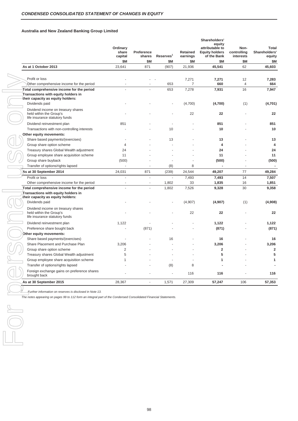|                                                                                                                                                                              | Ordinary<br>share<br>capital<br>\$M | Preference<br>shares<br>\$M | Reserves <sup>1</sup><br>\$Μ | <b>Retained</b><br>earnings<br>\$M | Shareholders'<br>equity<br>attributable to<br><b>Equity holders</b><br>of the Bank<br>\$M | Non-<br>controlling<br>interests<br>\$Μ | <b>Total</b><br>Shareholders'<br>equity<br>\$Μ |
|------------------------------------------------------------------------------------------------------------------------------------------------------------------------------|-------------------------------------|-----------------------------|------------------------------|------------------------------------|-------------------------------------------------------------------------------------------|-----------------------------------------|------------------------------------------------|
| As at 1 October 2013                                                                                                                                                         | 23,641                              | 871                         | (907)                        | 21,936                             | 45,541                                                                                    | 62                                      | 45,603                                         |
|                                                                                                                                                                              |                                     |                             |                              |                                    |                                                                                           |                                         |                                                |
| Profit or loss                                                                                                                                                               |                                     |                             |                              | 7,271                              | 7,271                                                                                     | 12                                      | 7,283                                          |
| Other comprehensive income for the period                                                                                                                                    |                                     |                             | 653                          | 7                                  | 660                                                                                       | 4                                       | 664                                            |
| Total comprehensive income for the period                                                                                                                                    |                                     |                             | 653                          | 7,278                              | 7,931                                                                                     | 16                                      | 7,947                                          |
| Transactions with equity holders in<br>their capacity as equity holders:                                                                                                     |                                     |                             |                              |                                    |                                                                                           |                                         |                                                |
| Dividends paid                                                                                                                                                               |                                     |                             |                              | (4,700)                            | (4,700)                                                                                   | (1)                                     | (4,701)                                        |
| Dividend income on treasury shares                                                                                                                                           |                                     |                             |                              |                                    |                                                                                           |                                         |                                                |
| held within the Group's                                                                                                                                                      |                                     |                             |                              | 22                                 | 22                                                                                        |                                         | 22                                             |
| life insurance statutory funds                                                                                                                                               |                                     |                             |                              |                                    |                                                                                           |                                         |                                                |
| Dividend reinvestment plan                                                                                                                                                   | 851                                 |                             |                              |                                    | 851                                                                                       |                                         | 851                                            |
| Transactions with non-controlling interests                                                                                                                                  |                                     |                             | 10                           |                                    | 10                                                                                        |                                         | 10                                             |
| Other equity movements:                                                                                                                                                      |                                     |                             |                              |                                    |                                                                                           |                                         |                                                |
| Share based payments/(exercises)                                                                                                                                             |                                     |                             | 13                           |                                    | 13                                                                                        |                                         | 13                                             |
| Group share option scheme                                                                                                                                                    | $\overline{4}$                      |                             |                              |                                    | 4                                                                                         |                                         |                                                |
| Treasury shares Global Wealth adjustment                                                                                                                                     | 24                                  |                             |                              |                                    | 24                                                                                        |                                         | 24                                             |
| Group employee share acquisition scheme                                                                                                                                      | 11                                  |                             |                              |                                    | 11                                                                                        |                                         | 11                                             |
| Group share buyback                                                                                                                                                          | (500)                               |                             |                              |                                    | (500)                                                                                     |                                         | (500)                                          |
| Transfer of options/rights lapsed                                                                                                                                            | $\overline{\phantom{a}}$            |                             | (8)                          | 8                                  | $\overline{\phantom{a}}$                                                                  | $\overline{a}$                          | $\overline{\phantom{a}}$                       |
| As at 30 September 2014                                                                                                                                                      | 24,031                              | 871                         | (239)                        | 24,544                             | 49,207                                                                                    | 77                                      | 49,284                                         |
| Profit or loss<br>Other comprehensive income for the period                                                                                                                  | ÷,                                  | ÷,                          | ÷,<br>1,802                  | 7,493<br>33                        | 7,493<br>1,835                                                                            | 14<br>16                                | 7,507<br>1,851                                 |
| Total comprehensive income for the period                                                                                                                                    |                                     |                             | 1,802                        | 7,526                              | 9,328                                                                                     | 30                                      | 9,358                                          |
| Transactions with equity holders in                                                                                                                                          |                                     |                             |                              |                                    |                                                                                           |                                         |                                                |
| their capacity as equity holders:                                                                                                                                            |                                     |                             |                              |                                    |                                                                                           |                                         |                                                |
| Dividends paid                                                                                                                                                               |                                     |                             |                              | (4,907)                            | (4,907)                                                                                   | (1)                                     | (4,908)                                        |
| Dividend income on treasury shares                                                                                                                                           |                                     |                             |                              |                                    |                                                                                           |                                         |                                                |
| held within the Group's                                                                                                                                                      |                                     |                             |                              | 22                                 | 22                                                                                        |                                         | 22                                             |
| life insurance statutory funds                                                                                                                                               |                                     |                             |                              |                                    |                                                                                           |                                         |                                                |
| Dividend reinvestment plan                                                                                                                                                   | 1,122                               |                             |                              |                                    | 1,122                                                                                     |                                         | 1,122                                          |
| Preference share bought back                                                                                                                                                 |                                     | (871)                       |                              |                                    | (871)                                                                                     |                                         | (871)                                          |
| Other equity movements:                                                                                                                                                      |                                     |                             |                              |                                    |                                                                                           |                                         |                                                |
| Share based payments/(exercises)                                                                                                                                             |                                     |                             | 16                           |                                    | 16                                                                                        |                                         | 16                                             |
| Share Placement and Purchase Plan                                                                                                                                            | 3,206                               |                             |                              |                                    | 3,206                                                                                     |                                         | 3,206                                          |
| Group share option scheme                                                                                                                                                    | 2                                   |                             |                              |                                    | $\overline{\mathbf{2}}$                                                                   |                                         | $\overline{2}$                                 |
| Treasury shares Global Wealth adjustment                                                                                                                                     | 5<br>1                              |                             |                              |                                    | 5<br>$\mathbf{1}$                                                                         |                                         | 5                                              |
| Group employee share acquisition scheme<br>Transfer of options/rights lapsed                                                                                                 |                                     |                             |                              | 8                                  |                                                                                           |                                         | 1                                              |
|                                                                                                                                                                              |                                     |                             | (8)                          |                                    |                                                                                           |                                         |                                                |
| Foreign exchange gains on preference shares<br>brought back                                                                                                                  |                                     |                             |                              | 116                                | 116                                                                                       |                                         | 116                                            |
| As at 30 September 2015                                                                                                                                                      | 28,367                              |                             | 1,571                        | 27,309                             | 57,247                                                                                    | 106                                     | 57,353                                         |
|                                                                                                                                                                              |                                     |                             |                              |                                    |                                                                                           |                                         |                                                |
| Further information on reserves is disclosed in Note 13.<br>The notes appearing on pages 99 to 112 form an integral part of the Condensed Consolidated Financial Statements. |                                     |                             |                              |                                    |                                                                                           |                                         |                                                |
|                                                                                                                                                                              |                                     |                             |                              |                                    |                                                                                           |                                         |                                                |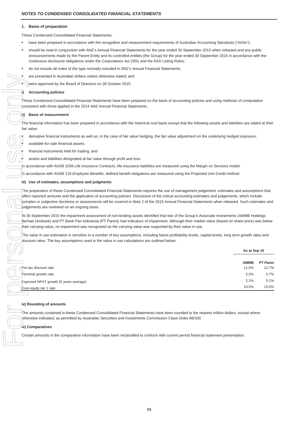### **1. Basis of preparation**

These Condensed Consolidated Financial Statements:

- have been prepared in accordance with the recognition and measurement requirements of Australian Accounting Standards ("AASs"):
- should be read in conjunction with ANZ's Annual Financial Statements for the year ended 30 September 2015 when released and any public announcements made by the Parent Entity and its controlled entities (the Group) for the year ended 30 September 2015 in accordance with the continuous disclosure obligations under the Corporations Act 2001 and the ASX Listing Rules;
- do not include all notes of the type normally included in ANZ's Annual Financial Statements;

### **i) Accounting policies**

### **ii) Basis of measurement**

## **iii) Use of estimates, assumptions and judgments**

| are presented in Australian dollars unless otherwise stated; and                                                                                                                                                                                                                                                                                                                                                                                                                                                                                                                                                                                                                                                                                                                                                                                                                                                                                                                                                                             |              |                 |
|----------------------------------------------------------------------------------------------------------------------------------------------------------------------------------------------------------------------------------------------------------------------------------------------------------------------------------------------------------------------------------------------------------------------------------------------------------------------------------------------------------------------------------------------------------------------------------------------------------------------------------------------------------------------------------------------------------------------------------------------------------------------------------------------------------------------------------------------------------------------------------------------------------------------------------------------------------------------------------------------------------------------------------------------|--------------|-----------------|
| were approved by the Board of Directors on 28 October 2015.                                                                                                                                                                                                                                                                                                                                                                                                                                                                                                                                                                                                                                                                                                                                                                                                                                                                                                                                                                                  |              |                 |
| <b>Accounting policies</b><br>i)                                                                                                                                                                                                                                                                                                                                                                                                                                                                                                                                                                                                                                                                                                                                                                                                                                                                                                                                                                                                             |              |                 |
| These Condensed Consolidated Financial Statements have been prepared on the basis of accounting policies and using methods of computation<br>consistent with those applied in the 2014 ANZ Annual Financial Statements.                                                                                                                                                                                                                                                                                                                                                                                                                                                                                                                                                                                                                                                                                                                                                                                                                      |              |                 |
| <b>Basis of measurement</b><br>H).                                                                                                                                                                                                                                                                                                                                                                                                                                                                                                                                                                                                                                                                                                                                                                                                                                                                                                                                                                                                           |              |                 |
| The financial information has been prepared in accordance with the historical cost basis except that the following assets and liabilities are stated at their<br>fair value:                                                                                                                                                                                                                                                                                                                                                                                                                                                                                                                                                                                                                                                                                                                                                                                                                                                                 |              |                 |
| derivative financial instruments as well as, in the case of fair value hedging, the fair value adjustment on the underlying hedged exposure;                                                                                                                                                                                                                                                                                                                                                                                                                                                                                                                                                                                                                                                                                                                                                                                                                                                                                                 |              |                 |
| available-for-sale financial assets;                                                                                                                                                                                                                                                                                                                                                                                                                                                                                                                                                                                                                                                                                                                                                                                                                                                                                                                                                                                                         |              |                 |
| financial instruments held for trading; and                                                                                                                                                                                                                                                                                                                                                                                                                                                                                                                                                                                                                                                                                                                                                                                                                                                                                                                                                                                                  |              |                 |
| assets and liabilities designated at fair value through profit and loss.                                                                                                                                                                                                                                                                                                                                                                                                                                                                                                                                                                                                                                                                                                                                                                                                                                                                                                                                                                     |              |                 |
| In accordance with AASB 1038 Life Insurance Contracts, life insurance liabilities are measured using the Margin on Services model.                                                                                                                                                                                                                                                                                                                                                                                                                                                                                                                                                                                                                                                                                                                                                                                                                                                                                                           |              |                 |
| In accordance with AASB 119 Employee Benefits, defined benefit obligations are measured using the Projected Unit Credit method.                                                                                                                                                                                                                                                                                                                                                                                                                                                                                                                                                                                                                                                                                                                                                                                                                                                                                                              |              |                 |
| iii) Use of estimates, assumptions and judgments                                                                                                                                                                                                                                                                                                                                                                                                                                                                                                                                                                                                                                                                                                                                                                                                                                                                                                                                                                                             |              |                 |
| affect reported amounts and the application of accounting policies. Discussion of the critical accounting estimates and judgements, which include<br>complex or subjective decisions or assessments will be covered in Note 2 of the 2015 Annual Financial Statements when released. Such estimates and<br>judgements are reviewed on an ongoing basis.<br>At 30 September 2015 the impairment assessment of non-lending assets identified that two of the Group's Associate investments (AMMB Holdings<br>Berhad (Ambank) and PT Bank Pan Indonesia (PT Panin)) had indicators of impairment. Although their market value (based on share price) was below<br>their carrying value, no impairment was recognised as the carrying value was supported by their value in use.<br>lThe value in use estimation is sensitive to a number of key assumptions, including future profitability levels, capital levels, long term growth rates and<br>discount rates. The key assumptions used in the value in use calculations are outlined below: | As at Sep 15 |                 |
|                                                                                                                                                                                                                                                                                                                                                                                                                                                                                                                                                                                                                                                                                                                                                                                                                                                                                                                                                                                                                                              |              |                 |
|                                                                                                                                                                                                                                                                                                                                                                                                                                                                                                                                                                                                                                                                                                                                                                                                                                                                                                                                                                                                                                              | <b>AMMB</b>  | <b>PT Panin</b> |
| Pre-tax discount rate                                                                                                                                                                                                                                                                                                                                                                                                                                                                                                                                                                                                                                                                                                                                                                                                                                                                                                                                                                                                                        | 11.0%        | 12.7%           |
| Terminal growth rate                                                                                                                                                                                                                                                                                                                                                                                                                                                                                                                                                                                                                                                                                                                                                                                                                                                                                                                                                                                                                         | 5.5%<br>2.1% | 5.7%<br>5.1%    |
| Expected NPAT growth (5 years average)<br>Core equity tier 1 rate                                                                                                                                                                                                                                                                                                                                                                                                                                                                                                                                                                                                                                                                                                                                                                                                                                                                                                                                                                            | 10.0%        | 10.0%           |
|                                                                                                                                                                                                                                                                                                                                                                                                                                                                                                                                                                                                                                                                                                                                                                                                                                                                                                                                                                                                                                              |              |                 |
| iv) Rounding of amounts<br>The amounts contained in these Condensed Consolidated Financial Statements have been rounded to the nearest million dollars, except where<br>otherwise indicated, as permitted by Australian Securities and Investments Commission Class Order 98/100.                                                                                                                                                                                                                                                                                                                                                                                                                                                                                                                                                                                                                                                                                                                                                            |              |                 |
| <b>(v) Comparatives</b>                                                                                                                                                                                                                                                                                                                                                                                                                                                                                                                                                                                                                                                                                                                                                                                                                                                                                                                                                                                                                      |              |                 |
| Certain amounts in the comparative information have been reclassified to conform with current period financial statement presentation.                                                                                                                                                                                                                                                                                                                                                                                                                                                                                                                                                                                                                                                                                                                                                                                                                                                                                                       |              |                 |
|                                                                                                                                                                                                                                                                                                                                                                                                                                                                                                                                                                                                                                                                                                                                                                                                                                                                                                                                                                                                                                              |              |                 |

#### **iv) Rounding of amounts**

### **iv) Comparatives**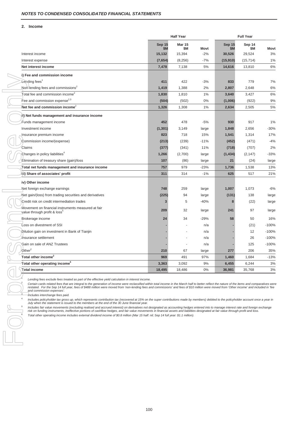**2. Income** 

|                                                                                                                                                                                                                                                                                                                                                                                                                            | <b>Half Year</b> |                      |        | <b>Full Year</b> |               |         |  |
|----------------------------------------------------------------------------------------------------------------------------------------------------------------------------------------------------------------------------------------------------------------------------------------------------------------------------------------------------------------------------------------------------------------------------|------------------|----------------------|--------|------------------|---------------|---------|--|
|                                                                                                                                                                                                                                                                                                                                                                                                                            | Sep 15<br>\$M    | <b>Mar 15</b><br>\$Μ | Movt   | Sep 15<br>\$M    | Sep 14<br>\$M | Movt    |  |
| Interest income                                                                                                                                                                                                                                                                                                                                                                                                            | 15,132           | 15,394               | $-2%$  | 30,526           | 29,524        | 3%      |  |
| Interest expense                                                                                                                                                                                                                                                                                                                                                                                                           | (7,654)          | (8,256)              | $-7%$  | (15, 910)        | (15, 714)     | 1%      |  |
| Net interest income                                                                                                                                                                                                                                                                                                                                                                                                        | 7,478            | 7,138                | 5%     | 14,616           | 13,810        | 6%      |  |
| i) Fee and commission income                                                                                                                                                                                                                                                                                                                                                                                               |                  |                      |        |                  |               |         |  |
| Lending fees <sup>1</sup>                                                                                                                                                                                                                                                                                                                                                                                                  | 411              | 422                  | $-3%$  | 833              | 779           | 7%      |  |
| Non-lending fees and commissions <sup>2</sup>                                                                                                                                                                                                                                                                                                                                                                              | 1,419            | 1,388                | 2%     | 2,807            | 2,648         | 6%      |  |
| Total fee and commission income <sup>2</sup>                                                                                                                                                                                                                                                                                                                                                                               | 1,830            | 1,810                | 1%     | 3,640            | 3,427         | 6%      |  |
| Fee and commission expense <sup>2,3</sup>                                                                                                                                                                                                                                                                                                                                                                                  | (504)            | (502)                | $0\%$  | (1,006)          | (922)         | 9%      |  |
| Net fee and commission income <sup>2</sup>                                                                                                                                                                                                                                                                                                                                                                                 | 1,326            | 1,308                | $1\%$  | 2,634            | 2,505         | 5%      |  |
| ii) Net funds management and insurance income                                                                                                                                                                                                                                                                                                                                                                              |                  |                      |        |                  |               |         |  |
| Funds management income                                                                                                                                                                                                                                                                                                                                                                                                    | 452              | 478                  | $-5%$  | 930              | 917           | $1\%$   |  |
| Investment income                                                                                                                                                                                                                                                                                                                                                                                                          | (1, 301)         | 3,149                | large  | 1,848            | 2,656         | $-30%$  |  |
| Insurance premium income                                                                                                                                                                                                                                                                                                                                                                                                   | 823              | 718                  | 15%    | 1,541            | 1,314         | 17%     |  |
| Commission income/(expense)                                                                                                                                                                                                                                                                                                                                                                                                | (213)            | (239)                | $-11%$ | (452)            | (471)         | $-4%$   |  |
| Claims                                                                                                                                                                                                                                                                                                                                                                                                                     | (377)            | (341)                | 11%    | (718)            | (707)         | 2%      |  |
| Changes in policy liabilities <sup>4</sup>                                                                                                                                                                                                                                                                                                                                                                                 | 1,266            | (2,700)              | large  | (1,434)          | (2, 147)      | $-33%$  |  |
| Elimination of treasury share (gain)/loss                                                                                                                                                                                                                                                                                                                                                                                  | 107              | (86)                 | large  | 21               | (24)          | large   |  |
| Total net funds management and insurance income                                                                                                                                                                                                                                                                                                                                                                            | 757              | 979                  | $-23%$ | 1,736            | 1,538         | 13%     |  |
| ili) Share of associates' profit                                                                                                                                                                                                                                                                                                                                                                                           | 311              | 314                  | $-1%$  | 625              | 517           | 21%     |  |
| iv) Other income                                                                                                                                                                                                                                                                                                                                                                                                           |                  |                      |        |                  |               |         |  |
| Net foreign exchange earnings                                                                                                                                                                                                                                                                                                                                                                                              | 748              | 259                  | large  | 1,007            | 1,073         | $-6%$   |  |
| Net gain/(loss) from trading securities and derivatives                                                                                                                                                                                                                                                                                                                                                                    | (225)            | 94                   | large  | (131)            | 138           | large   |  |
| Credit risk on credit intermediation trades                                                                                                                                                                                                                                                                                                                                                                                | 3                | 5                    | $-40%$ | 8                | (22)          | large   |  |
| Movement on financial instruments measured at fair<br>value through profit & loss <sup>5</sup>                                                                                                                                                                                                                                                                                                                             | 209              | 32                   | large  | 241              | 97            | large   |  |
| Brokerage income                                                                                                                                                                                                                                                                                                                                                                                                           | 24               | 34                   | $-29%$ | 58               | 50            | 16%     |  |
| Loss on divestment of SSI                                                                                                                                                                                                                                                                                                                                                                                                  |                  |                      | n/a    |                  | (21)          | $-100%$ |  |
| Dilution gain on investment in Bank of Tianjin                                                                                                                                                                                                                                                                                                                                                                             |                  |                      | n/a    |                  | 12            | $-100%$ |  |
| Insurance settlement                                                                                                                                                                                                                                                                                                                                                                                                       |                  |                      | n/a    |                  | 26            | $-100%$ |  |
| Gain on sale of ANZ Trustees                                                                                                                                                                                                                                                                                                                                                                                               |                  |                      | n/a    |                  | 125           | $-100%$ |  |
| Other $2$                                                                                                                                                                                                                                                                                                                                                                                                                  | 210              | 67                   | large  | 277              | 206           | 35%     |  |
| Total other income <sup>2</sup>                                                                                                                                                                                                                                                                                                                                                                                            | 969              | 491                  | 97%    | 1,460            | 1,684         | $-13%$  |  |
| Total other operating income <sup>6</sup>                                                                                                                                                                                                                                                                                                                                                                                  | 3,363            | 3,092                | 9%     | 6,455            | 6,244         | 3%      |  |
| ୮otal income                                                                                                                                                                                                                                                                                                                                                                                                               | 18,495           | 18,486               | $0\%$  | 36,981           | 35,768        | 3%      |  |
| Lending fees exclude fees treated as part of the effective yield calculation in interest income.                                                                                                                                                                                                                                                                                                                           |                  |                      |        |                  |               |         |  |
| Certain cards related fees that are integral to the generation of income were reclassified within total income in the March half to better reflect the nature of the items and comparatives were<br>restated. For the Sep 14 full year, fees of \$488 million were moved from 'non-lending fees and commissions' and fees of \$10 million were moved from 'Other income' and included in 'fee<br>and commission expenses'. |                  |                      |        |                  |               |         |  |
| Includes interchange fees paid.                                                                                                                                                                                                                                                                                                                                                                                            |                  |                      |        |                  |               |         |  |
| 4.<br>Includes policyholder tax gross up, which represents contribution tax (recovered at 15% on the super contributions made by members) debited to the policyholder account once a year in<br>July when the statement is issued to the members at the end of the 30 June financial year.                                                                                                                                 |                  |                      |        |                  |               |         |  |
| Includes fair value movements (excluding realised and accrued interest) on derivatives not designated as accounting hedges entered into to manage interest rate and foreign exchange<br>risk on funding instruments, ineffective portions of cashflow hedges, and fair value movements in financial assets and liabilities designated at fair value through profit and loss.                                               |                  |                      |        |                  |               |         |  |
| Total other operating income includes external dividend income of \$0.8 million (Mar 15 half: nil; Sep 14 full year: \$1.1 million).                                                                                                                                                                                                                                                                                       |                  |                      |        |                  |               |         |  |
|                                                                                                                                                                                                                                                                                                                                                                                                                            |                  |                      |        |                  |               |         |  |
|                                                                                                                                                                                                                                                                                                                                                                                                                            |                  |                      |        |                  |               |         |  |
|                                                                                                                                                                                                                                                                                                                                                                                                                            |                  |                      |        |                  |               |         |  |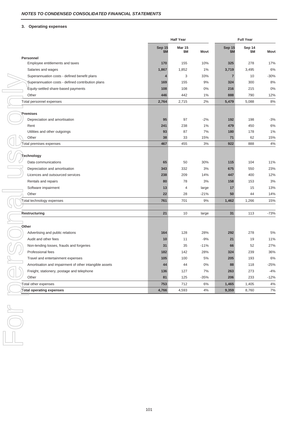# **3. Operating expenses**

| Sep 15<br>\$M<br>Personnel<br>Employee entitlements and taxes<br>170<br>1,867<br>Salaries and wages<br>Superannuation costs - defined benefit plans<br>$\overline{4}$<br>Superannuation costs - defined contribution plans<br>169<br>Equity-settled share-based payments<br>108<br>446<br>Other<br>2,764<br>Total personnel expenses<br>Premises | <b>Mar 15</b><br>\$Μ<br>155<br>1,852<br>3<br>155<br>108<br>442 | Movt<br>10%<br>$1\%$<br>33%<br>9%<br>$0\%$ | Sep 15<br>\$M<br>325<br>3,719<br>$\overline{7}$<br>324 | Sep 14<br>\$Μ<br>278<br>3,495<br>10 | Movt<br>17%<br>6%<br>$-30%$ |
|--------------------------------------------------------------------------------------------------------------------------------------------------------------------------------------------------------------------------------------------------------------------------------------------------------------------------------------------------|----------------------------------------------------------------|--------------------------------------------|--------------------------------------------------------|-------------------------------------|-----------------------------|
|                                                                                                                                                                                                                                                                                                                                                  |                                                                |                                            |                                                        |                                     |                             |
|                                                                                                                                                                                                                                                                                                                                                  |                                                                |                                            |                                                        |                                     |                             |
|                                                                                                                                                                                                                                                                                                                                                  |                                                                |                                            |                                                        |                                     |                             |
|                                                                                                                                                                                                                                                                                                                                                  |                                                                |                                            |                                                        |                                     |                             |
|                                                                                                                                                                                                                                                                                                                                                  |                                                                |                                            |                                                        |                                     |                             |
|                                                                                                                                                                                                                                                                                                                                                  |                                                                |                                            |                                                        | 300                                 | 8%                          |
|                                                                                                                                                                                                                                                                                                                                                  |                                                                |                                            | 216                                                    | 215                                 | 0%                          |
|                                                                                                                                                                                                                                                                                                                                                  |                                                                | $1\%$                                      | 888                                                    | 790                                 | 12%                         |
|                                                                                                                                                                                                                                                                                                                                                  | 2,715                                                          | 2%                                         | 5,479                                                  | 5,088                               | 8%                          |
|                                                                                                                                                                                                                                                                                                                                                  |                                                                |                                            |                                                        |                                     |                             |
| 95<br>Depreciation and amortisation                                                                                                                                                                                                                                                                                                              | 97                                                             | $-2%$                                      | 192                                                    | 198                                 | $-3%$                       |
| Rent<br>241                                                                                                                                                                                                                                                                                                                                      | 238                                                            | $1\%$                                      | 479                                                    | 450                                 | 6%                          |
| Utilities and other outgoings<br>93                                                                                                                                                                                                                                                                                                              | 87                                                             | 7%                                         | 180                                                    | 178                                 | 1%                          |
| Other<br>38                                                                                                                                                                                                                                                                                                                                      | 33                                                             | 15%                                        | 71                                                     | 62                                  | 15%                         |
| 467<br>otal premises expenses                                                                                                                                                                                                                                                                                                                    | 455                                                            | 3%                                         | 922                                                    | 888                                 | 4%                          |
| Technology                                                                                                                                                                                                                                                                                                                                       |                                                                |                                            |                                                        |                                     |                             |
| Data communications<br>65                                                                                                                                                                                                                                                                                                                        | 50                                                             | 30%                                        | 115                                                    | 104                                 | 11%                         |
| Depreciation and amortisation<br>343                                                                                                                                                                                                                                                                                                             | 332                                                            | 3%                                         | 675                                                    | 550                                 | 23%                         |
| Licences and outsourced services<br>238                                                                                                                                                                                                                                                                                                          | 209                                                            | 14%                                        | 447                                                    | 400                                 | 12%                         |
| 80<br>Rentals and repairs                                                                                                                                                                                                                                                                                                                        | 78                                                             | 3%                                         | 158                                                    | 153                                 | 3%                          |
| Software impairment<br>13                                                                                                                                                                                                                                                                                                                        | 4                                                              | large                                      | 17                                                     | 15                                  | 13%                         |
| 22<br>Other                                                                                                                                                                                                                                                                                                                                      | 28                                                             | $-21%$                                     | 50                                                     | 44                                  | 14%                         |
| Total technology expenses<br>761                                                                                                                                                                                                                                                                                                                 | 701                                                            | 9%                                         | 1,462                                                  | 1,266                               | 15%                         |
| 21<br>Restructuring                                                                                                                                                                                                                                                                                                                              | 10                                                             | large                                      | 31                                                     | 113                                 | $-73%$                      |
|                                                                                                                                                                                                                                                                                                                                                  |                                                                |                                            |                                                        |                                     |                             |
| Other                                                                                                                                                                                                                                                                                                                                            |                                                                |                                            |                                                        |                                     |                             |
| Advertising and public relations<br>164                                                                                                                                                                                                                                                                                                          | 128                                                            | 28%                                        | 292                                                    | 278                                 | 5%                          |
| Audit and other fees<br>10                                                                                                                                                                                                                                                                                                                       | 11                                                             | $-9%$                                      | 21                                                     | 19                                  | 11%                         |
| Non-lending losses, frauds and forgeries<br>31                                                                                                                                                                                                                                                                                                   | 35                                                             | $-11%$                                     | 66                                                     | 52                                  | 27%                         |
| Professional fees<br>182                                                                                                                                                                                                                                                                                                                         | 142                                                            | 28%                                        | 324                                                    | 239                                 | 36%                         |
| Travel and entertainment expenses<br>105                                                                                                                                                                                                                                                                                                         | 100                                                            | 5%                                         | 205                                                    | 193                                 | 6%                          |
| Amortisation and impairment of other intangible assets<br>44                                                                                                                                                                                                                                                                                     | 44                                                             | $0\%$                                      | 88                                                     | 118                                 | $-25%$                      |
| Freight, stationery, postage and telephone<br>136                                                                                                                                                                                                                                                                                                | 127                                                            | 7%                                         | 263                                                    | 273                                 | $-4%$                       |
| 81<br>Other                                                                                                                                                                                                                                                                                                                                      | 125                                                            | $-35%$                                     | 206                                                    | 233                                 | $-12%$                      |
| Total other expenses<br>753                                                                                                                                                                                                                                                                                                                      | 712                                                            | $6\%$                                      | 1,465                                                  | 1,405                               | 4%                          |
| Total operating expenses<br>4,766                                                                                                                                                                                                                                                                                                                | 4,593                                                          | $4\%$                                      | 9,359                                                  | 8,760                               | 7%                          |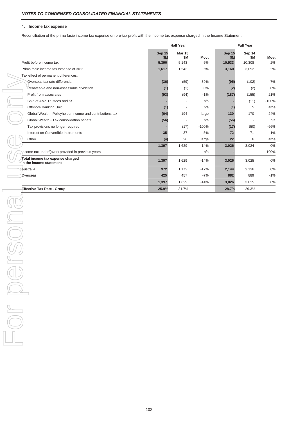## **4. Income tax expense**

Reconciliation of the prima facie income tax expense on pre-tax profit with the income tax expense charged in the Income Statement

|                                                                                                                                                                                                                                                                                                                                                                                         | <b>Half Year</b>       |                               |            | <b>Full Year</b> |                         |               |
|-----------------------------------------------------------------------------------------------------------------------------------------------------------------------------------------------------------------------------------------------------------------------------------------------------------------------------------------------------------------------------------------|------------------------|-------------------------------|------------|------------------|-------------------------|---------------|
| Profit before income tax                                                                                                                                                                                                                                                                                                                                                                | Sep 15<br>\$M<br>5,390 | <b>Mar 15</b><br>\$Μ<br>5,143 | Movt<br>5% | Sep 15<br>\$M    | Sep 14<br>\$Μ<br>10,308 | Movt<br>$2\%$ |
| Prima facie income tax expense at 30%                                                                                                                                                                                                                                                                                                                                                   | 1,617                  | 1,543                         | 5%         | 10,533<br>3,160  | 3,092                   | 2%            |
| Tax effect of permanent differences:                                                                                                                                                                                                                                                                                                                                                    |                        |                               |            |                  |                         |               |
| Overseas tax rate differential                                                                                                                                                                                                                                                                                                                                                          | (36)                   | (59)                          | $-39%$     | (95)             | (102)                   | $-7%$         |
| Rebateable and non-assessable dividends                                                                                                                                                                                                                                                                                                                                                 | (1)                    | (1)                           | $0\%$      | (2)              | (2)                     | $0\%$         |
| Profit from associates                                                                                                                                                                                                                                                                                                                                                                  | (93)                   | (94)                          | $-1%$      | (187)            | (155)                   | 21%           |
| Sale of ANZ Trustees and SSI                                                                                                                                                                                                                                                                                                                                                            |                        |                               | n/a        |                  | (11)                    | $-100%$       |
| Offshore Banking Unit                                                                                                                                                                                                                                                                                                                                                                   | (1)                    | $\overline{\phantom{a}}$      | n/a        | (1)              | 5                       | large         |
| Global Wealth - Policyholder income and contributions tax                                                                                                                                                                                                                                                                                                                               | (64)                   | 194                           | large      | 130              | 170                     | $-24%$        |
| Global Wealth - Tax consolidation benefit                                                                                                                                                                                                                                                                                                                                               | (56)                   | $\overline{\phantom{a}}$      | n/a        | (56)             | $\blacksquare$          | n/a           |
| Tax provisions no longer required                                                                                                                                                                                                                                                                                                                                                       |                        | (17)                          | $-100%$    | (17)             | (50)                    | $-66%$        |
| Interest on Convertible Instruments                                                                                                                                                                                                                                                                                                                                                     | 35                     | 37                            | $-5%$      | 72               | 71                      | $1\%$         |
| Other                                                                                                                                                                                                                                                                                                                                                                                   | (4)                    | 26                            | large      | 22               | 6                       | large         |
|                                                                                                                                                                                                                                                                                                                                                                                         | 1,397                  | 1,629                         | $-14%$     | 3,026            | 3,024                   | $0\%$         |
| Income tax under/(over) provided in previous years                                                                                                                                                                                                                                                                                                                                      |                        | $\overline{\phantom{a}}$      | n/a        |                  | $\mathbf{1}$            | $-100%$       |
| Total income tax expense charged<br>in the income statement                                                                                                                                                                                                                                                                                                                             | 1,397                  | 1,629                         | $-14%$     | 3,026            | 3,025                   | $0\%$         |
| Australia                                                                                                                                                                                                                                                                                                                                                                               | 972                    | 1,172                         | $-17%$     | 2,144            | 2,136                   | $0\%$         |
| Overseas                                                                                                                                                                                                                                                                                                                                                                                | 425                    | 457                           | $-7%$      | 882              | 889                     | $-1%$         |
|                                                                                                                                                                                                                                                                                                                                                                                         | 1,397                  | 1,629                         | $-14%$     | 3,026            | 3,025                   | $0\%$         |
| <b>Effective Tax Rate - Group</b>                                                                                                                                                                                                                                                                                                                                                       | 25.9%                  | 31.7%                         |            | 28.7%            | 29.3%                   |               |
| $\begin{picture}(10,10) \put(0,0){\line(1,0){10}} \put(10,0){\line(1,0){10}} \put(10,0){\line(1,0){10}} \put(10,0){\line(1,0){10}} \put(10,0){\line(1,0){10}} \put(10,0){\line(1,0){10}} \put(10,0){\line(1,0){10}} \put(10,0){\line(1,0){10}} \put(10,0){\line(1,0){10}} \put(10,0){\line(1,0){10}} \put(10,0){\line(1,0){10}} \put(10,0){\line(1$<br>$\frac{1}{\sqrt{1-\frac{1}{2}}}$ |                        |                               |            |                  |                         |               |
|                                                                                                                                                                                                                                                                                                                                                                                         |                        |                               |            |                  |                         |               |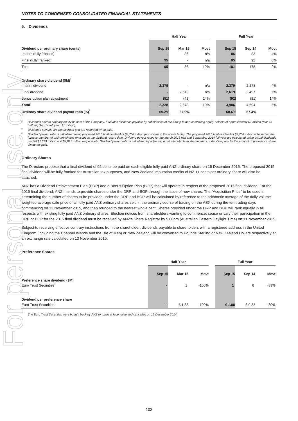#### **5. Dividends**

|                                                                |        | <b>Half Year</b>         |             | <b>Full Year</b> |              |                   |
|----------------------------------------------------------------|--------|--------------------------|-------------|------------------|--------------|-------------------|
| Dividend per ordinary share (cents)<br>Interim (fully franked) | Sep 15 | <b>Mar 15</b><br>86      | Movt<br>n/a | Sep 15<br>86     | Sep 14<br>83 | <b>Movt</b><br>4% |
| Final (fully franked)                                          | 95     | $\overline{\phantom{a}}$ | n/a         | 95               | 95           | $0\%$             |
| Total                                                          | 95     | 86                       | 10%         | 181              | 178          | 2%                |
| Ordinary share dividend (\$M) <sup>1</sup><br>Interim dividend | 2,379  |                          | n/a         | 2,379            | 2,278        | 4%                |
| Final dividend                                                 |        | 2,619                    | n/a         | 2,619            | 2,497        | 5%                |
| Bonus option plan adjustment                                   | (51)   | (41)                     | 24%         | (92)             | (81)         | 14%               |
| $\overline{4}$ otal $^2$                                       | 2,328  | 2,578                    | $-10%$      | 4,906            | 4,694        | 5%                |
| Ordinary share dividend payout ratio $(\%)^3$                  | 69.2%  | 67.9%                    |             | 68.6%            | 67.4%        |                   |

# **Ordinary Shares**

# **Preference Shares**

| Ordinary share dividend (\$M) <sup>1</sup>                                                                                                                                                                                                                                                                                                                                                                                                                                                                                                                                                                                                                                                                                                                                                                                                                                                                                                                                                                                                                                                                                                                                                                                                                                                                                                                                                       |        |                  |         |        |                  |        |
|--------------------------------------------------------------------------------------------------------------------------------------------------------------------------------------------------------------------------------------------------------------------------------------------------------------------------------------------------------------------------------------------------------------------------------------------------------------------------------------------------------------------------------------------------------------------------------------------------------------------------------------------------------------------------------------------------------------------------------------------------------------------------------------------------------------------------------------------------------------------------------------------------------------------------------------------------------------------------------------------------------------------------------------------------------------------------------------------------------------------------------------------------------------------------------------------------------------------------------------------------------------------------------------------------------------------------------------------------------------------------------------------------|--------|------------------|---------|--------|------------------|--------|
| Interim dividend                                                                                                                                                                                                                                                                                                                                                                                                                                                                                                                                                                                                                                                                                                                                                                                                                                                                                                                                                                                                                                                                                                                                                                                                                                                                                                                                                                                 | 2,379  |                  | n/a     | 2,379  | 2,278            | 4%     |
| Final dividend                                                                                                                                                                                                                                                                                                                                                                                                                                                                                                                                                                                                                                                                                                                                                                                                                                                                                                                                                                                                                                                                                                                                                                                                                                                                                                                                                                                   |        | 2,619            | n/a     | 2,619  | 2,497            | 5%     |
| Bonus option plan adjustment                                                                                                                                                                                                                                                                                                                                                                                                                                                                                                                                                                                                                                                                                                                                                                                                                                                                                                                                                                                                                                                                                                                                                                                                                                                                                                                                                                     | (51)   | (41)             | 24%     | (92)   | (81)             | 14%    |
| $\text{Total}^2$                                                                                                                                                                                                                                                                                                                                                                                                                                                                                                                                                                                                                                                                                                                                                                                                                                                                                                                                                                                                                                                                                                                                                                                                                                                                                                                                                                                 | 2,328  | 2,578            | $-10%$  | 4,906  | 4,694            | 5%     |
| Ordinary share dividend payout ratio (%) <sup>3</sup>                                                                                                                                                                                                                                                                                                                                                                                                                                                                                                                                                                                                                                                                                                                                                                                                                                                                                                                                                                                                                                                                                                                                                                                                                                                                                                                                            | 69.2%  | 67.9%            |         | 68.6%  | 67.4%            |        |
| Dividends paid to ordinary equity holders of the Company. Excludes dividends payable by subsidiaries of the Group to non-controlling equity holders of approximately \$1 million (Mar 15<br>half: nil, Sep 14 full year: \$1 million).<br>Dividends payable are not accrued and are recorded when paid.<br>3.<br>Dividend payout ratio is calculated using proposed 2015 final dividend of \$2,758 million (not shown in the above table). The proposed 2015 final dividend of \$2,758 million is based on the<br>forecast number of ordinary shares on issue at the dividend record date. Dividend payout ratios for the March 2015 half and September 2014 full year are calculated using actual dividends<br>paid of \$2,379 million and \$4,897 million respectively. Dividend payout ratio is calculated by adjusting profit attributable to shareholders of the Company by the amount of preference share<br>dividends paid.                                                                                                                                                                                                                                                                                                                                                                                                                                                               |        |                  |         |        |                  |        |
| <b>Ordinary Shares</b><br>The Directors propose that a final dividend of 95 cents be paid on each eligible fully paid ANZ ordinary share on 16 December 2015. The proposed 2015<br>final dividend will be fully franked for Australian tax purposes, and New Zealand imputation credits of NZ 11 cents per ordinary share will also be<br>attached.                                                                                                                                                                                                                                                                                                                                                                                                                                                                                                                                                                                                                                                                                                                                                                                                                                                                                                                                                                                                                                              |        |                  |         |        |                  |        |
| ANZ has a Dividend Reinvestment Plan (DRP) and a Bonus Option Plan (BOP) that will operate in respect of the proposed 2015 final dividend. For the<br>2015 final dividend, ANZ intends to provide shares under the DRP and BOP through the issue of new shares. The "Acquisition Price" to be used in<br>determining the number of shares to be provided under the DRP and BOP will be calculated by reference to the arithmetic average of the daily volume<br>weighted average sale price of all fully paid ANZ ordinary shares sold in the ordinary course of trading on the ASX during the ten trading days<br>commencing on 13 November 2015, and then rounded to the nearest whole cent. Shares provided under the DRP and BOP will rank equally in all<br>respects with existing fully paid ANZ ordinary shares. Election notices from shareholders wanting to commence, cease or vary their participation in the<br>DRP or BOP for the 2015 final dividend must be received by ANZ's Share Registrar by 5.00pm (Australian Eastern Daylight Time) on 11 November 2015.<br>Subject to receiving effective contrary instructions from the shareholder, dividends payable to shareholders with a registered address in the United<br>Kingdom (including the Channel Islands and the Isle of Man) or New Zealand will be converted to Pounds Sterling or New Zealand Dollars respectively at |        |                  |         |        |                  |        |
| an exchange rate calculated on 13 November 2015.<br><b>Preference Shares</b>                                                                                                                                                                                                                                                                                                                                                                                                                                                                                                                                                                                                                                                                                                                                                                                                                                                                                                                                                                                                                                                                                                                                                                                                                                                                                                                     |        |                  |         |        |                  |        |
|                                                                                                                                                                                                                                                                                                                                                                                                                                                                                                                                                                                                                                                                                                                                                                                                                                                                                                                                                                                                                                                                                                                                                                                                                                                                                                                                                                                                  |        | <b>Half Year</b> |         |        | <b>Full Year</b> |        |
|                                                                                                                                                                                                                                                                                                                                                                                                                                                                                                                                                                                                                                                                                                                                                                                                                                                                                                                                                                                                                                                                                                                                                                                                                                                                                                                                                                                                  | Sep 15 | <b>Mar 15</b>    | Movt    | Sep 15 | Sep 14           | Movt   |
| Preference share dividend (\$M)                                                                                                                                                                                                                                                                                                                                                                                                                                                                                                                                                                                                                                                                                                                                                                                                                                                                                                                                                                                                                                                                                                                                                                                                                                                                                                                                                                  |        |                  |         |        |                  |        |
| Euro Trust Securities <sup>1</sup>                                                                                                                                                                                                                                                                                                                                                                                                                                                                                                                                                                                                                                                                                                                                                                                                                                                                                                                                                                                                                                                                                                                                                                                                                                                                                                                                                               |        | 1                | $-100%$ |        | 6                | $-83%$ |
|                                                                                                                                                                                                                                                                                                                                                                                                                                                                                                                                                                                                                                                                                                                                                                                                                                                                                                                                                                                                                                                                                                                                                                                                                                                                                                                                                                                                  |        |                  |         |        |                  |        |
| Dividend per preference share                                                                                                                                                                                                                                                                                                                                                                                                                                                                                                                                                                                                                                                                                                                                                                                                                                                                                                                                                                                                                                                                                                                                                                                                                                                                                                                                                                    |        |                  |         |        |                  |        |
| Euro Trust Securities <sup>1</sup>                                                                                                                                                                                                                                                                                                                                                                                                                                                                                                                                                                                                                                                                                                                                                                                                                                                                                                                                                                                                                                                                                                                                                                                                                                                                                                                                                               |        | €1.88            | $-100%$ | €1.88  | €9.32            | $-80%$ |
| The Euro Trust Securities were bought back by ANZ for cash at face value and cancelled on 15 December 2014.                                                                                                                                                                                                                                                                                                                                                                                                                                                                                                                                                                                                                                                                                                                                                                                                                                                                                                                                                                                                                                                                                                                                                                                                                                                                                      |        |                  |         |        |                  |        |
|                                                                                                                                                                                                                                                                                                                                                                                                                                                                                                                                                                                                                                                                                                                                                                                                                                                                                                                                                                                                                                                                                                                                                                                                                                                                                                                                                                                                  |        |                  |         |        |                  |        |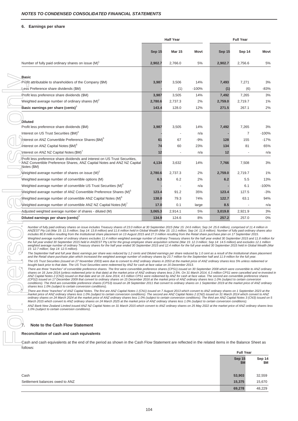#### **6. Earnings per share**

|                                                                                                                                                                       |         | <b>Half Year</b> |         |         | <b>Full Year</b> |         |
|-----------------------------------------------------------------------------------------------------------------------------------------------------------------------|---------|------------------|---------|---------|------------------|---------|
|                                                                                                                                                                       | Sep 15  | <b>Mar 15</b>    | Movt    | Sep 15  | Sep 14           | Movt    |
| Number of fully paid ordinary shares on issue (M)                                                                                                                     | 2,902.7 | 2,766.0          | 5%      | 2,902.7 | 2,756.6          | 5%      |
|                                                                                                                                                                       |         |                  |         |         |                  |         |
| Basic                                                                                                                                                                 |         |                  |         |         |                  |         |
| Profit attributable to shareholders of the Company (\$M)                                                                                                              | 3,987   | 3,506            | 14%     | 7,493   | 7,271            | 3%      |
| Less Preference share dividends (\$M)                                                                                                                                 |         | (1)              | $-100%$ | (1)     | (6)              | $-83%$  |
| Profit less preference share dividends (\$M)                                                                                                                          | 3,987   | 3,505            | 14%     | 7,492   | 7,265            | 3%      |
| Weighted average number of ordinary shares (M) <sup>2</sup>                                                                                                           | 2,780.6 | 2,737.3          | 2%      | 2,759.0 | 2,719.7          | 1%      |
| Basic earnings per share (cents) $^3$                                                                                                                                 | 143.4   | 128.0            | 12%     | 271.5   | 267.1            | 2%      |
|                                                                                                                                                                       |         |                  |         |         |                  |         |
| Diluted                                                                                                                                                               |         |                  |         |         |                  |         |
| Profit less preference share dividends (\$M)                                                                                                                          | 3,987   | 3,505            | 14%     | 7,492   | 7,265            | 3%      |
| Interest on US Trust Securities (\$M) <sup>4</sup>                                                                                                                    |         |                  | n/a     |         | $\overline{7}$   | $-100%$ |
| Interest on ANZ Convertible Preference Shares (\$M) <sup>5</sup>                                                                                                      | 61      | 67               | $-9%$   | 128     | 155              | $-17%$  |
| Interest on ANZ Capital Notes (\$M) <sup>6</sup>                                                                                                                      | 74      | 60               | 23%     | 134     | 81               | 65%     |
| Interest on ANZ NZ Capital Notes (\$M)'                                                                                                                               | 12      |                  | n/a     | 12      |                  | n/a     |
| Profit less preference share dividends and interest on US Trust Securities,<br>ANZ Convertible Preference Shares, ANZ Capital Notes and ANZ NZ Capital<br>Notes (\$M) | 4,134   | 3,632            | 14%     | 7,766   | 7,508            | 3%      |
| Weighted average number of shares on issue $(M)^2$                                                                                                                    | 2,780.6 | 2,737.3          | 2%      | 2,759.0 | 2,719.7          | 1%      |
| Weighted average number of convertible options (M)                                                                                                                    | 6.3     | 6.2              | 2%      | 6.2     | 5.5              | 13%     |
| Weighted average number of convertible US Trust Securities (M) <sup>4</sup>                                                                                           |         |                  | n/a     |         | 6.1              | $-100%$ |
| Weighted average number of ANZ Convertible Preference Shares (M) <sup>5</sup>                                                                                         | 123.4   | 91.2             | 35%     | 123.4   | 127.5            | $-3%$   |
| Weighted average number of convertible ANZ Capital Notes (M) <sup>6</sup>                                                                                             | 138.0   | 79.3             | 74%     | 122.7   | 63.1             | 94%     |
| Weighted average number of convertible ANZ NZ Capital Notes (M) $'$                                                                                                   | 17.0    | 0.1              | large   | 8.5     |                  | n/a     |
| Adjusted weighted average number of shares - diluted (M)                                                                                                              | 3,065.3 | 2,914.1          | 5%      | 3,019.8 | 2,921.9          | 3%      |
| Diluted earnings per share (cents) <sup>3</sup>                                                                                                                       | 134.9   | 124.6            | 8%      | 257.2   | 257.0            | 0%      |

bought back prior to that date. The US Trust Securities were redeemed by ANZ for cash at face value on 16 December 2013.<br>There are three "tranches" of convertible preference shares. The first were convertible preference sh conditions). The third are convertible preference shares (CPS3) issued on 28 September 2011 that convert to ordinary shares on 1 September 2019 at the market price of ANZ ordinary shares less 1.0% (subject to certain conve

There are three "tranches" of ANZ Capital Notes. The first are ANZ Capital Notes 1 (CN1) issued on 7 August 2013 which convert to ANZ ordinary shares on 1 September 2023 at the market price of ANZ ordinary shares less 1.0% (subject to certain conversion conditions). The second are ANZ Capital Notes 2 (CN2) issued on 31 March 2014 which convert to ANZ<br>ordinary shares on 24 March 2025 at the market

*1.0% (subject to certain conversion conditions).* 

#### **7. Note to the Cash Flow Statement**

#### **Reconciliation of cash and cash equivalents**

Cash and cash equivalents at the end of the period as shown in the Cash Flow Statement are reflected in the related items in the Balance Sheet as follows:

|                                 | <b>Full Year</b> |               |
|---------------------------------|------------------|---------------|
|                                 | Sep 15<br>\$M    | Sep 14<br>\$Μ |
| Cash                            | 53,903           | 32,559        |
| Settlement balances owed to ANZ | 15,375           | 15,670        |
|                                 | 69,278           | 48,229        |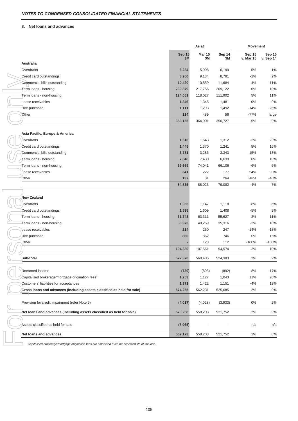# **8. Net loans and advances**

|                                                                                                   | As at         |                      | <b>Movement</b> |                     |                     |
|---------------------------------------------------------------------------------------------------|---------------|----------------------|-----------------|---------------------|---------------------|
|                                                                                                   | Sep 15<br>\$M | <b>Mar 15</b><br>\$Μ | Sep 14<br>\$Μ   | Sep 15<br>v. Mar 15 | Sep 15<br>v. Sep 14 |
| <b>Australia</b>                                                                                  |               |                      |                 |                     |                     |
| Overdrafts                                                                                        | 6,284         | 5,998                | 6,199           | 5%                  | 1%                  |
| Credit card outstandings                                                                          | 8,950         | 9,134                | 8,791           | $-2%$               | 2%                  |
| Commercial bills outstanding                                                                      | 10,420        | 10,859               | 11,684          | $-4%$               | $-11%$              |
| Term loans - housing                                                                              | 230,879       | 217,756              | 209,122         | 6%                  | 10%                 |
| Term loans - non-housing                                                                          | 124,051       | 118,027              | 111,902         | 5%                  | 11%                 |
| Lease receivables                                                                                 | 1,346         | 1,345                | 1,481           | $0\%$               | $-9%$               |
| Hire purchase                                                                                     | 1,111         | 1,293                | 1,492           | $-14%$              | $-26%$              |
| Other                                                                                             | 114           | 489                  | 56              | $-77%$              | large               |
|                                                                                                   | 383,155       | 364,901              | 350,727         | 5%                  | 9%                  |
| Asia Pacific, Europe & America                                                                    |               |                      |                 |                     |                     |
| Overdrafts                                                                                        | 1,616         | 1,643                | 1,312           | $-2%$               | 23%                 |
| Credit card outstandings                                                                          | 1,445         | 1,370                | 1,241           | 5%                  | 16%                 |
| Commercial bills outstanding                                                                      | 3,781         | 3,286                | 3,343           | 15%                 | 13%                 |
| Ferm loans - housing                                                                              | 7,846         | 7,430                | 6,639           | 6%                  | 18%                 |
| Term loans - non-housing                                                                          | 69,669        | 74,041               | 66,106          | $-6%$               | 5%                  |
| Lease receivables                                                                                 | 341           | 222                  | 177             | 54%                 | 93%                 |
| Other                                                                                             | 137           | 31                   | 264             | large               | $-48%$              |
|                                                                                                   | 84,835        | 88,023               | 79,082          | $-4%$               | 7%                  |
| <b>New Zealand</b>                                                                                |               |                      |                 |                     |                     |
| Overdrafts                                                                                        | 1,055         | 1,147                | 1,118           | $-8%$               | $-6%$               |
| Credit card outstandings                                                                          | 1,535         | 1,609                | 1,408           | $-5%$               | 9%                  |
| Term loans - housing                                                                              | 61,743        | 63,311               | 55,627          | $-2%$               | 11%                 |
| Term loans - non-housing                                                                          | 38,973        | 40,259               | 35,316          | $-3%$               | 10%                 |
| Lease receivables                                                                                 | 214           | 250                  | 247             | $-14%$              | $-13%$              |
| Hire purchase                                                                                     | 860           | 862                  | 746             | 0%                  | 15%                 |
| Other                                                                                             |               | 123                  | 112             | $-100%$             | $-100%$             |
|                                                                                                   | 104,380       | 107,561              | 94,574          | $-3%$               | 10%                 |
| Sub-total                                                                                         | 572,370       | 560,485              | 524,383         | 2%                  | 9%                  |
| Unearned income                                                                                   | (739)         | (803)                | (892)           | $-8%$               | $-17%$              |
| $\mathcal{L}$ apitalised brokerage/mortgage origination fees <sup>1</sup>                         | 1,253         | 1,127                | 1,043           | 11%                 | 20%                 |
| Customers' liabilities for acceptances                                                            | 1,371         | 1,422                | 1,151           | $-4%$               | 19%                 |
| Gross loans and advances (including assets classified as held for sale)                           | 574,255       | 562,231              | 525,685         | 2%                  | 9%                  |
| Provision for credit impairment (refer Note 9)                                                    | (4,017)       | (4,028)              | (3,933)         | 0%                  | 2%                  |
| Net loans and advances (including assets classified as held for sale)                             | 570,238       | 558,203              | 521,752         | 2%                  | 9%                  |
| Assets classified as held for sale                                                                | (8,065)       |                      |                 | n/a                 | n/a                 |
| Net loans and advances                                                                            | 562,173       | 558,203              | 521,752         | 1%                  | $8%$                |
| Capitalised brokerage/mortgage origination fees are amortised over the expected life of the loan. |               |                      |                 |                     |                     |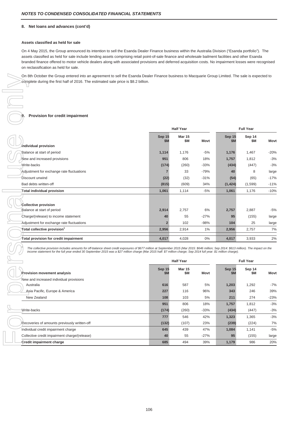# **8. Net loans and advances (cont'd)**

#### **Assets classified as held for sale**

On 4 May 2015, the Group announced its intention to sell the Esanda Dealer Finance business within the Australia Division ("Esanda portfolio"). The assets classified as held for sale include lending assets comprising retail point-of-sale finance and wholesale bailment facilities and other Esanda branded finance offered to motor vehicle dealers along with associated provisions and deferred acquisition costs. No impairment losses were recognised on reclassification as held for sale.

On 8th October the Group entered into an agreement to sell the Esanda Dealer Finance business to Macquarie Group Limited. The sale is expected to complete during the first half of 2016. The estimated sale price is \$8.2 billion.

### **9. Provision for credit impairment**

|                                                           |                | <b>Half Year</b>     |        | <b>Full Year</b> |               |             |
|-----------------------------------------------------------|----------------|----------------------|--------|------------------|---------------|-------------|
|                                                           | Sep 15<br>\$M  | <b>Mar 15</b><br>\$Μ | Movt   | Sep 15<br>\$M    | Sep 14<br>\$M | <b>Movt</b> |
| Individual provision                                      |                |                      |        |                  |               |             |
| Balance at start of period                                | 1,114          | 1,176                | -5%    | 1,176            | 1,467         | $-20%$      |
| New and increased provisions                              | 951            | 806                  | 18%    | 1,757            | 1,812         | $-3%$       |
| Write-backs                                               | (174)          | (260)                | $-33%$ | (434)            | (447)         | $-3%$       |
| Adjustment for exchange rate fluctuations                 |                | 33                   | $-79%$ | 40               | 8             | large       |
| Discount unwind                                           | (22)           | (32)                 | $-31%$ | (54)             | (65)          | $-17%$      |
| Bad debts written-off                                     | (815)          | (609)                | 34%    | (1, 424)         | (1,599)       | $-11%$      |
| Total individual provision                                | 1,061          | 1,114                | -5%    | 1,061            | 1,176         | $-10%$      |
| <b>Collective provision</b><br>Balance at start of period | 2,914          | 2,757                | 6%     | 2,757            | 2,887         | $-5%$       |
| Charge/(release) to income statement                      | 40             | 55                   | $-27%$ | 95               | (155)         | large       |
| Adjustment for exchange rate fluctuations                 | $\overline{2}$ | 102                  | $-98%$ | 104              | 25            | large       |
| Total collective provision <sup>1</sup>                   | 2,956          | 2,914                | $1\%$  | 2,956            | 2,757         | 7%          |
| Total provision for credit impairment                     | 4,017          | 4,028                | $0\%$  | 4,017            | 3,933         | 2%          |

The collective provision includes amounts for off-balance sheet credit exposures of \$677 million at September 2015 (Mar 2015: \$646 million; Sep 2014: \$613 million). The impact on the impact on the shall year: \$1 million ch

|                                               |                     | <b>Half Year</b>     |        | <b>Full Year</b> |               |        |  |
|-----------------------------------------------|---------------------|----------------------|--------|------------------|---------------|--------|--|
| Provision movement analysis                   | Sep 15<br><b>SM</b> | <b>Mar 15</b><br>\$M | Movt   | Sep 15<br>\$M    | Sep 14<br>\$M | Movt   |  |
| New and increased individual provisions       |                     |                      |        |                  |               |        |  |
| Australia                                     | 616                 | 587                  | 5%     | 1,203            | 1,292         | -7%    |  |
| Asia Pacific, Europe & America                | 227                 | 116                  | 96%    | 343              | 246           | 39%    |  |
| New Zealand                                   | 108                 | 103                  | 5%     | 211              | 274           | $-23%$ |  |
|                                               | 951                 | 806                  | 18%    | 1,757            | 1,812         | $-3%$  |  |
| Write-backs                                   | (174)               | (260)                | $-33%$ | (434)            | (447)         | $-3%$  |  |
|                                               | 777                 | 546                  | 42%    | 1,323            | 1,365         | $-3%$  |  |
| Recoveries of amounts previously written-off  | (132)               | (107)                | 23%    | (239)            | (224)         | 7%     |  |
| Individual credit impairment charge           | 645                 | 439                  | 47%    | 1,084            | 1,141         | $-5%$  |  |
| Collective credit impairment charge/(release) | 40                  | 55                   | $-27%$ | 95               | (155)         | large  |  |
| <b>Credit impairment charge</b>               | 685                 | 494                  | 39%    | 1,179            | 986           | 20%    |  |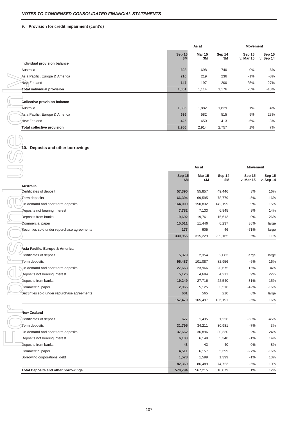# **9. Provision for credit impairment (cont'd)**

|                                     | As at         |                      |               | <b>Movement</b>     |                     |
|-------------------------------------|---------------|----------------------|---------------|---------------------|---------------------|
|                                     | Sep 15<br>\$M | <b>Mar 15</b><br>\$M | Sep 14<br>\$M | Sep 15<br>v. Mar 15 | Sep 15<br>v. Sep 14 |
| Individual provision balance        |               |                      |               |                     |                     |
| Australia                           | 698           | 698                  | 740           | $0\%$               | $-6%$               |
| Asia Pacific, Europe & America      | 216           | 219                  | 236           | $-1%$               | $-8%$               |
| New Zealand                         | 147           | 197                  | 200           | $-25%$              | $-27%$              |
| Total individual provision          | 1,061         | 1,114                | 1,176         | $-5%$               | $-10%$              |
| <b>Collective provision balance</b> |               |                      |               |                     |                     |
| Australia                           | 1,895         | 1,882                | 1,829         | 1%                  | 4%                  |
| Asia Pacific, Europe & America      | 636           | 582                  | 515           | 9%                  | 23%                 |
| New Zealand                         | 425           | 450                  | 413           | $-6%$               | 3%                  |
| <b>Total collective provision</b>   | 2,956         | 2,914                | 2,757         | 1%                  | 7%                  |

#### **10. Deposits and other borrowings**

| Asia Pacific, Europe & America              | 216                  | 219                  | 236           | $-1%$               | $-8%$               |  |
|---------------------------------------------|----------------------|----------------------|---------------|---------------------|---------------------|--|
| New Zealand                                 | 147                  | 197                  | 200           | $-25%$              | $-27%$              |  |
| Total individual provision                  | 1,061                | 1,114                | 1,176         | $-5%$               | $-10%$              |  |
|                                             |                      |                      |               |                     |                     |  |
| <b>Collective provision balance</b>         |                      |                      |               |                     |                     |  |
| Australia                                   | 1,895                | 1,882                | 1,829         | $1\%$               | 4%                  |  |
| Asia Pacific, Europe & America              | 636                  | 582                  | 515           | 9%                  | 23%                 |  |
| New Zealand                                 | 425                  | 450                  | 413           | $-6%$               | 3%                  |  |
| <b>Total collective provision</b>           | 2,956                | 2,914                | 2,757         | $1\%$               | 7%                  |  |
| 10. Deposits and other borrowings           |                      |                      |               |                     |                     |  |
|                                             | As at                |                      |               | <b>Movement</b>     |                     |  |
|                                             | <b>Sep 15</b><br>\$M | <b>Mar 15</b><br>\$Μ | Sep 14<br>\$Μ | Sep 15<br>v. Mar 15 | Sep 15<br>v. Sep 14 |  |
| Australia<br>Certificates of deposit        | 57,390               | 55,857               | 49,446        | 3%                  | 16%                 |  |
| Term deposits                               | 66,394               | 69,595               | 78,779        | $-5%$               | $-16%$              |  |
| On demand and short term deposits           | 164,009              | 150,832              | 142,199       | 9%                  | 15%                 |  |
| Deposits not bearing interest               | 7,782                | 7,133                | 6,845         | 9%                  | 14%                 |  |
| Deposits from banks                         | 19,692               | 19,761               | 15,613        | $0\%$               | 26%                 |  |
| Commercial paper                            | 15,511               | 11,446               | 6,237         | 36%                 | large               |  |
| Securities sold under repurchase agreements | 177                  | 605                  | 46            | $-71%$              | large               |  |
|                                             | 330,955              | 315,229              | 299,165       | 5%                  | 11%                 |  |
|                                             |                      |                      |               |                     |                     |  |
| Asia Pacific, Europe & America              |                      |                      |               |                     |                     |  |
| Certificates of deposit                     | 5,379                | 2,354                | 2,083         | large               | large               |  |
| Term deposits                               | 96,487               | 101,087              | 82,956        | $-5%$               | 16%                 |  |
| On demand and short term deposits           | 27,663               | 23,966               | 20,675        | 15%                 | 34%                 |  |
| Deposits not bearing interest               | 5,126                | 4,684                | 4,211         | 9%                  | 22%                 |  |
| Deposits from banks                         | 19,249               | 27,716               | 22,540        | $-31%$              | $-15%$              |  |
| Commercial paper                            | 2,965                | 5,125                | 3,516         | $-42%$              | $-16%$              |  |
| Securities sold under repurchase agreements | 601                  | 565                  | 210           | 6%                  | large               |  |
|                                             | 157,470              | 165,497              | 136,191       | $-5%$               | 16%                 |  |
|                                             |                      |                      |               |                     |                     |  |
| <b>New Zealand</b>                          |                      |                      |               |                     |                     |  |
| Certificates of deposit                     | 677                  | 1,435                | 1,226         | $-53%$              | $-45%$              |  |
| Term deposits                               | 31,795               | 34,211               | 30,981        | $-7%$               | 3%                  |  |
| On demand and short term deposits           | 37,662               | 36,896               | 30,330        | 2%                  | 24%                 |  |
| Deposits not bearing interest               | 6,103                | 6,148                | 5,348         | $-1%$               | 14%                 |  |
| Deposits from banks                         | 43                   | 43                   | 40            | $0\%$               | 8%                  |  |
| Commercial paper                            | 4,511                | 6,157                | 5,399         | $-27%$              | $-16%$              |  |
| Borrowing corporations' debt                | 1,578                | 1,599                | 1,399         | $-1\%$              | 13%                 |  |
|                                             | 82,369               | 86,489               | 74,723        | $-5%$               | 10%                 |  |
| <b>Total Deposits and other borrowings</b>  | 570,794              | 567,215              | 510,079       | 1%                  | 12%                 |  |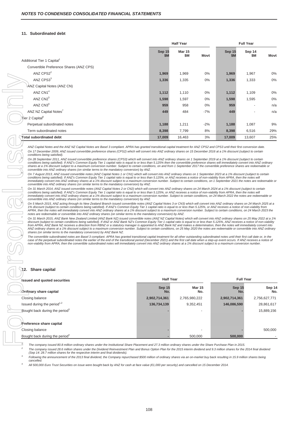### **11. Subordinated debt**

|                                                                                                                                                                                                                                                                                                                                                                                                                                                                                                                                                                                                                                                                                                                                                                                                                                                                                                                                                                                                                                                                                                                                                                                                                                                                                                                                                                                                                                                                                                                                                                                                                                                                                                                                                                                                                                                                                                                                                                                                                                                                                                                                                                                                                                                                                                                                                                                                                                                                                                                                                                                                                                                                                                                                                                                                                                                                                                                                                                                                                                                                                                                                                                                                                                                                                                                                                                                                                                                                                                                                                                                                                                                                                                                                                                                                                                                                                                                                                                                                                                                                                                                                    | <b>Half Year</b> |                      |                      | <b>Full Year</b> |               |               |  |
|------------------------------------------------------------------------------------------------------------------------------------------------------------------------------------------------------------------------------------------------------------------------------------------------------------------------------------------------------------------------------------------------------------------------------------------------------------------------------------------------------------------------------------------------------------------------------------------------------------------------------------------------------------------------------------------------------------------------------------------------------------------------------------------------------------------------------------------------------------------------------------------------------------------------------------------------------------------------------------------------------------------------------------------------------------------------------------------------------------------------------------------------------------------------------------------------------------------------------------------------------------------------------------------------------------------------------------------------------------------------------------------------------------------------------------------------------------------------------------------------------------------------------------------------------------------------------------------------------------------------------------------------------------------------------------------------------------------------------------------------------------------------------------------------------------------------------------------------------------------------------------------------------------------------------------------------------------------------------------------------------------------------------------------------------------------------------------------------------------------------------------------------------------------------------------------------------------------------------------------------------------------------------------------------------------------------------------------------------------------------------------------------------------------------------------------------------------------------------------------------------------------------------------------------------------------------------------------------------------------------------------------------------------------------------------------------------------------------------------------------------------------------------------------------------------------------------------------------------------------------------------------------------------------------------------------------------------------------------------------------------------------------------------------------------------------------------------------------------------------------------------------------------------------------------------------------------------------------------------------------------------------------------------------------------------------------------------------------------------------------------------------------------------------------------------------------------------------------------------------------------------------------------------------------------------------------------------------------------------------------------------------------------------------------------------------------------------------------------------------------------------------------------------------------------------------------------------------------------------------------------------------------------------------------------------------------------------------------------------------------------------------------------------------------------------------------------------------------------------------------------------|------------------|----------------------|----------------------|------------------|---------------|---------------|--|
|                                                                                                                                                                                                                                                                                                                                                                                                                                                                                                                                                                                                                                                                                                                                                                                                                                                                                                                                                                                                                                                                                                                                                                                                                                                                                                                                                                                                                                                                                                                                                                                                                                                                                                                                                                                                                                                                                                                                                                                                                                                                                                                                                                                                                                                                                                                                                                                                                                                                                                                                                                                                                                                                                                                                                                                                                                                                                                                                                                                                                                                                                                                                                                                                                                                                                                                                                                                                                                                                                                                                                                                                                                                                                                                                                                                                                                                                                                                                                                                                                                                                                                                                    | Sep 15<br>\$M    | <b>Mar 15</b><br>\$Μ | Movt                 | Sep 15<br>\$M    | Sep 14<br>\$Μ | Movt          |  |
| Additional Tier 1 Capital                                                                                                                                                                                                                                                                                                                                                                                                                                                                                                                                                                                                                                                                                                                                                                                                                                                                                                                                                                                                                                                                                                                                                                                                                                                                                                                                                                                                                                                                                                                                                                                                                                                                                                                                                                                                                                                                                                                                                                                                                                                                                                                                                                                                                                                                                                                                                                                                                                                                                                                                                                                                                                                                                                                                                                                                                                                                                                                                                                                                                                                                                                                                                                                                                                                                                                                                                                                                                                                                                                                                                                                                                                                                                                                                                                                                                                                                                                                                                                                                                                                                                                          |                  |                      |                      |                  |               |               |  |
| Convertible Preference Shares (ANZ CPS)                                                                                                                                                                                                                                                                                                                                                                                                                                                                                                                                                                                                                                                                                                                                                                                                                                                                                                                                                                                                                                                                                                                                                                                                                                                                                                                                                                                                                                                                                                                                                                                                                                                                                                                                                                                                                                                                                                                                                                                                                                                                                                                                                                                                                                                                                                                                                                                                                                                                                                                                                                                                                                                                                                                                                                                                                                                                                                                                                                                                                                                                                                                                                                                                                                                                                                                                                                                                                                                                                                                                                                                                                                                                                                                                                                                                                                                                                                                                                                                                                                                                                            |                  |                      |                      |                  |               |               |  |
| ANZ $CPS22$                                                                                                                                                                                                                                                                                                                                                                                                                                                                                                                                                                                                                                                                                                                                                                                                                                                                                                                                                                                                                                                                                                                                                                                                                                                                                                                                                                                                                                                                                                                                                                                                                                                                                                                                                                                                                                                                                                                                                                                                                                                                                                                                                                                                                                                                                                                                                                                                                                                                                                                                                                                                                                                                                                                                                                                                                                                                                                                                                                                                                                                                                                                                                                                                                                                                                                                                                                                                                                                                                                                                                                                                                                                                                                                                                                                                                                                                                                                                                                                                                                                                                                                        | 1,969            | 1,969                | $0\%$                | 1,969            | 1,967         | $0\%$         |  |
| ANZ CPS3 <sup>3</sup>                                                                                                                                                                                                                                                                                                                                                                                                                                                                                                                                                                                                                                                                                                                                                                                                                                                                                                                                                                                                                                                                                                                                                                                                                                                                                                                                                                                                                                                                                                                                                                                                                                                                                                                                                                                                                                                                                                                                                                                                                                                                                                                                                                                                                                                                                                                                                                                                                                                                                                                                                                                                                                                                                                                                                                                                                                                                                                                                                                                                                                                                                                                                                                                                                                                                                                                                                                                                                                                                                                                                                                                                                                                                                                                                                                                                                                                                                                                                                                                                                                                                                                              | 1,336            | 1,335                | 0%                   | 1,336            | 1,333         | $0\%$         |  |
| ANZ Capital Notes (ANZ CN)                                                                                                                                                                                                                                                                                                                                                                                                                                                                                                                                                                                                                                                                                                                                                                                                                                                                                                                                                                                                                                                                                                                                                                                                                                                                                                                                                                                                                                                                                                                                                                                                                                                                                                                                                                                                                                                                                                                                                                                                                                                                                                                                                                                                                                                                                                                                                                                                                                                                                                                                                                                                                                                                                                                                                                                                                                                                                                                                                                                                                                                                                                                                                                                                                                                                                                                                                                                                                                                                                                                                                                                                                                                                                                                                                                                                                                                                                                                                                                                                                                                                                                         |                  |                      |                      |                  |               |               |  |
| ANZ CN1 <sup>4</sup>                                                                                                                                                                                                                                                                                                                                                                                                                                                                                                                                                                                                                                                                                                                                                                                                                                                                                                                                                                                                                                                                                                                                                                                                                                                                                                                                                                                                                                                                                                                                                                                                                                                                                                                                                                                                                                                                                                                                                                                                                                                                                                                                                                                                                                                                                                                                                                                                                                                                                                                                                                                                                                                                                                                                                                                                                                                                                                                                                                                                                                                                                                                                                                                                                                                                                                                                                                                                                                                                                                                                                                                                                                                                                                                                                                                                                                                                                                                                                                                                                                                                                                               | 1,112            | 1,110                | $0\%$                | 1,112            | 1,109         | 0%            |  |
| ANZ CN2 <sup>5</sup>                                                                                                                                                                                                                                                                                                                                                                                                                                                                                                                                                                                                                                                                                                                                                                                                                                                                                                                                                                                                                                                                                                                                                                                                                                                                                                                                                                                                                                                                                                                                                                                                                                                                                                                                                                                                                                                                                                                                                                                                                                                                                                                                                                                                                                                                                                                                                                                                                                                                                                                                                                                                                                                                                                                                                                                                                                                                                                                                                                                                                                                                                                                                                                                                                                                                                                                                                                                                                                                                                                                                                                                                                                                                                                                                                                                                                                                                                                                                                                                                                                                                                                               | 1,598            | 1,597                | 0%                   | 1,598            | 1,595         | 0%            |  |
| ANZ CN3 <sup>6</sup>                                                                                                                                                                                                                                                                                                                                                                                                                                                                                                                                                                                                                                                                                                                                                                                                                                                                                                                                                                                                                                                                                                                                                                                                                                                                                                                                                                                                                                                                                                                                                                                                                                                                                                                                                                                                                                                                                                                                                                                                                                                                                                                                                                                                                                                                                                                                                                                                                                                                                                                                                                                                                                                                                                                                                                                                                                                                                                                                                                                                                                                                                                                                                                                                                                                                                                                                                                                                                                                                                                                                                                                                                                                                                                                                                                                                                                                                                                                                                                                                                                                                                                               | 959              | 958                  | 0%                   | 959              |               | n/a           |  |
| ANZ NZ Capital Notes'                                                                                                                                                                                                                                                                                                                                                                                                                                                                                                                                                                                                                                                                                                                                                                                                                                                                                                                                                                                                                                                                                                                                                                                                                                                                                                                                                                                                                                                                                                                                                                                                                                                                                                                                                                                                                                                                                                                                                                                                                                                                                                                                                                                                                                                                                                                                                                                                                                                                                                                                                                                                                                                                                                                                                                                                                                                                                                                                                                                                                                                                                                                                                                                                                                                                                                                                                                                                                                                                                                                                                                                                                                                                                                                                                                                                                                                                                                                                                                                                                                                                                                              | 449              | 484                  | $-7%$                | 449              |               | n/a           |  |
| Tier 2 Capital <sup>8</sup>                                                                                                                                                                                                                                                                                                                                                                                                                                                                                                                                                                                                                                                                                                                                                                                                                                                                                                                                                                                                                                                                                                                                                                                                                                                                                                                                                                                                                                                                                                                                                                                                                                                                                                                                                                                                                                                                                                                                                                                                                                                                                                                                                                                                                                                                                                                                                                                                                                                                                                                                                                                                                                                                                                                                                                                                                                                                                                                                                                                                                                                                                                                                                                                                                                                                                                                                                                                                                                                                                                                                                                                                                                                                                                                                                                                                                                                                                                                                                                                                                                                                                                        |                  |                      |                      |                  |               |               |  |
| Perpetual subordinated notes                                                                                                                                                                                                                                                                                                                                                                                                                                                                                                                                                                                                                                                                                                                                                                                                                                                                                                                                                                                                                                                                                                                                                                                                                                                                                                                                                                                                                                                                                                                                                                                                                                                                                                                                                                                                                                                                                                                                                                                                                                                                                                                                                                                                                                                                                                                                                                                                                                                                                                                                                                                                                                                                                                                                                                                                                                                                                                                                                                                                                                                                                                                                                                                                                                                                                                                                                                                                                                                                                                                                                                                                                                                                                                                                                                                                                                                                                                                                                                                                                                                                                                       | 1,188            | 1,211                | $-2%$                | 1,188            | 1,087         | 9%            |  |
| Term subordinated notes                                                                                                                                                                                                                                                                                                                                                                                                                                                                                                                                                                                                                                                                                                                                                                                                                                                                                                                                                                                                                                                                                                                                                                                                                                                                                                                                                                                                                                                                                                                                                                                                                                                                                                                                                                                                                                                                                                                                                                                                                                                                                                                                                                                                                                                                                                                                                                                                                                                                                                                                                                                                                                                                                                                                                                                                                                                                                                                                                                                                                                                                                                                                                                                                                                                                                                                                                                                                                                                                                                                                                                                                                                                                                                                                                                                                                                                                                                                                                                                                                                                                                                            | 8,398            | 7,799                | 8%                   | 8,398            | 6,516         | 29%           |  |
| <b>Total subordinated debt</b>                                                                                                                                                                                                                                                                                                                                                                                                                                                                                                                                                                                                                                                                                                                                                                                                                                                                                                                                                                                                                                                                                                                                                                                                                                                                                                                                                                                                                                                                                                                                                                                                                                                                                                                                                                                                                                                                                                                                                                                                                                                                                                                                                                                                                                                                                                                                                                                                                                                                                                                                                                                                                                                                                                                                                                                                                                                                                                                                                                                                                                                                                                                                                                                                                                                                                                                                                                                                                                                                                                                                                                                                                                                                                                                                                                                                                                                                                                                                                                                                                                                                                                     | 17,009           | 16,463               | 3%                   | 17,009           | 13,607        | 25%           |  |
| On 28 September 2011, ANZ issued convertible preference shares (CPS3) which will convert into ANZ ordinary shares on 1 September 2019 at a 1% discount (subject to certain<br>conditions being satisfied). If ANZ's Common Equity Tier 1 capital ratio is equal to or less than 5.125% then the convertible preference shares will immediately convert into ANZ ordinary<br>shares at a 1% discount subject to a maximum conversion number. Subject to certain conditions, on and from 1 September 2017 the convertible preference shares are redeemable or<br>convertible into ANZ ordinary shares (on similar terms to the mandatory conversion) by ANZ.<br>On 7 August 2013, ANZ issued convertible notes (ANZ Capital Notes 1 or CN1) which will convert into ANZ ordinary shares on 1 September 2023 at a 1% discount (subject to certain<br>conditions being satisfied). If ANZ's Common Equity Tier 1 capital ratio is equal to or less than 5.125%, or ANZ receives a notice of non-viability from APRA, then the notes will<br>immediately convert into ANZ ordinary shares at a 1% discount subject to a maximum conversion number. Subject to certain conditions, on 1 September 2021 the notes are redeemable or<br>convertible into ANZ ordinary shares (on similar terms to the mandatory conversion) by ANZ.<br>On 31 March 2014, ANZ issued convertible notes (ANZ Capital Notes 2 or CN2) which will convert into ANZ ordinary shares on 24 March 2024 at a 1% discount (subject to certain<br>conditions being satisfied). If ANZ's Common Equity Tier 1 capital ratio is equal to or less than 5.125%, or ANZ receives a notice of non-viability from APRA, then the notes will<br>immediately convert into ANZ ordinary shares at a 1% discount subject to a maximum conversion number. Subject to certain conditions, on 24 March 2022 the notes are redeemable or<br>convertible into ANZ ordinary shares (on similar terms to the mandatory conversion) by ANZ.<br>On 5 March 2015, ANZ acting through its New Zealand Branch issued convertible notes (ANZ Capital Notes 3 or CN3) which will convert into ANZ ordinary shares on 24 March 2025 at a<br>1% discount (subject to certain conditions being satisfied). If ANZ's Common Equity Tier 1 capital ratio is equal to or less than 5.125%, or ANZ receives a notice of non-viability from<br>APRA, then the notes will immediately convert into ANZ ordinary shares at a 1% discount subject to a maximum conversion number. Subject to certain conditions, on 24 March 2023 the<br>notes are redeemable or convertible into ANZ ordinary shares (on similar terms to the mandatory conversion) by ANZ.<br>On 31 March 2015, ANZ Bank New Zealand Limited (ANZ Bank NZ) issued convertible notes (ANZ NZ Capital Notes) which will convert into ANZ ordinary shares on 25 May 2022 at a 1%<br>discount (subject to certain conditions being satisfied). If ANZ or ANZ Bank NZ's Common Equity Tier 1 capital ratio is equal to or less than 5.125%, ANZ receives a notice of non-viability<br>from APRA, ANZ Bank NZ receives a direction from RBNZ or a statutory manager is appointed to ANZ Bank NZ and makes a determination, then the notes will immediately convert into<br>ANZ ordinary shares at a 1% discount subject to a maximum conversion number. Subject to certain conditions, on 25 May 2020 the notes are redeemable or convertible into ANZ ordinary<br>shares (on similar terms to the mandatory conversion) by ANZ Bank NZ.<br>The convertible subordinated notes are Basel 3 compliant. APRA has granted transitional capital treatment for all other outstanding subordinated notes until their first call date or, in the<br>case of the perpetual subordinated notes the earlier of the end of the transitional period (December 2021) and the first call date when a step-up event occurs. If ANZ receives a notice of<br>non-viability from APRA, then the convertible subordinated notes will immediately convert into ANZ ordinary shares at a 1% discount subject to a maximum conversion number.<br>12. Share capital |                  |                      |                      |                  |               |               |  |
| <b>Issued and quoted securities</b>                                                                                                                                                                                                                                                                                                                                                                                                                                                                                                                                                                                                                                                                                                                                                                                                                                                                                                                                                                                                                                                                                                                                                                                                                                                                                                                                                                                                                                                                                                                                                                                                                                                                                                                                                                                                                                                                                                                                                                                                                                                                                                                                                                                                                                                                                                                                                                                                                                                                                                                                                                                                                                                                                                                                                                                                                                                                                                                                                                                                                                                                                                                                                                                                                                                                                                                                                                                                                                                                                                                                                                                                                                                                                                                                                                                                                                                                                                                                                                                                                                                                                                | <b>Half Year</b> |                      | <b>Full Year</b>     |                  |               |               |  |
| Ordinary share capital                                                                                                                                                                                                                                                                                                                                                                                                                                                                                                                                                                                                                                                                                                                                                                                                                                                                                                                                                                                                                                                                                                                                                                                                                                                                                                                                                                                                                                                                                                                                                                                                                                                                                                                                                                                                                                                                                                                                                                                                                                                                                                                                                                                                                                                                                                                                                                                                                                                                                                                                                                                                                                                                                                                                                                                                                                                                                                                                                                                                                                                                                                                                                                                                                                                                                                                                                                                                                                                                                                                                                                                                                                                                                                                                                                                                                                                                                                                                                                                                                                                                                                             | Sep 15<br>No.    |                      | <b>Mar 15</b><br>No. | Sep 15           | No.           | Sep 14<br>No. |  |
| Closing balance                                                                                                                                                                                                                                                                                                                                                                                                                                                                                                                                                                                                                                                                                                                                                                                                                                                                                                                                                                                                                                                                                                                                                                                                                                                                                                                                                                                                                                                                                                                                                                                                                                                                                                                                                                                                                                                                                                                                                                                                                                                                                                                                                                                                                                                                                                                                                                                                                                                                                                                                                                                                                                                                                                                                                                                                                                                                                                                                                                                                                                                                                                                                                                                                                                                                                                                                                                                                                                                                                                                                                                                                                                                                                                                                                                                                                                                                                                                                                                                                                                                                                                                    | 2,902,714,361    | 2,765,980,222        |                      | 2,902,714,361    |               | 2,756,627,771 |  |
| Issued during the period <sup>1,2</sup>                                                                                                                                                                                                                                                                                                                                                                                                                                                                                                                                                                                                                                                                                                                                                                                                                                                                                                                                                                                                                                                                                                                                                                                                                                                                                                                                                                                                                                                                                                                                                                                                                                                                                                                                                                                                                                                                                                                                                                                                                                                                                                                                                                                                                                                                                                                                                                                                                                                                                                                                                                                                                                                                                                                                                                                                                                                                                                                                                                                                                                                                                                                                                                                                                                                                                                                                                                                                                                                                                                                                                                                                                                                                                                                                                                                                                                                                                                                                                                                                                                                                                            | 136,734,139      | 9,352,451            |                      | 146,086,590      |               | 28,861,617    |  |
| Bought back during the period <sup>3</sup>                                                                                                                                                                                                                                                                                                                                                                                                                                                                                                                                                                                                                                                                                                                                                                                                                                                                                                                                                                                                                                                                                                                                                                                                                                                                                                                                                                                                                                                                                                                                                                                                                                                                                                                                                                                                                                                                                                                                                                                                                                                                                                                                                                                                                                                                                                                                                                                                                                                                                                                                                                                                                                                                                                                                                                                                                                                                                                                                                                                                                                                                                                                                                                                                                                                                                                                                                                                                                                                                                                                                                                                                                                                                                                                                                                                                                                                                                                                                                                                                                                                                                         |                  |                      |                      |                  |               | 15,889,156    |  |
| Preference share capital                                                                                                                                                                                                                                                                                                                                                                                                                                                                                                                                                                                                                                                                                                                                                                                                                                                                                                                                                                                                                                                                                                                                                                                                                                                                                                                                                                                                                                                                                                                                                                                                                                                                                                                                                                                                                                                                                                                                                                                                                                                                                                                                                                                                                                                                                                                                                                                                                                                                                                                                                                                                                                                                                                                                                                                                                                                                                                                                                                                                                                                                                                                                                                                                                                                                                                                                                                                                                                                                                                                                                                                                                                                                                                                                                                                                                                                                                                                                                                                                                                                                                                           |                  |                      |                      |                  |               |               |  |
| Closing balance                                                                                                                                                                                                                                                                                                                                                                                                                                                                                                                                                                                                                                                                                                                                                                                                                                                                                                                                                                                                                                                                                                                                                                                                                                                                                                                                                                                                                                                                                                                                                                                                                                                                                                                                                                                                                                                                                                                                                                                                                                                                                                                                                                                                                                                                                                                                                                                                                                                                                                                                                                                                                                                                                                                                                                                                                                                                                                                                                                                                                                                                                                                                                                                                                                                                                                                                                                                                                                                                                                                                                                                                                                                                                                                                                                                                                                                                                                                                                                                                                                                                                                                    |                  |                      |                      |                  |               | 500,000       |  |
| Bought back during the period <sup>4</sup>                                                                                                                                                                                                                                                                                                                                                                                                                                                                                                                                                                                                                                                                                                                                                                                                                                                                                                                                                                                                                                                                                                                                                                                                                                                                                                                                                                                                                                                                                                                                                                                                                                                                                                                                                                                                                                                                                                                                                                                                                                                                                                                                                                                                                                                                                                                                                                                                                                                                                                                                                                                                                                                                                                                                                                                                                                                                                                                                                                                                                                                                                                                                                                                                                                                                                                                                                                                                                                                                                                                                                                                                                                                                                                                                                                                                                                                                                                                                                                                                                                                                                         |                  |                      | 500,000              | 500,000          |               |               |  |
| $\mathbf{1}$<br>The company issued 80.8 million ordinary shares under the Institutional Share Placement and 27.3 million ordinary shares under the Share Purchase Plan in 2015.<br>$2. \,$<br>The company issued 28.6 million shares under the Dividend Reinvestment Plan and Bonus Option Plan for the 2015 interim dividend and 9.3 million shares for the 2014 final dividend<br>(Sep 14: 28.7 million shares for the respective interim and final dividends).<br>3.<br>Following the announcement of the 2013 final dividend, the Company repurchased \$500 million of ordinary shares via an on-market buy back resulting in 15.9 million shares being<br>cancelled.<br>4.<br>All 500,000 Euro Trust Securities on issue were bought back by ANZ for cash at face value (€1,000 per security) and cancelled on 15 December 2014.                                                                                                                                                                                                                                                                                                                                                                                                                                                                                                                                                                                                                                                                                                                                                                                                                                                                                                                                                                                                                                                                                                                                                                                                                                                                                                                                                                                                                                                                                                                                                                                                                                                                                                                                                                                                                                                                                                                                                                                                                                                                                                                                                                                                                                                                                                                                                                                                                                                                                                                                                                                                                                                                                                                                                                                                                                                                                                                                                                                                                                                                                                                                                                                                                                                                                              |                  |                      |                      |                  |               |               |  |

#### **12. Share capital**

| Issued and quoted securities               | <b>Half Year</b>    |                          | <b>Full Year</b> |               |  |
|--------------------------------------------|---------------------|--------------------------|------------------|---------------|--|
| Ordinary share capital                     | Sep 15<br><b>No</b> | <b>Mar 15</b><br>No.     | Sep 15<br>No.    | Sep 14<br>No. |  |
| Closing balance                            | 2,902,714,361       | 2,765,980,222            | 2,902,714,361    | 2,756,627,771 |  |
| Issued during the period $1,2$             | 136,734,139         | 9,352,451                | 146,086,590      | 28,861,617    |  |
| Bought back during the period <sup>3</sup> |                     |                          |                  | 15,889,156    |  |
| Freference share capital                   |                     |                          |                  |               |  |
| Closing balance                            |                     | $\overline{\phantom{a}}$ |                  | 500,000       |  |
| Bought back during the period <sup>4</sup> |                     | 500.000                  | 500,000          |               |  |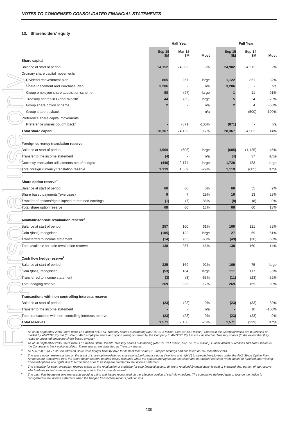#### **13. Shareholders' equity**

|                                                                                                                                                                                                                                                                                                                                                                    | <b>Half Year</b> |                      |         | <b>Full Year</b> |               |         |  |
|--------------------------------------------------------------------------------------------------------------------------------------------------------------------------------------------------------------------------------------------------------------------------------------------------------------------------------------------------------------------|------------------|----------------------|---------|------------------|---------------|---------|--|
|                                                                                                                                                                                                                                                                                                                                                                    | Sep 15<br>\$M    | <b>Mar 15</b><br>\$Μ | Movt    | Sep 15<br>\$M    | Sep 14<br>\$M | Movt    |  |
| Share capital                                                                                                                                                                                                                                                                                                                                                      |                  |                      |         |                  |               |         |  |
| Balance at start of period                                                                                                                                                                                                                                                                                                                                         | 24,152           | 24,902               | $-3%$   | 24,902           | 24,512        | 2%      |  |
| Ordinary share capital movements                                                                                                                                                                                                                                                                                                                                   |                  |                      |         |                  |               |         |  |
| Dividend reinvestment plan                                                                                                                                                                                                                                                                                                                                         | 865              | 257                  | large   | 1,122            | 851           | 32%     |  |
| Share Placement and Purchase Plan                                                                                                                                                                                                                                                                                                                                  | 3,206            |                      | n/a     | 3,206            |               | n/a     |  |
| Group employee share acquisition scheme                                                                                                                                                                                                                                                                                                                            | 98               | (97)                 | large   |                  | 11            | $-91%$  |  |
| Treasury shares in Global Wealth <sup>2</sup>                                                                                                                                                                                                                                                                                                                      | 44               | (39)                 | large   |                  | 24            | $-79%$  |  |
| Group share option scheme                                                                                                                                                                                                                                                                                                                                          |                  |                      | n/a     | $\overline{2}$   | 4             | $-50%$  |  |
| Group share buyback                                                                                                                                                                                                                                                                                                                                                |                  |                      | n/a     |                  | (500)         | $-100%$ |  |
| Preference share capital movements                                                                                                                                                                                                                                                                                                                                 |                  |                      |         |                  |               |         |  |
| Preference shares bought back <sup>3</sup>                                                                                                                                                                                                                                                                                                                         |                  | (871)                | $-100%$ | (871)            |               | n/a     |  |
| <b>Total share capital</b>                                                                                                                                                                                                                                                                                                                                         | 28,367           | 24,152               | 17%     | 28,367           | 24,902        | 14%     |  |
|                                                                                                                                                                                                                                                                                                                                                                    |                  |                      |         |                  |               |         |  |
| Foreign currency translation reserve                                                                                                                                                                                                                                                                                                                               |                  |                      |         |                  |               |         |  |
| Balance at start of period                                                                                                                                                                                                                                                                                                                                         | 1,569            | (605)                | large   | (605)            | (1, 125)      | $-46%$  |  |
| Transfer to the income statement                                                                                                                                                                                                                                                                                                                                   | (4)              |                      | n/a     | (4)              | 37            | large   |  |
| Currency translation adjustments net of hedges                                                                                                                                                                                                                                                                                                                     | (446)            | 2,174                | large   | 1,728            | 483           | large   |  |
| Total foreign currency translation reserve                                                                                                                                                                                                                                                                                                                         | 1,119            | 1,569                | $-29%$  | 1,119            | (605)         | large   |  |
| Share option reserve <sup>4</sup>                                                                                                                                                                                                                                                                                                                                  |                  |                      |         |                  |               |         |  |
| Balance at start of period                                                                                                                                                                                                                                                                                                                                         | 60               | 60                   | $0\%$   | 60               | 55            | 9%      |  |
| Share based payments/(exercises)                                                                                                                                                                                                                                                                                                                                   | 9                | $\overline{7}$       | 29%     | 16               | 13            | 23%     |  |
| Transfer of options/rights lapsed to retained earnings                                                                                                                                                                                                                                                                                                             | (1)              | (7)                  | $-86%$  | (8)              | (8)           | 0%      |  |
| Total share option reserve                                                                                                                                                                                                                                                                                                                                         | 68               | 60                   | 13%     | 68               | 60            | 13%     |  |
|                                                                                                                                                                                                                                                                                                                                                                    |                  |                      |         |                  |               |         |  |
| Available-for-sale revaluation reserve <sup>5</sup>                                                                                                                                                                                                                                                                                                                |                  |                      |         |                  |               |         |  |
| Balance at start of period                                                                                                                                                                                                                                                                                                                                         | 257              | 160                  | 61%     | 160              | 121           | 32%     |  |
| Gain /(loss) recognised                                                                                                                                                                                                                                                                                                                                            | (105)            | 132                  | large   | 27               | 69            | $-61%$  |  |
| Transferred to income statement                                                                                                                                                                                                                                                                                                                                    | (14)             | (35)                 | $-60%$  | (49)             | (30)          | 63%     |  |
| Total available-for-sale revaluation reserve                                                                                                                                                                                                                                                                                                                       | 138              | 257                  | $-46%$  | 138              | 160           | $-14%$  |  |
|                                                                                                                                                                                                                                                                                                                                                                    |                  |                      |         |                  |               |         |  |
| Cash flow hedge reserve <sup>6</sup>                                                                                                                                                                                                                                                                                                                               |                  |                      |         |                  |               |         |  |
| Balance at start of period                                                                                                                                                                                                                                                                                                                                         | 325              | 169                  | 92%     | 169              | 75            | large   |  |
| Gain /(loss) recognised                                                                                                                                                                                                                                                                                                                                            | (53)             | 164                  | large   | 111              | 117           | $-5%$   |  |
| Transferred to income statement                                                                                                                                                                                                                                                                                                                                    | (3)              | (8)                  | $-63%$  | (11)             | (23)          | $-52%$  |  |
| Total hedging reserve                                                                                                                                                                                                                                                                                                                                              | 269              | 325                  | $-17%$  | 269              | 169           | 59%     |  |
|                                                                                                                                                                                                                                                                                                                                                                    |                  |                      |         |                  |               |         |  |
| Transactions with non-controlling interests reserve                                                                                                                                                                                                                                                                                                                |                  |                      |         |                  |               |         |  |
| Balance at start of period                                                                                                                                                                                                                                                                                                                                         | (23)             | (23)                 | 0%      | (23)             | (33)          | $-30%$  |  |
| Transfer to the income statement                                                                                                                                                                                                                                                                                                                                   |                  |                      | n/a     |                  | 10            | -100%   |  |
| Total transactions with non-controlling interests reserve                                                                                                                                                                                                                                                                                                          | (23)             | (23)                 | 0%      | (23)             | (23)          | 0%      |  |
| <b>Total reserves</b>                                                                                                                                                                                                                                                                                                                                              | 1,571            | 2,188                | $-28%$  | 1,571            | (239)         | large   |  |
|                                                                                                                                                                                                                                                                                                                                                                    |                  |                      |         |                  |               |         |  |
| As at 30 September 2015, there were 11.4 million ANZEST Treasury shares outstanding (Mar 15: 11.5 million; Sep 14: 13.8 million). Shares in the Company which are purchased on-<br>market by ANZEST Pty Ltd (trustee of ANZ employee share and option plans) or issued by the Company to ANZEST Pty Ltd are classified as Treasury shares (to the extent that they |                  |                      |         |                  |               |         |  |
| relate to unvested employee share-based awards).<br>As at 30 September 2015, there were 11.6 million Global Wealth Treasury shares outstanding (Mar 15: 13.1 million; Sep 14: 11.8 million). Global Wealth purchases and holds shares in                                                                                                                           |                  |                      |         |                  |               |         |  |
| the Company to back policy liabilities. These shares are classified as Treasury shares.<br>3                                                                                                                                                                                                                                                                       |                  |                      |         |                  |               |         |  |
| All 500,000 Euro Trust Securities on issue were bought back by ANZ for cash at face value (€1,000 per security) and cancelled on 15 December 2014.<br>4.<br>The share option reserve arises on the grant of share options/deferred share rights/performance rights ("options and rights") to selected employees under the ANZ Share Option Plan.                   |                  |                      |         |                  |               |         |  |
| Amounts are transferred from the share option reserve to other equity accounts when the options and rights are exercised and to retained earnings when lapsed or forfeited after vesting.<br>Forfeited options and rights due to termination prior to vesting are credited to the income statement.                                                                |                  |                      |         |                  |               |         |  |
| 5.<br>The available-for-sale revaluation reserve arises on the revaluation of available-for-sale financial assets. Where a revalued financial asset is sold or impaired, that portion of the reserve                                                                                                                                                               |                  |                      |         |                  |               |         |  |
| which relates to that financial asset is recognised in the income statement.<br>6.<br>The cash flow hedge reserve represents hedging gains and losses recognised on the effective portion of cash flow hedges. The cumulative deferred gain or loss on the hedge is                                                                                                |                  |                      |         |                  |               |         |  |
| recognised in the income statement when the hedged transaction impacts profit or loss.                                                                                                                                                                                                                                                                             |                  |                      |         |                  |               |         |  |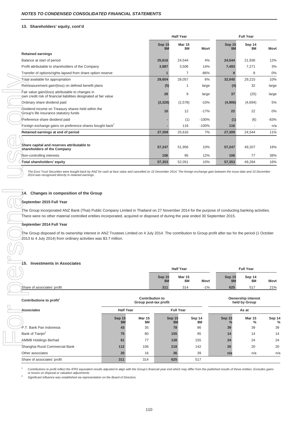### **13. Shareholders' equity, cont'd**

|                                                                                                                                                                                                                                                                                                                                                                                       |                  |                                                 | Sep 15<br>\$M        | <b>Mar 15</b><br>\$M | Movt      | <b>Sep 15</b><br>\$M | Sep 14<br>\$M                              | Movt   |
|---------------------------------------------------------------------------------------------------------------------------------------------------------------------------------------------------------------------------------------------------------------------------------------------------------------------------------------------------------------------------------------|------------------|-------------------------------------------------|----------------------|----------------------|-----------|----------------------|--------------------------------------------|--------|
| <b>Retained earnings</b>                                                                                                                                                                                                                                                                                                                                                              |                  |                                                 |                      |                      |           |                      |                                            |        |
| Balance at start of period                                                                                                                                                                                                                                                                                                                                                            |                  |                                                 | 25,616               | 24,544               | 4%        | 24,544               | 21,936                                     | 12%    |
| Profit attributable to shareholders of the Company                                                                                                                                                                                                                                                                                                                                    |                  |                                                 | 3,987                | 3,506                | 14%       | 7,493                | 7,271                                      | 3%     |
| Transfer of options/rights lapsed from share option reserve                                                                                                                                                                                                                                                                                                                           |                  |                                                 |                      | 7                    | -86%      |                      | 8                                          | 0%     |
| Total available for appropriation                                                                                                                                                                                                                                                                                                                                                     |                  |                                                 | 29,604               | 28,057               | 6%        | 32,045               | 29,215                                     | 10%    |
| Remeasurement gain/(loss) on defined benefit plans                                                                                                                                                                                                                                                                                                                                    |                  |                                                 | (5)                  | $\mathbf{1}$         | large     | (4)                  | 32                                         | large  |
| Fair value gain/(loss) attributable to changes in<br>own credit risk of financial liabilities designated at fair value                                                                                                                                                                                                                                                                |                  |                                                 | 28                   | 9                    | large     | 37                   | (25)                                       | large  |
| Ordinary share dividend paid                                                                                                                                                                                                                                                                                                                                                          |                  |                                                 | (2,328)              | (2,578)              | $-10%$    | (4,906)              | (4,694)                                    | 5%     |
| Dividend income on Treasury shares held within the<br>Group's life insurance statutory funds                                                                                                                                                                                                                                                                                          |                  |                                                 | 10                   | 12                   | $-17%$    | 22                   | 22                                         | 0%     |
| Preference share dividend paid                                                                                                                                                                                                                                                                                                                                                        |                  |                                                 |                      | (1)                  | $-100%$   | (1)                  | (6)                                        | $-83%$ |
| Foreign exchange gains on preference shares bought back'                                                                                                                                                                                                                                                                                                                              |                  |                                                 |                      | 116                  | $-100%$   | 116                  |                                            | n/a    |
| Retained earnings at end of period                                                                                                                                                                                                                                                                                                                                                    |                  |                                                 | 27,309               | 25,616               | 7%        | 27,309               | 24,544                                     | 11%    |
| Share capital and reserves attributable to                                                                                                                                                                                                                                                                                                                                            |                  |                                                 |                      |                      |           |                      |                                            |        |
| shareholders of the Company                                                                                                                                                                                                                                                                                                                                                           |                  |                                                 | 57,247               | 51,956               | 10%       | 57,247               | 49,207                                     | 16%    |
| Non-controlling interests                                                                                                                                                                                                                                                                                                                                                             |                  |                                                 | 106                  | 95                   | 12%       | 106                  | 77                                         | 38%    |
| Total shareholders' equity                                                                                                                                                                                                                                                                                                                                                            |                  |                                                 | 57,353               | 52,051               | 10%       | 57,353               | 49,284                                     | 16%    |
| 14. Changes in composition of the Group<br>September 2015 Full Year<br>The Group incorporated ANZ Bank (Thai) Public Company Limited in Thailand on 27 November 2014 for the purpose of conducting banking activities.<br>There were no other material controlled entities incorporated, acquired or disposed of during the year ended 30 September 2015.<br>September 2014 Full Year |                  |                                                 |                      |                      |           |                      |                                            |        |
| The Group disposed of its ownership interest in ANZ Trustees Limited on 4 July 2014. The contribution to Group profit after tax for the period (1 October<br>2013 to 4 July 2014) from ordinary activities was \$3.7 million.                                                                                                                                                         |                  |                                                 |                      |                      |           |                      |                                            |        |
| 15. Investments in Associates                                                                                                                                                                                                                                                                                                                                                         |                  |                                                 |                      | <b>Half Year</b>     |           |                      | <b>Full Year</b>                           |        |
|                                                                                                                                                                                                                                                                                                                                                                                       |                  |                                                 | <b>Sep 15</b><br>\$M | <b>Mar 15</b><br>\$M | Movt      | Sep 15<br>\$M        | Sep 14<br>\$M                              | Movt   |
| Share of associates' profit                                                                                                                                                                                                                                                                                                                                                           |                  |                                                 | 311                  | 314                  | $-1%$     | 625                  | 517                                        | 21%    |
| Contributions to profit <sup>1</sup>                                                                                                                                                                                                                                                                                                                                                  |                  | <b>Contribution to</b><br>Group post-tax profit |                      |                      |           |                      | <b>Ownership interest</b><br>held by Group |        |
| Associates                                                                                                                                                                                                                                                                                                                                                                            | <b>Half Year</b> |                                                 |                      | <b>Full Year</b>     |           |                      | As at                                      |        |
|                                                                                                                                                                                                                                                                                                                                                                                       | <b>Sep 15</b>    | <b>Mar 15</b>                                   | Sep 15               |                      | Sep 14    | <b>Sep 15</b>        | <b>Mar 15</b>                              | Sep 1  |
|                                                                                                                                                                                                                                                                                                                                                                                       | \$M              | \$M                                             |                      | \$M                  | \$M       | $\%$                 | %                                          |        |
| P.T. Bank Pan Indonesia                                                                                                                                                                                                                                                                                                                                                               | 43               | 35                                              |                      | 78                   | 86        | 39                   | 39                                         |        |
| Bank of Tianjin <sup>2</sup>                                                                                                                                                                                                                                                                                                                                                          | 75               | 80                                              | 155                  |                      | 95        | 14                   | 14                                         |        |
| <b>AMMB Holdings Berhad</b>                                                                                                                                                                                                                                                                                                                                                           | 61               | 77                                              | 138                  |                      | 155       | 24                   | 24                                         |        |
| Shanghai Rural Commercial Bank<br>Other associates                                                                                                                                                                                                                                                                                                                                    | 112<br>20        | 106<br>16                                       | 218                  | 36                   | 142<br>39 | 20<br>n/a            | 20<br>n/a                                  | 2<br>n |

## **14. Changes in composition of the Group**

# **September 2015 Full Year**

### **September 2014 Full Year**

#### **15. Investments in Associates**

|                             | <b>Half Year</b> |                      |       | <b>Full Year</b> |               |      |  |
|-----------------------------|------------------|----------------------|-------|------------------|---------------|------|--|
|                             | Sep 15<br>\$M    | <b>Mar 15</b><br>\$M | Movt  | Sep 15<br>\$M    | Sep 14<br>\$M | Movt |  |
| Share of associates' profit | 311              | 314                  | $-1%$ | 625              | 517           | 21%  |  |

| Contributions to profit <sup>1</sup> |               | <b>Contribution to</b><br>Group post-tax profit |               |                  |                         | <b>Ownership interest</b><br>held by Group |                         |  |  |
|--------------------------------------|---------------|-------------------------------------------------|---------------|------------------|-------------------------|--------------------------------------------|-------------------------|--|--|
| Associates                           |               | <b>Half Year</b>                                |               | <b>Full Year</b> |                         | As at                                      |                         |  |  |
|                                      | Sep 15<br>\$M | <b>Mar 15</b><br>\$M                            | Sep 15<br>\$M | Sep 14<br>\$M    | Sep 15<br>$\frac{0}{2}$ | <b>Mar 15</b><br>$\%$                      | Sep 14<br>$\frac{0}{0}$ |  |  |
| P.T. Bank Pan Indonesia              | 43            | 35                                              | 78            | 86               | 39                      | 39                                         | 39                      |  |  |
| Bank of Tianjin <sup>2</sup>         | 75            | 80                                              | 155           | 95               | 14                      | 14                                         | 14                      |  |  |
| <b>AMMB Holdings Berhad</b>          | 61            | 77                                              | 138           | 155              | 24                      | 24                                         | 24                      |  |  |
| Shanghai Rural Commercial Bank       | 112           | 106                                             | 218           | 142              | 20                      | 20                                         | 20                      |  |  |
| Other associates                     | 20            | 16                                              | 36            | 39               | n/a                     | n/a                                        | n/a                     |  |  |
| Share of associates' profit          | 311           | 314                                             | 625           | 517              |                         |                                            |                         |  |  |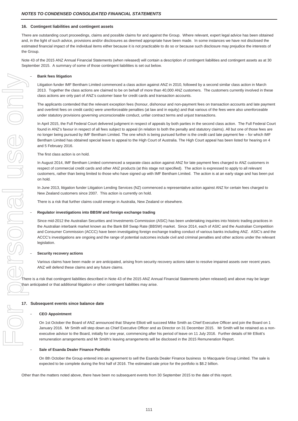#### **16. Contingent liabilities and contingent assets**

There are outstanding court proceedings, claims and possible claims for and against the Group. Where relevant, expert legal advice has been obtained and, in the light of such advice, provisions and/or disclosures as deemed appropriate have been made. In some instances we have not disclosed the estimated financial impact of the individual items either because it is not practicable to do so or because such disclosure may prejudice the interests of the Group.

Note 43 of the 2015 ANZ Annual Financial Statements (when released) will contain a description of contingent liabilities and contingent assets as at 30 September 2015. A summary of some of those contingent liabilities is set out below.

#### – **Bank fees litigation**

Litigation funder IMF Bentham Limited commenced a class action against ANZ in 2010, followed by a second similar class action in March 2013. Together the class actions are claimed to be on behalf of more than 40,000 ANZ customers. The customers currently involved in these class actions are only part of ANZ's customer base for credit cards and transaction accounts.

The applicants contended that the relevant exception fees (honour, dishonour and non-payment fees on transaction accounts and late payment and overlimit fees on credit cards) were unenforceable penalties (at law and in equity) and that various of the fees were also unenforceable under statutory provisions governing unconscionable conduct, unfair contract terms and unjust transactions.

In April 2015, the Full Federal Court delivered judgment in respect of appeals by both parties in the second class action. The Full Federal Court found in ANZ's favour in respect of all fees subject to appeal (in relation to both the penalty and statutory claims). All but one of those fees are no longer being pursued by IMF Bentham Limited. The one which is being pursued further is the credit card late payment fee – for which IMF Bentham Limited has obtained special leave to appeal to the High Court of Australia. The High Court appeal has been listed for hearing on 4 and 5 February 2016.

#### The first class action is on hold.

In August 2014, IMF Bentham Limited commenced a separate class action against ANZ for late payment fees charged to ANZ customers in respect of commercial credit cards and other ANZ products (at this stage not specified). The action is expressed to apply to all relevant customers, rather than being limited to those who have signed up with IMF Bentham Limited. The action is at an early stage and has been put on hold.

In June 2013, litigation funder Litigation Lending Services (NZ) commenced a representative action against ANZ for certain fees charged to New Zealand customers since 2007. This action is currently on hold.

There is a risk that further claims could emerge in Australia, New Zealand or elsewhere.

#### – **Regulator investigations into BBSW and foreign exchange trading**

Since mid-2012 the Australian Securities and Investments Commission (ASIC) has been undertaking inquiries into historic trading practices in the Australian interbank market known as the Bank Bill Swap Rate (BBSW) market. Since 2014, each of ASIC and the Australian Competition and Consumer Commission (ACCC) have been investigating foreign exchange trading conduct of various banks including ANZ. ASIC's and the ACCC's investigations are ongoing and the range of potential outcomes include civil and criminal penalties and other actions under the relevant legislation.

#### – **Security recovery actions**

Various claims have been made or are anticipated, arising from security recovery actions taken to resolve impaired assets over recent years. ANZ will defend these claims and any future claims.

There is a risk that contingent liabilities described in Note 43 of the 2015 ANZ Annual Financial Statements (when released) and above may be larger than anticipated or that additional litigation or other contingent liabilities may arise.

#### **17. Subsequent events since balance date**

#### – **CEO Appointment**

On 1st October the Board of ANZ announced that Shayne Elliott will succeed Mike Smith as Chief Executive Officer and join the Board on 1 January 2016. Mr Smith will step down as Chief Executive Officer and as Director on 31 December 2015. Mr Smith will be retained as a nonexecutive advisor to the Board, initially for one year, commencing after his period of leave on 11 July 2016. Further details of Mr Elliott's remuneration arrangements and Mr Smith's leaving arrangements will be disclosed in the 2015 Remuneration Report.

#### – **Sale of Esanda Dealer Finance Portfolio**

On 8th October the Group entered into an agreement to sell the Esanda Dealer Finance business to Macquarie Group Limited. The sale is expected to be complete during the first half of 2016. The estimated sale price for the portfolio is \$8.2 billion.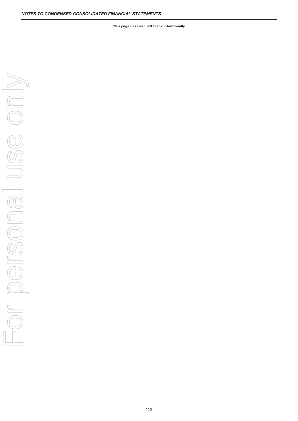**This page has been left blank intentionally**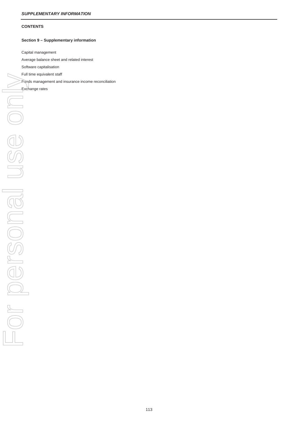## **CONTENTS**

# **Section 9 – Supplementary information**

Capital management

Average balance sheet and related interest

Software capitalisation

Full time equivalent staff

Funds management and insurance income reconciliation<br>Exchange rates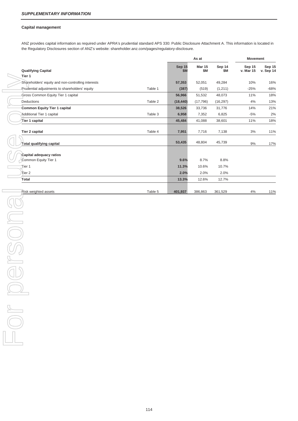# **Capital management**

ANZ provides capital information as required under APRA's prudential standard APS 330: Public Disclosure Attachment A. This information is located in the Regulatory Disclosures section of ANZ's website: shareholder.anz.com/pages/regulatory-disclosure.

|                                                                                                                                                                                                                                            |               | As at                |               |                     | <b>Movement</b>     |  |  |
|--------------------------------------------------------------------------------------------------------------------------------------------------------------------------------------------------------------------------------------------|---------------|----------------------|---------------|---------------------|---------------------|--|--|
| <b>Qualifying Capital</b><br>Tier 1                                                                                                                                                                                                        | Sep 15<br>\$M | <b>Mar 15</b><br>\$M | Sep 14<br>\$M | Sep 15<br>v. Mar 15 | Sep 15<br>v. Sep 14 |  |  |
| Shareholders' equity and non-controlling interests                                                                                                                                                                                         | 57,353        | 52,051               | 49,284        | 10%                 | 16%                 |  |  |
| Prudential adjustments to shareholders' equity<br>Table 1                                                                                                                                                                                  | (387)         | (519)                | (1,211)       | $-25%$              | $-68%$              |  |  |
| Gross Common Equity Tier 1 capital                                                                                                                                                                                                         | 56,966        | 51,532               | 48,073        | 11%                 | 18%                 |  |  |
| Deductions<br>Table 2                                                                                                                                                                                                                      | (18, 440)     | (17, 796)            | (16, 297)     | 4%                  | 13%                 |  |  |
| Common Equity Tier 1 capital                                                                                                                                                                                                               | 38,526        | 33,736               | 31,776        | 14%                 | 21%                 |  |  |
| Additional Tier 1 capital<br>Table 3                                                                                                                                                                                                       | 6,958         | 7,352                | 6,825         | $-5%$               | 2%                  |  |  |
| Tier 1 capital                                                                                                                                                                                                                             | 45,484        | 41,088               | 38,601        | 11%                 | 18%                 |  |  |
| Tier 2 capital<br>Table 4                                                                                                                                                                                                                  | 7,951         | 7,716                | 7,138         | 3%                  | 11%                 |  |  |
| <b>Total qualifying capital</b>                                                                                                                                                                                                            | 53,435        | 48,804               | 45,739        | 9%                  | 17%                 |  |  |
| Capital adequacy ratios                                                                                                                                                                                                                    |               |                      |               |                     |                     |  |  |
| Common Equity Tier 1                                                                                                                                                                                                                       | 9.6%          | 8.7%                 | 8.8%          |                     |                     |  |  |
| Tier 1                                                                                                                                                                                                                                     | 11.3%         | 10.6%                | 10.7%         |                     |                     |  |  |
| Tier 2                                                                                                                                                                                                                                     | 2.0%          | 2.0%                 | 2.0%          |                     |                     |  |  |
| Total                                                                                                                                                                                                                                      | 13.3%         | 12.6%                | 12.7%         |                     |                     |  |  |
| Risk weighted assets<br>Table 5                                                                                                                                                                                                            | 401,937       | 386,863              | 361,529       | 4%                  | 11%                 |  |  |
| $\subseteq$<br>$\boxed{\mathbb{D}}$<br>$\begin{tabular}{ c c } \hline \quad \quad & \quad \quad & \quad \quad \\ \hline \quad \quad & \quad \quad & \quad \quad \\ \hline \quad \quad & \quad \quad & \quad \quad \\ \hline \end{tabular}$ |               |                      |               |                     |                     |  |  |
|                                                                                                                                                                                                                                            |               |                      |               |                     |                     |  |  |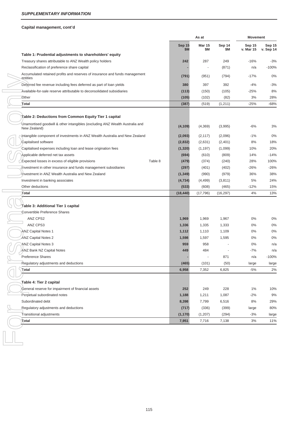# **Capital management, cont'd**

|                            |                                                                              |         |               | As at                |               | <b>Movement</b>     |                     |
|----------------------------|------------------------------------------------------------------------------|---------|---------------|----------------------|---------------|---------------------|---------------------|
|                            |                                                                              |         | Sep 15<br>\$M | <b>Mar 15</b><br>\$Μ | Sep 14<br>\$Μ | Sep 15<br>v. Mar 15 | Sep 15<br>v. Sep 14 |
|                            | Table 1: Prudential adjustments to shareholders' equity                      |         |               |                      |               |                     |                     |
|                            | Treasury shares attributable to ANZ Wealth policy holders                    |         | 242           | 287                  | 249           | $-16%$              | $-3%$               |
|                            | Reclassification of preference share capital                                 |         |               |                      | (871)         | n/a                 | $-100%$             |
| entities                   | Accumulated retained profits and reserves of insurance and funds management  |         | (791)         | (951)                | (794)         | $-17%$              | 0%                  |
|                            | Deferred fee revenue including fees deferred as part of loan yields          |         | 380           | 397                  | 392           | $-4%$               | $-3%$               |
|                            | Available-for-sale reserve attributable to deconsolidated subsidiaries       |         | (113)         | (150)                | (105)         | $-25%$              | 8%                  |
| Other                      |                                                                              |         | (105)         | (102)                | (82)          | 3%                  | 28%                 |
| Total                      |                                                                              |         | (387)         | (519)                | (1, 211)      | $-25%$              | $-68%$              |
|                            | Table 2: Deductions from Common Equity Tier 1 capital                        |         |               |                      |               |                     |                     |
| New Zealand)               | Unamortised goodwill & other intangibles (excluding ANZ Wealth Australia and |         | (4, 109)      | (4,369)              | (3,995)       | $-6%$               | 3%                  |
|                            | Intangible component of investments in ANZ Wealth Australia and New Zealand  |         | (2,093)       | (2, 117)             | (2,096)       | -1%                 | $0\%$               |
| Capitalised software       |                                                                              |         | (2,832)       | (2,631)              | (2,401)       | 8%                  | 18%                 |
|                            | Capitalised expenses including loan and lease origination fees               |         | (1, 320)      | (1, 197)             | (1,099)       | 10%                 | 20%                 |
|                            | Applicable deferred net tax assets                                           |         | (694)         | (610)                | (809)         | 14%                 | $-14%$              |
|                            | Expected losses in excess of eligible provisions                             | Table 8 | (479)         | (374)                | (240)         | 28%                 | 100%                |
|                            | Investment in other insurance and funds management subsidiaries              |         | (297)         | (401)                | (402)         | $-26%$              | $-26%$              |
|                            | Investment in ANZ Wealth Australia and New Zealand                           |         | (1, 349)      | (990)                | (979)         | 36%                 | 38%                 |
|                            | Investment in banking associates                                             |         | (4, 734)      | (4, 499)             | (3,811)       | 5%                  | 24%                 |
| Other deductions           |                                                                              |         | (533)         | (608)                | (465)         | $-12%$              | 15%                 |
| Total                      |                                                                              |         | (18, 440)     | (17, 796)            | (16, 297)     | 4%                  | 13%                 |
|                            | Table 3: Additional Tier 1 capital<br>Convertible Preference Shares          |         |               |                      |               |                     |                     |
| ANZ CPS2                   |                                                                              |         | 1,969         | 1,969                | 1,967         | 0%                  | $0\%$               |
| ANZ CPS3                   |                                                                              |         | 1,336         | 1,335                | 1,333         | 0%                  | $0\%$               |
| ANZ Capital Notes 1        |                                                                              |         | 1,112         | 1,110                | 1,109         | 0%                  | 0%                  |
| <b>ANZ Capital Notes 2</b> |                                                                              |         | 1,598         | 1,597                | 1,595         | 0%                  | $0\%$               |
| ANZ Capital Notes 3        |                                                                              |         | 959           | 958                  |               | 0%                  | n/a                 |
|                            | ANZ Bank NZ Capital Notes                                                    |         | 449           | 484                  |               | $-7%$               | n/a                 |
| <b>Preference Shares</b>   |                                                                              |         |               |                      | 871           | n/a                 | $-100%$             |
|                            | Regulatory adjustments and deductions                                        |         | (465)         | (101)                | (50)          | large               | large               |
| Total                      |                                                                              |         | 6,958         | 7,352                | 6,825         | $-5%$               | 2%                  |
|                            | Table 4: Tier 2 capital                                                      |         |               |                      |               |                     |                     |
|                            | General reserve for impairment of financial assets                           |         | 252           | 249                  | 228           | 1%                  | 10%                 |
|                            | Perpetual subordinated notes                                                 |         | 1,188         | 1,211                | 1,087         | $-2%$               | 9%                  |
| Subordinated debt          |                                                                              |         | 8,398         | 7,799                | 6,516         | 8%                  | 29%                 |
|                            | Regulatory adjustments and deductions                                        |         | (717)         | (336)                | (399)         | large               | 80%                 |
|                            | Transitional adjustments                                                     |         | (1, 170)      | (1, 207)             | (294)         | $-3%$               | large               |
| Total                      |                                                                              |         | 7,951         | 7,716                | 7,138         | 3%                  | 11%                 |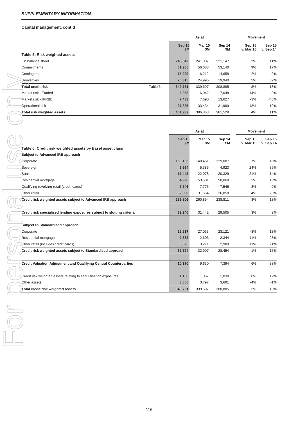# **Capital management, cont'd**

|                               |         | As at         |                      |               | <b>Movement</b>     |                     |
|-------------------------------|---------|---------------|----------------------|---------------|---------------------|---------------------|
|                               |         | Sep 15<br>\$M | <b>Mar 15</b><br>\$Μ | Sep 14<br>\$M | Sep 15<br>v. Mar 15 | Sep 15<br>v. Sep 14 |
| Table 5: Risk weighted assets |         |               |                      |               |                     |                     |
| On balance sheet              |         | 245,542       | 241,807              | 221,147       | 2%                  | 11%                 |
| Commitments                   |         | 61,965        | 56,683               | 53,140        | 9%                  | 17%                 |
| Contingents                   |         | 15,929        | 16,212               | 14,658        | $-2%$               | 9%                  |
| Derivatives                   |         | 26,315        | 24,995               | 19,940        | 5%                  | 32%                 |
| <b>Total credit risk</b>      | Table 6 | 349,751       | 339,697              | 308,885       | 3%                  | 13%                 |
| Market risk - Traded          |         | 6,868         | 6,042                | 7,048         | 14%                 | $-3%$               |
| Market risk - IRRBB           |         | 7,433         | 7,690                | 13,627        | $-3%$               | $-45%$              |
| <b>Operational risk</b>       |         | 37,885        | 33,434               | 31,969        | 13%                 | 19%                 |
| Total risk weighted assets    |         | 401,937       | 386,863              | 361,529       | 4%                  | 11%                 |

|  | Contingents                                                                      |         | 19,929               | 0,212                | 14,000         | $-270$              | <u>ສ70</u>          |
|--|----------------------------------------------------------------------------------|---------|----------------------|----------------------|----------------|---------------------|---------------------|
|  | Derivatives                                                                      |         | 26,315               | 24,995               | 19,940         | 5%                  | 32%                 |
|  | <b>Total credit risk</b>                                                         | Table 6 | 349,751              | 339,697              | 308,885        | 3%                  | 13%                 |
|  | Market risk - Traded                                                             |         | 6,868                | 6,042                | 7,048          | 14%                 | $-3%$               |
|  | Market risk - IRRBB                                                              |         | 7,433                | 7,690                | 13,627         | $-3%$               | $-45%$              |
|  | <b>Operational risk</b>                                                          |         | 37,885               | 33,434               | 31,969         | 13%                 | 19%                 |
|  | Total risk weighted assets                                                       |         | 401,937              | 386,863              | 361,529        | 4%                  | 11%                 |
|  |                                                                                  |         |                      |                      |                |                     |                     |
|  |                                                                                  |         |                      | As at                |                | <b>Movement</b>     |                     |
|  |                                                                                  |         | <b>Sep 15</b><br>\$M | <b>Mar 15</b><br>\$Μ | Sep 14<br>\$Μ  | Sep 15<br>v. Mar 15 | Sep 15<br>v. Sep 14 |
|  | Table 6: Credit risk weighted assets by Basel asset class                        |         |                      |                      |                |                     |                     |
|  | Subject to Advanced IRB approach                                                 |         |                      |                      |                |                     |                     |
|  | Corporate                                                                        |         | 150,165              | 140,451              | 129,087        | 7%                  | 16%                 |
|  | Sovereign                                                                        |         | 6,664                | 5,385                | 4,923          | 24%                 | 35%                 |
|  | Bank                                                                             |         | 17,445               | 22,078               | 20,329         | $-21%$              | $-14%$              |
|  | Residential mortgage                                                             |         | 54,996               | 53,501               | 50,068         | 3%                  | 10%                 |
|  | Qualifying revolving retail (credit cards)                                       |         | 7,546                | 7,775                | 7,546          | $-3%$               | $0\%$               |
|  | Other retail                                                                     |         | 32,990               | 31,664               | 26,858         | 4%                  | 23%                 |
|  | Credit risk weighted assets subject to Advanced IRB approach                     |         | 269,806              | 260,854              | 238,811        | 3%                  | 13%                 |
|  |                                                                                  |         |                      |                      |                |                     |                     |
|  | Credit risk specialised lending exposures subject to slotting criteria           |         | 32,240               | 31,442               | 29,505         | 3%                  | 9%                  |
|  |                                                                                  |         |                      |                      |                |                     |                     |
|  | Subject to Standardised approach                                                 |         |                      |                      |                |                     |                     |
|  | Corporate                                                                        |         | 26,217               | 27,033               | 23,121         | $-3%$               | 13%                 |
|  | Residential mortgage                                                             |         | 2,882                | 2,603                | 2,344          | 11%                 | 23%                 |
|  | Other retail (includes credit cards)                                             |         | 3,625                | 3,271                | 2,989          | 11%                 | 21%                 |
|  | Credit risk weighted assets subject to Standardised approach                     |         | 32,724               | 32,907               | 28,454         | $-1%$               | 15%                 |
|  |                                                                                  |         |                      |                      |                |                     |                     |
|  | Credit Valuation Adjustment and Qualifying Central Counterparties                |         | 10,170               | 9,630                | 7,394          | 6%                  | 38%                 |
|  |                                                                                  |         |                      |                      |                |                     | 12%                 |
|  | Credit risk weighted assets relating to securitisation exposures<br>Other assets |         | 1,156<br>3,655       | 1,067<br>3,797       | 1,030<br>3,691 | 8%<br>$-4%$         | $-1%$               |
|  | Total credit risk weighted assets                                                |         | 349,751              | 339,697              | 308,885        | 3%                  | 13%                 |
|  |                                                                                  |         |                      |                      |                |                     |                     |
|  |                                                                                  |         |                      |                      |                |                     |                     |
|  |                                                                                  |         |                      |                      |                |                     |                     |
|  |                                                                                  |         |                      |                      |                |                     |                     |
|  |                                                                                  |         |                      |                      |                |                     |                     |
|  |                                                                                  |         |                      |                      |                |                     |                     |
|  |                                                                                  |         |                      |                      |                |                     |                     |
|  |                                                                                  |         |                      |                      |                |                     |                     |
|  |                                                                                  |         |                      |                      |                |                     |                     |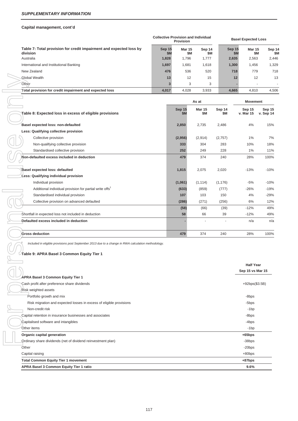# **Capital management, cont'd**

|                                                                                 |               | <b>Collective Provision and Individual</b><br><b>Provision</b> |                     | <b>Basel Expected Loss</b> |               |               |  |
|---------------------------------------------------------------------------------|---------------|----------------------------------------------------------------|---------------------|----------------------------|---------------|---------------|--|
| Table 7: Total provision for credit impairment and expected loss by<br>division | Sep 15<br>\$M | <b>Mar 15</b><br>\$M                                           | Sep 14<br><b>SM</b> | Sep 15<br>\$M              | Mar 15<br>\$M | Sep 14<br>\$M |  |
| Australia                                                                       | 1.828         | 1.796                                                          | 1,777               | 2,635                      | 2,563         | 2.446         |  |
| International and Institutional Banking                                         | 1,697         | 1.681                                                          | 1,618               | 1,300                      | 1.456         | 1,329         |  |
| New Zealand                                                                     | 476           | 536                                                            | 520                 | 718                        | 779           | 718           |  |
| Global Wealth                                                                   | 13            | 12                                                             | 15                  | 12                         | 12            | 13            |  |
| Other                                                                           |               | 3                                                              | 3                   |                            |               |               |  |
| Total provision for credit impairment and expected loss                         | 4,017         | 4,028                                                          | 3,933               | 4.665                      | 4,810         | 4.506         |  |

| <b>Global Wealth</b>                                                                                | 13    | 12      | 15            | 12       | 12               | 1         |
|-----------------------------------------------------------------------------------------------------|-------|---------|---------------|----------|------------------|-----------|
| Other                                                                                               | 3     | 3       | 3             |          |                  |           |
| Total provision for credit impairment and expected loss                                             | 4,017 | 4,028   | 3,933         | 4,665    | 4,810            | 4,50      |
|                                                                                                     |       |         | As at         |          | <b>Movement</b>  |           |
|                                                                                                     |       | Sep 15  | <b>Mar 15</b> | Sep 14   | <b>Sep 15</b>    | Sep 15    |
| पable 8: Expected loss in excess of eligible provisions                                             |       | \$M     | \$Μ           | \$Μ      | v. Mar 15        | v. Sep 14 |
| Basel expected loss: non-defaulted                                                                  |       | 2,850   | 2,735         | 2,486    | 4%               | 15%       |
| Less: Qualifying collective provision                                                               |       |         |               |          |                  |           |
| Collective provision                                                                                |       | (2,956) | (2,914)       | (2,757)  | 1%               | 7%        |
| Non-qualifying collective provision                                                                 |       | 333     | 304           | 283      | 10%              | 18%       |
| Standardised collective provision                                                                   |       | 252     | 249           | 228      | 1%               | 11%       |
| Non-defaulted excess included in deduction                                                          |       | 479     | 374           | 240      | 28%              | 100%      |
| <b>Basel expected loss: defaulted</b>                                                               |       | 1,815   | 2,075         | 2,020    | $-13%$           | $-10%$    |
| Less: Qualifying individual provision                                                               |       |         |               |          |                  |           |
| Individual provision                                                                                |       | (1,061) | (1, 114)      | (1, 176) | $-5%$            | $-10%$    |
| Additional individual provision for partial write offs <sup>1</sup>                                 |       | (633)   | (859)         | (777)    | $-26%$           | $-19%$    |
| Standardised individual provision                                                                   |       | 107     | 103           | 150      | 4%               | $-29%$    |
| Collective provision on advanced defaulted                                                          |       | (286)   | (271)         | (256)    | 6%               | 12%       |
|                                                                                                     |       | (58)    | (66)          | (39)     | $-12%$           | 49%       |
| Shortfall in expected loss not included in deduction                                                |       | 58      | 66            | 39       | $-12%$           | 49%       |
| Defaulted excess included in deduction                                                              |       |         |               |          | n/a              | n/a       |
| <b>Gross deduction</b>                                                                              |       | 479     | 374           | 240      | 28%              | 100%      |
| Included in eligible provisions post September 2013 due to a change in RWA calculation methodology. |       |         |               |          |                  |           |
|                                                                                                     |       |         |               |          |                  |           |
| Table 9: APRA Basel 3 Common Equity Tier 1                                                          |       |         |               |          |                  |           |
|                                                                                                     |       |         |               |          | <b>Half Year</b> |           |
|                                                                                                     |       |         |               |          | Sep 15 vs Mar 15 |           |
| <b>APRA Basel 3 Common Equity Tier 1</b>                                                            |       |         |               |          |                  |           |
| Cash profit after preference share dividends                                                        |       |         |               |          | $+92bps($3.5B)$  |           |
| Risk weighted assets                                                                                |       |         |               |          |                  |           |
| Portfolio growth and mix                                                                            |       |         |               |          | -8bps            |           |
| Risk migration and expected losses in excess of eligible provisions                                 |       |         |               |          | -5bps            |           |
| Non-credit risk                                                                                     |       |         |               |          | $-1bp$           |           |
| Capital retention in insurance businesses and associates                                            |       |         |               |          | -8bps            |           |
| Capitalised software and intangibles                                                                |       |         |               |          | -4bps            |           |
| Other items                                                                                         |       |         |               |          | $-1bp$           |           |
| Organic capital generation                                                                          |       |         |               |          | +65bps           |           |
| Ordinary share dividends (net of dividend reinvestment plan)                                        |       |         |               |          | -38bps           |           |
| Other                                                                                               |       |         |               |          | $-20bps$         |           |
| Capital raising                                                                                     |       |         |               |          | +80bps           |           |
| <b>Total Common Equity Tier 1 movement</b>                                                          |       |         |               |          | +87bps           |           |
| APRA Basel 3 Common Equity Tier 1 ratio                                                             |       |         |               |          | 9.6%             |           |

## **Table 9: APRA Basel 3 Common Equity Tier 1**

|                                                                     | <b>Half Year</b> |
|---------------------------------------------------------------------|------------------|
|                                                                     | Sep 15 vs Mar 15 |
| <b>APRA Basel 3 Common Equity Tier 1</b>                            |                  |
| Cash profit after preference share dividends                        | $+92bps($3.5B)$  |
| Risk weighted assets                                                |                  |
| Portfolio growth and mix                                            | -8bps            |
| Risk migration and expected losses in excess of eligible provisions | -5bps            |
| Non-credit risk                                                     | $-1bp$           |
| Capital retention in insurance businesses and associates            | -8bps            |
| Capitalised software and intangibles                                | -4bps            |
| Other items                                                         | $-1bp$           |
| Organic capital generation                                          | $+65$ bps        |
| Ordinary share dividends (net of dividend reinvestment plan)        | $-38bps$         |
| Other                                                               | $-20$ bps        |
| Capital raising                                                     | $+80$ bps        |
| <b>Total Common Equity Tier 1 movement</b>                          | +87bps           |
| APRA Basel 3 Common Equity Tier 1 ratio                             | 9.6%             |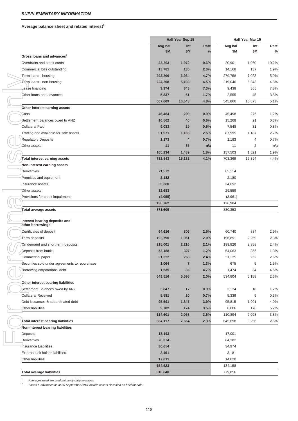## Average balance sheet and related interest<sup>1</sup>

|                                                |                | Half Year Sep 15 |              |                  | Half Year Mar 15 |                       |
|------------------------------------------------|----------------|------------------|--------------|------------------|------------------|-----------------------|
|                                                | Avg bal<br>\$M | Int<br>\$M       | Rate<br>%    | Avg bal<br>\$Μ   | Int<br>\$M       | Rate<br>$\frac{0}{0}$ |
| Gross loans and advances <sup>2</sup>          |                |                  |              |                  |                  |                       |
| Overdrafts and credit cards                    | 22,203         | 1,072            | 9.6%         | 20,901           | 1,060            | 10.2%                 |
| Commercial bills outstanding                   | 13,781         | 135              | 2.0%         | 14,168           | 137              | 1.9%                  |
| Term loans - housing                           | 292,206        | 6,934            | 4.7%         | 279,758          | 7,023            | 5.0%                  |
| Term loans - non-housing                       | 224,208        | 5,108            | 4.5%         | 219,046          | 5,243            | 4.8%                  |
| Lease financing                                | 9,374          | 343              | 7.3%         | 9,438            | 365              | 7.8%                  |
| Other loans and advances                       | 5,837          | 51               | 1.7%         | 2,555            | 45               | 3.5%                  |
|                                                | 567,609        | 13,643           | 4.8%         | 545,866          | 13,873           | 5.1%                  |
| Other interest earning assets                  |                |                  |              |                  |                  |                       |
| Cash                                           | 46,484         | 209              | 0.9%         | 45,498           | 276              | 1.2%                  |
| Settlement Balances owed to ANZ                | 16,562         | 46               | 0.6%         | 15,268           | 21               | 0.3%                  |
| <b>Collateral Paid</b>                         | 9,033          | 29               | 0.6%         | 7,548            | 31               | 0.8%                  |
| Trading and available-for-sale assets          | 91,971         | 1,166            | 2.5%         | 87,995           | 1,187            | 2.7%                  |
| <b>Regulatory Deposits</b>                     | 1,173          | 4                | 0.7%         | 1,183            | 4                | 0.7%                  |
| Other assets                                   | 11             | 35               | n/a          | 11               | 2                | n/a                   |
|                                                | 165,234        | 1,489            | 1.8%         | 157,503          | 1,521            | 1.9%                  |
| Total interest earning assets                  | 732,843        | 15,132           | 4.1%         | 703,369          | 15,394           | 4.4%                  |
| Non-interest earning assets                    |                |                  |              |                  |                  |                       |
| Derivatives                                    | 71,572         |                  |              | 65,114           |                  |                       |
| Premises and equipment                         | 2,182          |                  |              | 2,180            |                  |                       |
| Insurance assets                               | 36,380         |                  |              | 34,092           |                  |                       |
| Other assets                                   | 32,683         |                  |              | 29,559           |                  |                       |
| Provisions for credit impairment               | (4,055)        |                  |              | (3,961)          |                  |                       |
|                                                | 138,762        |                  |              | 126,984          |                  |                       |
| <b>Total average assets</b>                    | 871,605        |                  |              | 830,353          |                  |                       |
| Interest bearing deposits and                  |                |                  |              |                  |                  |                       |
| other borrowings<br>Certificates of deposit    | 64,616         | 806              | 2.5%         | 60,740           | 884              | 2.9%                  |
| Term deposits                                  | 192,790        | 1,951            | 2.0%         | 196,891          | 2,259            | 2.3%                  |
| On demand and short term deposits              | 215,001        | 2,216            | 2.1%         | 199,826          | 2,358            | 2.4%                  |
| Deposits from banks                            | 53,188         | 327              | 1.2%         | 54,063           | 356              | 1.3%                  |
| Commercial paper                               | 21,322         | 253              | 2.4%         | 21,135           | 262              | 2.5%                  |
| Securities sold under agreements to repurchase |                | $\overline{7}$   |              |                  | 5                | 1.5%                  |
| Borrowing corporations' debt                   | 1,064<br>1,535 | 36               | 1.3%         | 675              | 34               |                       |
|                                                | 549,516        | 5,596            | 4.7%<br>2.0% | 1,474<br>534,804 | 6,158            | 4.6%<br>2.3%          |
| Other interest bearing liabilities             |                |                  |              |                  |                  |                       |
| \$ettlement Balances owed by ANZ               | 3,647          | 17               | 0.9%         | 3,134            | 18               | 1.2%                  |
| Collateral Received                            | 5,581          | 20               | 0.7%         | 5,339            | 9                | 0.3%                  |
| Debt issuances & subordinated debt             | 95,591         | 1,847            | 3.9%         | 95,815           | 1,901            | 4.0%                  |
| Other liabilities                              | 9,782          | 174              | 3.5%         | 6,606            | 170              | 5.2%                  |
|                                                | 114,601        | 2,058            | 3.6%         | 110,894          | 2,098            | 3.8%                  |
| Total interest bearing liabilities             | 664,117        | 7,654            | 2.3%         | 645,698          | 8,256            | 2.6%                  |
| Non-interest bearing liabilities               |                |                  |              |                  |                  |                       |
| Deposits                                       | 18,193         |                  |              | 17,001           |                  |                       |
| Derivatives                                    | 78,374         |                  |              | 64,382           |                  |                       |
| <b>Insurance Liabilities</b>                   | 36,654         |                  |              | 34,974           |                  |                       |
| External unit holder liabilities               | 3,491          |                  |              | 3,181            |                  |                       |
| Other liabilities                              | 17,811         |                  |              | 14,620           |                  |                       |
|                                                | 154,523        |                  |              | 134,158          |                  |                       |
|                                                |                |                  |              | 779,856          |                  |                       |

*1. Averages used are predominantly daily averages.*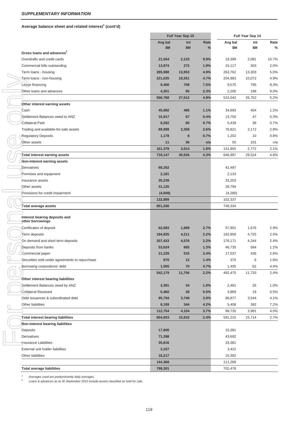## Average balance sheet and related interest<sup>1</sup> (cont'd)

|                                                   |            | Full Year Sep 15 |      | Full Year Sep 14 |        |       |
|---------------------------------------------------|------------|------------------|------|------------------|--------|-------|
|                                                   | Avg bal    | Int              | Rate | Avg bal          | Int    | Rate  |
| Gross loans and advances <sup>2</sup>             | <b>\$M</b> | \$M              | %    | \$Μ              | \$Μ    | $\%$  |
| Overdrafts and credit cards                       | 21,554     | 2,133            | 9.9% | 19,399           | 2,081  | 10.7% |
| Commercial bills outstanding                      | 13,974     | 272              | 1.9% | 15,117           | 303    | 2.0%  |
| Term loans - housing                              | 285,998    | 13,953           | 4.9% | 263,762          | 13,303 | 5.0%  |
| Term loans - non-housing                          | 221,635    | 10,351           | 4.7% | 204,983          | 10,072 | 4.9%  |
| Lease financing                                   | 9,406      | 708              | 7.5% | 9,575            | 795    | 8.3%  |
| Other loans and advances                          | 4,201      | 95               | 2.3% | 2,206            | 198    | 9.0%  |
|                                                   | 556,768    | 27,512           | 4.9% | 515,042          | 26,752 | 5.2%  |
| Other interest earning assets                     |            |                  |      |                  |        |       |
| Cash                                              | 45,992     | 485              | 1.1% | 34,693           | 404    | 1.2%  |
| Settlement Balances owed to ANZ                   | 15,917     | 67               | 0.4% | 13,750           | 47     | 0.3%  |
| <b>Collateral Paid</b>                            | 8,292      | 60               | 0.7% | 5,439            | 38     | 0.7%  |
| Trading and available-for-sale assets             | 89,989     | 2,358            | 2.6% | 76,821           | 2,172  | 2.8%  |
| <b>Regulatory Deposits</b>                        | 1,178      | 8                | 0.7% | 1,202            | 10     | 0.8%  |
| Other assets                                      | 11         | 36               | n/a  | 50               | 101    | n/a   |
|                                                   | 161,379    | 3,014            | 1.9% | 131,955          | 2,772  | 2.1%  |
| Total interest earning assets                     | 718,147    | 30,526           | 4.3% | 646,997          | 29,524 | 4.6%  |
| Non-interest earning assets                       |            |                  |      |                  |        |       |
| Derivatives                                       | 68,352     |                  |      | 42,487           |        |       |
| Premises and equipment                            | 2,181      |                  |      | 2,133            |        |       |
| Insurance assets                                  | 35,239     |                  |      | 33,203           |        |       |
| Other assets                                      | 31,125     |                  |      | 28,794           |        |       |
| Provisions for credit impairment                  | (4,008)    |                  |      | (4,280)          |        |       |
|                                                   | 132,889    |                  |      | 102,337          |        |       |
| Total average assets                              | 851,036    |                  |      | 749,334          |        |       |
| Interest bearing deposits and<br>other borrowings |            |                  |      |                  |        |       |
| Certificates of deposit                           | 62,683     | 1,689            | 2.7% | 57,901           | 1,676  | 2.9%  |
| Term deposits                                     | 194,835    | 4,211            | 2.2% | 192,856          | 4,725  | 2.5%  |
| On demand and short term deposits                 | 207,433    | 4,576            | 2.2% | 176,171          | 4,244  | 2.4%  |
| Deposits from banks                               | 53,624     | 683              | 1.3% | 46,735           | 584    | 1.2%  |
| Commercial paper                                  | 21,229     | 515              | 2.4% | 17,037           | 436    | 2.6%  |
| Securities sold under agreements to repurchase    | 870        | 12               | 1.4% | 370              | 6      | 1.6%  |
| Borrowing corporations' debt                      | 1,505      | 70               | 4.7% | 1,405            | 62     | 4.4%  |
|                                                   | 542,179    | 11,756           | 2.2% | 492,475          | 11,733 | 2.4%  |
| Other interest bearing liabilities                |            |                  |      |                  |        |       |
| Settlement Balances owed by ANZ                   | 3,391      | 34               | 1.0% | 2,481            | 26     | 1.0%  |
| Collateral Received                               | 5,460      | 28               | 0.5% | 3,969            | 19     | 0.5%  |
| Debt issuances & subordinated debt                | 95,704     | 3,748            | 3.9% | 86,877           | 3,544  | 4.1%  |
| Other liabilities                                 | 8,199      | 344              | 4.2% | 5,408            | 392    | 7.2%  |
|                                                   | 112,754    | 4,154            | 3.7% | 98,735           | 3,981  | 4.0%  |
| Total interest bearing liabilities                | 654,933    | 15,910           | 2.4% | 591,210          | 15,714 | 2.7%  |
| Non-interest bearing liabilities                  |            |                  |      |                  |        |       |
| Deposits                                          | 17,600     |                  |      | 15,381           |        |       |
| Derivatives                                       | 71,398     |                  |      | 43,692           |        |       |
| Insurance Liabilities                             | 35,816     |                  |      | 33,381           |        |       |
| External unit holder liabilities                  | 3,337      |                  |      | 3,422            |        |       |
| Other liabilities                                 | 16,217     |                  |      | 15,392           |        |       |
|                                                   | 144,368    |                  |      | 111,268          |        |       |
| <b>Total average liabilities</b>                  | 799,301    |                  |      | 702,478          |        |       |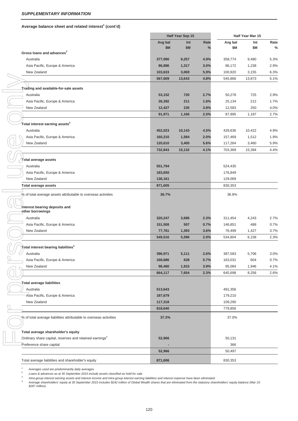## Average balance sheet and related interest<sup>1</sup> (cont'd)

|                                                                                                                                                                                                                                                                                                                                        |                       | Half Year Sep 15 |              |                    | Half Year Mar 15 |              |
|----------------------------------------------------------------------------------------------------------------------------------------------------------------------------------------------------------------------------------------------------------------------------------------------------------------------------------------|-----------------------|------------------|--------------|--------------------|------------------|--------------|
|                                                                                                                                                                                                                                                                                                                                        | Avg bal<br><b>\$M</b> | Int<br>\$M       | Rate<br>%    | Avg bal<br>\$Μ     | Int<br>\$М       | Rate<br>$\%$ |
| Gross loans and advances <sup>2</sup>                                                                                                                                                                                                                                                                                                  |                       |                  |              |                    |                  |              |
| Australia                                                                                                                                                                                                                                                                                                                              | 377,090               | 9,257            | 4.9%         | 358,774            | 9,480            | 5.3%         |
| Asia Pacific, Europe & America                                                                                                                                                                                                                                                                                                         | 86,886                | 1,317            | 3.0%         | 86,172             | 1,238            | 2.9%         |
| New Zealand                                                                                                                                                                                                                                                                                                                            | 103,633               | 3,069            | 5.9%         | 100,920            | 3,155            | 6.3%         |
|                                                                                                                                                                                                                                                                                                                                        | 567,609               | 13,643           | 4.8%         | 545,866            | 13,873           | 5.1%         |
|                                                                                                                                                                                                                                                                                                                                        |                       |                  |              |                    |                  |              |
| Trading and available-for-sale assets                                                                                                                                                                                                                                                                                                  |                       |                  |              |                    | 725              |              |
| Australia<br>Asia Pacific, Europe & America                                                                                                                                                                                                                                                                                            | 53,152<br>26,392      | 720<br>211       | 2.7%<br>1.6% | 50,278<br>25,134   | 212              | 2.9%<br>1.7% |
| New Zealand                                                                                                                                                                                                                                                                                                                            | 12,427                | 235              | 3.8%         | 12,583             | 250              | 4.0%         |
|                                                                                                                                                                                                                                                                                                                                        | 91,971                | 1,166            | 2.5%         | 87,995             | 1,187            | 2.7%         |
|                                                                                                                                                                                                                                                                                                                                        |                       |                  |              |                    |                  |              |
| Total interest earning assets $^3$                                                                                                                                                                                                                                                                                                     |                       |                  |              |                    |                  |              |
| Australia                                                                                                                                                                                                                                                                                                                              | 452,023               | 10,143           | 4.5%         | 428,636            | 10,422           | 4.9%         |
| Asia Pacific, Europe & America                                                                                                                                                                                                                                                                                                         | 160,210               | 1,584            | 2.0%         | 157,469            | 1,512            | 1.9%         |
| New Zealand                                                                                                                                                                                                                                                                                                                            | 120,610<br>732,843    | 3,405<br>15,132  | 5.6%<br>4.1% | 117,264<br>703,369 | 3,460<br>15,394  | 5.9%<br>4.4% |
|                                                                                                                                                                                                                                                                                                                                        |                       |                  |              |                    |                  |              |
| Total average assets                                                                                                                                                                                                                                                                                                                   |                       |                  |              |                    |                  |              |
| Australia                                                                                                                                                                                                                                                                                                                              | 551,794               |                  |              | 524,435            |                  |              |
| Asia Pacific, Europe & America                                                                                                                                                                                                                                                                                                         | 183,650               |                  |              | 176,849            |                  |              |
| New Zealand                                                                                                                                                                                                                                                                                                                            | 136,161               |                  |              | 129,069            |                  |              |
| <b>Total average assets</b>                                                                                                                                                                                                                                                                                                            | 871,605               |                  |              | 830,353            |                  |              |
| % of total average assets attributable to overseas activities                                                                                                                                                                                                                                                                          | 36.7%                 |                  |              | 36.8%              |                  |              |
|                                                                                                                                                                                                                                                                                                                                        |                       |                  |              |                    |                  |              |
| Interest bearing deposits and<br>other borrowings                                                                                                                                                                                                                                                                                      |                       |                  |              |                    |                  |              |
| Australia                                                                                                                                                                                                                                                                                                                              | 320,247               | 3,696            | 2.3%         | 311,454            | 4,243            | 2.7%         |
| Asia Pacific, Europe & America                                                                                                                                                                                                                                                                                                         | 151,508               | 507              | 0.7%         | 146,851            | 488              | 0.7%         |
| New Zealand                                                                                                                                                                                                                                                                                                                            | 77,761                | 1,393            | 3.6%         | 76,499             | 1,427            | 3.7%         |
|                                                                                                                                                                                                                                                                                                                                        | 549,516               | 5,596            | 2.0%         | 534,804            | 6,158            | 2.3%         |
| Total interest bearing liabilities <sup>3</sup>                                                                                                                                                                                                                                                                                        |                       |                  |              |                    |                  |              |
| Australia                                                                                                                                                                                                                                                                                                                              | 396,971               | 5,111            | 2.6%         | 387,583            | 5,706            | 3.0%         |
| Asia Pacific, Europe & America                                                                                                                                                                                                                                                                                                         | 168,686               | 628              | 0.7%         | 163,031            | 604              | 0.7%         |
| New Zealand                                                                                                                                                                                                                                                                                                                            | 98,460                | 1,915            | 3.9%         | 95,084             | 1,946            | 4.1%         |
|                                                                                                                                                                                                                                                                                                                                        | 664,117               | 7,654            | 2.3%         | 645,698            | 8,256            | 2.6%         |
|                                                                                                                                                                                                                                                                                                                                        |                       |                  |              |                    |                  |              |
| <b>Total average liabilities</b>                                                                                                                                                                                                                                                                                                       |                       |                  |              |                    |                  |              |
| Australia                                                                                                                                                                                                                                                                                                                              | 513,643               |                  |              | 491,356            |                  |              |
| Asia Pacific, Europe & America                                                                                                                                                                                                                                                                                                         | 187,679               |                  |              | 179,210            |                  |              |
| New Zealand                                                                                                                                                                                                                                                                                                                            | 117,318<br>818,640    |                  |              | 109,290<br>779,856 |                  |              |
|                                                                                                                                                                                                                                                                                                                                        |                       |                  |              |                    |                  |              |
| % of total average liabilities attributable to overseas activities                                                                                                                                                                                                                                                                     | 37.3%                 |                  |              | 37.0%              |                  |              |
|                                                                                                                                                                                                                                                                                                                                        |                       |                  |              |                    |                  |              |
| Total average shareholder's equity                                                                                                                                                                                                                                                                                                     |                       |                  |              |                    |                  |              |
| Ordinary share capital, reserves and retained earnings <sup>4</sup>                                                                                                                                                                                                                                                                    | 52,966                |                  |              | 50,131             |                  |              |
| Preference share capital                                                                                                                                                                                                                                                                                                               |                       |                  |              | 366                |                  |              |
|                                                                                                                                                                                                                                                                                                                                        | 52,966                |                  |              | 50,497             |                  |              |
| Total average liabilities and shareholder's equity                                                                                                                                                                                                                                                                                     | 871,606               |                  |              | 830,353            |                  |              |
| 1.<br>Averages used are predominantly daily averages.                                                                                                                                                                                                                                                                                  |                       |                  |              |                    |                  |              |
| $\mathfrak{2}.$<br>Loans & advances as at 30 September 2015 include assets classified as held for sale.<br>$\mathfrak{Z}$                                                                                                                                                                                                              |                       |                  |              |                    |                  |              |
| Intra-group interest earning assets and interest income and Intra-group interest earning liabilities and interest expense have been eliminated.<br>4.<br>Average shareholders' equity at 30 September 2015 includes \$242 million of Global Wealth shares that are eliminated from the statutory shareholders' equity balance (Mar 15: |                       |                  |              |                    |                  |              |
| \$287 million).                                                                                                                                                                                                                                                                                                                        |                       |                  |              |                    |                  |              |

nace group morest examing assets and merest mount and mure group merest examing nability samilities expense have been eliminated.<br>Average shareholders' equity at 30 September 2015 includes \$242 million of Global Wealth sha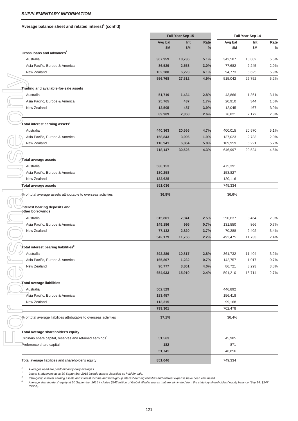## Average balance sheet and related interest<sup>1</sup> (cont'd)

|                                                                                                                                                                                                                                                                                                                                              |                       | Full Year Sep 15 |              |                | Full Year Sep 14 |              |
|----------------------------------------------------------------------------------------------------------------------------------------------------------------------------------------------------------------------------------------------------------------------------------------------------------------------------------------------|-----------------------|------------------|--------------|----------------|------------------|--------------|
|                                                                                                                                                                                                                                                                                                                                              | Avg bal<br><b>\$M</b> | Int<br>\$M       | Rate<br>%    | Avg bal<br>\$Μ | Int<br>\$М       | Rate<br>$\%$ |
| Gross loans and advances <sup>2</sup>                                                                                                                                                                                                                                                                                                        |                       |                  |              |                |                  |              |
| Australia                                                                                                                                                                                                                                                                                                                                    | 367,959               | 18,736           | 5.1%         | 342,587        | 18,882           | 5.5%         |
| Asia Pacific, Europe & America                                                                                                                                                                                                                                                                                                               | 86,529                | 2,553            | 3.0%         | 77,682         | 2,245            | 2.9%         |
| New Zealand                                                                                                                                                                                                                                                                                                                                  | 102,280               | 6,223            | 6.1%         | 94,773         | 5,625            | 5.9%         |
|                                                                                                                                                                                                                                                                                                                                              | 556,768               | 27,512           | 4.9%         | 515,042        | 26,752           | 5.2%         |
|                                                                                                                                                                                                                                                                                                                                              |                       |                  |              |                |                  |              |
| Trading and available-for-sale assets                                                                                                                                                                                                                                                                                                        |                       |                  |              |                |                  |              |
| Australia                                                                                                                                                                                                                                                                                                                                    | 51,719                | 1,434            | 2.8%         | 43,866         | 1,361            | 3.1%         |
| Asia Pacific, Europe & America                                                                                                                                                                                                                                                                                                               | 25,765                | 437              | 1.7%         | 20,910         | 344              | 1.6%         |
| New Zealand                                                                                                                                                                                                                                                                                                                                  | 12,505                | 487              | 3.9%<br>2.6% | 12,045         | 467              | 3.9%<br>2.8% |
|                                                                                                                                                                                                                                                                                                                                              | 89,989                | 2,358            |              | 76,821         | 2,172            |              |
| Total interest earning assets $^3$                                                                                                                                                                                                                                                                                                           |                       |                  |              |                |                  |              |
| Australia                                                                                                                                                                                                                                                                                                                                    | 440,363               | 20,566           | 4.7%         | 400,015        | 20,570           | 5.1%         |
| Asia Pacific, Europe & America                                                                                                                                                                                                                                                                                                               | 158,843               | 3,096            | 1.9%         | 137,023        | 2,733            | 2.0%         |
| New Zealand                                                                                                                                                                                                                                                                                                                                  | 118,941               | 6,864            | 5.8%         | 109,959        | 6,221            | 5.7%         |
|                                                                                                                                                                                                                                                                                                                                              | 718,147               | 30,526           | 4.3%         | 646,997        | 29,524           | 4.6%         |
| Total average assets                                                                                                                                                                                                                                                                                                                         |                       |                  |              |                |                  |              |
| Australia                                                                                                                                                                                                                                                                                                                                    | 538,153               |                  |              | 475,391        |                  |              |
|                                                                                                                                                                                                                                                                                                                                              | 180,258               |                  |              | 153,827        |                  |              |
| Asia Pacific, Europe & America<br>New Zealand                                                                                                                                                                                                                                                                                                | 132,625               |                  |              | 120,116        |                  |              |
| <b>Total average assets</b>                                                                                                                                                                                                                                                                                                                  | 851,036               |                  |              | 749,334        |                  |              |
|                                                                                                                                                                                                                                                                                                                                              |                       |                  |              |                |                  |              |
| % of total average assets attributable to overseas activities                                                                                                                                                                                                                                                                                | 36.8%                 |                  |              | 36.6%          |                  |              |
|                                                                                                                                                                                                                                                                                                                                              |                       |                  |              |                |                  |              |
| Interest bearing deposits and<br>other borrowings                                                                                                                                                                                                                                                                                            |                       |                  |              |                |                  |              |
| Australia                                                                                                                                                                                                                                                                                                                                    | 315,861               | 7,941            | 2.5%         | 290,637        | 8,464            | 2.9%         |
| Asia Pacific, Europe & America                                                                                                                                                                                                                                                                                                               | 149,186               | 995              | 0.7%         | 131,550        | 866              | 0.7%         |
| New Zealand                                                                                                                                                                                                                                                                                                                                  | 77,132                | 2,820            | 3.7%         | 70,288         | 2,402            | 3.4%         |
|                                                                                                                                                                                                                                                                                                                                              | 542,179               | 11,756           | 2.2%         | 492,475        | 11,733           | 2.4%         |
|                                                                                                                                                                                                                                                                                                                                              |                       |                  |              |                |                  |              |
| Total interest bearing liabilities <sup>3</sup>                                                                                                                                                                                                                                                                                              |                       |                  |              |                |                  |              |
| Australia                                                                                                                                                                                                                                                                                                                                    | 392,289               | 10,817           | 2.8%         | 361,732        | 11,404           | 3.2%         |
| Asia Pacific, Europe & America                                                                                                                                                                                                                                                                                                               | 165,867               | 1,232            | 0.7%         | 142,757        | 1,017            | 0.7%         |
| New Zealand                                                                                                                                                                                                                                                                                                                                  | 96,777                | 3,861            | 4.0%         | 86,721         | 3,293            | 3.8%         |
|                                                                                                                                                                                                                                                                                                                                              | 654,933               | 15,910           | 2.4%         | 591,210        | 15,714           | 2.7%         |
| <b>Total average liabilities</b>                                                                                                                                                                                                                                                                                                             |                       |                  |              |                |                  |              |
| Australia                                                                                                                                                                                                                                                                                                                                    | 502,529               |                  |              | 446,892        |                  |              |
| Asia Pacific, Europe & America                                                                                                                                                                                                                                                                                                               | 183,457               |                  |              | 156,418        |                  |              |
| New Zealand                                                                                                                                                                                                                                                                                                                                  | 113,315               |                  |              | 99,168         |                  |              |
|                                                                                                                                                                                                                                                                                                                                              | 799,301               |                  |              | 702,478        |                  |              |
|                                                                                                                                                                                                                                                                                                                                              | 37.1%                 |                  |              | 36.4%          |                  |              |
| % of total average liabilities attributable to overseas activities                                                                                                                                                                                                                                                                           |                       |                  |              |                |                  |              |
|                                                                                                                                                                                                                                                                                                                                              |                       |                  |              |                |                  |              |
| Total average shareholder's equity                                                                                                                                                                                                                                                                                                           |                       |                  |              |                |                  |              |
| Ordinary share capital, reserves and retained earnings <sup>4</sup>                                                                                                                                                                                                                                                                          | 51,563                |                  |              | 45,985         |                  |              |
| Preference share capital                                                                                                                                                                                                                                                                                                                     | 182                   |                  |              | 871            |                  |              |
|                                                                                                                                                                                                                                                                                                                                              | 51,745                |                  |              | 46,856         |                  |              |
| Total average liabilities and shareholder's equity                                                                                                                                                                                                                                                                                           | 851,046               |                  |              | 749,334        |                  |              |
| 1.<br>Averages used are predominantly daily averages.                                                                                                                                                                                                                                                                                        |                       |                  |              |                |                  |              |
| $\mathfrak{p}.$<br>Loans & advances as at 30 September 2015 include assets classified as held for sale.<br>$\mathfrak{Z}$                                                                                                                                                                                                                    |                       |                  |              |                |                  |              |
| Intra-group interest earning assets and interest income and Intra-group interest earning liabilities and interest expense have been eliminated.<br>4.<br>Average shareholders' equity at 30 September 2015 includes \$242 million of Global Wealth shares that are eliminated from the statutory shareholders' equity balance (Sep 14: \$247 |                       |                  |              |                |                  |              |
| million).                                                                                                                                                                                                                                                                                                                                    |                       |                  |              |                |                  |              |

nacryroup merest carning assets and merest meaning and mare group merest earning nabilities and merest expense nave been eliminated.<br>Average shareholders' equity at 30 September 2015 includes \$242 million of Global Wealth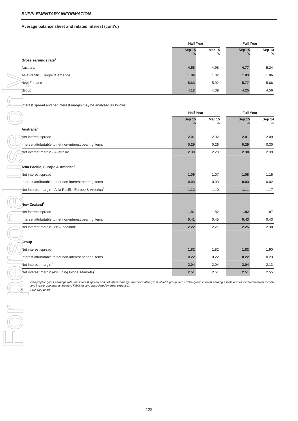## **Average balance sheet and related interest (cont'd)**

|                                  | <b>Half Year</b>        |                    | <b>Full Year</b>        |                         |  |
|----------------------------------|-------------------------|--------------------|-------------------------|-------------------------|--|
|                                  | Sep 15<br>$\frac{0}{6}$ | <b>Mar 15</b><br>% | Sep 15<br>$\frac{0}{2}$ | Sep 14<br>$\frac{0}{0}$ |  |
| Gross earnings rate <sup>1</sup> |                         |                    |                         |                         |  |
| Australia                        | 4.58                    | 4.98               | 4.77                    | 5.24                    |  |
| Asia Pacific, Europe & America   | 1.84                    | 1.82               | 1.83                    | 1.86                    |  |
| New Zealand                      | 5.63                    | 5.92               | 5.77                    | 5.66                    |  |
| Group                            | 4.12                    | 4.39               | 4.25                    | 4.56                    |  |

| Asia Pacific, Europe & America                                                                                                                                                                                                                                              | 1.84             | 1.82                           | 1.83                    | 1.86           |
|-----------------------------------------------------------------------------------------------------------------------------------------------------------------------------------------------------------------------------------------------------------------------------|------------------|--------------------------------|-------------------------|----------------|
| New Zealand                                                                                                                                                                                                                                                                 | 5.63             | 5.92                           | 5.77                    | 5.66           |
| Group                                                                                                                                                                                                                                                                       | 4.12             | 4.39                           | 4.25                    | 4.56           |
|                                                                                                                                                                                                                                                                             |                  |                                |                         |                |
| Interest spread and net interest margin may be analysed as follows:                                                                                                                                                                                                         |                  |                                |                         |                |
|                                                                                                                                                                                                                                                                             | <b>Half Year</b> |                                | <b>Full Year</b>        |                |
|                                                                                                                                                                                                                                                                             | Sep 15<br>$\%$   | <b>Mar 15</b><br>$\frac{0}{0}$ | Sep 15<br>$\frac{0}{0}$ | Sep 14<br>$\%$ |
| Australia <sup>1</sup>                                                                                                                                                                                                                                                      |                  |                                |                         |                |
| Net interest spread                                                                                                                                                                                                                                                         | 2.01             | 2.02                           | 2.01                    | 2.09           |
| Interest attributable to net non-interest bearing items                                                                                                                                                                                                                     | 0.29             | 0.26                           | 0.29                    | 0.30           |
| Net interest margin - Australia <sup>2</sup>                                                                                                                                                                                                                                | 2.30             | 2.28                           | 2.30                    | 2.39           |
|                                                                                                                                                                                                                                                                             |                  |                                |                         |                |
| Asia Pacific, Europe & America <sup>1</sup>                                                                                                                                                                                                                                 |                  |                                |                         |                |
| Net interest spread                                                                                                                                                                                                                                                         | 1.09             | 1.07                           | 1.08                    | 1.15           |
| Interest attributable to net non-interest bearing items                                                                                                                                                                                                                     | 0.03             | 0.03                           | 0.03                    | 0.02           |
| Net interest margin - Asia Pacific, Europe & America <sup>2</sup>                                                                                                                                                                                                           | 1.12             | 1.10                           | 1.11                    | 1.17           |
|                                                                                                                                                                                                                                                                             |                  |                                |                         |                |
| New Zealand <sup>1</sup>                                                                                                                                                                                                                                                    |                  |                                |                         |                |
| Net interest spread                                                                                                                                                                                                                                                         | 1.81             | 1.82                           | 1.82                    | 1.87           |
| Interest attributable to net non-interest bearing items                                                                                                                                                                                                                     | 0.41             | 0.45                           | 0.43                    | 0.43           |
| Net interest margin - New Zealand <sup>2</sup>                                                                                                                                                                                                                              | 2.22             | 2.27                           | 2.25                    | 2.30           |
|                                                                                                                                                                                                                                                                             |                  |                                |                         |                |
| Group                                                                                                                                                                                                                                                                       |                  |                                |                         |                |
| Net interest spread                                                                                                                                                                                                                                                         | 1.82             | 1.82                           | 1.82                    | 1.90           |
| Interest attributable to net non-interest bearing items                                                                                                                                                                                                                     | 0.22             | 0.22                           | 0.22                    | 0.23           |
| Net interest margin $2$                                                                                                                                                                                                                                                     | 2.04             | 2.04                           | 2.04                    | 2.13           |
| Net interest margin (excluding Global Markets) <sup>2</sup>                                                                                                                                                                                                                 | 2.51             | 2.51                           | 2.51                    | 2.55           |
| Geographic gross earnings rate, net interest spread and net interest margin are calculated gross of intra group items (Intra-group interest earning assets and associated interest income<br>and intra-group interest bearing liabilities and associated interest expense). |                  |                                |                         |                |
| Statutory basis.                                                                                                                                                                                                                                                            |                  |                                |                         |                |
|                                                                                                                                                                                                                                                                             |                  |                                |                         |                |
|                                                                                                                                                                                                                                                                             |                  |                                |                         |                |
|                                                                                                                                                                                                                                                                             |                  |                                |                         |                |
|                                                                                                                                                                                                                                                                             |                  |                                |                         |                |
|                                                                                                                                                                                                                                                                             |                  |                                |                         |                |
|                                                                                                                                                                                                                                                                             |                  |                                |                         |                |
|                                                                                                                                                                                                                                                                             |                  |                                |                         |                |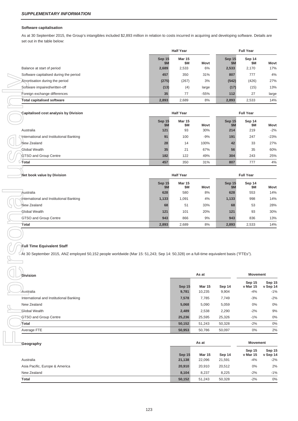## **Software capitalisation**

As at 30 September 2015, the Group's intangibles included \$2,893 million in relation to costs incurred in acquiring and developing software. Details are set out in the table below:

|                                        |               | <b>Half Year</b>     |        | <b>Full Year</b>    |               |       |  |
|----------------------------------------|---------------|----------------------|--------|---------------------|---------------|-------|--|
|                                        | Sep 15<br>\$M | <b>Mar 15</b><br>\$M | Movt   | Sep 15<br><b>SM</b> | Sep 14<br>\$M | Movt  |  |
| Balance at start of period             | 2,689         | 2,533                | 6%     | 2,533               | 2,170         | 17%   |  |
| Software capitalised during the period | 457           | 350                  | 31%    | 807                 | 777           | 4%    |  |
| Amortisation during the period         | (275)         | (267)                | 3%     | (542)               | (426)         | 27%   |  |
| Software impaired/written-off          | (13)          | (4)                  | large  | (17)                | (15)          | 13%   |  |
| Foreign exchange differences           | 35            | 77                   | $-55%$ | 112                 | 27            | large |  |
| <b>Total capitalised software</b>      | 2,893         | 2,689                | 8%     | 2.893               | 2,533         | 14%   |  |

| Capitalised cost analysis by Division   |               | <b>Half Year</b>     |       | <b>Full Year</b> |               |        |  |  |
|-----------------------------------------|---------------|----------------------|-------|------------------|---------------|--------|--|--|
|                                         | Sep 15<br>\$M | <b>Mar 15</b><br>\$M | Movt  | Sep 15<br>\$M    | Sep 14<br>\$M | Movt   |  |  |
| Australia                               | 121           | 93                   | 30%   | 214              | 219           | $-2%$  |  |  |
| International and Institutional Banking | 91            | 100                  | $-9%$ | 191              | 247           | $-23%$ |  |  |
| New Zealand                             | 28            | 14                   | 100%  | 42               | 33            | 27%    |  |  |
| Global Wealth                           | 35            | 21                   | 67%   | 56               | 35            | 60%    |  |  |
| GTSO and Group Centre                   | 182           | 122                  | 49%   | 304              | 243           | 25%    |  |  |
| Total                                   | 457           | 350                  | 31%   | 807              | 777           | 4%     |  |  |

| Net book value by Division | <b>Half Year</b> | <b>Full Year</b> |
|----------------------------|------------------|------------------|
|                            |                  |                  |

|                                         | Sep 15<br>\$M | <b>Mar 15</b><br>\$M | Movt | Sep 15<br>\$M | Sep 14<br>\$M | <b>Movt</b> |
|-----------------------------------------|---------------|----------------------|------|---------------|---------------|-------------|
| Australia                               | 628           | 580                  | 8%   | 628           | 553           | 14%         |
| International and Institutional Banking | 1,133         | 1,091                | 4%   | 1,133         | 998           | 14%         |
| New Zealand                             | 68            | 51                   | 33%  | 68            | 53            | 28%         |
| Global Wealth                           | 121           | 101                  | 20%  | 121           | 93            | 30%         |
| GTSO and Group Centre                   | 943           | 866                  | 9%   | 943           | 836           | 13%         |
| Total                                   | 2,893         | 2,689                | 8%   | 2,893         | 2,533         | 14%         |

#### **Full Time Equivalent Staff**

| Software capitalised during the period                                                                                                | 457           | 350                  | 31%                     | 807              | $\frac{1}{2}$      | 4%                 |
|---------------------------------------------------------------------------------------------------------------------------------------|---------------|----------------------|-------------------------|------------------|--------------------|--------------------|
| Amortisation during the period                                                                                                        | (275)         | (267)                | 3%                      | (542)            | (426)              | 27%                |
| Software impaired/written-off                                                                                                         | (13)          | (4)                  | large                   | (17)             | (15)               | 13%                |
| Foreign exchange differences                                                                                                          | 35            | 77                   | $-55%$                  | 112              | 27                 | large              |
| <b>Total capitalised software</b>                                                                                                     | 2,893         | 2,689                | 8%                      | 2,893            | 2,533              | 14%                |
|                                                                                                                                       |               | <b>Half Year</b>     |                         |                  | <b>Full Year</b>   |                    |
| Capitalised cost analysis by Division                                                                                                 |               |                      |                         |                  |                    |                    |
|                                                                                                                                       | Sep 15<br>\$M | <b>Mar 15</b><br>\$Μ | Movt                    | Sep 15<br>\$M    | Sep 14<br>\$Μ      | Movt               |
| Australia                                                                                                                             | 121           | 93                   | 30%                     | 214              | 219                | $-2%$              |
| International and Institutional Banking                                                                                               | 91            | 100                  | $-9%$                   | 191              | 247                | $-23%$             |
| New Zealand                                                                                                                           | 28            | 14                   | 100%                    | 42               | 33                 | 27%                |
| Global Wealth                                                                                                                         | 35            | 21                   | 67%                     | 56               | 35                 | 60%                |
| GTSO and Group Centre                                                                                                                 | 182           | 122                  | 49%                     | 304              | 243                | 25%                |
| Total                                                                                                                                 | 457           | 350                  | 31%                     | 807              | 777                | 4%                 |
|                                                                                                                                       |               |                      |                         |                  |                    |                    |
| Net book value by Division                                                                                                            |               | <b>Half Year</b>     |                         |                  | <b>Full Year</b>   |                    |
|                                                                                                                                       | Sep 15<br>\$M | <b>Mar 15</b><br>\$Μ | Movt                    | Sep 15<br>\$M    | Sep 14<br>\$M      | Movt               |
| Australia                                                                                                                             | 628           | 580                  | 8%                      | 628              | 553                | 14%                |
| International and Institutional Banking                                                                                               | 1,133         | 1,091                | 4%                      | 1,133            | 998                | 14%                |
| New Zealand                                                                                                                           | 68            | 51                   | 33%                     | 68               | 53                 | 28%                |
|                                                                                                                                       | 121           | 101                  | 20%                     | 121              | 93                 | 30%                |
| Global Wealth                                                                                                                         |               |                      |                         |                  |                    |                    |
| GTSO and Group Centre                                                                                                                 | 943           | 866                  | 9%                      | 943              | 836                | 13%                |
| Total<br>Full Time Equivalent Staff                                                                                                   | 2,893         | 2,689                | 8%                      | 2,893            | 2,533              | 14%                |
| At 30 September 2015, ANZ employed 50,152 people worldwide (Mar 15: 51,243; Sep 14: 50,328) on a full-time equivalent basis ("FTEs"). |               |                      |                         |                  |                    |                    |
| Division                                                                                                                              |               |                      | As at                   |                  | <b>Movement</b>    |                    |
|                                                                                                                                       |               | Sep 15               | <b>Mar 15</b>           | Sep 14           | Sep 15<br>v Mar 15 | Sep 15<br>v Sep 14 |
| Australia                                                                                                                             |               | 9,781                | 10,235                  | 9,904            | $-4%$              | $-1%$              |
| International and Institutional Banking                                                                                               |               | 7,578                | 7,785                   | 7,749            | $-3%$              | $-2%$              |
| New Zealand<br><b>Global Wealth</b>                                                                                                   |               | 5,068                | 5,090                   | 5,059            | $0\%$              | $0\%$              |
| GTSO and Group Centre                                                                                                                 |               | 2,489                | 2,538                   | 2,290            | $-2%$<br>$-1%$     | 9%                 |
|                                                                                                                                       |               | 25,236               | 25,595                  | 25,326           |                    | 0%                 |
| Total                                                                                                                                 |               | 50,152<br>50,953     | 51,243<br>50,786        | 50,328<br>50,097 | $-2%$<br>0%        | $0\%$<br>2%        |
| Average FTE                                                                                                                           |               |                      |                         |                  |                    |                    |
| Geography                                                                                                                             |               |                      | As at                   |                  | <b>Movement</b>    |                    |
|                                                                                                                                       |               |                      |                         |                  | Sep 15             | Sep 15             |
| Australia                                                                                                                             |               | Sep 15<br>21,138     | <b>Mar 15</b><br>22,096 | Sep 14<br>21,591 | v Mar 15<br>$-4%$  | v Sep 14<br>$-2%$  |
| Asia Pacific, Europe & America                                                                                                        |               | 20,910               | 20,910                  | 20,512           | $0\%$              | 2%                 |
| New Zealand                                                                                                                           |               | 8,104                | 8,237                   | 8,225            | $-2%$              | $-1%$              |

| Geography                      | As at  |               |        | <b>Movement</b>    |                    |  |
|--------------------------------|--------|---------------|--------|--------------------|--------------------|--|
|                                | Sep 15 | <b>Mar 15</b> | Sep 14 | Sep 15<br>v Mar 15 | Sep 15<br>v Sep 14 |  |
| Australia                      | 21,138 | 22,096        | 21,591 | $-4%$              | $-2%$              |  |
| Asia Pacific, Europe & America | 20,910 | 20,910        | 20,512 | $0\%$              | 2%                 |  |
| New Zealand                    | 8.104  | 8,237         | 8.225  | $-2%$              | $-1%$              |  |
| <b>Total</b>                   | 50,152 | 51,243        | 50,328 | $-2%$              | $0\%$              |  |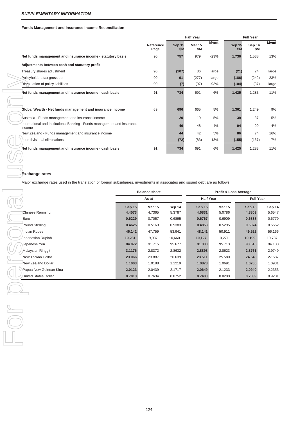## **Funds Management and Insurance Income Reconciliation**

|                                                                                    |                   | <b>Half Year</b>    |                      |              |                     | <b>Full Year</b> |              |  |
|------------------------------------------------------------------------------------|-------------------|---------------------|----------------------|--------------|---------------------|------------------|--------------|--|
|                                                                                    | Reference<br>Page | Sep 15<br><b>SM</b> | <b>Mar 15</b><br>\$M | <b>M</b> vmt | Sep 15<br><b>SM</b> | Sep 14<br>\$M    | <b>M</b> vmt |  |
| Net funds management and insurance income - statutory basis                        | 90                | 757                 | 979                  | $-23%$       | 1,736               | 1,538            | 13%          |  |
| Adjustments between cash and statutory profit                                      |                   |                     |                      |              |                     |                  |              |  |
| Treasury shares adjustment                                                         | 90                | (107)               | 86                   | large        | (21)                | 24               | large        |  |
| Policyholders tax gross up                                                         | 90                | 91                  | (277)                | large        | (186)               | (242)            | $-23%$       |  |
| Revaluation of policy liabilities                                                  | 90                | (7)                 | (97)                 | $-93%$       | (104)               | (37)             | large        |  |
| Net funds management and insurance income - cash basis                             | 91                | 734                 | 691                  | 6%           | 1,425               | 1,283            | 11%          |  |
| Global Wealth - Net funds management and insurance income                          | 69                | 696                 | 665                  | 5%           | 1,361               | 1,249            | 9%           |  |
| Australia - Funds management and insurance income                                  |                   | 20                  | 19                   | 5%           | 39                  | 37               | 5%           |  |
| International and Institutional Banking - Funds management and insurance<br>income |                   | 46                  | 48                   | $-4%$        | 94                  | 90               | 4%           |  |
| New Zealand - Funds management and insurance income                                |                   | 44                  | 42                   | 5%           | 86                  | 74               | 16%          |  |
| Inter-divisional eliminations                                                      |                   | (72)                | (83)                 | $-13%$       | (155)               | (167)            | $-7%$        |  |
| Net funds management and insurance income - cash basis                             | 91                | 734                 | 691                  | 6%           | 1,425               | 1,283            | 11%          |  |

|                      | Policyholders tax gross up                                                                                                      |        | 90            | 91                    | (277)            | large         | (186)  | (242)            | $-23%$ |  |
|----------------------|---------------------------------------------------------------------------------------------------------------------------------|--------|---------------|-----------------------|------------------|---------------|--------|------------------|--------|--|
|                      | Revaluation of policy liabilities                                                                                               |        | 90            | (7)                   | (97)             | $-93%$        | (104)  | (37)             | large  |  |
|                      | Net funds management and insurance income - cash basis                                                                          |        | 91            | 734                   | 691              | 6%            | 1,425  | 1,283            | 11%    |  |
|                      |                                                                                                                                 |        |               |                       |                  |               |        |                  |        |  |
|                      |                                                                                                                                 |        |               |                       |                  |               |        |                  |        |  |
|                      | Global Wealth - Net funds management and insurance income                                                                       |        | 69            | 696                   | 665              | 5%            | 1,361  | 1,249            | 9%     |  |
|                      | Australia - Funds management and insurance income                                                                               |        |               | 20                    | 19               | 5%            | 39     | 37               | 5%     |  |
|                      | International and Institutional Banking - Funds management and insurance<br>income                                              |        |               | 46                    | 48               | -4%           | 94     | 90               | 4%     |  |
|                      | New Zealand - Funds management and insurance income                                                                             |        |               | 44                    | 42               | 5%            | 86     | 74               | 16%    |  |
|                      | Inter-divisional eliminations                                                                                                   |        |               | (72)                  | (83)             | $-13%$        | (155)  | (167)            | $-7%$  |  |
|                      | Net funds management and insurance income - cash basis                                                                          |        | 91            | 734                   | 691              | 6%            | 1,425  | 1,283            | 11%    |  |
|                      |                                                                                                                                 |        |               |                       |                  |               |        |                  |        |  |
|                      |                                                                                                                                 |        |               |                       |                  |               |        |                  |        |  |
|                      |                                                                                                                                 |        |               |                       |                  |               |        |                  |        |  |
|                      | <b>Exchange rates</b>                                                                                                           |        |               |                       |                  |               |        |                  |        |  |
|                      | Major exchange rates used in the translation of foreign subsidiaries, investments in associates and issued debt are as follows: |        |               |                       |                  |               |        |                  |        |  |
| <b>Balance sheet</b> |                                                                                                                                 |        |               | Profit & Loss Average |                  |               |        |                  |        |  |
|                      |                                                                                                                                 |        | As at         |                       | <b>Half Year</b> |               |        | <b>Full Year</b> |        |  |
|                      |                                                                                                                                 | Sep 15 | <b>Mar 15</b> | Sep 14                | Sep 15           | <b>Mar 15</b> |        | Sep 15           | Sep 14 |  |
|                      | Chinese Renminbi                                                                                                                | 4.4573 | 4.7365        | 5.3787                | 4.6831           | 5.0786        |        | 4.8803           | 5.6547 |  |
|                      | Euro                                                                                                                            | 0.6229 | 0.7057        | 0.6895                | 0.6767           | 0.6909        |        | 0.6838           | 0.6779 |  |
|                      | Pound Sterling                                                                                                                  | 0.4625 | 0.5163        | 0.5383                | 0.4853           | 0.5295        |        | 0.5074           | 0.5552 |  |
|                      | Indian Rupee                                                                                                                    | 46.142 | 47.759        | 53.941                | 48.141           | 50.911        |        | 49.522           | 56.166 |  |
|                      | Indonesian Rupiah                                                                                                               | 10,281 | 9,987         | 10,660                | 10,127           | 10,271        |        | 10,199           | 10,787 |  |
|                      | Japanese Yen                                                                                                                    | 84.072 | 91.715        | 95.677                | 91.330           | 95.713        |        | 93.515           | 94.133 |  |
|                      | Malaysian Ringgit                                                                                                               | 3.1176 | 2.8372        | 2.8632                | 2.8898           | 2.8623        |        | 2.8761           | 2.9749 |  |
|                      | New Taiwan Dollar                                                                                                               | 23.066 | 23.887        | 26.639                | 23.511           |               | 25.580 | 24.543           | 27.587 |  |
|                      | New Zealand Dollar                                                                                                              | 1.1003 | 1.0188        | 1.1219                | 1.0878           | 1.0691        |        | 1.0785           | 1.0931 |  |
|                      | Papua New Guinean Kina                                                                                                          | 2.0123 | 2.0439        | 2.1717                | 2.0649           |               | 2.1233 | 2.0940           | 2.2353 |  |
|                      | United States Dollar                                                                                                            | 0.7013 | 0.7634        | 0.8752                | 0.7480           |               | 0.8200 | 0.7839           | 0.9201 |  |
|                      |                                                                                                                                 |        |               |                       |                  |               |        |                  |        |  |
|                      |                                                                                                                                 |        |               |                       |                  |               |        |                  |        |  |
|                      |                                                                                                                                 |        |               |                       |                  |               |        |                  |        |  |
|                      |                                                                                                                                 |        |               |                       |                  |               |        |                  |        |  |
|                      |                                                                                                                                 |        |               |                       |                  |               |        |                  |        |  |
|                      |                                                                                                                                 |        |               |                       |                  |               |        |                  |        |  |
|                      |                                                                                                                                 |        |               |                       |                  |               |        |                  |        |  |
|                      |                                                                                                                                 |        |               |                       |                  |               |        |                  |        |  |
|                      |                                                                                                                                 |        |               |                       |                  |               |        |                  |        |  |
|                      |                                                                                                                                 |        |               |                       |                  |               |        |                  |        |  |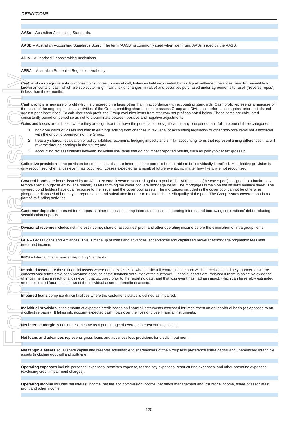**AASs** – Australian Accounting Standards.

**AASB** – Australian Accounting Standards Board. The term "AASB" is commonly used when identifying AASs issued by the AASB.

**ADIs** – Authorised Deposit-taking Institutions.

**APRA** – Australian Prudential Regulation Authority.

**Cash and cash equivalents** comprise coins, notes, money at call, balances held with central banks, liquid settlement balances (readily convertible to known amounts of cash which are subject to insignificant risk of changes in value) and securities purchased under agreements to resell ("reverse repos") in less than three months.

Cash profit is a measure of profit which is prepared on a basis other than in accordance with accounting standards. Cash profit represents a measure of the result of the ongoing business activities of the Group, enabling shareholders to assess Group and Divisional performance against prior periods and against peer institutions. To calculate cash profit, the Group excludes items from statutory net profit as noted below. These items are calculated consistently period on period so as not to discriminate between positive and negative adjustments.

Gains and losses are adjusted where they are significant, or have the potential to be significant in any one period, and fall into one of three categories:

- 1. non-core gains or losses included in earnings arising from changes in tax, legal or accounting legislation or other non-core items not associated with the ongoing operations of the Group;
- 2. treasury shares, revaluation of policy liabilities, economic hedging impacts and similar accounting items that represent timing differences that will reverse through earnings in the future; and
- 3. accounting reclassifications between individual line items that do not impact reported results, such as policyholder tax gross up.

**Collective provision** is the provision for credit losses that are inherent in the portfolio but not able to be individually identified. A collective provision is only recognised when a loss event has occurred. Losses expected as a result of future events, no matter how likely, are not recognised.

**Covered bonds** are bonds issued by an ADI to external investors secured against a pool of the ADI's assets (the cover pool) assigned to a bankruptcy remote special purpose entity. The primary assets forming the cover pool are mortgage loans. The mortgages remain on the issuer's balance sheet. The covered bond holders have dual recourse to the issuer and the cover pool assets. The mortgages included in the cover pool cannot be otherwise pledged or disposed of but may be repurchased and substituted in order to maintain the credit quality of the pool. The Group issues covered bonds as part of its funding activities. For personal use only

**Customer deposits** represent term deposits, other deposits bearing interest, deposits not bearing interest and borrowing corporations' debt excluding securitisation deposits.

**Divisional revenue** includes net interest income, share of associates' profit and other operating income before the elimination of intra group items.

**GLA** – Gross Loans and Advances. This is made up of loans and advances, acceptances and capitalised brokerage/mortgage origination fees less unearned income.

**IFRS** – International Financial Reporting Standards.

**Impaired assets** are those financial assets where doubt exists as to whether the full contractual amount will be received in a timely manner, or where concessional terms have been provided because of the financial difficulties of the customer. Financial assets are impaired if there is objective evidence of impairment as a result of a loss event that occurred prior to the reporting date, and that loss event has had an impact, which can be reliably estimated, on the expected future cash flows of the individual asset or portfolio of assets.

**Impaired loans** comprise drawn facilities where the customer's status is defined as impaired.

**Individual provision** is the amount of expected credit losses on financial instruments assessed for impairment on an individual basis (as opposed to on a collective basis). It takes into account expected cash flows over the lives of those financial instruments.

**Net interest margin** is net interest income as a percentage of average interest earning assets.

**Net loans and advances** represents gross loans and advances less provisions for credit impairment.

**Net tangible assets** equal share capital and reserves attributable to shareholders of the Group less preference share capital and unamortised intangible assets (including goodwill and software).

**Operating expenses** include personnel expenses, premises expense, technology expenses, restructuring expenses, and other operating expenses (excluding credit impairment charges).

**Operating income** includes net interest income, net fee and commission income, net funds management and insurance income, share of associates' profit and other income.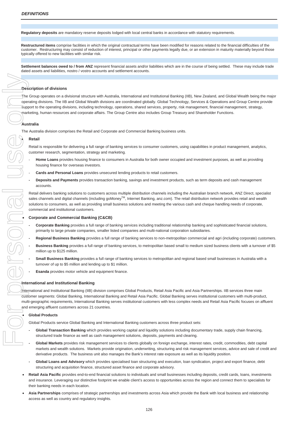**Regulatory deposits** are mandatory reserve deposits lodged with local central banks in accordance with statutory requirements.

**Restructured items** comprise facilities in which the original contractual terms have been modified for reasons related to the financial difficulties of the customer. Restructuring may consist of reduction of interest, principal or other payments legally due, or an extension in maturity materially beyond those typically offered to new facilities with similar risk.

Settlement balances owed to / from ANZ represent financial assets and/or liabilities which are in the course of being settled. These may include trade dated assets and liabilities, nostro / vostro accounts and settlement accounts.

### **Description of divisions**

The Group operates on a divisional structure with Australia, International and Institutional Banking (IIB), New Zealand, and Global Wealth being the major operating divisions. The IIB and Global Wealth divisions are coordinated globally. Global Technology, Services & Operations and Group Centre provide support to the operating divisions, including technology, operations, shared services, property, risk management, financial management, strategy, marketing, human resources and corporate affairs. The Group Centre also includes Group Treasury and Shareholder Functions.

#### **Australia**

The Australia division comprises the Retail and Corporate and Commercial Banking business units.

#### **Retail**

Retail is responsible for delivering a full range of banking services to consumer customers, using capabilities in product management, analytics, customer research, segmentation, strategy and marketing.

- **Home Loans** provides housing finance to consumers in Australia for both owner occupied and investment purposes, as well as providing housing finance for overseas investors.
- Cards and Personal Loans provides unsecured lending products to retail customers.
- **Deposits and Payments** provides transaction banking, savings and investment products, such as term deposits and cash management accounts.

Retail delivers banking solutions to customers across multiple distribution channels including the Australian branch network, ANZ Direct, specialist sales channels and digital channels (including goMoney™, Internet Banking, anz.com). The retail distribution network provides retail and wealth solutions to consumers, as well as providing small business solutions and meeting the various cash and cheque handling needs of corporate, commercial and institutional customers. **Corporate and Commercial Banking (C&CB)**<br>
Corporate and Commercial Banking (including gommercial and institutional customers.<br>
Corporate and Commercial Banking (C&CB)

- **Corporate Banking** provides a full range of banking services including traditional relationship banking and sophisticated financial solutions, primarily to large private companies, smaller listed companies and multi-national corporation subsidiaries.
- **Regional Business Banking** provides a full range of banking services to non-metropolitan commercial and agri (including corporate) customers.
- **Business Banking** provides a full range of banking services, to metropolitan based small to medium sized business clients with a turnover of \$5 million up to \$125 million.
- **Small Business Banking** provides a full range of banking services to metropolitan and regional based small businesses in Australia with a turnover of up to \$5 million and lending up to \$1 million.
- **Esanda** provides motor vehicle and equipment finance.

#### **International and Institutional Banking**

International and Institutional Banking (IIB) division comprises Global Products, Retail Asia Pacific and Asia Partnerships. IIB services three main customer segments: Global Banking, International Banking and Retail Asia Pacific. Global Banking serves institutional customers with multi-product, multi-geographic requirements, International Banking serves institutional customers with less complex needs and Retail Asia Pacific focuses on affluent and emerging affluent customers across 21 countries.

#### **Global Products**

Global Products service Global Banking and International Banking customers across three product sets:

- Global Transaction Banking which provides working capital and liquidity solutions including documentary trade, supply chain financing. structured trade finance as well as cash management solutions, deposits, payments and clearing.
- **Global Markets** provides risk management services to clients globally on foreign exchange, interest rates, credit, commodities, debt capital markets and wealth solutions. Markets provide origination, underwriting, structuring and risk management services, advice and sale of credit and derivative products. The business unit also manages the Bank's interest rate exposure as well as its liquidity position.
- **Global Loans and Advisory** which provides specialised loan structuring and execution, loan syndication, project and export finance, debt structuring and acquisition finance, structured asset finance and corporate advisory.
- **Retail Asia Pacific** provides end-to-end financial solutions to individuals and small businesses including deposits, credit cards, loans, investments and insurance. Leveraging our distinctive footprint we enable client's access to opportunities across the region and connect them to specialists for their banking needs in each location.
- **Asia Partnerships** comprises of strategic partnerships and investments across Asia which provide the Bank with local business and relationship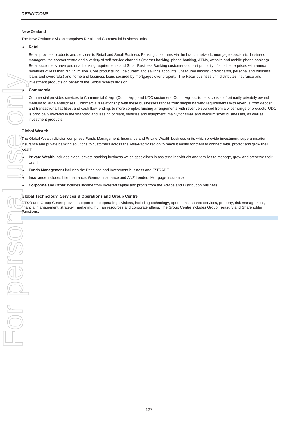## **New Zealand**

The New Zealand division comprises Retail and Commercial business units.

## **Retail**

Retail provides products and services to Retail and Small Business Banking customers via the branch network, mortgage specialists, business managers, the contact centre and a variety of self-service channels (internet banking, phone banking, ATMs, website and mobile phone banking). Retail customers have personal banking requirements and Small Business Banking customers consist primarily of small enterprises with annual revenues of less than NZD 5 million. Core products include current and savings accounts, unsecured lending (credit cards, personal and business loans and overdrafts) and home and business loans secured by mortgages over property. The Retail business unit distributes insurance and investment products on behalf of the Global Wealth division.

## **Commercial**

Commercial provides services to Commercial & Agri (CommAgri) and UDC customers. CommAgri customers consist of primarily privately owned medium to large enterprises. Commercial's relationship with these businesses ranges from simple banking requirements with revenue from deposit and transactional facilities, and cash flow lending, to more complex funding arrangements with revenue sourced from a wider range of products. UDC is principally involved in the financing and leasing of plant, vehicles and equipment, mainly for small and medium sized businesses, as well as investment products.

## **Global Wealth**

The Global Wealth division comprises Funds Management, Insurance and Private Wealth business units which provide investment, superannuation, insurance and private banking solutions to customers across the Asia-Pacific region to make it easier for them to connect with, protect and grow their wealth.

 **Private Wealth** includes global private banking business which specialises in assisting individuals and families to manage, grow and preserve their wealth

**Funds Management** includes the Pensions and Investment business and E\*TRADE.

**Insurance** includes Life Insurance, General Insurance and ANZ Lenders Mortgage Insurance.

**Corporate and Other** includes income from invested capital and profits from the Advice and Distribution business.

## **Global Technology, Services & Operations and Group Centre**

GTSO and Group Centre provide support to the operating divisions, including technology, operations, shared services, property, risk management, financial management, strategy, marketing, human resources and corporate affairs. The Group Centre includes Group Treasury and Shareholder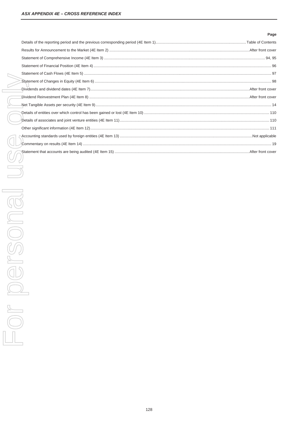# Page